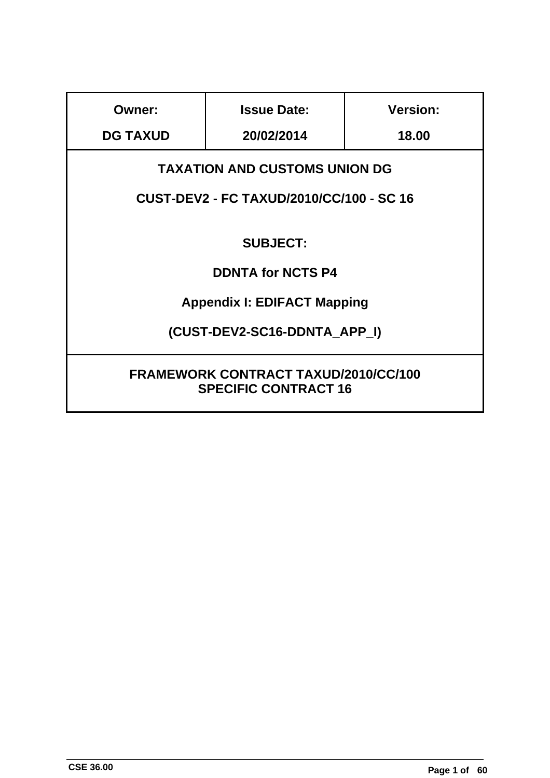| Owner:                                                                                  | <b>Issue Date:</b>                 |  |  |  |  |  |
|-----------------------------------------------------------------------------------------|------------------------------------|--|--|--|--|--|
| <b>DG TAXUD</b>                                                                         | 20/02/2014                         |  |  |  |  |  |
| <b>TAXATION AND CUSTOMS UNION DG</b><br><b>CUST-DEV2 - FC TAXUD/2010/CC/100 - SC 16</b> |                                    |  |  |  |  |  |
|                                                                                         |                                    |  |  |  |  |  |
|                                                                                         | <b>SUBJECT:</b>                    |  |  |  |  |  |
|                                                                                         | <b>DDNTA for NCTS P4</b>           |  |  |  |  |  |
|                                                                                         | <b>Appendix I: EDIFACT Mapping</b> |  |  |  |  |  |
| (CUST-DEV2-SC16-DDNTA APP I)                                                            |                                    |  |  |  |  |  |
| <b>FRAMEWORK CONTRACT TAXUD/2010/CC/100</b><br><b>SPECIFIC CONTRACT 16</b>              |                                    |  |  |  |  |  |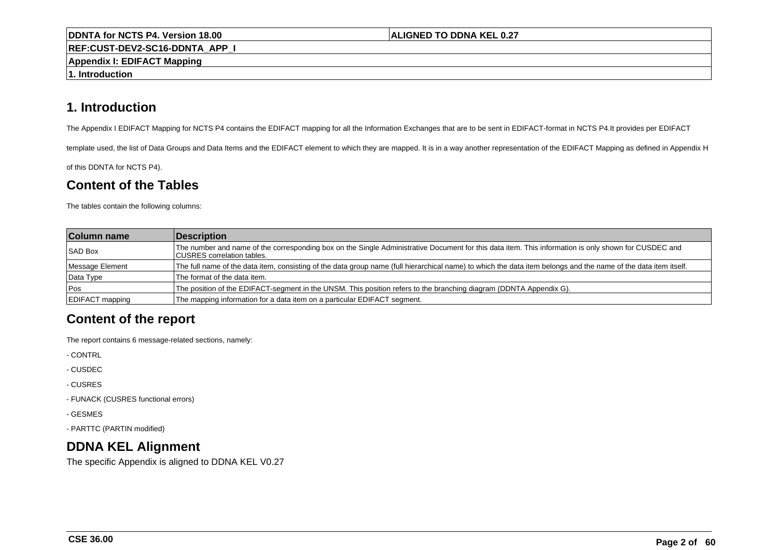#### **ALIGNED TO DDNA KEL 0.27**

**REF:CUST-DEV2-SC16-DDNTA\_APP\_I**

**Appendix I: EDIFACT Mapping**

**1. Introduction**

# **1. Introduction**

The Appendix I EDIFACT Mapping for NCTS P4 contains the EDIFACT mapping for all the Information Exchanges that are to be sent in EDIFACT-format in NCTS P4.It provides per EDIFACT

template used, the list of Data Groups and Data Items and the EDIFACT element to which they are mapped. It is in a way another representation of the EDIFACT Mapping as defined in Appendix H

of this DDNTA for NCTS P4).

# **Content of the Tables**

The tables contain the following columns:

| <b>Column name</b> | Description                                                                                                                                                                                |
|--------------------|--------------------------------------------------------------------------------------------------------------------------------------------------------------------------------------------|
| <b>SAD Box</b>     | The number and name of the corresponding box on the Single Administrative Document for this data item. This information is only shown for CUSDEC and<br><b>ICUSRES</b> correlation tables. |
| Message Element    | The full name of the data item, consisting of the data group name (full hierarchical name) to which the data item belongs and the name of the data item itself.                            |
| Data Type          | The format of the data item.                                                                                                                                                               |
| <b>Pos</b>         | The position of the EDIFACT-segment in the UNSM. This position refers to the branching diagram (DDNTA Appendix G).                                                                         |
| EDIFACT mapping    | The mapping information for a data item on a particular EDIFACT segment.                                                                                                                   |

# **Content of the report**

The report contains 6 message-related sections, namely:

- CONTRL

- CUSDEC

- CUSRES

- FUNACK (CUSRES functional errors)

- GESMES

- PARTTC (PARTIN modified)

# **DDNA KEL Alignment**

The specific Appendix is aligned to DDNA KEL V0.27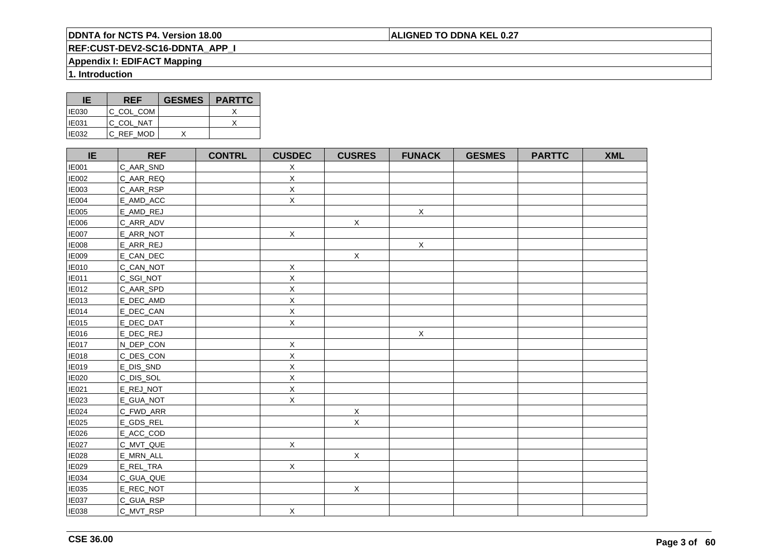# **ALIGNED TO DDNA KEL 0.27**

# **REF:CUST-DEV2-SC16-DDNTA\_APP\_I**

# **Appendix I: EDIFACT Mapping**

**1. Introduction**

| IE           | <b>REF</b> | <b>GESMES</b> | <b>PARTTC</b> |
|--------------|------------|---------------|---------------|
| <b>IE030</b> | IC COL COM |               |               |
| <b>IE031</b> | IC COL NAT |               |               |
| IE032        | C REF MOD  |               |               |

| IE           | <b>REF</b> | <b>CONTRL</b> | <b>CUSDEC</b> | <b>CUSRES</b> | <b>FUNACK</b> | <b>GESMES</b> | <b>PARTTC</b> | <b>XML</b> |
|--------------|------------|---------------|---------------|---------------|---------------|---------------|---------------|------------|
| <b>IE001</b> | C_AAR_SND  |               | X             |               |               |               |               |            |
| <b>IE002</b> | C_AAR_REQ  |               | $\mathsf X$   |               |               |               |               |            |
| <b>IE003</b> | C_AAR_RSP  |               | $\mathsf X$   |               |               |               |               |            |
| <b>IE004</b> | E_AMD_ACC  |               | $\mathsf X$   |               |               |               |               |            |
| <b>IE005</b> | E_AMD_REJ  |               |               |               | $\mathsf X$   |               |               |            |
| <b>IE006</b> | C_ARR_ADV  |               |               | $\mathsf X$   |               |               |               |            |
| <b>IE007</b> | E_ARR_NOT  |               | $\mathsf X$   |               |               |               |               |            |
| <b>IE008</b> | E_ARR_REJ  |               |               |               | $\mathsf X$   |               |               |            |
| <b>IE009</b> | E_CAN_DEC  |               |               | $\mathsf X$   |               |               |               |            |
| <b>IE010</b> | C_CAN_NOT  |               | X             |               |               |               |               |            |
| <b>IE011</b> | C_SGI_NOT  |               | X             |               |               |               |               |            |
| <b>IE012</b> | C_AAR_SPD  |               | $\mathsf X$   |               |               |               |               |            |
| <b>IE013</b> | E_DEC_AMD  |               | Χ             |               |               |               |               |            |
| <b>IE014</b> | E_DEC_CAN  |               | $\mathsf X$   |               |               |               |               |            |
| <b>IE015</b> | E_DEC_DAT  |               | $\mathsf X$   |               |               |               |               |            |
| <b>IE016</b> | E_DEC_REJ  |               |               |               | $\mathsf X$   |               |               |            |
| <b>IE017</b> | N_DEP_CON  |               | X             |               |               |               |               |            |
| <b>IE018</b> | C_DES_CON  |               | Χ             |               |               |               |               |            |
| <b>IE019</b> | E_DIS_SND  |               | X             |               |               |               |               |            |
| <b>IE020</b> | C_DIS_SOL  |               | $\mathsf X$   |               |               |               |               |            |
| IE021        | E_REJ_NOT  |               | Χ             |               |               |               |               |            |
| IE023        | E_GUA_NOT  |               | $\mathsf{X}$  |               |               |               |               |            |
| IE024        | C_FWD_ARR  |               |               | $\mathsf X$   |               |               |               |            |
| IE025        | E_GDS_REL  |               |               | $\mathsf X$   |               |               |               |            |
| IE026        | E_ACC_COD  |               |               |               |               |               |               |            |
| <b>IE027</b> | C_MVT_QUE  |               | $\mathsf X$   |               |               |               |               |            |
| <b>IE028</b> | E_MRN_ALL  |               |               | $\mathsf X$   |               |               |               |            |
| IE029        | E_REL_TRA  |               | $\mathsf{X}$  |               |               |               |               |            |
| <b>IE034</b> | C_GUA_QUE  |               |               |               |               |               |               |            |
| IE035        | E_REC_NOT  |               |               | $\mathsf X$   |               |               |               |            |
| <b>IE037</b> | C_GUA_RSP  |               |               |               |               |               |               |            |
| <b>IE038</b> | C_MVT_RSP  |               | $\mathsf X$   |               |               |               |               |            |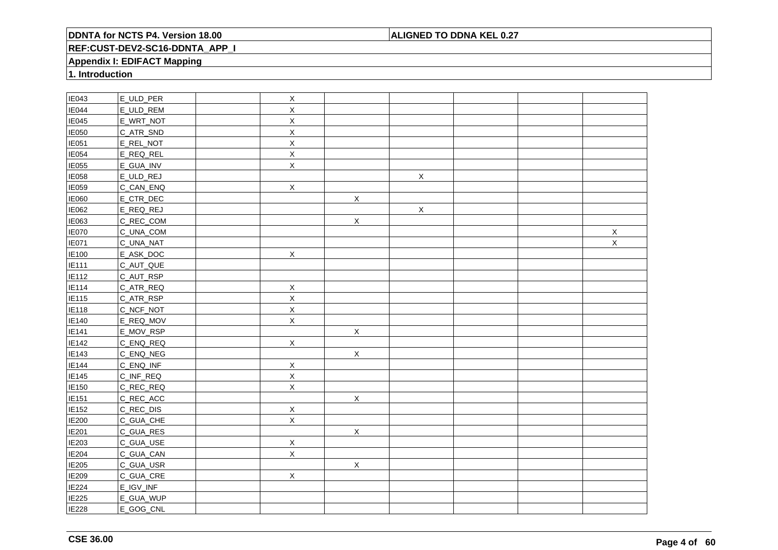## **ALIGNED TO DDNA KEL 0.27**

# **REF:CUST-DEV2-SC16-DDNTA\_APP\_I**

## **Appendix I: EDIFACT Mapping**

**1. Introduction**

| IE043             | E_ULD_PER | $\mathsf X$    |             |             |  |             |
|-------------------|-----------|----------------|-------------|-------------|--|-------------|
| <b>IE044</b>      | E_ULD_REM | X              |             |             |  |             |
| IE045             | E_WRT_NOT | $\mathsf X$    |             |             |  |             |
| IE050             | C_ATR_SND | X              |             |             |  |             |
| IE051             | E_REL_NOT | $\mathsf X$    |             |             |  |             |
| IE054             | E_REQ_REL | $\mathsf X$    |             |             |  |             |
| <b>IE055</b>      | E_GUA_INV | $\mathsf X$    |             |             |  |             |
| IE058             | E_ULD_REJ |                |             | $\mathsf X$ |  |             |
| IE059             | C_CAN_ENQ | $\mathsf X$    |             |             |  |             |
| IE060             | E_CTR_DEC |                | $\mathsf X$ |             |  |             |
| IE062             | E_REQ_REJ |                |             | $\mathsf X$ |  |             |
| IE063             | C_REC_COM |                | $\mathsf X$ |             |  |             |
| IE070             | C_UNA_COM |                |             |             |  | $\mathsf X$ |
| IE071             | C_UNA_NAT |                |             |             |  | $\mathsf X$ |
| IE100             | E_ASK_DOC | $\mathsf X$    |             |             |  |             |
| IE111             | C_AUT_QUE |                |             |             |  |             |
| IE112             | C_AUT_RSP |                |             |             |  |             |
| IE114             | C_ATR_REQ | $\mathsf X$    |             |             |  |             |
| E115              | C_ATR_RSP | $\mathsf X$    |             |             |  |             |
| IE118             | C_NCF_NOT | $\mathsf X$    |             |             |  |             |
| IE140             | E_REQ_MOV | $\mathsf X$    |             |             |  |             |
| IE141             | E_MOV_RSP |                | $\mathsf X$ |             |  |             |
| IE142             | C_ENQ_REQ | $\mathsf{X}$   |             |             |  |             |
| IE143             | C_ENQ_NEG |                | $\mathsf X$ |             |  |             |
| <b>IE144</b>      | C_ENQ_INF | $\mathsf X$    |             |             |  |             |
| IE145             | C_INF_REQ | $\mathsf X$    |             |             |  |             |
| IE150             | C_REC_REQ | $\overline{X}$ |             |             |  |             |
| IE <sub>151</sub> | C_REC_ACC |                | $\mathsf X$ |             |  |             |
| IE152             | C_REC_DIS | $\mathsf X$    |             |             |  |             |
| <b>IE200</b>      | C_GUA_CHE | $\sf X$        |             |             |  |             |
| <b>IE201</b>      | C_GUA_RES |                | X           |             |  |             |
| IE203             | C_GUA_USE | $\mathsf X$    |             |             |  |             |
| IE204             | C_GUA_CAN | $\mathsf X$    |             |             |  |             |
| IE205             | C_GUA_USR |                | $\mathsf X$ |             |  |             |
| IE209             | C_GUA_CRE | $\mathsf{X}$   |             |             |  |             |
| IE224             | E_IGV_INF |                |             |             |  |             |
| IE225             | E_GUA_WUP |                |             |             |  |             |
| IE228             | E_GOG_CNL |                |             |             |  |             |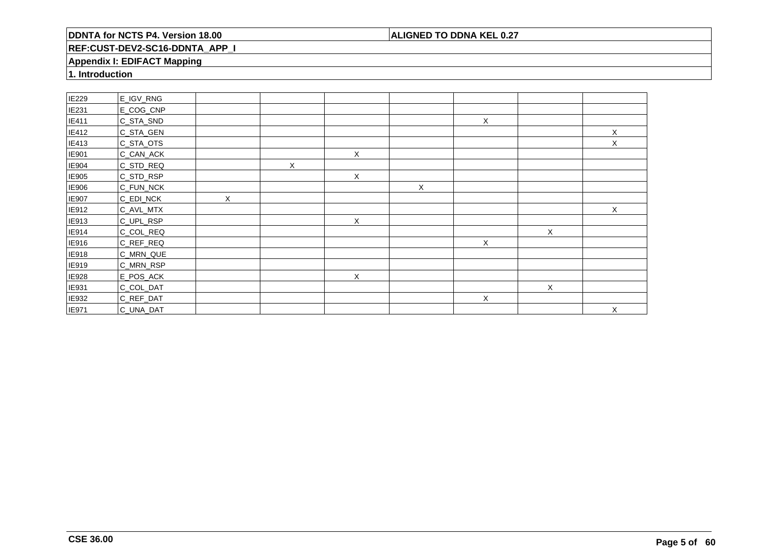## **ALIGNED TO DDNA KEL 0.27**

# **REF:CUST-DEV2-SC16-DDNTA\_APP\_I**

## **Appendix I: EDIFACT Mapping**

**1. Introduction**

| IE229        | E_IGV_RNG |          |   |   |              |              |   |   |
|--------------|-----------|----------|---|---|--------------|--------------|---|---|
| <b>IE231</b> | E_COG_CNP |          |   |   |              |              |   |   |
| IE411        | C_STA_SND |          |   |   |              | $\mathsf X$  |   |   |
| IE412        | C_STA_GEN |          |   |   |              |              |   | X |
| IE413        | C_STA_OTS |          |   |   |              |              |   | X |
| IE901        | C_CAN_ACK |          |   | Χ |              |              |   |   |
| IE904        | C_STD_REQ |          | X |   |              |              |   |   |
| IE905        | C_STD_RSP |          |   | X |              |              |   |   |
| IE906        | C_FUN_NCK |          |   |   | $\mathsf{X}$ |              |   |   |
| <b>IE907</b> | C_EDI_NCK | $\times$ |   |   |              |              |   |   |
| IE912        | C_AVL_MTX |          |   |   |              |              |   | X |
| IE913        | C_UPL_RSP |          |   | X |              |              |   |   |
| IE914        | C_COL_REQ |          |   |   |              |              | X |   |
| IE916        | C_REF_REQ |          |   |   |              | $\mathsf{X}$ |   |   |
| IE918        | C_MRN_QUE |          |   |   |              |              |   |   |
| IE919        | C_MRN_RSP |          |   |   |              |              |   |   |
| IE928        | E_POS_ACK |          |   | X |              |              |   |   |
| IE931        | C_COL_DAT |          |   |   |              |              | X |   |
| IE932        | C_REF_DAT |          |   |   |              | X            |   |   |
| <b>IE971</b> | C_UNA_DAT |          |   |   |              |              |   | X |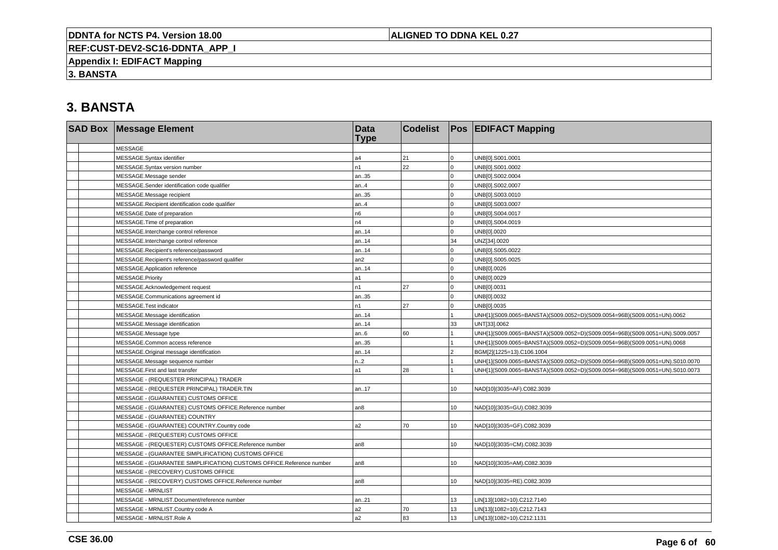## **ALIGNED TO DDNA KEL 0.27**

**REF:CUST-DEV2-SC16-DDNTA\_APP\_I**

**Appendix I: EDIFACT Mapping**

**3. BANSTA**

| <b>SAD Box Message Element</b>                                       | <b>Data</b><br><b>Type</b> | <b>Codelist</b> |          | <b>Pos EDIFACT Mapping</b>                                                   |
|----------------------------------------------------------------------|----------------------------|-----------------|----------|------------------------------------------------------------------------------|
| <b>MESSAGE</b>                                                       |                            |                 |          |                                                                              |
| MESSAGE.Syntax identifier                                            | a4                         | 21              | $\Omega$ | UNB[0].S001.0001                                                             |
| MESSAGE.Syntax version number                                        | n1                         | 22              | $\Omega$ | UNB[0].S001.0002                                                             |
| MESSAGE.Message sender                                               | an35                       |                 | $\Omega$ | UNB[0].S002.0004                                                             |
| MESSAGE.Sender identification code qualifier                         | an.4                       |                 | $\Omega$ | UNB[0].S002.0007                                                             |
| MESSAGE.Message recipient                                            | an35                       |                 | $\Omega$ | UNB[0].S003.0010                                                             |
| MESSAGE.Recipient identification code qualifier                      | an.4                       |                 | $\Omega$ | UNB[0].S003.0007                                                             |
| MESSAGE.Date of preparation                                          | n6                         |                 | $\Omega$ | UNB[0].S004.0017                                                             |
| MESSAGE.Time of preparation                                          | n4                         |                 | $\Omega$ | UNB[0].S004.0019                                                             |
| MESSAGE.Interchange control reference                                | an14                       |                 | $\Omega$ | UNB[0].0020                                                                  |
| MESSAGE.Interchange control reference                                | an14                       |                 | 34       | UNZ[34].0020                                                                 |
| MESSAGE.Recipient's reference/password                               | an14                       |                 |          | UNB[0].S005.0022                                                             |
| MESSAGE.Recipient's reference/password qualifier                     | an2                        |                 | $\Omega$ | UNB[0].S005.0025                                                             |
| MESSAGE.Application reference                                        | an14                       |                 | $\Omega$ | UNB[0].0026                                                                  |
| MESSAGE.Priority                                                     | a1                         |                 | $\Omega$ | UNB[0].0029                                                                  |
| MESSAGE.Acknowledgement request                                      | n1                         | 27              | $\Omega$ | UNB[0].0031                                                                  |
| MESSAGE.Communications agreement id                                  | an35                       |                 | $\Omega$ | UNB[0].0032                                                                  |
| MESSAGE.Test indicator                                               | n1                         | 27              | $\Omega$ | UNB[0].0035                                                                  |
| MESSAGE.Message identification                                       | an14                       |                 |          | UNH[1](S009.0065=BANSTA)(S009.0052=D)(S009.0054=96B)(S009.0051=UN).0062      |
| MESSAGE.Message identification                                       | an14                       |                 | 33       | UNT[33].0062                                                                 |
| MESSAGE.Message type                                                 | an.6                       | 60              |          | UNH[1](S009.0065=BANSTA)(S009.0052=D)(S009.0054=96B)(S009.0051=UN).S009.0057 |
| MESSAGE.Common access reference                                      | an35                       |                 |          | UNH[1](S009.0065=BANSTA)(S009.0052=D)(S009.0054=96B)(S009.0051=UN).0068      |
| MESSAGE.Original message identification                              | an14                       |                 | っ        | BGM[2](1225=13).C106.1004                                                    |
| MESSAGE.Message sequence number                                      | n.2                        |                 |          | UNH[1](S009.0065=BANSTA)(S009.0052=D)(S009.0054=96B)(S009.0051=UN).S010.0070 |
| MESSAGE.First and last transfer                                      | a1                         | 28              |          | UNH[1](S009.0065=BANSTA)(S009.0052=D)(S009.0054=96B)(S009.0051=UN).S010.0073 |
| MESSAGE - (REQUESTER PRINCIPAL) TRADER                               |                            |                 |          |                                                                              |
| MESSAGE - (REQUESTER PRINCIPAL) TRADER.TIN                           | an17                       |                 | 10       | NAD[10](3035=AF).C082.3039                                                   |
| MESSAGE - (GUARANTEE) CUSTOMS OFFICE                                 |                            |                 |          |                                                                              |
| MESSAGE - (GUARANTEE) CUSTOMS OFFICE.Reference number                | an8                        |                 | 10       | NAD[10](3035=GU).C082.3039                                                   |
| MESSAGE - (GUARANTEE) COUNTRY                                        |                            |                 |          |                                                                              |
| MESSAGE - (GUARANTEE) COUNTRY.Country code                           | a2                         | 70              | 10       | NAD[10](3035=GF).C082.3039                                                   |
| MESSAGE - (REQUESTER) CUSTOMS OFFICE                                 |                            |                 |          |                                                                              |
| MESSAGE - (REQUESTER) CUSTOMS OFFICE.Reference number                | an8                        |                 | 10       | NAD[10](3035=CM).C082.3039                                                   |
| MESSAGE - (GUARANTEE SIMPLIFICATION) CUSTOMS OFFICE                  |                            |                 |          |                                                                              |
| MESSAGE - (GUARANTEE SIMPLIFICATION) CUSTOMS OFFICE.Reference number | an8                        |                 | 10       | NAD[10](3035=AM).C082.3039                                                   |
| MESSAGE - (RECOVERY) CUSTOMS OFFICE                                  |                            |                 |          |                                                                              |
| MESSAGE - (RECOVERY) CUSTOMS OFFICE.Reference number                 | an <sub>8</sub>            |                 | 10       | NAD[10](3035=RE).C082.3039                                                   |
| <b>MESSAGE - MRNLIST</b>                                             |                            |                 |          |                                                                              |
| MESSAGE - MRNLIST.Document/reference number                          | an21                       |                 | 13       | LIN[13](1082=10).C212.7140                                                   |
| MESSAGE - MRNLIST.Country code A                                     | a2                         | 70              | 13       | LIN[13](1082=10).C212.7143                                                   |
| MESSAGE - MRNLIST.Role A                                             | a2                         | 83              | 13       | LIN[13](1082=10).C212.1131                                                   |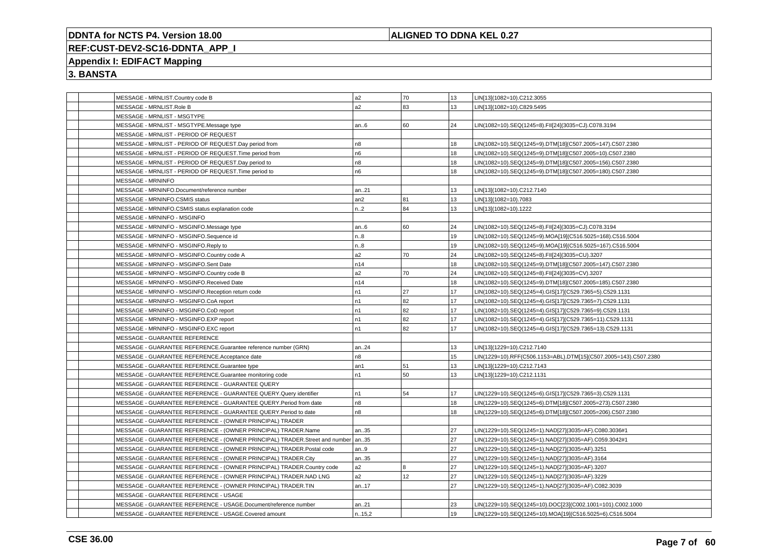## **ALIGNED TO DDNA KEL 0.27**

# **REF:CUST-DEV2-SC16-DDNTA\_APP\_I**

# **Appendix I: EDIFACT Mapping**

|  | MESSAGE - MRNLIST.Country code B                                                  | a2             | 70 | 13 | LIN[13](1082=10).C212.3055                                       |
|--|-----------------------------------------------------------------------------------|----------------|----|----|------------------------------------------------------------------|
|  | MESSAGE - MRNLIST.Role B                                                          | a2             | 83 | 13 | LIN[13](1082=10).C829.5495                                       |
|  | MESSAGE - MRNLIST - MSGTYPE                                                       |                |    |    |                                                                  |
|  | MESSAGE - MRNLIST - MSGTYPE.Message type                                          | an.6           | 60 | 24 | LIN(1082=10).SEQ(1245=8).FII[24](3035=CJ).C078.3194              |
|  | MESSAGE - MRNLIST - PERIOD OF REQUEST                                             |                |    |    |                                                                  |
|  | MESSAGE - MRNLIST - PERIOD OF REQUEST.Day period from                             | n8             |    | 18 | LIN(1082=10).SEQ(1245=9).DTM[18](C507.2005=147).C507.2380        |
|  | MESSAGE - MRNLIST - PERIOD OF REQUEST. Time period from                           | n6             |    | 18 | LIN(1082=10).SEQ(1245=9).DTM[18](C507.2005=10).C507.2380         |
|  | MESSAGE - MRNLIST - PERIOD OF REQUEST.Day period to                               | n8             |    | 18 | LIN(1082=10).SEQ(1245=9).DTM[18](C507.2005=156).C507.2380        |
|  | MESSAGE - MRNLIST - PERIOD OF REQUEST. Time period to                             | n6             |    | 18 | LIN(1082=10).SEQ(1245=9).DTM[18](C507.2005=180).C507.2380        |
|  | <b>MESSAGE - MRNINFO</b>                                                          |                |    |    |                                                                  |
|  | MESSAGE - MRNINFO.Document/reference number                                       | an21           |    | 13 | LIN[13](1082=10).C212.7140                                       |
|  | MESSAGE - MRNINFO.CSMIS status                                                    | an2            | 81 | 13 | LIN[13](1082=10).7083                                            |
|  | MESSAGE - MRNINFO.CSMIS status explanation code                                   | n.2            | 84 | 13 | LIN[13](1082=10).1222                                            |
|  | MESSAGE - MRNINFO - MSGINFO                                                       |                |    |    |                                                                  |
|  | MESSAGE - MRNINFO - MSGINFO.Message type                                          | an.6           | 60 | 24 | LIN(1082=10).SEQ(1245=8).FII[24](3035=CJ).C078.3194              |
|  | MESSAGE - MRNINFO - MSGINFO.Sequence id                                           | n8             |    | 19 | LIN(1082=10).SEQ(1245=9).MOA[19](C516.5025=168).C516.5004        |
|  | MESSAGE - MRNINFO - MSGINFO.Reply to                                              | n.8            |    | 19 | LIN(1082=10).SEQ(1245=9).MOA[19](C516.5025=167).C516.5004        |
|  | MESSAGE - MRNINFO - MSGINFO.Country code A                                        | a2             | 70 | 24 | LIN(1082=10).SEQ(1245=8).FII[24](3035=CU).3207                   |
|  | MESSAGE - MRNINFO - MSGINFO.Sent Date                                             | n14            |    | 18 | LIN(1082=10).SEQ(1245=9).DTM[18](C507.2005=147).C507.2380        |
|  | MESSAGE - MRNINFO - MSGINFO.Country code B                                        | a2             | 70 | 24 | LIN(1082=10).SEQ(1245=8).FII[24](3035=CV).3207                   |
|  | MESSAGE - MRNINFO - MSGINFO.Received Date                                         | n14            |    | 18 | LIN(1082=10).SEQ(1245=9).DTM[18](C507.2005=185).C507.2380        |
|  | MESSAGE - MRNINFO - MSGINFO.Reception return code                                 | n1             | 27 | 17 | LIN(1082=10).SEQ(1245=4).GIS[17](C529.7365=5).C529.1131          |
|  | MESSAGE - MRNINFO - MSGINFO.CoA report                                            | n1             | 82 | 17 | LIN(1082=10).SEQ(1245=4).GIS[17](C529.7365=7).C529.1131          |
|  | MESSAGE - MRNINFO - MSGINFO.CoD report                                            | n1             | 82 | 17 | LIN(1082=10).SEQ(1245=4).GIS[17](C529.7365=9).C529.1131          |
|  | MESSAGE - MRNINFO - MSGINFO.EXP report                                            | n1             | 82 | 17 | LIN(1082=10).SEQ(1245=4).GIS[17](C529.7365=11).C529.1131         |
|  | MESSAGE - MRNINFO - MSGINFO.EXC report                                            | n <sub>1</sub> | 82 | 17 | LIN(1082=10).SEQ(1245=4).GIS[17](C529.7365=13).C529.1131         |
|  | MESSAGE - GUARANTEE REFERENCE                                                     |                |    |    |                                                                  |
|  | MESSAGE - GUARANTEE REFERENCE.Guarantee reference number (GRN)                    | an24           |    | 13 | LIN[13](1229=10).C212.7140                                       |
|  | MESSAGE - GUARANTEE REFERENCE.Acceptance date                                     | n8             |    | 15 | LIN(1229=10).RFF(C506.1153=ABL).DTM[15](C507.2005=143).C507.2380 |
|  | MESSAGE - GUARANTEE REFERENCE.Guarantee type                                      | an1            | 51 | 13 | LIN[13](1229=10).C212.7143                                       |
|  | MESSAGE - GUARANTEE REFERENCE.Guarantee monitoring code                           | n <sub>1</sub> | 50 | 13 | LIN[13](1229=10).C212.1131                                       |
|  | MESSAGE - GUARANTEE REFERENCE - GUARANTEE QUERY                                   |                |    |    |                                                                  |
|  | MESSAGE - GUARANTEE REFERENCE - GUARANTEE QUERY.Query identifier                  | n1             | 54 | 17 | LIN(1229=10).SEQ(1245=6).GIS[17](C529.7365=3).C529.1131          |
|  | MESSAGE - GUARANTEE REFERENCE - GUARANTEE QUERY.Period from date                  | n <sub>8</sub> |    | 18 | LIN(1229=10).SEQ(1245=6).DTM[18](C507.2005=273).C507.2380        |
|  | MESSAGE - GUARANTEE REFERENCE - GUARANTEE QUERY.Period to date                    | n8             |    | 18 | LIN(1229=10).SEQ(1245=6).DTM[18](C507.2005=206).C507.2380        |
|  | MESSAGE - GUARANTEE REFERENCE - (OWNER PRINCIPAL) TRADER                          |                |    |    |                                                                  |
|  | MESSAGE - GUARANTEE REFERENCE - (OWNER PRINCIPAL) TRADER.Name                     | an35           |    | 27 |                                                                  |
|  |                                                                                   |                |    | 27 | LIN(1229=10).SEQ(1245=1).NAD[27](3035=AF).C080.3036#1            |
|  | MESSAGE - GUARANTEE REFERENCE - (OWNER PRINCIPAL) TRADER.Street and number   an35 |                |    | 27 | LIN(1229=10).SEQ(1245=1).NAD[27](3035=AF).C059.3042#1            |
|  | MESSAGE - GUARANTEE REFERENCE - (OWNER PRINCIPAL) TRADER.Postal code              | an9            |    |    | LIN(1229=10).SEQ(1245=1).NAD[27](3035=AF).3251                   |
|  | MESSAGE - GUARANTEE REFERENCE - (OWNER PRINCIPAL) TRADER.City                     | an35           |    | 27 | LIN(1229=10).SEQ(1245=1).NAD[27](3035=AF).3164                   |
|  | MESSAGE - GUARANTEE REFERENCE - (OWNER PRINCIPAL) TRADER.Country code             | a2             | 8  | 27 | LIN(1229=10).SEQ(1245=1).NAD[27](3035=AF).3207                   |
|  | MESSAGE - GUARANTEE REFERENCE - (OWNER PRINCIPAL) TRADER.NAD LNG                  | a2             | 12 | 27 | LIN(1229=10).SEQ(1245=1).NAD[27](3035=AF).3229                   |
|  | MESSAGE - GUARANTEE REFERENCE - (OWNER PRINCIPAL) TRADER.TIN                      | an17           |    | 27 | LIN(1229=10).SEQ(1245=1).NAD[27](3035=AF).C082.3039              |
|  | MESSAGE - GUARANTEE REFERENCE - USAGE                                             |                |    |    |                                                                  |
|  | MESSAGE - GUARANTEE REFERENCE - USAGE.Document/reference number                   | an21           |    | 23 | LIN(1229=10).SEQ(1245=10).DOC[23](C002.1001=101).C002.1000       |
|  | MESSAGE - GUARANTEE REFERENCE - USAGE.Covered amount                              | n.15,2         |    | 19 | LIN(1229=10).SEQ(1245=10).MOA[19](C516.5025=6).C516.5004         |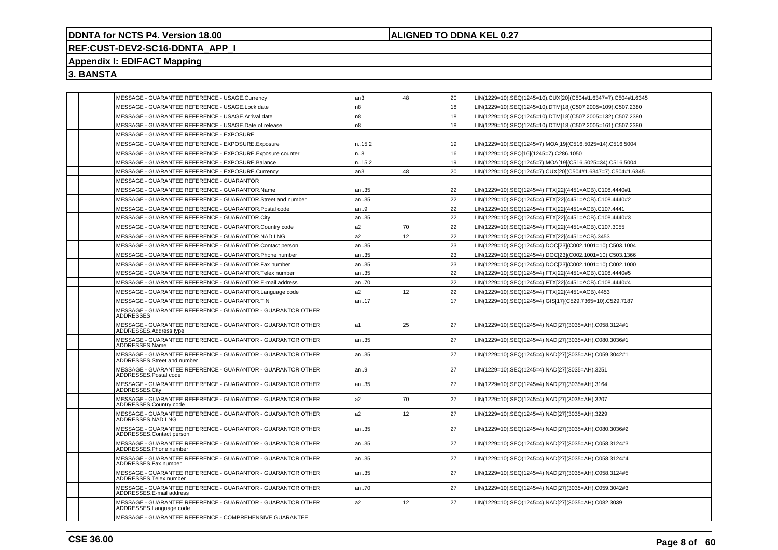## **ALIGNED TO DDNA KEL 0.27**

# **REF:CUST-DEV2-SC16-DDNTA\_APP\_I**

# **Appendix I: EDIFACT Mapping**

| MESSAGE - GUARANTEE REFERENCE - USAGE.Currency                                             | an3            | 48 | 20 | LIN(1229=10).SEQ(1245=10).CUX[20](C504#1.6347=7).C504#1.6345 |
|--------------------------------------------------------------------------------------------|----------------|----|----|--------------------------------------------------------------|
| MESSAGE - GUARANTEE REFERENCE - USAGE.Lock date                                            | n8             |    | 18 | LIN(1229=10).SEQ(1245=10).DTM[18](C507.2005=109).C507.2380   |
| MESSAGE - GUARANTEE REFERENCE - USAGE.Arrival date                                         | n8             |    | 18 | IN(1229=10).SEQ(1245=10).DTM[18](C507.2005=132).C507.2380    |
| MESSAGE - GUARANTEE REFERENCE - USAGE.Date of release                                      | n <sub>8</sub> |    | 18 | LIN(1229=10).SEQ(1245=10).DTM[18](C507.2005=161).C507.2380   |
| MESSAGE - GUARANTEE REFERENCE - EXPOSURE                                                   |                |    |    |                                                              |
| MESSAGE - GUARANTEE REFERENCE - EXPOSURE.Exposure                                          | n.15,2         |    | 19 | LIN(1229=10).SEQ(1245=7).MOA[19](C516.5025=14).C516.5004     |
| MESSAGE - GUARANTEE REFERENCE - EXPOSURE.Exposure counter                                  | n.8            |    | 16 | LIN(1229=10).SEQ[16](1245=7).C286.1050                       |
| MESSAGE - GUARANTEE REFERENCE - EXPOSURE.Balance                                           | n15,2          |    | 19 | LIN(1229=10).SEQ(1245=7).MOA[19](C516.5025=34).C516.5004     |
| MESSAGE - GUARANTEE REFERENCE - EXPOSURE.Currency                                          | an3            | 48 | 20 | LIN(1229=10).SEQ(1245=7).CUX[20](C504#1.6347=7).C504#1.6345  |
| MESSAGE - GUARANTEE REFERENCE - GUARANTOR                                                  |                |    |    |                                                              |
| MESSAGE - GUARANTEE REFERENCE - GUARANTOR.Name                                             | an35           |    | 22 | LIN(1229=10).SEQ(1245=4).FTX[22](4451=ACB).C108.4440#1       |
| MESSAGE - GUARANTEE REFERENCE - GUARANTOR.Street and number                                | l an35         |    | 22 | LIN(1229=10).SEQ(1245=4).FTX[22](4451=ACB).C108.4440#2       |
| MESSAGE - GUARANTEE REFERENCE - GUARANTOR.Postal code                                      | an9            |    | 22 | LIN(1229=10).SEQ(1245=4).FTX[22](4451=ACB).C107.4441         |
| MESSAGE - GUARANTEE REFERENCE - GUARANTOR.City                                             | an35           |    | 22 | LIN(1229=10).SEQ(1245=4).FTX[22](4451=ACB).C108.4440#3       |
| MESSAGE - GUARANTEE REFERENCE - GUARANTOR.Country code                                     | a2             | 70 | 22 | LIN(1229=10).SEQ(1245=4).FTX[22](4451=ACB).C107.3055         |
| MESSAGE - GUARANTEE REFERENCE - GUARANTOR.NAD LNG                                          | a <sub>2</sub> | 12 | 22 | LIN(1229=10).SEQ(1245=4).FTX[22](4451=ACB).3453              |
| MESSAGE - GUARANTEE REFERENCE - GUARANTOR.Contact person                                   | an35           |    | 23 | LIN(1229=10).SEQ(1245=4).DOC[23](C002.1001=10).C503.1004     |
| MESSAGE - GUARANTEE REFERENCE - GUARANTOR.Phone number                                     | an35           |    | 23 | LIN(1229=10).SEQ(1245=4).DOC[23](C002.1001=10).C503.1366     |
| MESSAGE - GUARANTEE REFERENCE - GUARANTOR.Fax number                                       | an35           |    | 23 | LIN(1229=10).SEQ(1245=4).DOC[23](C002.1001=10).C002.1000     |
| MESSAGE - GUARANTEE REFERENCE - GUARANTOR. Telex number                                    | an35           |    | 22 | LIN(1229=10).SEQ(1245=4).FTX[22](4451=ACB).C108.4440#5       |
| MESSAGE - GUARANTEE REFERENCE - GUARANTOR.E-mail address                                   | an70           |    | 22 | LIN(1229=10).SEQ(1245=4).FTX[22](4451=ACB).C108.4440#4       |
| MESSAGE - GUARANTEE REFERENCE - GUARANTOR.Language code                                    | a2             | 12 | 22 | LIN(1229=10).SEQ(1245=4).FTX[22](4451=ACB).4453              |
| MESSAGE - GUARANTEE REFERENCE - GUARANTOR.TIN                                              | an17           |    | 17 | LIN(1229=10).SEQ(1245=4).GIS[17](C529.7365=10).C529.7187     |
| MESSAGE - GUARANTEE REFERENCE - GUARANTOR - GUARANTOR OTHER<br>ADDRESSES                   |                |    |    |                                                              |
| MESSAGE - GUARANTEE REFERENCE - GUARANTOR - GUARANTOR OTHER<br>ADDRESSES.Address type      | l a1           | 25 | 27 | LIN(1229=10).SEQ(1245=4).NAD[27](3035=AH).C058.3124#1        |
| MESSAGE - GUARANTEE REFERENCE - GUARANTOR - GUARANTOR OTHER<br>ADDRESSES.Name              | an35           |    | 27 | LIN(1229=10).SEQ(1245=4).NAD[27](3035=AH).C080.3036#1        |
| MESSAGE - GUARANTEE REFERENCE - GUARANTOR - GUARANTOR OTHER<br>ADDRESSES.Street and number | an35           |    | 27 | LIN(1229=10).SEQ(1245=4).NAD[27](3035=AH).C059.3042#1        |
| MESSAGE - GUARANTEE REFERENCE - GUARANTOR - GUARANTOR OTHER<br>ADDRESSES.Postal code       | an.9           |    | 27 | LIN(1229=10).SEQ(1245=4).NAD[27](3035=AH).3251               |
| MESSAGE - GUARANTEE REFERENCE - GUARANTOR - GUARANTOR OTHER<br>ADDRESSES.City              | an35           |    | 27 | LIN(1229=10).SEQ(1245=4).NAD[27](3035=AH).3164               |
| MESSAGE - GUARANTEE REFERENCE - GUARANTOR - GUARANTOR OTHER<br>ADDRESSES.Country code      | a <sub>2</sub> | 70 | 27 | LIN(1229=10).SEQ(1245=4).NAD[27](3035=AH).3207               |
| MESSAGE - GUARANTEE REFERENCE - GUARANTOR - GUARANTOR OTHER<br>ADDRESSES.NAD LNG           | a <sub>2</sub> | 12 | 27 | LIN(1229=10).SEQ(1245=4).NAD[27](3035=AH).3229               |
| MESSAGE - GUARANTEE REFERENCE - GUARANTOR - GUARANTOR OTHER<br>ADDRESSES.Contact person    | an35           |    | 27 | LIN(1229=10).SEQ(1245=4).NAD[27](3035=AH).C080.3036#2        |
| MESSAGE - GUARANTEE REFERENCE - GUARANTOR - GUARANTOR OTHER<br>ADDRESSES.Phone number      | an35           |    | 27 | LIN(1229=10).SEQ(1245=4).NAD[27](3035=AH).C058.3124#3        |
| MESSAGE - GUARANTEE REFERENCE - GUARANTOR - GUARANTOR OTHER<br>ADDRESSES.Fax number        | an35           |    | 27 | LIN(1229=10).SEQ(1245=4).NAD[27](3035=AH).C058.3124#4        |
| MESSAGE - GUARANTEE REFERENCE - GUARANTOR - GUARANTOR OTHER<br>ADDRESSES.Telex number      | an35           |    | 27 | LIN(1229=10).SEQ(1245=4).NAD[27](3035=AH).C058.3124#5        |
| MESSAGE - GUARANTEE REFERENCE - GUARANTOR - GUARANTOR OTHER<br>ADDRESSES.E-mail address    | an70           |    | 27 | LIN(1229=10).SEQ(1245=4).NAD[27](3035=AH).C059.3042#3        |
| MESSAGE - GUARANTEE REFERENCE - GUARANTOR - GUARANTOR OTHER<br>ADDRESSES.Language code     | a <sub>2</sub> | 12 | 27 | LIN(1229=10).SEQ(1245=4).NAD[27](3035=AH).C082.3039          |
| MESSAGE - GUARANTEE REFERENCE - COMPREHENSIVE GUARANTEE                                    |                |    |    |                                                              |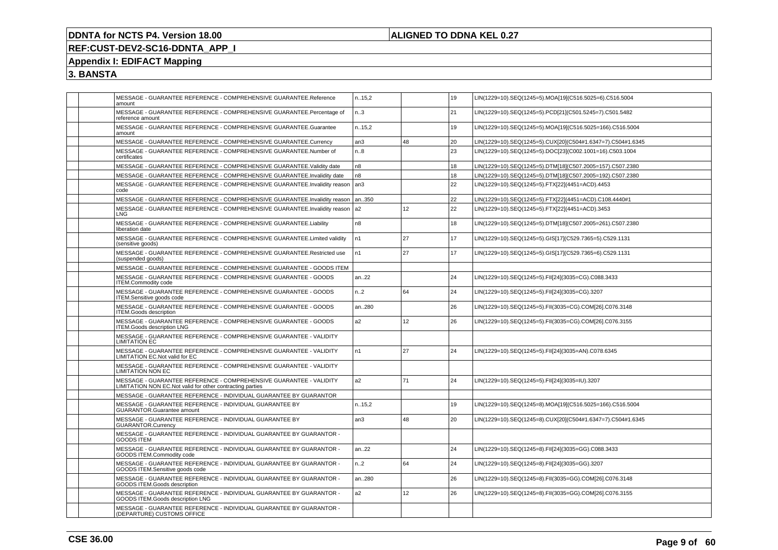## **ALIGNED TO DDNA KEL 0.27**

# **REF:CUST-DEV2-SC16-DDNTA\_APP\_I**

# **Appendix I: EDIFACT Mapping**

| MESSAGE - GUARANTEE REFERENCE - COMPREHENSIVE GUARANTEE.Reference<br>amount                                                     | n.15,2           |    | 19 | LIN(1229=10).SEQ(1245=5).MOA[19](C516.5025=6).C516.5004     |
|---------------------------------------------------------------------------------------------------------------------------------|------------------|----|----|-------------------------------------------------------------|
| MESSAGE - GUARANTEE REFERENCE - COMPREHENSIVE GUARANTEE.Percentage of<br>reference amount                                       | n.3              |    | 21 | LIN(1229=10).SEQ(1245=5).PCD[21](C501.5245=7).C501.5482     |
| MESSAGE - GUARANTEE REFERENCE - COMPREHENSIVE GUARANTEE.Guarantee<br>amount                                                     | n.15,2           |    | 19 | LIN(1229=10).SEQ(1245=5).MOA[19](C516.5025=166).C516.5004   |
| MESSAGE - GUARANTEE REFERENCE - COMPREHENSIVE GUARANTEE.Currency                                                                | an3              | 48 | 20 | LIN(1229=10).SEQ(1245=5).CUX[20](C504#1.6347=7).C504#1.6345 |
| MESSAGE - GUARANTEE REFERENCE - COMPREHENSIVE GUARANTEE.Number of<br>certificates                                               | n.8              |    | 23 | LIN(1229=10).SEQ(1245=5).DOC[23](C002.1001=16).C503.1004    |
| MESSAGE - GUARANTEE REFERENCE - COMPREHENSIVE GUARANTEE. Validity date                                                          | n8               |    | 18 | LIN(1229=10).SEQ(1245=5).DTM[18](C507.2005=157).C507.2380   |
| MESSAGE - GUARANTEE REFERENCE - COMPREHENSIVE GUARANTEE.Invalidity date                                                         | n <sub>8</sub>   |    | 18 | LIN(1229=10).SEQ(1245=5).DTM[18](C507.2005=192).C507.2380   |
| MESSAGE - GUARANTEE REFERENCE - COMPREHENSIVE GUARANTEE.Invalidity reason<br>code                                               | an <sub>3</sub>  |    | 22 | LIN(1229=10).SEQ(1245=5).FTX[22](4451=ACD).4453             |
| MESSAGE - GUARANTEE REFERENCE - COMPREHENSIVE GUARANTEE.Invalidity reason                                                       | an350            |    | 22 | LIN(1229=10).SEQ(1245=5).FTX[22](4451=ACD).C108.4440#1      |
| MESSAGE - GUARANTEE REFERENCE - COMPREHENSIVE GUARANTEE.Invalidity reason<br>LNG                                                | a2               | 12 | 22 | LIN(1229=10).SEQ(1245=5).FTX[22](4451=ACD).3453             |
| MESSAGE - GUARANTEE REFERENCE - COMPREHENSIVE GUARANTEE.Liability<br>liberation date                                            | n8               |    | 18 | LIN(1229=10).SEQ(1245=5).DTM[18](C507.2005=261).C507.2380   |
| MESSAGE - GUARANTEE REFERENCE - COMPREHENSIVE GUARANTEE.Limited validity<br>(sensitive goods)                                   | n1               | 27 | 17 | LIN(1229=10).SEQ(1245=5).GIS[17](C529.7365=5).C529.1131     |
| MESSAGE - GUARANTEE REFERENCE - COMPREHENSIVE GUARANTEE.Restricted use<br>(suspended goods)                                     | n <sub>1</sub>   | 27 | 17 | LIN(1229=10).SEQ(1245=5).GIS[17](C529.7365=6).C529.1131     |
| MESSAGE - GUARANTEE REFERENCE - COMPREHENSIVE GUARANTEE - GOODS ITEM                                                            |                  |    |    |                                                             |
| MESSAGE - GUARANTEE REFERENCE - COMPREHENSIVE GUARANTEE - GOODS<br><b>ITEM.Commodity code</b>                                   | an22             |    | 24 | LIN(1229=10).SEQ(1245=5).FII[24](3035=CG).C088.3433         |
| MESSAGE - GUARANTEE REFERENCE - COMPREHENSIVE GUARANTEE - GOODS<br>ITEM.Sensitive goods code                                    | n.2              | 64 | 24 | LIN(1229=10).SEQ(1245=5).FII[24](3035=CG).3207              |
| MESSAGE - GUARANTEE REFERENCE - COMPREHENSIVE GUARANTEE - GOODS<br><b>ITEM.Goods description</b>                                | an280            |    | 26 | LIN(1229=10).SEQ(1245=5).FII(3035=CG).COM[26].C076.3148     |
| MESSAGE - GUARANTEE REFERENCE - COMPREHENSIVE GUARANTEE - GOODS<br><b>ITEM.Goods description LNG</b>                            | a2               | 12 | 26 | LIN(1229=10).SEQ(1245=5).FII(3035=CG).COM[26].C076.3155     |
| MESSAGE - GUARANTEE REFERENCE - COMPREHENSIVE GUARANTEE - VALIDITY<br><b>LIMITATION EC</b>                                      |                  |    |    |                                                             |
| MESSAGE - GUARANTEE REFERENCE - COMPREHENSIVE GUARANTEE - VALIDITY<br><b>LIMITATION EC.Not valid for EC</b>                     | n <sub>1</sub>   | 27 | 24 | LIN(1229=10).SEQ(1245=5).FII[24](3035=AN).C078.6345         |
| MESSAGE - GUARANTEE REFERENCE - COMPREHENSIVE GUARANTEE - VALIDITY<br><b>LIMITATION NON EC</b>                                  |                  |    |    |                                                             |
| MESSAGE - GUARANTEE REFERENCE - COMPREHENSIVE GUARANTEE - VALIDITY<br>LIMITATION NON EC.Not valid for other contracting parties | a <sub>2</sub>   | 71 | 24 | LIN(1229=10).SEQ(1245=5).FII[24](3035=IU).3207              |
| MESSAGE - GUARANTEE REFERENCE - INDIVIDUAL GUARANTEE BY GUARANTOR                                                               |                  |    |    |                                                             |
| MESSAGE - GUARANTEE REFERENCE - INDIVIDUAL GUARANTEE BY<br><b>GUARANTOR.Guarantee amount</b>                                    | n.15,2           |    | 19 | LIN(1229=10).SEQ(1245=8).MOA[19](C516.5025=166).C516.5004   |
| MESSAGE - GUARANTEE REFERENCE - INDIVIDUAL GUARANTEE BY<br><b>GUARANTOR.Currency</b>                                            | an3              | 48 | 20 | LIN(1229=10).SEQ(1245=8).CUX[20](C504#1.6347=7).C504#1.6345 |
| MESSAGE - GUARANTEE REFERENCE - INDIVIDUAL GUARANTEE BY GUARANTOR -<br>GOODS ITEM                                               |                  |    |    |                                                             |
| MESSAGE - GUARANTEE REFERENCE - INDIVIDUAL GUARANTEE BY GUARANTOR -<br>GOODS ITEM.Commodity code                                | an22             |    | 24 | LIN(1229=10).SEQ(1245=8).FII[24](3035=GG).C088.3433         |
| MESSAGE - GUARANTEE REFERENCE - INDIVIDUAL GUARANTEE BY GUARANTOR -<br>GOODS ITEM.Sensitive goods code                          | n <sub>1</sub> 2 | 64 | 24 | LIN(1229=10).SEQ(1245=8).FII[24](3035=GG).3207              |
| MESSAGE - GUARANTEE REFERENCE - INDIVIDUAL GUARANTEE BY GUARANTOR -<br>GOODS ITEM.Goods description                             | an280            |    | 26 | LIN(1229=10).SEQ(1245=8).FII(3035=GG).COM[26].C076.3148     |
| MESSAGE - GUARANTEE REFERENCE - INDIVIDUAL GUARANTEE BY GUARANTOR -<br>GOODS ITEM.Goods description LNG                         | a2               | 12 | 26 | LIN(1229=10).SEQ(1245=8).FII(3035=GG).COM[26].C076.3155     |
| MESSAGE - GUARANTEE REFERENCE - INDIVIDUAL GUARANTEE BY GUARANTOR -<br>(DEPARTURE) CUSTOMS OFFICE                               |                  |    |    |                                                             |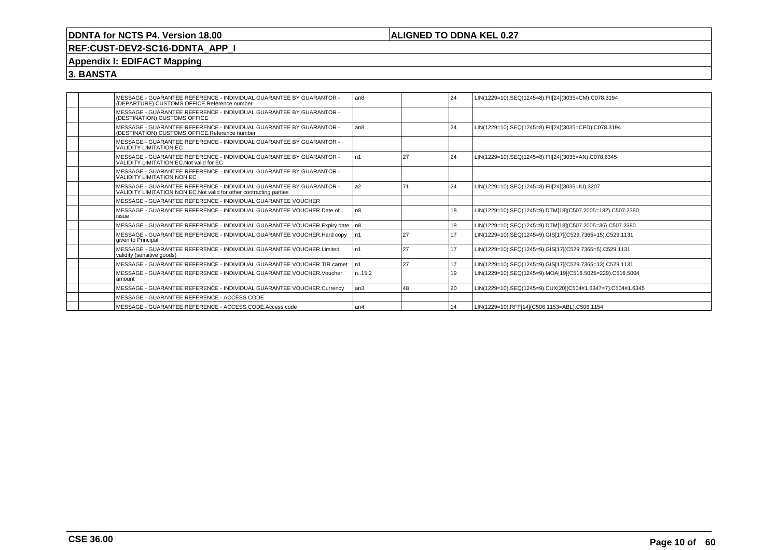## **ALIGNED TO DDNA KEL 0.27**

# **REF:CUST-DEV2-SC16-DDNTA\_APP\_I**

## **Appendix I: EDIFACT Mapping**

|  | MESSAGE - GUARANTEE REFERENCE - INDIVIDUAL GUARANTEE BY GUARANTOR -<br>(DEPARTURE) CUSTOMS OFFICE.Reference number                         | l an8          |    | 24   | LIN(1229=10).SEQ(1245=8).FII[24](3035=CM).C078.3194         |
|--|--------------------------------------------------------------------------------------------------------------------------------------------|----------------|----|------|-------------------------------------------------------------|
|  | MESSAGE - GUARANTEE REFERENCE - INDIVIDUAL GUARANTEE BY GUARANTOR -<br>(DESTINATION) CUSTOMS OFFICE                                        |                |    |      |                                                             |
|  | MESSAGE - GUARANTEE REFERENCE - INDIVIDUAL GUARANTEE BY GUARANTOR -<br>(DESTINATION) CUSTOMS OFFICE.Reference number                       | l an8          |    | 24   | LIN(1229=10).SEQ(1245=8).FII[24](3035=CPD).C078.3194        |
|  | MESSAGE - GUARANTEE REFERENCE - INDIVIDUAL GUARANTEE BY GUARANTOR -<br><b>VALIDITY LIMITATION EC</b>                                       |                |    |      |                                                             |
|  | MESSAGE - GUARANTEE REFERENCE - INDIVIDUAL GUARANTEE BY GUARANTOR -<br>VALIDITY LIMITATION EC. Not valid for EC.                           | n1             | 27 | 24   | LIN(1229=10).SEQ(1245=8).FII[24](3035=AN).C078.6345         |
|  | MESSAGE - GUARANTEE REFERENCE - INDIVIDUAL GUARANTEE BY GUARANTOR -<br><b>VALIDITY LIMITATION NON EC</b>                                   |                |    |      |                                                             |
|  | MESSAGE - GUARANTEE REFERENCE - INDIVIDUAL GUARANTEE BY GUARANTOR -<br>VALIDITY LIMITATION NON EC. Not valid for other contracting parties | a <sub>2</sub> | 71 | 24   | LIN(1229=10).SEQ(1245=8).FII[24](3035=IU).3207              |
|  | MESSAGE - GUARANTEE REFERENCE - INDIVIDUAL GUARANTEE VOUCHER                                                                               |                |    |      |                                                             |
|  | MESSAGE - GUARANTEE REFERENCE - INDIVIDUAL GUARANTEE VOUCHER. Date of<br>issue                                                             | n <sub>8</sub> |    | 18   | LIN(1229=10).SEQ(1245=9).DTM[18](C507.2005=182).C507.2380   |
|  | MESSAGE - GUARANTEE REFERENCE - INDIVIDUAL GUARANTEE VOUCHER. Expiry date   n8                                                             |                |    | 18   | LIN(1229=10).SEQ(1245=9).DTM[18](C507.2005=36).C507.2380    |
|  | MESSAGE - GUARANTEE REFERENCE - INDIVIDUAL GUARANTEE VOUCHER.Hard copy<br>given to Principal                                               | In1            | 27 | 17   | LIN(1229=10).SEQ(1245=9).GIS[17](C529.7365=15).C529.1131    |
|  | MESSAGE - GUARANTEE REFERENCE - INDIVIDUAL GUARANTEE VOUCHER.Limited<br>validity (sensitive goods)                                         | n1             | 27 | 17   | LIN(1229=10).SEQ(1245=9).GIS[17](C529.7365=5).C529.1131     |
|  | MESSAGE - GUARANTEE REFERENCE - INDIVIDUAL GUARANTEE VOUCHER.TIR carnet                                                                    | n1             | 27 | 17   | LIN(1229=10).SEQ(1245=9).GIS[17](C529.7365=13).C529.1131    |
|  | MESSAGE - GUARANTEE REFERENCE - INDIVIDUAL GUARANTEE VOUCHER. Voucher<br>amount                                                            | n15.2          |    | 19   | LIN(1229=10).SEQ(1245=9).MOA[19](C516.5025=229).C516.5004   |
|  | MESSAGE - GUARANTEE REFERENCE - INDIVIDUAL GUARANTEE VOUCHER.Currency                                                                      | l an3          | 48 | l 20 | LIN(1229=10).SEQ(1245=9).CUX[20](C504#1.6347=7).C504#1.6345 |
|  | MESSAGE - GUARANTEE REFERENCE - ACCESS CODE                                                                                                |                |    |      |                                                             |
|  | MESSAGE - GUARANTEE REFERENCE - ACCESS CODE.Access code                                                                                    | l an4          |    | 14   | LIN(1229=10).RFF[14](C506.1153=ABL).C506.1154               |
|  |                                                                                                                                            |                |    |      |                                                             |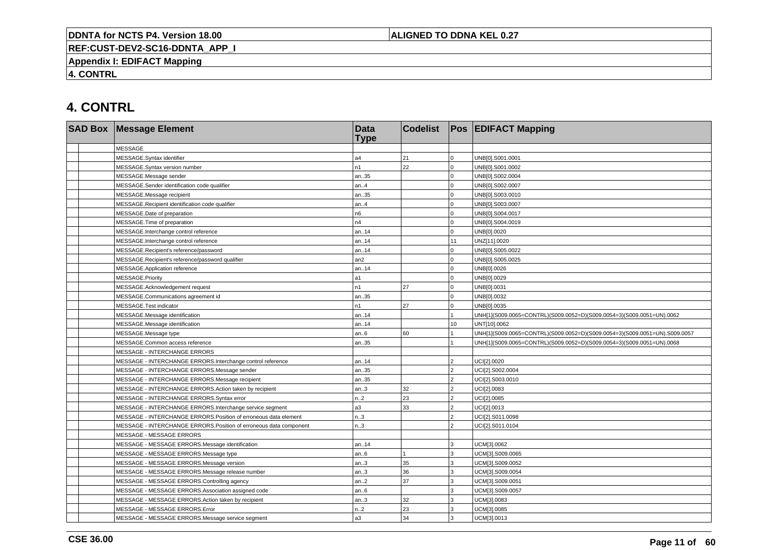## **ALIGNED TO DDNA KEL 0.27**

**REF:CUST-DEV2-SC16-DDNTA\_APP\_I**

**Appendix I: EDIFACT Mapping**

**4. CONTRL**

# **4. CONTRL**

| <b>SAD Box Message Element</b>                                     | <b>Data</b><br><b>Type</b> | <b>Codelist</b> |                | <b>Pos EDIFACT Mapping</b>                                                 |
|--------------------------------------------------------------------|----------------------------|-----------------|----------------|----------------------------------------------------------------------------|
| <b>MESSAGE</b>                                                     |                            |                 |                |                                                                            |
| MESSAGE.Syntax identifier                                          | a4                         | 21              | $\overline{0}$ | UNB[0].S001.0001                                                           |
| MESSAGE.Syntax version number                                      | n1                         | 22              | $\overline{0}$ | UNB[0].S001.0002                                                           |
| MESSAGE.Message sender                                             | an35                       |                 | $\overline{0}$ | UNB[0].S002.0004                                                           |
| MESSAGE.Sender identification code qualifier                       | an.4                       |                 | $\overline{0}$ | UNB[0].S002.0007                                                           |
| MESSAGE.Message recipient                                          | an35                       |                 | $\overline{0}$ | UNB[0].S003.0010                                                           |
| MESSAGE.Recipient identification code qualifier                    | an.4                       |                 | $\overline{0}$ | UNB[0].S003.0007                                                           |
| MESSAGE.Date of preparation                                        | n6                         |                 | $\overline{0}$ | UNB[0].S004.0017                                                           |
| MESSAGE.Time of preparation                                        | n4                         |                 | $\overline{0}$ | UNB[0].S004.0019                                                           |
| MESSAGE.Interchange control reference                              | an14                       |                 | $\Omega$       | UNB[0].0020                                                                |
| MESSAGE.Interchange control reference                              | an14                       |                 | 11             | UNZ[11].0020                                                               |
| MESSAGE.Recipient's reference/password                             | an14                       |                 | $\overline{0}$ | UNB[0].S005.0022                                                           |
| MESSAGE.Recipient's reference/password qualifier                   | an2                        |                 | $\overline{0}$ | UNB[0].S005.0025                                                           |
| MESSAGE.Application reference                                      | an14                       |                 | $\Omega$       | UNB[0].0026                                                                |
| MESSAGE.Priority                                                   | a1                         |                 | $\overline{0}$ | UNB[0].0029                                                                |
| MESSAGE.Acknowledgement request                                    | n1                         | 27              | $\Omega$       | UNB[0].0031                                                                |
| MESSAGE.Communications agreement id                                | an35                       |                 | $\overline{0}$ | UNB[0].0032                                                                |
| MESSAGE.Test indicator                                             | n1                         | 27              | $\overline{0}$ | UNB[0].0035                                                                |
| MESSAGE.Message identification                                     | an14                       |                 |                | UNH[1](S009.0065=CONTRL)(S009.0052=D)(S009.0054=3)(S009.0051=UN).0062      |
| MESSAGE.Message identification                                     | an14                       |                 | 10             | UNT[10].0062                                                               |
| MESSAGE.Message type                                               | an.6                       | 60              |                | UNH[1](S009.0065=CONTRL)(S009.0052=D)(S009.0054=3)(S009.0051=UN).S009.0057 |
| MESSAGE.Common access reference                                    | an35                       |                 |                | UNH[1](S009.0065=CONTRL)(S009.0052=D)(S009.0054=3)(S009.0051=UN).0068      |
| <b>MESSAGE - INTERCHANGE ERRORS</b>                                |                            |                 |                |                                                                            |
| MESSAGE - INTERCHANGE ERRORS.Interchange control reference         | an14                       |                 | $\overline{a}$ | UCI[2].0020                                                                |
| MESSAGE - INTERCHANGE ERRORS.Message sender                        | an35                       |                 | $\overline{2}$ | UCI[2].S002.0004                                                           |
| MESSAGE - INTERCHANGE ERRORS.Message recipient                     | an35                       |                 | $\overline{a}$ | UCI[2].S003.0010                                                           |
| MESSAGE - INTERCHANGE ERRORS.Action taken by recipient             | an.3                       | 32              | 2              | UCI[2].0083                                                                |
| MESSAGE - INTERCHANGE ERRORS.Syntax error                          | n.2                        | 23              | $\overline{2}$ | UCI[2].0085                                                                |
| MESSAGE - INTERCHANGE ERRORS.Interchange service segment           | a3                         | 33              | $\overline{2}$ | UCI[2].0013                                                                |
| MESSAGE - INTERCHANGE ERRORS. Position of erroneous data element   | n.3                        |                 | $\overline{2}$ | UCI[2].S011.0098                                                           |
| MESSAGE - INTERCHANGE ERRORS. Position of erroneous data component | n3                         |                 | $\mathfrak{p}$ | UCI[2].S011.0104                                                           |
| MESSAGE - MESSAGE ERRORS                                           |                            |                 |                |                                                                            |
| MESSAGE - MESSAGE ERRORS.Message identification                    | an.14                      |                 | 3              | UCM[3].0062                                                                |
| MESSAGE - MESSAGE ERRORS.Message type                              | an.6                       |                 | 3              | UCM[3].S009.0065                                                           |
| MESSAGE - MESSAGE ERRORS.Message version                           | an.3                       | 35              | 3              | UCM[3].S009.0052                                                           |
| MESSAGE - MESSAGE ERRORS.Message release number                    | an.3                       | 36              | 3              | UCM[3].S009.0054                                                           |
| MESSAGE - MESSAGE ERRORS.Controlling agency                        | an.2                       | 37              | 3              | UCM[3].S009.0051                                                           |
| MESSAGE - MESSAGE ERRORS.Association assigned code                 | an.6                       |                 | 3              | UCM[3].S009.0057                                                           |
| MESSAGE - MESSAGE ERRORS.Action taken by recipient                 | an.3                       | 32              | 3              | UCM[3].0083                                                                |
| MESSAGE - MESSAGE ERRORS.Error                                     | n.2                        | 23              | 3              | UCM[3].0085                                                                |
| MESSAGE - MESSAGE ERRORS.Message service segment                   | a3                         | 34              | 3              | UCM[3].0013                                                                |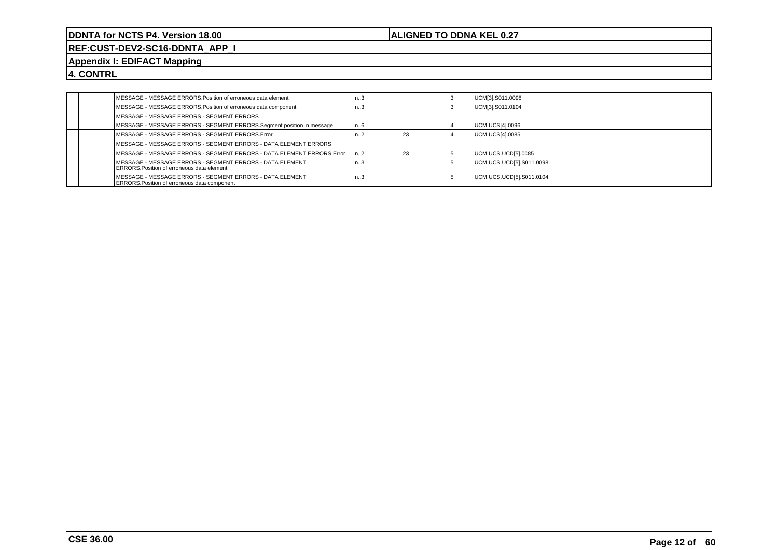## **ALIGNED TO DDNA KEL 0.27**

**REF:CUST-DEV2-SC16-DDNTA\_APP\_I**

## **Appendix I: EDIFACT Mapping**

**4. CONTRL**

|  | MESSAGE - MESSAGE ERRORS. Position of erroneous data element                                                     | د. .             |  | UCM[3].S011.0098         |
|--|------------------------------------------------------------------------------------------------------------------|------------------|--|--------------------------|
|  | MESSAGE - MESSAGE ERRORS. Position of erroneous data component                                                   | ک۱               |  | UCM[3].S011.0104         |
|  | MESSAGE - MESSAGE ERRORS - SEGMENT ERRORS                                                                        |                  |  |                          |
|  | MESSAGE - MESSAGE ERRORS - SEGMENT ERRORS.Segment position in message                                            | l n6             |  | UCM.UCS[4].0096          |
|  | MESSAGE - MESSAGE ERRORS - SEGMENT ERRORS.Error                                                                  | ،.Z              |  | UCM.UCS[4].0085          |
|  | IMESSAGE - MESSAGE ERRORS - SEGMENT ERRORS - DATA ELEMENT ERRORS                                                 |                  |  |                          |
|  | MESSAGE - MESSAGE ERRORS - SEGMENT ERRORS - DATA ELEMENT ERRORS. Error                                           | n2               |  | UCM.UCS.UCD[5].0085      |
|  | MESSAGE - MESSAGE ERRORS - SEGMENT ERRORS - DATA ELEMENT<br><b>ERRORS. Position of erroneous data element</b>    | n3               |  | UCM.UCS.UCD[5].S011.0098 |
|  | IMESSAGE - MESSAGE ERRORS - SEGMENT ERRORS - DATA ELEMENT<br><b>ERRORS. Position of erroneous data component</b> | n <sub>0</sub> 3 |  | UCM.UCS.UCD[5].S011.0104 |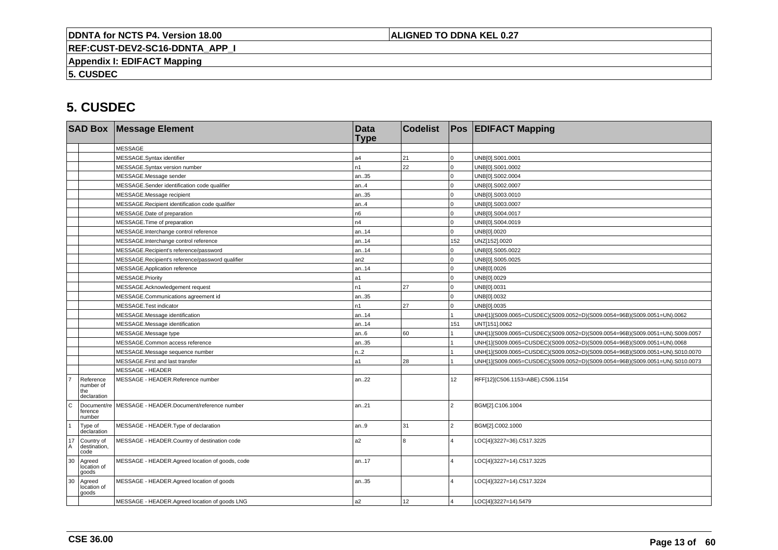## **ALIGNED TO DDNA KEL 0.27**

**REF:CUST-DEV2-SC16-DDNTA\_APP\_I**

**Appendix I: EDIFACT Mapping**

**5. CUSDEC**

|                   |                                              | <b>SAD Box Message Element</b>                   | <b>Data</b><br><b>Type</b> | <b>Codelist</b> |                         | <b>Pos EDIFACT Mapping</b>                                                   |  |
|-------------------|----------------------------------------------|--------------------------------------------------|----------------------------|-----------------|-------------------------|------------------------------------------------------------------------------|--|
|                   |                                              | <b>MESSAGE</b>                                   |                            |                 |                         |                                                                              |  |
|                   |                                              | MESSAGE.Syntax identifier                        | a4                         | 21              | $\mathbf 0$             | UNB[0].S001.0001                                                             |  |
|                   |                                              | MESSAGE.Syntax version number                    | n1                         | 22              | $\overline{0}$          | UNB[0].S001.0002                                                             |  |
|                   |                                              | MESSAGE.Message sender                           | an35                       |                 | $\Omega$                | UNB[0].S002.0004                                                             |  |
|                   |                                              | MESSAGE.Sender identification code qualifier     | an.4                       |                 | $\overline{0}$          | UNB[0].S002.0007                                                             |  |
|                   |                                              | MESSAGE.Message recipient                        | an35                       |                 | $\mathbf 0$             | UNB[0].S003.0010                                                             |  |
|                   |                                              | MESSAGE.Recipient identification code qualifier  | an.4                       |                 | $\mathbf 0$             | UNB[0].S003.0007                                                             |  |
|                   |                                              | MESSAGE.Date of preparation                      | n <sub>6</sub>             |                 | $\Omega$                | UNB[0].S004.0017                                                             |  |
|                   |                                              | MESSAGE.Time of preparation                      | n4                         |                 | $\overline{0}$          | UNB[0].S004.0019                                                             |  |
|                   |                                              | MESSAGE.Interchange control reference            | an.14                      |                 | $\overline{0}$          | UNB[0].0020                                                                  |  |
|                   |                                              | MESSAGE.Interchange control reference            | an.14                      |                 | 152                     | UNZ[152].0020                                                                |  |
|                   |                                              | MESSAGE.Recipient's reference/password           | an14                       |                 | $\Omega$                | UNB[0].S005.0022                                                             |  |
|                   |                                              | MESSAGE.Recipient's reference/password qualifier | an2                        |                 | $\overline{0}$          | UNB[0].S005.0025                                                             |  |
|                   |                                              | MESSAGE.Application reference                    | an14                       |                 | $\Omega$                | UNB[0].0026                                                                  |  |
|                   |                                              | MESSAGE.Priority                                 | a1                         |                 | $\overline{0}$          | UNB[0].0029                                                                  |  |
|                   |                                              | MESSAGE.Acknowledgement request                  | n1                         | 27              | $\overline{0}$          | UNB[0].0031                                                                  |  |
|                   |                                              | MESSAGE.Communications agreement id              | an35                       |                 | $\mathbf 0$             | UNB[0].0032                                                                  |  |
|                   |                                              | MESSAGE.Test indicator                           | n1                         | 27              | $\mathbf 0$             | UNB[0].0035                                                                  |  |
|                   |                                              | MESSAGE.Message identification                   | an14                       |                 |                         | UNH[1](S009.0065=CUSDEC)(S009.0052=D)(S009.0054=96B)(S009.0051=UN).0062      |  |
|                   |                                              | MESSAGE.Message identification                   | an14                       |                 | 151                     | UNT[151].0062                                                                |  |
|                   |                                              | MESSAGE.Message type                             | an.6                       | 60              |                         | UNH[1](S009.0065=CUSDEC)(S009.0052=D)(S009.0054=96B)(S009.0051=UN).S009.0057 |  |
|                   |                                              | MESSAGE.Common access reference                  | an35                       |                 |                         | UNH[1](S009.0065=CUSDEC)(S009.0052=D)(S009.0054=96B)(S009.0051=UN).0068      |  |
|                   |                                              | MESSAGE.Message sequence number                  | n.2                        |                 |                         | UNH[1](S009.0065=CUSDEC)(S009.0052=D)(S009.0054=96B)(S009.0051=UN).S010.0070 |  |
|                   |                                              | MESSAGE.First and last transfer                  | a1                         | 28              |                         | UNH[1](S009.0065=CUSDEC)(S009.0052=D)(S009.0054=96B)(S009.0051=UN).S010.0073 |  |
|                   |                                              | MESSAGE - HEADER                                 |                            |                 |                         |                                                                              |  |
|                   | Reference<br>number of<br>the<br>declaration | MESSAGE - HEADER.Reference number                | an22                       |                 | 12 <sup>°</sup>         | RFF[12](C506.1153=ABE).C506.1154                                             |  |
| l c               | Document/re<br>ference<br>number             | MESSAGE - HEADER.Document/reference number       | an21                       |                 | $\overline{2}$          | BGM[2].C106.1004                                                             |  |
| $\mathbf{1}$      | Type of<br>declaration                       | MESSAGE - HEADER. Type of declaration            | an.9                       | 31              | $\overline{2}$          | BGM[2].C002.1000                                                             |  |
| $^{17}_{\Lambda}$ | Country of<br>destination,<br>code           | MESSAGE - HEADER.Country of destination code     | a2                         | $\mathsf{R}$    | 4                       | LOC[4](3227=36).C517.3225                                                    |  |
| 30                | Agreed<br>location of<br>goods               | MESSAGE - HEADER.Agreed location of goods, code  | an17                       |                 | $\Delta$                | LOC[4](3227=14).C517.3225                                                    |  |
| 30                | Agreed<br>location of<br>goods               | MESSAGE - HEADER.Agreed location of goods        | an35                       |                 | 4                       | LOC[4](3227=14).C517.3224                                                    |  |
|                   |                                              | MESSAGE - HEADER.Agreed location of goods LNG    | a2                         | 12              | $\overline{\mathbf{A}}$ | LOC[4](3227=14).5479                                                         |  |
|                   |                                              |                                                  |                            |                 |                         |                                                                              |  |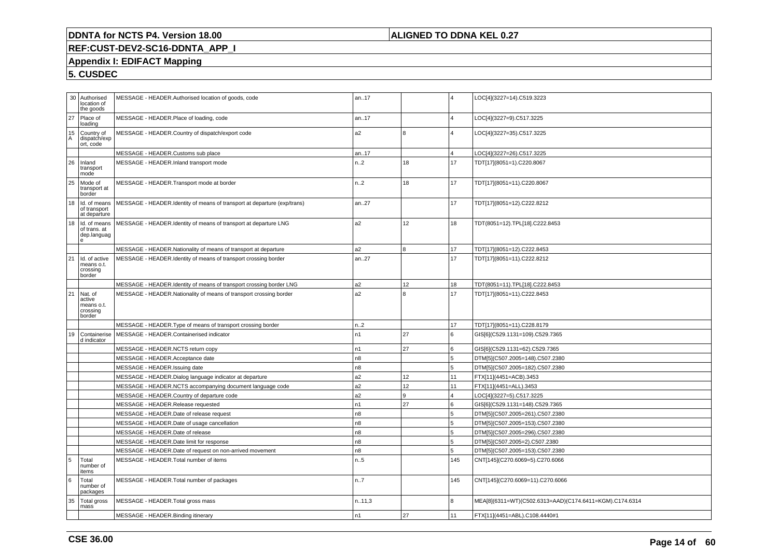## **ALIGNED TO DDNA KEL 0.27**

# **REF:CUST-DEV2-SC16-DDNTA\_APP\_I**

# **Appendix I: EDIFACT Mapping**

|         | 30 Authorised<br>location of<br>the goods             | MESSAGE - HEADER.Authorised location of goods, code                                                  | an17             |          | 4              | LOC[4](3227=14).C519.3223                                        |
|---------|-------------------------------------------------------|------------------------------------------------------------------------------------------------------|------------------|----------|----------------|------------------------------------------------------------------|
| 27      | Place of<br>loading                                   | MESSAGE - HEADER.Place of loading, code                                                              | an17             |          | $\overline{4}$ | LOC[4](3227=9).C517.3225                                         |
| 15<br>A | Country of<br>dispatch/exp<br>ort, code               | MESSAGE - HEADER.Country of dispatch/export code                                                     | a <sub>2</sub>   | 8        | 4              | LOC[4](3227=35).C517.3225                                        |
|         |                                                       | MESSAGE - HEADER.Customs sub place                                                                   | an17             |          | $\overline{4}$ | LOC[4](3227=26).C517.3225                                        |
| 26      | Inland<br>transport<br>mode                           | MESSAGE - HEADER.Inland transport mode                                                               | n.2              | 18       | 17             | TDT[17](8051=1).C220.8067                                        |
| 25      | Mode of<br>transport at<br>border                     | MESSAGE - HEADER. Transport mode at border                                                           | n.2              | 18       | 17             | TDT[17](8051=11).C220.8067                                       |
| 18      | Id. of means<br>of transport<br>at departure          | MESSAGE - HEADER.Identity of means of transport at departure (exp/trans)                             | an27             |          | 17             | TDT[17](8051=12).C222.8212                                       |
| 18      | Id. of means<br>of trans. at<br>dep.languag<br>e      | MESSAGE - HEADER.Identity of means of transport at departure LNG                                     | a <sub>2</sub>   | 12       | 18             | TDT(8051=12).TPL[18].C222.8453                                   |
|         |                                                       | MESSAGE - HEADER.Nationality of means of transport at departure                                      | a2               | 8        | 17             | TDT[17](8051=12).C222.8453                                       |
| 21      | Id. of active<br>means o.t.<br>crossing<br>border     | MESSAGE - HEADER.Identity of means of transport crossing border                                      | an27             |          | 17             | TDT[17](8051=11).C222.8212                                       |
|         |                                                       | MESSAGE - HEADER.Identity of means of transport crossing border LNG                                  | a <sub>2</sub>   | 12       | 18             | TDT(8051=11).TPL[18].C222.8453                                   |
| 21      | Nat. of<br>active<br>means o.t.<br>crossing<br>border | MESSAGE - HEADER. Nationality of means of transport crossing border                                  | a2               | ١R       | 17             | TDT[17](8051=11).C222.8453                                       |
|         |                                                       | MESSAGE - HEADER. Type of means of transport crossing border                                         | n <sub>1</sub> 2 |          | 17             | TDT[17](8051=11).C228.8179                                       |
| 19      | Containerise<br>d indicator                           | MESSAGE - HEADER.Containerised indicator                                                             | n <sub>1</sub>   | 27       | 6              | GIS[6](C529.1131=109).C529.7365                                  |
|         |                                                       | MESSAGE - HEADER.NCTS return copy                                                                    | n1               | 27       | 6              | GIS[6](C529.1131=62).C529.7365                                   |
|         |                                                       | MESSAGE - HEADER.Acceptance date                                                                     | n8               |          | 5              | DTM[5](C507.2005=148).C507.2380                                  |
|         |                                                       | MESSAGE - HEADER.Issuing date                                                                        | n <sub>8</sub>   |          | 5              | DTM[5](C507.2005=182).C507.2380                                  |
|         |                                                       | MESSAGE - HEADER. Dialog language indicator at departure                                             | a2               | 12       | 11             | FTX[11](4451=ACB).3453                                           |
|         |                                                       | MESSAGE - HEADER.NCTS accompanying document language code                                            | a2               | 12       | 11             | FTX[11](4451=ALL).3453                                           |
|         |                                                       | MESSAGE - HEADER.Country of departure code                                                           | a <sub>2</sub>   | <u>g</u> | 4              | LOC[4](3227=5).C517.3225                                         |
|         |                                                       | MESSAGE - HEADER.Release requested                                                                   | n <sub>1</sub>   | 27       | 6              | GIS[6](C529.1131=148).C529.7365                                  |
|         |                                                       | MESSAGE - HEADER.Date of release request                                                             | n <sub>8</sub>   |          | 5              | DTM[5](C507.2005=261).C507.2380                                  |
|         |                                                       | MESSAGE - HEADER.Date of usage cancellation                                                          | n <sub>8</sub>   |          | 5              | DTM[5](C507.2005=153).C507.2380                                  |
|         |                                                       | MESSAGE - HEADER.Date of release                                                                     | n8<br>n8         |          | 5<br>5         | DTM[5](C507.2005=296).C507.2380                                  |
|         |                                                       | MESSAGE - HEADER.Date limit for response<br>MESSAGE - HEADER.Date of request on non-arrived movement | n8               |          | 5              | DTM[5](C507.2005=2).C507.2380<br>DTM[5](C507.2005=153).C507.2380 |
| 5       | Total                                                 | MESSAGE - HEADER. Total number of items                                                              | n.5              |          | 145            | CNT[145](C270.6069=5).C270.6066                                  |
|         | number of<br>items                                    |                                                                                                      |                  |          |                |                                                                  |
| 6       | Total<br>number of<br>packages                        | MESSAGE - HEADER. Total number of packages                                                           | n.7              |          | 145            | CNT[145](C270.6069=11).C270.6066                                 |
| 35      | Total gross<br>mass                                   | MESSAGE - HEADER. Total gross mass                                                                   | n.11,3           |          | 8              | MEA[8](6311=WT)(C502.6313=AAD)(C174.6411=KGM).C174.6314          |
|         |                                                       | MESSAGE - HEADER.Binding itinerary                                                                   | n1               | 27       | 11             | FTX[11](4451=ABL).C108.4440#1                                    |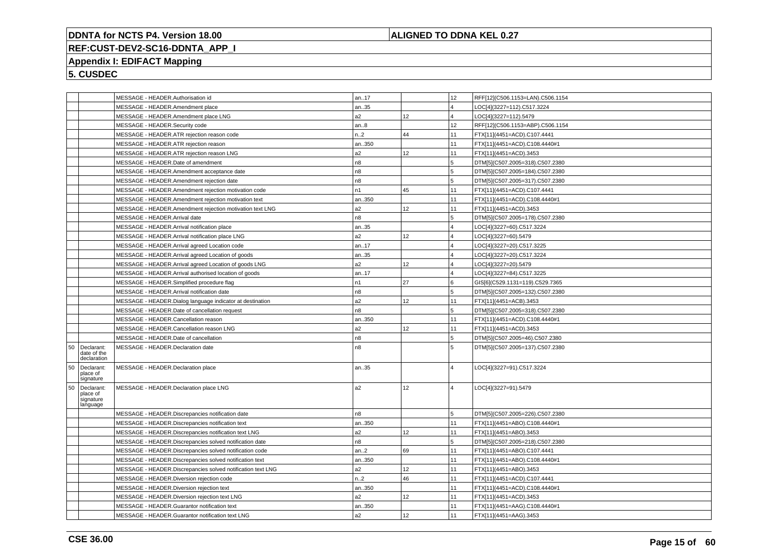## **ALIGNED TO DDNA KEL 0.27**

# **REF:CUST-DEV2-SC16-DDNTA\_APP\_I**

# **Appendix I: EDIFACT Mapping**

|    |                                                 | MESSAGE - HEADER.Authorisation id                           | an17           |      | 12                      | RFF[12](C506.1153=LAN).C506.1154 |
|----|-------------------------------------------------|-------------------------------------------------------------|----------------|------|-------------------------|----------------------------------|
|    |                                                 | MESSAGE - HEADER.Amendment place                            | an35           |      | $\overline{4}$          | LOC[4](3227=112).C517.3224       |
|    |                                                 | MESSAGE - HEADER.Amendment place LNG                        | a2             | 12   | $\overline{4}$          | LOC[4](3227=112).5479            |
|    |                                                 | MESSAGE - HEADER.Security code                              | an.8           |      | 12 <sup>2</sup>         | RFF[12](C506.1153=ABP).C506.1154 |
|    |                                                 | MESSAGE - HEADER.ATR rejection reason code                  | n.2            | 44   | 11                      | FTX[11](4451=ACD).C107.4441      |
|    |                                                 | MESSAGE - HEADER.ATR rejection reason                       | an350          |      | 11                      | FTX[11](4451=ACD).C108.4440#1    |
|    |                                                 | MESSAGE - HEADER.ATR rejection reason LNG                   | a2             | 12   | 11                      | FTX[11](4451=ACD).3453           |
|    |                                                 | MESSAGE - HEADER.Date of amendment                          | n <sub>8</sub> |      | 5                       | DTM[5](C507.2005=318).C507.2380  |
|    |                                                 | MESSAGE - HEADER.Amendment acceptance date                  | n8             |      | 5                       | DTM[5](C507.2005=184).C507.2380  |
|    |                                                 | MESSAGE - HEADER.Amendment rejection date                   | n8             |      | 5                       | DTM[5](C507.2005=317).C507.2380  |
|    |                                                 | MESSAGE - HEADER.Amendment rejection motivation code        | n1             | 45   | 11                      | FTX[11](4451=ACD).C107.4441      |
|    |                                                 | MESSAGE - HEADER.Amendment rejection motivation text        | an350          |      | 11                      | FTX[11](4451=ACD).C108.4440#1    |
|    |                                                 | MESSAGE - HEADER.Amendment rejection motivation text LNG    | a2             | 12   | 11                      | FTX[11](4451=ACD).3453           |
|    |                                                 | MESSAGE - HEADER.Arrival date                               | n8             |      | 5                       | DTM[5](C507.2005=178).C507.2380  |
|    |                                                 | MESSAGE - HEADER.Arrival notification place                 | an35           |      | $\overline{4}$          | LOC[4](3227=60).C517.3224        |
|    |                                                 | MESSAGE - HEADER.Arrival notification place LNG             | a2             | 12   | $\overline{4}$          | LOC[4](3227=60).5479             |
|    |                                                 | MESSAGE - HEADER.Arrival agreed Location code               | an17           |      | $\overline{\mathbf{4}}$ | LOC[4](3227=20).C517.3225        |
|    |                                                 | MESSAGE - HEADER.Arrival agreed Location of goods           | an35           |      | $\overline{\mathbf{A}}$ |                                  |
|    |                                                 |                                                             | a2             | 12   |                         | LOC[4](3227=20).C517.3224        |
|    |                                                 | MESSAGE - HEADER.Arrival agreed Location of goods LNG       |                |      | $\overline{\mathbf{4}}$ | LOC[4](3227=20).5479             |
|    |                                                 | MESSAGE - HEADER.Arrival authorised location of goods       | an17           |      | $\overline{\mathbf{4}}$ | LOC[4](3227=84).C517.3225        |
|    |                                                 | MESSAGE - HEADER.Simplified procedure flag                  | n1             | 27   | l 6                     | GIS[6](C529.1131=119).C529.7365  |
|    |                                                 | MESSAGE - HEADER.Arrival notification date                  | n8             |      | 5                       | DTM[5](C507.2005=132).C507.2380  |
|    |                                                 | MESSAGE - HEADER.Dialog language indicator at destination   | a2             | 12   | 11                      | FTX[11](4451=ACB).3453           |
|    |                                                 | MESSAGE - HEADER.Date of cancellation request               | n8             |      | 5                       | DTM[5](C507.2005=318).C507.2380  |
|    |                                                 | MESSAGE - HEADER.Cancellation reason                        | an350          |      | 11                      | FTX[11](4451=ACD).C108.4440#1    |
|    |                                                 | MESSAGE - HEADER.Cancellation reason LNG                    | a2             | 12   | 11                      | FTX[11](4451=ACD).3453           |
|    |                                                 | MESSAGE - HEADER.Date of cancellation                       | n8             |      | 5                       | DTM[5](C507.2005=46).C507.2380   |
| 50 | Declarant:<br>date of the<br>declaration        | MESSAGE - HEADER.Declaration date                           | n8             |      | 5                       | DTM[5](C507.2005=137).C507.2380  |
| 50 | Declarant:<br>place of<br>signature             | MESSAGE - HEADER.Declaration place                          | an35           |      | $\overline{4}$          | LOC[4](3227=91).C517.3224        |
| 50 | Declarant:<br>place of<br>signature<br>language | MESSAGE - HEADER.Declaration place LNG                      | a <sub>2</sub> | 12   | $\overline{4}$          | LOC[4](3227=91).5479             |
|    |                                                 | MESSAGE - HEADER.Discrepancies notification date            | n8             |      | 5                       | DTM[5](C507.2005=226).C507.2380  |
|    |                                                 | MESSAGE - HEADER.Discrepancies notification text            | an350          |      | 11                      | FTX[11](4451=ABO).C108.4440#1    |
|    |                                                 | MESSAGE - HEADER.Discrepancies notification text LNG        | a2             | 12   | 11                      | FTX[11](4451=ABO).3453           |
|    |                                                 | MESSAGE - HEADER.Discrepancies solved notification date     | n8             |      | 5.                      | DTM[5](C507.2005=218).C507.2380  |
|    |                                                 | MESSAGE - HEADER.Discrepancies solved notification code     | an.2           | 69 ا | 11                      | FTX[11](4451=ABO).C107.4441      |
|    |                                                 | MESSAGE - HEADER.Discrepancies solved notification text     | an350          |      | 11                      | FTX[11](4451=ABO).C108.4440#1    |
|    |                                                 | MESSAGE - HEADER.Discrepancies solved notification text LNG | a2             | 12   | 11                      | FTX[11](4451=ABO).3453           |
|    |                                                 |                                                             | n.2            | 46   | 11                      |                                  |
|    |                                                 | MESSAGE - HEADER.Diversion rejection code                   |                |      |                         | FTX[11](4451=ACD).C107.4441      |
|    |                                                 | MESSAGE - HEADER.Diversion rejection text                   | an350          |      | 11                      | FTX[11](4451=ACD).C108.4440#1    |
|    |                                                 | MESSAGE - HEADER. Diversion rejection text LNG              | a2             | 12   | 11                      | FTX[11](4451=ACD).3453           |
|    |                                                 | MESSAGE - HEADER.Guarantor notification text                | an350          |      | 11                      | FTX[11](4451=AAG).C108.4440#1    |
|    |                                                 | MESSAGE - HEADER.Guarantor notification text LNG            | a2             | 12   | 11                      | FTX[11](4451=AAG).3453           |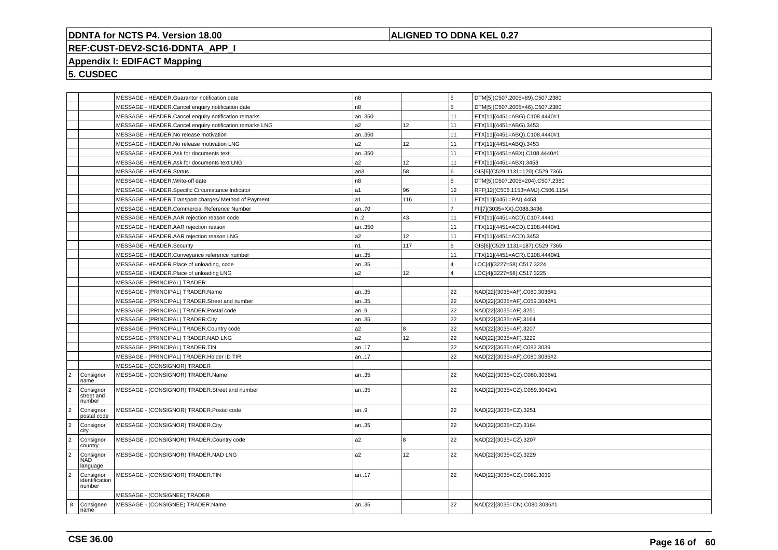## **ALIGNED TO DDNA KEL 0.27**

# **REF:CUST-DEV2-SC16-DDNTA\_APP\_I**

# **Appendix I: EDIFACT Mapping**

|                      |                                       | MESSAGE - HEADER.Guarantor notification date             | n <sub>8</sub>  |     | 5              | DTM[5](C507.2005=89).C507.2380   |
|----------------------|---------------------------------------|----------------------------------------------------------|-----------------|-----|----------------|----------------------------------|
|                      |                                       | MESSAGE - HEADER.Cancel enquiry notification date        | n8              |     | 5              | DTM[5](C507.2005=46).C507.2380   |
|                      |                                       | MESSAGE - HEADER.Cancel enquiry notification remarks     | an350           |     | 11             | FTX[11](4451=ABG).C108.4440#1    |
|                      |                                       | MESSAGE - HEADER.Cancel enquiry notification remarks LNG | a2              | 12  | 11             | FTX[11](4451=ABG).3453           |
|                      |                                       | MESSAGE - HEADER.No release motivation                   | an350           |     | 11             | FTX[11](4451=ABQ).C108.4440#1    |
|                      |                                       | MESSAGE - HEADER.No release motivation LNG               | a <sub>2</sub>  | 12  | 11             | FTX[11](4451=ABQ).3453           |
|                      |                                       | MESSAGE - HEADER.Ask for documents text                  | an350           |     | 11             | FTX[11](4451=ABX).C108.4440#1    |
|                      |                                       | MESSAGE - HEADER.Ask for documents text LNG              | a2              | 12  | 11             | FTX[11](4451=ABX).3453           |
|                      |                                       | MESSAGE - HEADER.Status                                  | an <sub>3</sub> | 58  | 6              | GIS[6](C529.1131=120).C529.7365  |
|                      |                                       | MESSAGE - HEADER.Write-off date                          | n8              |     | 5              | DTM[5](C507.2005=204).C507.2380  |
|                      |                                       | MESSAGE - HEADER.Specific Circumstance Indicator         | a1              | 96  | 12             | RFF[12](C506.1153=AMJ).C506.1154 |
|                      |                                       | MESSAGE - HEADER. Transport charges/ Method of Payment   | a1              | 116 | 11             | FTX[11](4451=PAI).4453           |
|                      |                                       | MESSAGE - HEADER.Commercial Reference Number             | an70            |     | $\overline{ }$ | FII[7](3035=XX).C088.3436        |
|                      |                                       | MESSAGE - HEADER.AAR rejection reason code               | n2              | 43  | 11             | FTX[11](4451=ACD).C107.4441      |
|                      |                                       | MESSAGE - HEADER.AAR rejection reason                    | an350           |     | 11             | FTX[11](4451=ACD).C108.4440#1    |
|                      |                                       | MESSAGE - HEADER.AAR rejection reason LNG                | a <sub>2</sub>  | 12  | 11             | FTX[11](4451=ACD).3453           |
|                      |                                       | MESSAGE - HEADER.Security                                | n <sub>1</sub>  | 117 | 6              | GIS[6](C529.1131=187).C529.7365  |
|                      |                                       | MESSAGE - HEADER.Conveyance reference number             | an35            |     | 11             | FTX[11](4451=ACR).C108.4440#1    |
|                      |                                       | MESSAGE - HEADER.Place of unloading, code                | an35            |     | 4              | LOC[4](3227=58).C517.3224        |
|                      |                                       | MESSAGE - HEADER.Place of unloading LNG                  | a <sub>2</sub>  | 12  | 4              | LOC[4](3227=58).C517.3225        |
|                      |                                       | MESSAGE - (PRINCIPAL) TRADER                             |                 |     |                |                                  |
|                      |                                       | MESSAGE - (PRINCIPAL) TRADER.Name                        | an35            |     | 22             | NAD[22](3035=AF).C080.3036#1     |
|                      |                                       | MESSAGE - (PRINCIPAL) TRADER.Street and number           | an35            |     | 22             | NAD[22](3035=AF).C059.3042#1     |
|                      |                                       | MESSAGE - (PRINCIPAL) TRADER.Postal code                 | an9             |     | 22             | NAD[22](3035=AF).3251            |
|                      |                                       | MESSAGE - (PRINCIPAL) TRADER.City                        | an35            |     | 22             | NAD[22](3035=AF).3164            |
|                      |                                       | MESSAGE - (PRINCIPAL) TRADER.Country code                | a2              | 8   | 22             | NAD[22](3035=AF).3207            |
|                      |                                       | MESSAGE - (PRINCIPAL) TRADER.NAD LNG                     | a <sub>2</sub>  | 12  | 22             | NAD[22](3035=AF).3229            |
|                      |                                       | MESSAGE - (PRINCIPAL) TRADER.TIN                         | an17            |     | 22             | NAD[22](3035=AF).C082.3039       |
|                      |                                       | MESSAGE - (PRINCIPAL) TRADER.Holder ID TIR               | an17            |     | 22             | NAD[22](3035=AF).C080.3036#2     |
|                      |                                       | MESSAGE - (CONSIGNOR) TRADER                             |                 |     |                |                                  |
| $\vert$ <sub>2</sub> | Consignor<br>name                     | MESSAGE - (CONSIGNOR) TRADER.Name                        | an35            |     | 22             | NAD[22](3035=CZ).C080.3036#1     |
| $\vert$ <sub>2</sub> | Consignor<br>street and<br>number     | MESSAGE - (CONSIGNOR) TRADER.Street and number           | an35            |     | 22             | NAD[22](3035=CZ).C059.3042#1     |
| $\vert$ <sub>2</sub> | Consignor<br>postal code              | MESSAGE - (CONSIGNOR) TRADER.Postal code                 | an9             |     | 22             | NAD[22](3035=CZ).3251            |
| $\overline{2}$       | Consignor<br>city                     | MESSAGE - (CONSIGNOR) TRADER.City                        | an35            |     | 22             | NAD[22](3035=CZ).3164            |
| $\vert$ 2            | Consignor<br>country                  | MESSAGE - (CONSIGNOR) TRADER.Country code                | a <sub>2</sub>  | 8   | 22             | NAD[22](3035=CZ).3207            |
| $\overline{2}$       | Consignor<br><b>NAD</b><br>language   | MESSAGE - (CONSIGNOR) TRADER.NAD LNG                     | a <sub>2</sub>  | 12  | 22             | NAD[22](3035=CZ).3229            |
| $\vert$ 2            | Consignor<br>identification<br>number | MESSAGE - (CONSIGNOR) TRADER.TIN                         | an17            |     | 22             | NAD[22](3035=CZ).C082.3039       |
|                      |                                       | MESSAGE - (CONSIGNEE) TRADER                             |                 |     |                |                                  |
| 8                    | Consignee<br>name                     | MESSAGE - (CONSIGNEE) TRADER.Name                        | an35            |     | 22             | NAD[22](3035=CN).C080.3036#1     |
|                      |                                       |                                                          |                 |     |                |                                  |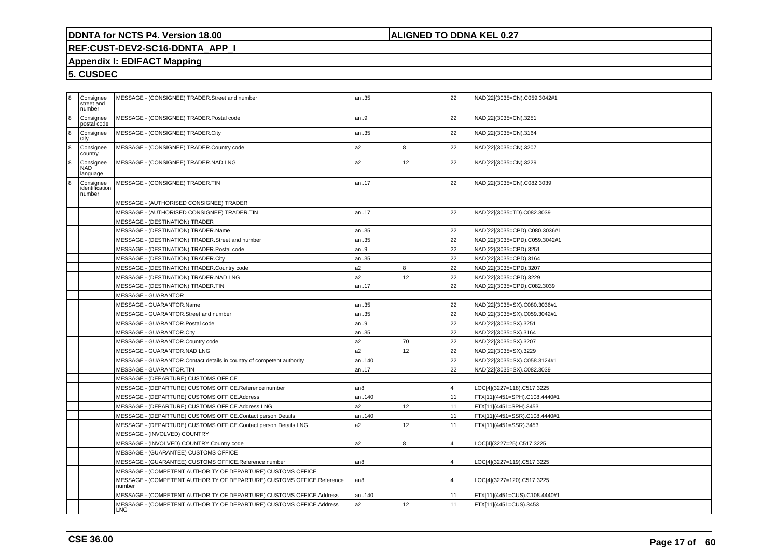## **ALIGNED TO DDNA KEL 0.27**

# **REF:CUST-DEV2-SC16-DDNTA\_APP\_I**

# **Appendix I: EDIFACT Mapping**

| 8 | Consignee<br>street and<br>number     | MESSAGE - (CONSIGNEE) TRADER.Street and number                                  | an35            |    | 22       | NAD[22](3035=CN).C059.3042#1  |
|---|---------------------------------------|---------------------------------------------------------------------------------|-----------------|----|----------|-------------------------------|
| 8 | Consignee<br>postal code              | MESSAGE - (CONSIGNEE) TRADER.Postal code                                        | lan9            |    | 22       | NAD[22](3035=CN).3251         |
| 8 | Consignee<br>city                     | MESSAGE - (CONSIGNEE) TRADER.City                                               | an35            |    | 22       | NAD[22](3035=CN).3164         |
| 8 | Consignee<br>country                  | MESSAGE - (CONSIGNEE) TRADER.Country code                                       | a <sub>2</sub>  | 8  | 22       | NAD[22](3035=CN).3207         |
| 8 | Consignee<br>NAD<br>language          | MESSAGE - (CONSIGNEE) TRADER.NAD LNG                                            | a <sub>2</sub>  | 12 | 22       | NAD[22](3035=CN).3229         |
| 8 | Consignee<br>identification<br>number | MESSAGE - (CONSIGNEE) TRADER.TIN                                                | an17            |    | 22       | NAD[22](3035=CN).C082.3039    |
|   |                                       | MESSAGE - (AUTHORISED CONSIGNEE) TRADER                                         |                 |    |          |                               |
|   |                                       | MESSAGE - (AUTHORISED CONSIGNEE) TRADER.TIN                                     | an17            |    | 22       | NAD[22](3035=TD).C082.3039    |
|   |                                       | MESSAGE - (DESTINATION) TRADER                                                  |                 |    |          |                               |
|   |                                       | MESSAGE - (DESTINATION) TRADER.Name                                             | an35            |    | 22       | NAD[22](3035=CPD).C080.3036#1 |
|   |                                       | MESSAGE - (DESTINATION) TRADER.Street and number                                | an35            |    | 22       | NAD[22](3035=CPD).C059.3042#1 |
|   |                                       | MESSAGE - (DESTINATION) TRADER. Postal code                                     | lan9            |    | 22       | NAD[22](3035=CPD).3251        |
|   |                                       | MESSAGE - (DESTINATION) TRADER.City                                             | an35            |    | 22       | NAD[22](3035=CPD).3164        |
|   |                                       | MESSAGE - (DESTINATION) TRADER.Country code                                     | a <sub>2</sub>  |    | 22       | NAD[22](3035=CPD).3207        |
|   |                                       | MESSAGE - (DESTINATION) TRADER.NAD LNG                                          | a <sub>2</sub>  | 12 | 22       | NAD[22](3035=CPD).3229        |
|   |                                       | MESSAGE - (DESTINATION) TRADER.TIN                                              | an17            |    | 22       | NAD[22](3035=CPD).C082.3039   |
|   |                                       | <b>MESSAGE - GUARANTOR</b>                                                      |                 |    |          |                               |
|   |                                       | MESSAGE - GUARANTOR.Name                                                        | an35            |    | 22       | NAD[22](3035=SX).C080.3036#1  |
|   |                                       | MESSAGE - GUARANTOR.Street and number                                           | an35            |    | 22       | NAD[22](3035=SX).C059.3042#1  |
|   |                                       | MESSAGE - GUARANTOR.Postal code                                                 | an9             |    | 22       | NAD[22](3035=SX).3251         |
|   |                                       | MESSAGE - GUARANTOR.City                                                        | an35            |    | 22       | NAD[22](3035=SX).3164         |
|   |                                       | MESSAGE - GUARANTOR.Country code                                                | a <sub>2</sub>  | 70 | 22       | NAD[22](3035=SX).3207         |
|   |                                       | MESSAGE - GUARANTOR.NAD LNG                                                     | l a2            | 12 | 22       | NAD[22](3035=SX).3229         |
|   |                                       | MESSAGE - GUARANTOR.Contact details in country of competent authority           | lan140          |    | 22       | NAD[22](3035=SX).C058.3124#1  |
|   |                                       | MESSAGE - GUARANTOR.TIN                                                         | an17            |    | 22       | NAD[22](3035=SX).C082.3039    |
|   |                                       | MESSAGE - (DEPARTURE) CUSTOMS OFFICE                                            |                 |    |          |                               |
|   |                                       | MESSAGE - (DEPARTURE) CUSTOMS OFFICE.Reference number                           | an <sub>8</sub> |    |          | LOC[4](3227=118).C517.3225    |
|   |                                       | MESSAGE - (DEPARTURE) CUSTOMS OFFICE.Address                                    | an140           |    | 11       | FTX[11](4451=SPH).C108.4440#1 |
|   |                                       | MESSAGE - (DEPARTURE) CUSTOMS OFFICE.Address LNG                                | a2              | 12 | 11       | FTX[11](4451=SPH).3453        |
|   |                                       | MESSAGE - (DEPARTURE) CUSTOMS OFFICE.Contact person Details                     | l an140         |    | 11       | FTX[11](4451=SSR).C108.4440#1 |
|   |                                       | MESSAGE - (DEPARTURE) CUSTOMS OFFICE.Contact person Details LNG                 | a <sub>2</sub>  | 12 | 11       | FTX[11](4451=SSR).3453        |
|   |                                       | MESSAGE - (INVOLVED) COUNTRY                                                    |                 |    |          |                               |
|   |                                       | MESSAGE - (INVOLVED) COUNTRY.Country code                                       | a <sub>2</sub>  | 8  | 4        | OC[4](3227=25).C517.3225      |
|   |                                       | MESSAGE - (GUARANTEE) CUSTOMS OFFICE                                            |                 |    |          |                               |
|   |                                       | MESSAGE - (GUARANTEE) CUSTOMS OFFICE.Reference number                           | an <sub>8</sub> |    |          | OC[4](3227=119).C517.3225     |
|   |                                       | MESSAGE - (COMPETENT AUTHORITY OF DEPARTURE) CUSTOMS OFFICE                     |                 |    |          |                               |
|   |                                       | MESSAGE - (COMPETENT AUTHORITY OF DEPARTURE) CUSTOMS OFFICE.Reference<br>number | l an8           |    | $\Delta$ | LOC[4](3227=120).C517.3225    |
|   |                                       | MESSAGE - (COMPETENT AUTHORITY OF DEPARTURE) CUSTOMS OFFICE.Address             | an140           |    | 11       | FTX[11](4451=CUS).C108.4440#1 |
|   |                                       | MESSAGE - (COMPETENT AUTHORITY OF DEPARTURE) CUSTOMS OFFICE.Address<br>LNG      | a <sub>2</sub>  | 12 | 11       | FTX[11](4451=CUS).3453        |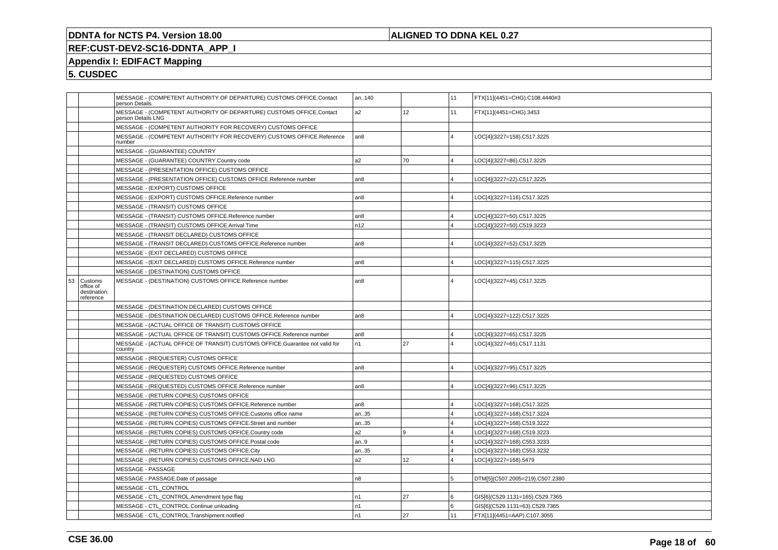## **ALIGNED TO DDNA KEL 0.27**

# **REF:CUST-DEV2-SC16-DDNTA\_APP\_I**

## **Appendix I: EDIFACT Mapping**

|    |                                                   | person Details     | MESSAGE - (COMPETENT AUTHORITY OF DEPARTURE) CUSTOMS OFFICE.Contact         | an140           |                 | 11                      | FTX[11](4451=CHG).C108.4440#3   |
|----|---------------------------------------------------|--------------------|-----------------------------------------------------------------------------|-----------------|-----------------|-------------------------|---------------------------------|
|    |                                                   | person Details LNG | MESSAGE - (COMPETENT AUTHORITY OF DEPARTURE) CUSTOMS OFFICE.Contact         | a2              | 12 <sup>°</sup> | 11                      | FTX[11](4451=CHG).3453          |
|    |                                                   |                    | MESSAGE - (COMPETENT AUTHORITY FOR RECOVERY) CUSTOMS OFFICE                 |                 |                 |                         |                                 |
|    |                                                   | number             | MESSAGE - (COMPETENT AUTHORITY FOR RECOVERY) CUSTOMS OFFICE.Reference       | an <sub>8</sub> |                 | $\overline{4}$          | LOC[4](3227=158).C517.3225      |
|    |                                                   |                    | MESSAGE - (GUARANTEE) COUNTRY                                               |                 |                 |                         |                                 |
|    |                                                   |                    | MESSAGE - (GUARANTEE) COUNTRY.Country code                                  | a <sub>2</sub>  | 70              | $\overline{\mathbf{4}}$ | LOC[4](3227=86).C517.3225       |
|    |                                                   |                    | MESSAGE - (PRESENTATION OFFICE) CUSTOMS OFFICE                              |                 |                 |                         |                                 |
|    |                                                   |                    | MESSAGE - (PRESENTATION OFFICE) CUSTOMS OFFICE.Reference number             | an <sub>8</sub> |                 | $\Delta$                | LOC[4](3227=22).C517.3225       |
|    |                                                   |                    | MESSAGE - (EXPORT) CUSTOMS OFFICE                                           |                 |                 |                         |                                 |
|    |                                                   |                    | MESSAGE - (EXPORT) CUSTOMS OFFICE.Reference number                          | an <sub>8</sub> |                 | $\overline{4}$          | LOC[4](3227=116).C517.3225      |
|    |                                                   |                    | MESSAGE - (TRANSIT) CUSTOMS OFFICE                                          |                 |                 |                         |                                 |
|    |                                                   |                    | MESSAGE - (TRANSIT) CUSTOMS OFFICE.Reference number                         | an <sub>8</sub> |                 | $\overline{4}$          | LOC[4](3227=50).C517.3225       |
|    |                                                   |                    | MESSAGE - (TRANSIT) CUSTOMS OFFICE.Arrival Time                             | n12             |                 | $\overline{\mathbf{4}}$ | LOC[4](3227=50).C519.3223       |
|    |                                                   |                    | MESSAGE - (TRANSIT DECLARED) CUSTOMS OFFICE                                 |                 |                 |                         |                                 |
|    |                                                   |                    | MESSAGE - (TRANSIT DECLARED) CUSTOMS OFFICE.Reference number                | an8             |                 | $\overline{4}$          | LOC[4](3227=52).C517.3225       |
|    |                                                   |                    | MESSAGE - (EXIT DECLARED) CUSTOMS OFFICE                                    |                 |                 |                         |                                 |
|    |                                                   |                    | MESSAGE - (EXIT DECLARED) CUSTOMS OFFICE.Reference number                   | an <sub>8</sub> |                 | $\overline{4}$          | LOC[4](3227=115).C517.3225      |
|    |                                                   |                    | MESSAGE - (DESTINATION) CUSTOMS OFFICE                                      |                 |                 |                         |                                 |
| 53 | Customs<br>office of<br>destination:<br>reference |                    | MESSAGE - (DESTINATION) CUSTOMS OFFICE.Reference number                     | an8             |                 | $\overline{\mathbf{A}}$ | LOC[4](3227=45).C517.3225       |
|    |                                                   |                    | MESSAGE - (DESTINATION DECLARED) CUSTOMS OFFICE                             |                 |                 |                         |                                 |
|    |                                                   |                    | MESSAGE - (DESTINATION DECLARED) CUSTOMS OFFICE.Reference number            | an <sub>8</sub> |                 | $\overline{4}$          | LOC[4](3227=122).C517.3225      |
|    |                                                   |                    | MESSAGE - (ACTUAL OFFICE OF TRANSIT) CUSTOMS OFFICE                         |                 |                 |                         |                                 |
|    |                                                   |                    | MESSAGE - (ACTUAL OFFICE OF TRANSIT) CUSTOMS OFFICE.Reference number        | an <sub>8</sub> |                 | $\overline{\mathbf{A}}$ | LOC[4](3227=65).C517.3225       |
|    |                                                   | country            | MESSAGE - (ACTUAL OFFICE OF TRANSIT) CUSTOMS OFFICE.Guarantee not valid for | n1              | 27              | $\overline{4}$          | LOC[4](3227=65).C517.1131       |
|    |                                                   |                    | MESSAGE - (REQUESTER) CUSTOMS OFFICE                                        |                 |                 |                         |                                 |
|    |                                                   |                    | MESSAGE - (REQUESTER) CUSTOMS OFFICE.Reference number                       | an <sub>8</sub> |                 | $\overline{4}$          | LOC[4](3227=95).C517.3225       |
|    |                                                   |                    | MESSAGE - (REQUESTED) CUSTOMS OFFICE                                        |                 |                 |                         |                                 |
|    |                                                   |                    | MESSAGE - (REQUESTED) CUSTOMS OFFICE.Reference number                       | an <sub>8</sub> |                 | $\overline{\mathbf{A}}$ | LOC[4](3227=96).C517.3225       |
|    |                                                   |                    | MESSAGE - (RETURN COPIES) CUSTOMS OFFICE                                    |                 |                 |                         |                                 |
|    |                                                   |                    | MESSAGE - (RETURN COPIES) CUSTOMS OFFICE.Reference number                   | an8             |                 | $\overline{4}$          | LOC[4](3227=168).C517.3225      |
|    |                                                   |                    | MESSAGE - (RETURN COPIES) CUSTOMS OFFICE.Customs office name                | an35            |                 | l 4                     | LOC[4](3227=168).C517.3224      |
|    |                                                   |                    | MESSAGE - (RETURN COPIES) CUSTOMS OFFICE.Street and number                  | an35            |                 | $\overline{4}$          | LOC[4](3227=168).C519.3222      |
|    |                                                   |                    | MESSAGE - (RETURN COPIES) CUSTOMS OFFICE.Country code                       | a2              | 9               | $\overline{4}$          | LOC[4](3227=168).C519.3223      |
|    |                                                   |                    | MESSAGE - (RETURN COPIES) CUSTOMS OFFICE.Postal code                        | an.9            |                 | $\overline{4}$          | LOC[4](3227=168).C553.3233      |
|    |                                                   |                    | MESSAGE - (RETURN COPIES) CUSTOMS OFFICE.City                               | an35            |                 | $\overline{4}$          | LOC[4](3227=168).C553.3232      |
|    |                                                   |                    | MESSAGE - (RETURN COPIES) CUSTOMS OFFICE.NAD LNG                            | a2              | 12              | $\overline{\mathbf{4}}$ | LOC[4](3227=168).5479           |
|    |                                                   |                    | MESSAGE - PASSAGE                                                           |                 |                 |                         |                                 |
|    |                                                   |                    | MESSAGE - PASSAGE.Date of passage                                           | n8              |                 | 5                       | DTM[5](C507.2005=219).C507.2380 |
|    |                                                   |                    | MESSAGE - CTL CONTROL                                                       |                 |                 |                         |                                 |
|    |                                                   |                    | MESSAGE - CTL_CONTROL.Amendment type flag                                   | n <sub>1</sub>  | 27              | ۱6.                     | GIS[6](C529.1131=165).C529.7365 |
|    |                                                   |                    | MESSAGE - CTL CONTROL.Continue unloading                                    | n1              |                 | 6                       | GIS[6](C529.1131=63).C529.7365  |
|    |                                                   |                    | MESSAGE - CTL CONTROL.Transhipment notified                                 | n <sub>1</sub>  | 27              | 11                      | FTX[11](4451=AAP).C107.3055     |
|    |                                                   |                    |                                                                             |                 |                 |                         |                                 |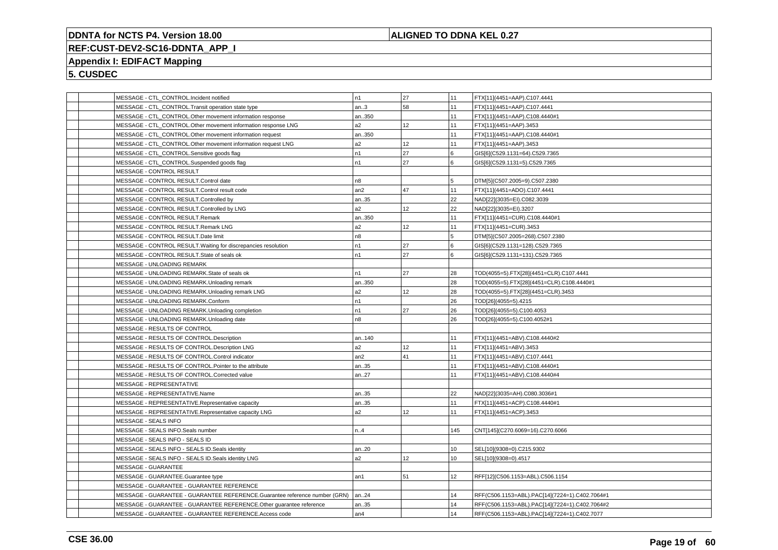## **ALIGNED TO DDNA KEL 0.27**

# **REF:CUST-DEV2-SC16-DDNTA\_APP\_I**

# **Appendix I: EDIFACT Mapping**

| MESSAGE - CTL_CONTROL.Incident notified                                    | n <sub>1</sub> | 27              | 11  | FTX[11](4451=AAP).C107.4441                    |
|----------------------------------------------------------------------------|----------------|-----------------|-----|------------------------------------------------|
| MESSAGE - CTL_CONTROL.Transit operation state type                         | an.3           | 58              | 11  | FTX[11](4451=AAP).C107.4441                    |
| MESSAGE - CTL_CONTROL.Other movement information response                  | an350          |                 | 11  | FTX[11](4451=AAP).C108.4440#1                  |
| MESSAGE - CTL_CONTROL.Other movement information response LNG              | a2             | 12              | 11  | FTX[11](4451=AAP).3453                         |
| MESSAGE - CTL_CONTROL.Other movement information request                   | an350          |                 | 11  | FTX[11](4451=AAP).C108.4440#1                  |
| MESSAGE - CTL_CONTROL.Other movement information request LNG               | a2             | 12              | 11  | FTX[11](4451=AAP).3453                         |
| MESSAGE - CTL_CONTROL.Sensitive goods flag                                 | n1             | 27              | 6   | GIS[6](C529.1131=64).C529.7365                 |
| MESSAGE - CTL_CONTROL.Suspended goods flag                                 | n1             | 27              | l 6 | GIS[6](C529.1131=5).C529.7365                  |
| MESSAGE - CONTROL RESULT                                                   |                |                 |     |                                                |
| MESSAGE - CONTROL RESULT.Control date                                      | n8             |                 | 5   | DTM[5](C507.2005=9).C507.2380                  |
| MESSAGE - CONTROL RESULT.Control result code                               | an2            | 47              | 11  | FTX[11](4451=ADO).C107.4441                    |
| MESSAGE - CONTROL RESULT.Controlled by                                     | an35           |                 | 22  | NAD[22](3035=EI).C082.3039                     |
| MESSAGE - CONTROL RESULT.Controlled by LNG                                 | a2             | 12 <sup>°</sup> | 22  | NAD[22](3035=EI).3207                          |
| MESSAGE - CONTROL RESULT.Remark                                            | an350          |                 | 11  | FTX[11](4451=CUR).C108.4440#1                  |
| MESSAGE - CONTROL RESULT.Remark LNG                                        | a2             | 12              | 11  | FTX[11](4451=CUR).3453                         |
| MESSAGE - CONTROL RESULT.Date limit                                        | n8             |                 | 5   | DTM[5](C507.2005=268).C507.2380                |
| MESSAGE - CONTROL RESULT. Waiting for discrepancies resolution             | n1             | 27              | l 6 | GIS[6](C529.1131=128).C529.7365                |
| MESSAGE - CONTROL RESULT.State of seals ok                                 | n <sub>1</sub> | 27              | 6   | GIS[6](C529.1131=131).C529.7365                |
| MESSAGE - UNLOADING REMARK                                                 |                |                 |     |                                                |
| MESSAGE - UNLOADING REMARK.State of seals ok                               | n1             | 27              | 28  | TOD(4055=5).FTX[28](4451=CLR).C107.4441        |
| MESSAGE - UNLOADING REMARK.Unloading remark                                | an350          |                 | 28  | TOD(4055=5).FTX[28](4451=CLR).C108.4440#1      |
| MESSAGE - UNLOADING REMARK.Unloading remark LNG                            | a <sub>2</sub> | 12              | 28  | TOD(4055=5).FTX[28](4451=CLR).3453             |
| MESSAGE - UNLOADING REMARK.Conform                                         | n1             |                 | 26  | TOD[26](4055=5).4215                           |
| MESSAGE - UNLOADING REMARK.Unloading completion                            | n1             | 27              | 26  | TOD[26](4055=5).C100.4053                      |
| MESSAGE - UNLOADING REMARK.Unloading date                                  | n8             |                 | 26  | TOD[26](4055=5).C100.4052#1                    |
| MESSAGE - RESULTS OF CONTROL                                               |                |                 |     |                                                |
| MESSAGE - RESULTS OF CONTROL.Description                                   | an140          |                 | 11  | FTX[11](4451=ABV).C108.4440#2                  |
| MESSAGE - RESULTS OF CONTROL.Description LNG                               | a2             | 12              | 11  | FTX[11](4451=ABV).3453                         |
| MESSAGE - RESULTS OF CONTROL.Control indicator                             | an2            | 41              | 11  | FTX[11](4451=ABV).C107.4441                    |
| MESSAGE - RESULTS OF CONTROL.Pointer to the attribute                      | an35           |                 | 11  | FTX[11](4451=ABV).C108.4440#1                  |
| MESSAGE - RESULTS OF CONTROL.Corrected value                               | an27           |                 | 11  | FTX[11](4451=ABV).C108.4440#4                  |
| MESSAGE - REPRESENTATIVE                                                   |                |                 |     |                                                |
| MESSAGE - REPRESENTATIVE.Name                                              | an35           |                 | 22  | NAD[22](3035=AH).C080.3036#1                   |
| MESSAGE - REPRESENTATIVE.Representative capacity                           | an35           |                 | 11  | FTX[11](4451=ACP).C108.4440#1                  |
| MESSAGE - REPRESENTATIVE.Representative capacity LNG                       | a2             | 12 <sup>°</sup> | 11  | FTX[11](4451=ACP).3453                         |
| MESSAGE - SEALS INFO                                                       |                |                 |     |                                                |
| MESSAGE - SEALS INFO.Seals number                                          | n.4            |                 | 145 | CNT[145](C270.6069=16).C270.6066               |
| MESSAGE - SEALS INFO - SEALS ID                                            |                |                 |     |                                                |
| MESSAGE - SEALS INFO - SEALS ID. Seals identity                            | an20           |                 | 10  | SEL[10](9308=0).C215.9302                      |
| MESSAGE - SEALS INFO - SEALS ID. Seals identity LNG                        | a2             | 12              | 10  | SEL[10](9308=0).4517                           |
| MESSAGE - GUARANTEE                                                        |                |                 |     |                                                |
| MESSAGE - GUARANTEE.Guarantee type                                         | an1            | 51              | 12  | RFF[12](C506.1153=ABL).C506.1154               |
| MESSAGE - GUARANTEE - GUARANTEE REFERENCE                                  |                |                 |     |                                                |
| MESSAGE - GUARANTEE - GUARANTEE REFERENCE.Guarantee reference number (GRN) | an24           |                 | 14  | RFF(C506.1153=ABL).PAC[14](7224=1).C402.7064#1 |
| MESSAGE - GUARANTEE - GUARANTEE REFERENCE.Other guarantee reference        | an35           |                 | 14  | RFF(C506.1153=ABL).PAC[14](7224=1).C402.7064#2 |
| MESSAGE - GUARANTEE - GUARANTEE REFERENCE.Access code                      | an4            |                 | 14  | RFF(C506.1153=ABL).PAC[14](7224=1).C402.7077   |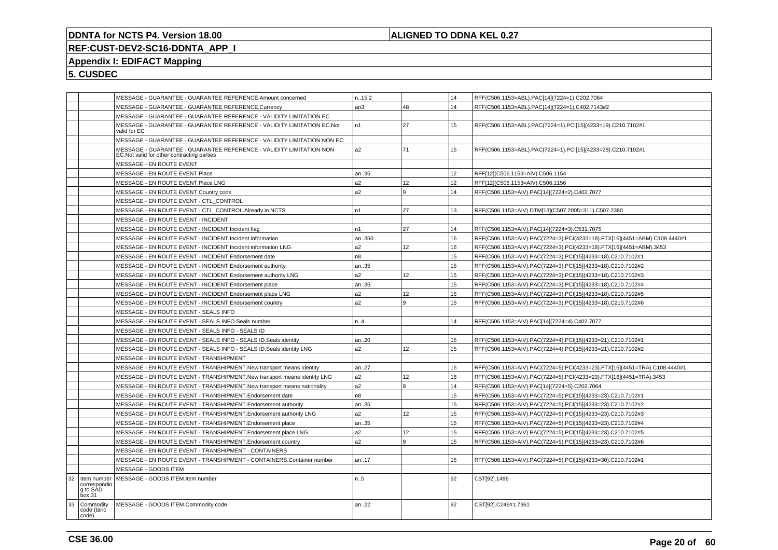## **ALIGNED TO DDNA KEL 0.27**

# **REF:CUST-DEV2-SC16-DDNTA\_APP\_I**

# **Appendix I: EDIFACT Mapping**

|    |                                    |                                             | MESSAGE - GUARANTEE - GUARANTEE REFERENCE.Amount concerned               | n.15,2         |                | 14 | RFF(C506.1153=ABL).PAC[14](7224=1).C202.7064                              |
|----|------------------------------------|---------------------------------------------|--------------------------------------------------------------------------|----------------|----------------|----|---------------------------------------------------------------------------|
|    |                                    |                                             | MESSAGE - GUARANTEE - GUARANTEE REFERENCE.Currency                       | an3            | 48             | 14 | RFF(C506.1153=ABL).PAC[14](7224=1).C402.7143#2                            |
|    |                                    |                                             | MESSAGE - GUARANTEE - GUARANTEE REFERENCE - VALIDITY LIMITATION EC       |                |                |    |                                                                           |
|    |                                    | valid for EC                                | MESSAGE - GUARANTEE - GUARANTEE REFERENCE - VALIDITY LIMITATION EC.Not   | n <sub>1</sub> | 27             | 15 | RFF(C506.1153=ABL).PAC(7224=1).PCI[15](4233=19).C210.7102#1               |
|    |                                    |                                             | MESSAGE - GUARANTEE - GUARANTEE REFERENCE - VALIDITY LIMITATION NON EC   |                |                |    |                                                                           |
|    |                                    | EC. Not valid for other contracting parties | MESSAGE - GUARANTEE - GUARANTEE REFERENCE - VALIDITY LIMITATION NON      | a2             | 71             | 15 | RFF(C506.1153=ABL).PAC(7224=1).PCI[15](4233=28).C210.7102#1               |
|    |                                    | MESSAGE - EN ROUTE EVENT                    |                                                                          |                |                |    |                                                                           |
|    |                                    | MESSAGE - EN ROUTE EVENT.Place              |                                                                          | an35           |                | 12 | RFF[12](C506.1153=AIV).C506.1154                                          |
|    |                                    | MESSAGE - EN ROUTE EVENT.Place LNG          |                                                                          | a2             | 12             | 12 | RFF[12](C506.1153=AIV).C506.1156                                          |
|    |                                    | MESSAGE - EN ROUTE EVENT.Country code       |                                                                          | a2             | l 9            | 14 | RFF(C506.1153=AIV).PAC[14](7224=2).C402.7077                              |
|    |                                    |                                             | MESSAGE - EN ROUTE EVENT - CTL_CONTROL                                   |                |                |    |                                                                           |
|    |                                    |                                             | MESSAGE - EN ROUTE EVENT - CTL_CONTROL.Already in NCTS                   | n1             | 27             | 13 | RFF(C506.1153=AIV).DTM[13](C507.2005=311).C507.2380                       |
|    |                                    | MESSAGE - EN ROUTE EVENT - INCIDENT         |                                                                          |                |                |    |                                                                           |
|    |                                    |                                             | MESSAGE - EN ROUTE EVENT - INCIDENT.Incident flag                        | n1             | 27             | 14 | RFF(C506.1153=AIV).PAC[14](7224=3).C531.7075                              |
|    |                                    |                                             | MESSAGE - EN ROUTE EVENT - INCIDENT. Incident information                | an350          |                | 16 | RFF(C506.1153=AIV).PAC(7224=3).PCI(4233=18).FTX[16](4451=ABM).C108.4440#1 |
|    |                                    |                                             | MESSAGE - EN ROUTE EVENT - INCIDENT.Incident information LNG             | a2             | 12             | 16 | RFF(C506.1153=AIV).PAC(7224=3).PCI(4233=18).FTX[16](4451=ABM).3453        |
|    |                                    |                                             | MESSAGE - EN ROUTE EVENT - INCIDENT. Endorsement date                    | n8             |                | 15 | RFF(C506.1153=AIV).PAC(7224=3).PCI[15](4233=18).C210.7102#1               |
|    |                                    |                                             | MESSAGE - EN ROUTE EVENT - INCIDENT. Endorsement authority               | an35           |                | 15 | RFF(C506.1153=AIV).PAC(7224=3).PCI[15](4233=18).C210.7102#2               |
|    |                                    |                                             | MESSAGE - EN ROUTE EVENT - INCIDENT. Endorsement authority LNG           | a2             | 12             | 15 | RFF(C506.1153=AIV).PAC(7224=3).PCI[15](4233=18).C210.7102#3               |
|    |                                    |                                             | MESSAGE - EN ROUTE EVENT - INCIDENT. Endorsement place                   | an35           |                | 15 | RFF(C506.1153=AIV).PAC(7224=3).PCI[15](4233=18).C210.7102#4               |
|    |                                    |                                             | MESSAGE - EN ROUTE EVENT - INCIDENT. Endorsement place LNG               | a2             | 12             | 15 | RFF(C506.1153=AIV).PAC(7224=3).PCI[15](4233=18).C210.7102#5               |
|    |                                    |                                             | MESSAGE - EN ROUTE EVENT - INCIDENT. Endorsement country                 | a2             | 9              | 15 | RFF(C506.1153=AIV).PAC(7224=3).PCI[15](4233=18).C210.7102#6               |
|    |                                    |                                             | MESSAGE - EN ROUTE EVENT - SEALS INFO                                    |                |                |    |                                                                           |
|    |                                    |                                             | MESSAGE - EN ROUTE EVENT - SEALS INFO.Seals number                       | n.A            |                | 14 | RFF(C506.1153=AIV).PAC[14](7224=4).C402.7077                              |
|    |                                    |                                             | MESSAGE - EN ROUTE EVENT - SEALS INFO - SEALS ID                         |                |                |    |                                                                           |
|    |                                    |                                             | MESSAGE - EN ROUTE EVENT - SEALS INFO - SEALS ID. Seals identity         | an20           |                | 15 | RFF(C506.1153=AIV).PAC(7224=4).PCI[15](4233=21).C210.7102#1               |
|    |                                    |                                             | MESSAGE - EN ROUTE EVENT - SEALS INFO - SEALS ID. Seals identity LNG     | a2             | 12             | 15 | RFF(C506.1153=AIV).PAC(7224=4).PCI[15](4233=21).C210.7102#2               |
|    |                                    |                                             | MESSAGE - EN ROUTE EVENT - TRANSHIPMENT                                  |                |                |    |                                                                           |
|    |                                    |                                             | MESSAGE - EN ROUTE EVENT - TRANSHIPMENT. New transport means identity    | an27           |                | 16 | RFF(C506.1153=AIV).PAC(7224=5).PCI(4233=23).FTX[16](4451=TRA).C108.4440#1 |
|    |                                    |                                             | MESSAGE - EN ROUTE EVENT - TRANSHIPMENT.New transport means identity LNG | a2             | 12             | 16 | RFF(C506.1153=AIV).PAC(7224=5).PCI(4233=23).FTX[16](4451=TRA).3453        |
|    |                                    |                                             | MESSAGE - EN ROUTE EVENT - TRANSHIPMENT. New transport means nationality | a <sub>2</sub> | $\overline{8}$ | 14 | RFF(C506.1153=AIV).PAC[14](7224=5).C202.7064                              |
|    |                                    |                                             | MESSAGE - EN ROUTE EVENT - TRANSHIPMENT. Endorsement date                | n <sub>8</sub> |                | 15 | RFF(C506.1153=AIV).PAC(7224=5).PCI[15](4233=23).C210.7102#1               |
|    |                                    |                                             | MESSAGE - EN ROUTE EVENT - TRANSHIPMENT. Endorsement authority           | an35           |                | 15 | RFF(C506.1153=AIV).PAC(7224=5).PCI[15](4233=23).C210.7102#2               |
|    |                                    |                                             | MESSAGE - EN ROUTE EVENT - TRANSHIPMENT. Endorsement authority LNG       | a2             | 12             | 15 | RFF(C506.1153=AIV).PAC(7224=5).PCI[15](4233=23).C210.7102#3               |
|    |                                    |                                             | MESSAGE - EN ROUTE EVENT - TRANSHIPMENT.Endorsement place                | an35           |                | 15 | RFF(C506.1153=AIV).PAC(7224=5).PCI[15](4233=23).C210.7102#4               |
|    |                                    |                                             | MESSAGE - EN ROUTE EVENT - TRANSHIPMENT. Endorsement place LNG           | a <sub>2</sub> | 12             | 15 | RFF(C506.1153=AIV).PAC(7224=5).PCI[15](4233=23).C210.7102#5               |
|    |                                    |                                             | MESSAGE - EN ROUTE EVENT - TRANSHIPMENT. Endorsement country             | a <sub>2</sub> | ۱9.            | 15 | RFF(C506.1153=AIV).PAC(7224=5).PCI[15](4233=23).C210.7102#6               |
|    |                                    |                                             | MESSAGE - EN ROUTE EVENT - TRANSHIPMENT - CONTAINERS                     |                |                |    |                                                                           |
|    |                                    |                                             | MESSAGE - EN ROUTE EVENT - TRANSHIPMENT - CONTAINERS.Container number    | an17           |                | 15 | RFF(C506.1153=AIV).PAC(7224=5).PCI[15](4233=30).C210.7102#1               |
|    |                                    | MESSAGE - GOODS ITEM                        |                                                                          |                |                |    |                                                                           |
| 32 | Item number                        | MESSAGE - GOODS ITEM.Item number            |                                                                          | n.5            |                | 92 | CST[92].1496                                                              |
|    | correspondin<br>q to SAD<br>box 31 |                                             |                                                                          |                |                |    |                                                                           |
| 33 | Commodity<br>code (taric<br>code)  | MESSAGE - GOODS ITEM.Commodity code         |                                                                          | an22           |                | 92 | CST[92].C246#1.7361                                                       |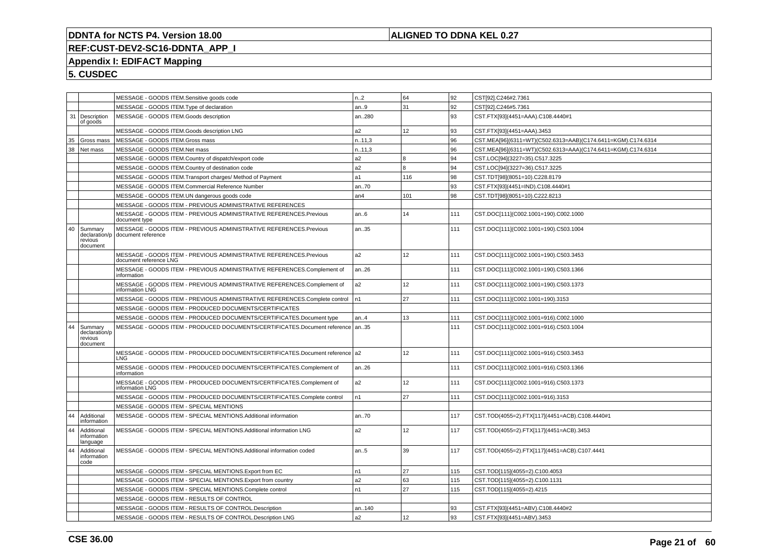## **ALIGNED TO DDNA KEL 0.27**

# **REF:CUST-DEV2-SC16-DDNTA\_APP\_I**

# **Appendix I: EDIFACT Mapping**

|    |                                                 | MESSAGE - GOODS ITEM.Sensitive goods code                                                    | n.2            | 64  | 92  | CST[92].C246#2.7361                                          |
|----|-------------------------------------------------|----------------------------------------------------------------------------------------------|----------------|-----|-----|--------------------------------------------------------------|
|    |                                                 | MESSAGE - GOODS ITEM. Type of declaration                                                    | an.9           | 31  | 92  | CST[92].C246#5.7361                                          |
| 31 | Description<br>of goods                         | MESSAGE - GOODS ITEM.Goods description                                                       | an280          |     | 93  | CST.FTX[93](4451=AAA).C108.4440#1                            |
|    |                                                 | MESSAGE - GOODS ITEM.Goods description LNG                                                   | a2             | 12  | 93  | CST.FTX[93](4451=AAA).3453                                   |
| 35 | Gross mass                                      | MESSAGE - GOODS ITEM.Gross mass                                                              | n.11,3         |     | 96  | CST.MEA[96](6311=WT)(C502.6313=AAB)(C174.6411=KGM).C174.6314 |
| 38 | Net mass                                        | MESSAGE - GOODS ITEM.Net mass                                                                | n.11,3         |     | 96  | CST.MEA[96](6311=WT)(C502.6313=AAA)(C174.6411=KGM).C174.6314 |
|    |                                                 | MESSAGE - GOODS ITEM.Country of dispatch/export code                                         | a <sub>2</sub> | l 8 | 94  | CST.LOC[94](3227=35).C517.3225                               |
|    |                                                 | MESSAGE - GOODS ITEM.Country of destination code                                             | a2             | 8   | 94  | CST.LOC[94](3227=36).C517.3225                               |
|    |                                                 | MESSAGE - GOODS ITEM. Transport charges/ Method of Payment                                   | a1             | 116 | 98  | CST.TDT[98](8051=10).C228.8179                               |
|    |                                                 | MESSAGE - GOODS ITEM.Commercial Reference Number                                             | an70           |     | 93  | CST.FTX[93](4451=IND).C108.4440#1                            |
|    |                                                 | MESSAGE - GOODS ITEM.UN dangerous goods code                                                 | an4            | 101 | 98  | CST.TDT[98](8051=10).C222.8213                               |
|    |                                                 | MESSAGE - GOODS ITEM - PREVIOUS ADMINISTRATIVE REFERENCES                                    |                |     |     |                                                              |
|    |                                                 | MESSAGE - GOODS ITEM - PREVIOUS ADMINISTRATIVE REFERENCES.Previous<br>document type          | an.6           | 14  | 111 | CST.DOC[111](C002.1001=190).C002.1000                        |
| 40 | Summarv<br>declaration/p<br>revious<br>document | MESSAGE - GOODS ITEM - PREVIOUS ADMINISTRATIVE REFERENCES.Previous<br>document reference     | an35           |     | 111 | CST.DOC[111](C002.1001=190).C503.1004                        |
|    |                                                 | MESSAGE - GOODS ITEM - PREVIOUS ADMINISTRATIVE REFERENCES.Previous<br>document reference LNG | a2             | 12  | 111 | CST.DOC[111](C002.1001=190).C503.3453                        |
|    |                                                 | MESSAGE - GOODS ITEM - PREVIOUS ADMINISTRATIVE REFERENCES.Complement of<br>information       | an26           |     | 111 | CST.DOC[111](C002.1001=190).C503.1366                        |
|    |                                                 | MESSAGE - GOODS ITEM - PREVIOUS ADMINISTRATIVE REFERENCES.Complement of<br>information LNG   | a2             | 12  | 111 | CST.DOC[111](C002.1001=190).C503.1373                        |
|    |                                                 | MESSAGE - GOODS ITEM - PREVIOUS ADMINISTRATIVE REFERENCES.Complete control                   | l n1           | 27  | 111 | CST.DOC[111](C002.1001=190).3153                             |
|    |                                                 | MESSAGE - GOODS ITEM - PRODUCED DOCUMENTS/CERTIFICATES                                       |                |     |     |                                                              |
|    |                                                 | MESSAGE - GOODS ITEM - PRODUCED DOCUMENTS/CERTIFICATES.Document type                         | an4            | 13  | 111 | CST.DOC[111](C002.1001=916).C002.1000                        |
| 44 | Summary<br>declaration/p<br>revious<br>document | MESSAGE - GOODS ITEM - PRODUCED DOCUMENTS/CERTIFICATES.Document reference                    | an35           |     | 111 | CST.DOC[111](C002.1001=916).C503.1004                        |
|    |                                                 | MESSAGE - GOODS ITEM - PRODUCED DOCUMENTS/CERTIFICATES.Document reference a2<br><b>LNG</b>   |                | 12  | 111 | CST.DOC[111](C002.1001=916).C503.3453                        |
|    |                                                 | MESSAGE - GOODS ITEM - PRODUCED DOCUMENTS/CERTIFICATES.Complement of<br>information          | an.26          |     | 111 | CST.DOC[111](C002.1001=916).C503.1366                        |
|    |                                                 | MESSAGE - GOODS ITEM - PRODUCED DOCUMENTS/CERTIFICATES.Complement of<br>information LNG      | a2             | 12  | 111 | CST.DOC[111](C002.1001=916).C503.1373                        |
|    |                                                 | MESSAGE - GOODS ITEM - PRODUCED DOCUMENTS/CERTIFICATES.Complete control                      | n1             | 27  | 111 | CST.DOC[111](C002.1001=916).3153                             |
|    |                                                 | MESSAGE - GOODS ITEM - SPECIAL MENTIONS                                                      |                |     |     |                                                              |
| 44 | Additional<br>information                       | MESSAGE - GOODS ITEM - SPECIAL MENTIONS.Additional information                               | an70           |     | 117 | CST.TOD(4055=2).FTX[117](4451=ACB).C108.4440#1               |
| 44 | Additional<br>information<br>language           | MESSAGE - GOODS ITEM - SPECIAL MENTIONS.Additional information LNG                           | a2             | 12  | 117 | CST.TOD(4055=2).FTX[117](4451=ACB).3453                      |
| 44 | Additional<br>information<br>code               | MESSAGE - GOODS ITEM - SPECIAL MENTIONS.Additional information coded                         | an.5           | 39  | 117 | CST.TOD(4055=2).FTX[117](4451=ACB).C107.4441                 |
|    |                                                 | MESSAGE - GOODS ITEM - SPECIAL MENTIONS. Export from EC                                      | n1             | 27  | 115 | CST.TOD[115](4055=2).C100.4053                               |
|    |                                                 | MESSAGE - GOODS ITEM - SPECIAL MENTIONS. Export from country                                 | a2             | 63  | 115 | CST.TOD[115](4055=2).C100.1131                               |
|    |                                                 | MESSAGE - GOODS ITEM - SPECIAL MENTIONS.Complete control                                     | n1             | 27  | 115 | CST.TOD[115](4055=2).4215                                    |
|    |                                                 | MESSAGE - GOODS ITEM - RESULTS OF CONTROL                                                    |                |     |     |                                                              |
|    |                                                 | MESSAGE - GOODS ITEM - RESULTS OF CONTROL.Description                                        | an140          |     | 93  | CST.FTX[93](4451=ABV).C108.4440#2                            |
|    |                                                 | MESSAGE - GOODS ITEM - RESULTS OF CONTROL.Description LNG                                    | a2             | 12  | 93  | CST.FTX[93](4451=ABV).3453                                   |
|    |                                                 |                                                                                              |                |     |     |                                                              |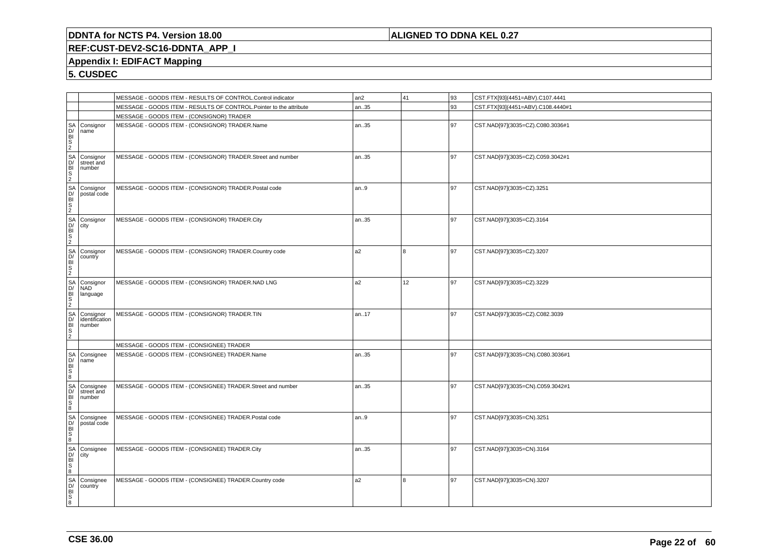## **ALIGNED TO DDNA KEL 0.27**

# **REF:CUST-DEV2-SC16-DDNTA\_APP\_I**

## **Appendix I: EDIFACT Mapping**

|                                           |                                                                                                                                                                                                                                                                | MESSAGE - GOODS ITEM - RESULTS OF CONTROL.Control indicator        | an <sub>2</sub> | 41  | 93 | CST.FTX[93](4451=ABV).C107.4441   |
|-------------------------------------------|----------------------------------------------------------------------------------------------------------------------------------------------------------------------------------------------------------------------------------------------------------------|--------------------------------------------------------------------|-----------------|-----|----|-----------------------------------|
|                                           |                                                                                                                                                                                                                                                                | MESSAGE - GOODS ITEM - RESULTS OF CONTROL.Pointer to the attribute | an35            |     | 93 | CST.FTX[93](4451=ABV).C108.4440#1 |
|                                           |                                                                                                                                                                                                                                                                | MESSAGE - GOODS ITEM - (CONSIGNOR) TRADER                          |                 |     |    |                                   |
|                                           |                                                                                                                                                                                                                                                                | MESSAGE - GOODS ITEM - (CONSIGNOR) TRADER.Name                     | an35            |     | 97 | CST.NAD[97](3035=CZ).C080.3036#1  |
|                                           | SA Consignor<br>DH Consignor<br>SA Consignor<br>SA Consignor<br>SA Consignor<br>SA Consignor<br>DH Consignor<br>SA Consignor<br>CH Consignor<br>SA Consignor<br>SA Consignor<br>DH Country<br>SA Consignor<br>DH Country<br>SA Consignor<br>SA Consignor<br>SA | MESSAGE - GOODS ITEM - (CONSIGNOR) TRADER.Street and number        | an35            |     | 97 | CST.NAD[97](3035=CZ).C059.3042#1  |
|                                           | postal code                                                                                                                                                                                                                                                    | MESSAGE - GOODS ITEM - (CONSIGNOR) TRADER.Postal code              | an.9            |     | 97 | CST.NAD[97](3035=CZ).3251         |
|                                           |                                                                                                                                                                                                                                                                | MESSAGE - GOODS ITEM - (CONSIGNOR) TRADER.City                     | an35            |     | 97 | CST.NAD[97](3035=CZ).3164         |
|                                           |                                                                                                                                                                                                                                                                | MESSAGE - GOODS ITEM - (CONSIGNOR) TRADER.Country code             | a <sub>2</sub>  | l 8 | 97 | CST.NAD[97](3035=CZ).3207         |
|                                           |                                                                                                                                                                                                                                                                | MESSAGE - GOODS ITEM - (CONSIGNOR) TRADER.NAD LNG                  | a2              | 12  | 97 | CST.NAD[97](3035=CZ).3229         |
|                                           | identification                                                                                                                                                                                                                                                 | MESSAGE - GOODS ITEM - (CONSIGNOR) TRADER.TIN                      | an17            |     | 97 | CST.NAD[97](3035=CZ).C082.3039    |
|                                           |                                                                                                                                                                                                                                                                | MESSAGE - GOODS ITEM - (CONSIGNEE) TRADER                          |                 |     |    |                                   |
|                                           | Consignee<br>name                                                                                                                                                                                                                                              | MESSAGE - GOODS ITEM - (CONSIGNEE) TRADER.Name                     | an35            |     | 97 | CST.NAD[97](3035=CN).C080.3036#1  |
|                                           | Consignee<br>street and<br>number                                                                                                                                                                                                                              | MESSAGE - GOODS ITEM - (CONSIGNEE) TRADER.Street and number        | an35            |     | 97 | CST.NAD[97](3035=CN).C059.3042#1  |
|                                           | Consignee<br>postal code                                                                                                                                                                                                                                       | MESSAGE - GOODS ITEM - (CONSIGNEE) TRADER.Postal code              | an9             |     | 97 | CST.NAD[97](3035=CN).3251         |
| RUMBOS RUMBOS RUMBOS RUMBOS RUMBOS RUMBOS | Consignee<br>city                                                                                                                                                                                                                                              | MESSAGE - GOODS ITEM - (CONSIGNEE) TRADER.City                     | an35            |     | 97 | CST.NAD[97](3035=CN).3164         |
|                                           | Consignee<br>country                                                                                                                                                                                                                                           | MESSAGE - GOODS ITEM - (CONSIGNEE) TRADER.Country code             | a <sub>2</sub>  | 8   | 97 | CST.NAD[97](3035=CN).3207         |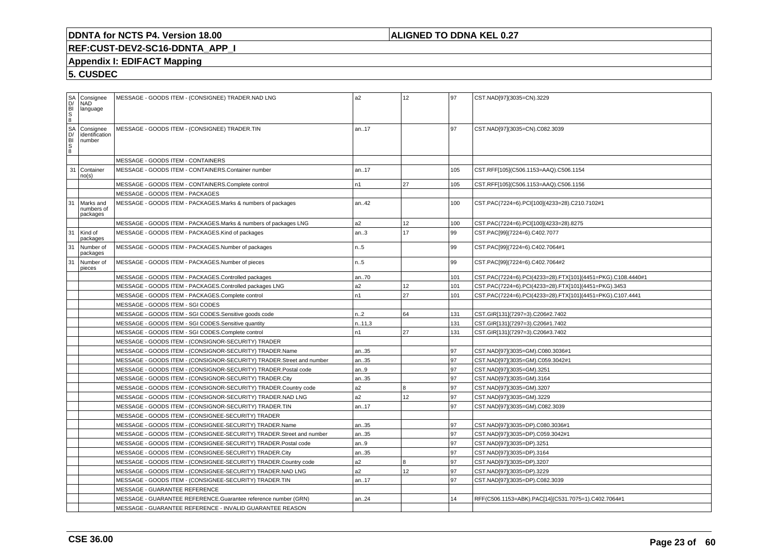## **ALIGNED TO DDNA KEL 0.27**

# **REF:CUST-DEV2-SC16-DDNTA\_APP\_I**

## **Appendix I: EDIFACT Mapping**

| $rac{S}{\text{S}}$ | Consignee<br><b>NAD</b><br>language   |                                   | MESSAGE - GOODS ITEM - (CONSIGNEE) TRADER.NAD LNG                    | a2     | 12 | l 97 | CST.NAD[97](3035=CN).3229                                   |
|--------------------|---------------------------------------|-----------------------------------|----------------------------------------------------------------------|--------|----|------|-------------------------------------------------------------|
|                    | Consignee<br>identification<br>number |                                   | MESSAGE - GOODS ITEM - (CONSIGNEE) TRADER.TIN                        | an17   |    | 97   | CST.NAD[97](3035=CN).C082.3039                              |
|                    |                                       | MESSAGE - GOODS ITEM - CONTAINERS |                                                                      |        |    |      |                                                             |
| 31                 | Container<br>no(s)                    |                                   | MESSAGE - GOODS ITEM - CONTAINERS.Container number                   | an17   |    | 105  | CST.RFF[105](C506.1153=AAQ).C506.1154                       |
|                    |                                       |                                   | MESSAGE - GOODS ITEM - CONTAINERS.Complete control                   | n1     | 27 | 105  | CST.RFF[105](C506.1153=AAQ).C506.1156                       |
|                    |                                       | MESSAGE - GOODS ITEM - PACKAGES   |                                                                      |        |    |      |                                                             |
| 31                 | Marks and<br>numbers of<br>packages   |                                   | MESSAGE - GOODS ITEM - PACKAGES.Marks & numbers of packages          | an42   |    | 100  | CST.PAC(7224=6).PCI[100](4233=28).C210.7102#1               |
|                    |                                       |                                   | MESSAGE - GOODS ITEM - PACKAGES.Marks & numbers of packages LNG      | a2     | 12 | 100  | CST.PAC(7224=6).PCI[100](4233=28).8275                      |
| 31                 | Kind of<br>packages                   |                                   | MESSAGE - GOODS ITEM - PACKAGES.Kind of packages                     | an.3   | 17 | 99   | CST.PAC[99](7224=6).C402.7077                               |
| 31                 | Number of<br>packages                 |                                   | MESSAGE - GOODS ITEM - PACKAGES.Number of packages                   | n.5    |    | 99   | CST.PAC[99](7224=6).C402.7064#1                             |
| 31                 | Number of<br>pieces                   |                                   | MESSAGE - GOODS ITEM - PACKAGES.Number of pieces                     | n5     |    | 99   | CST.PAC[99](7224=6).C402.7064#2                             |
|                    |                                       |                                   | MESSAGE - GOODS ITEM - PACKAGES.Controlled packages                  | an70   |    | 101  | CST.PAC(7224=6).PCI(4233=28).FTX[101](4451=PKG).C108.4440#1 |
|                    |                                       |                                   | MESSAGE - GOODS ITEM - PACKAGES.Controlled packages LNG              | a2     | 12 | 101  | CST.PAC(7224=6).PCI(4233=28).FTX[101](4451=PKG).3453        |
|                    |                                       |                                   | MESSAGE - GOODS ITEM - PACKAGES.Complete control                     | n1     | 27 | 101  | CST.PAC(7224=6).PCI(4233=28).FTX[101](4451=PKG).C107.4441   |
|                    |                                       | MESSAGE - GOODS ITEM - SGI CODES  |                                                                      |        |    |      |                                                             |
|                    |                                       |                                   | MESSAGE - GOODS ITEM - SGI CODES.Sensitive goods code                | n.2    | 64 | 131  | CST.GIR[131](7297=3).C206#2.7402                            |
|                    |                                       |                                   | MESSAGE - GOODS ITEM - SGI CODES.Sensitive quantity                  | n.11,3 |    | 131  | CST.GIR[131](7297=3).C206#1.7402                            |
|                    |                                       |                                   | MESSAGE - GOODS ITEM - SGI CODES.Complete control                    | n1     | 27 | 131  | CST.GIR[131](7297=3).C206#3.7402                            |
|                    |                                       |                                   | MESSAGE - GOODS ITEM - (CONSIGNOR-SECURITY) TRADER                   |        |    |      |                                                             |
|                    |                                       |                                   | MESSAGE - GOODS ITEM - (CONSIGNOR-SECURITY) TRADER.Name              | an35   |    | 97   | CST.NAD[97](3035=GM).C080.3036#1                            |
|                    |                                       |                                   | MESSAGE - GOODS ITEM - (CONSIGNOR-SECURITY) TRADER.Street and number | an35   |    | 97   | CST.NAD[97](3035=GM).C059.3042#1                            |
|                    |                                       |                                   | MESSAGE - GOODS ITEM - (CONSIGNOR-SECURITY) TRADER.Postal code       | an.9   |    | 97   | CST.NAD[97](3035=GM).3251                                   |
|                    |                                       |                                   | MESSAGE - GOODS ITEM - (CONSIGNOR-SECURITY) TRADER.City              | an35   |    | 97   | CST.NAD[97](3035=GM).3164                                   |
|                    |                                       |                                   | MESSAGE - GOODS ITEM - (CONSIGNOR-SECURITY) TRADER.Country code      | a2     | 8  | 97   | CST.NAD[97](3035=GM).3207                                   |
|                    |                                       |                                   | MESSAGE - GOODS ITEM - (CONSIGNOR-SECURITY) TRADER.NAD LNG           | a2     | 12 | 97   | CST.NAD[97](3035=GM).3229                                   |
|                    |                                       |                                   | MESSAGE - GOODS ITEM - (CONSIGNOR-SECURITY) TRADER.TIN               | an17   |    | 97   | CST.NAD[97](3035=GM).C082.3039                              |
|                    |                                       |                                   | MESSAGE - GOODS ITEM - (CONSIGNEE-SECURITY) TRADER                   |        |    |      |                                                             |
|                    |                                       |                                   | MESSAGE - GOODS ITEM - (CONSIGNEE-SECURITY) TRADER.Name              | an35   |    | l 97 | CST.NAD[97](3035=DP).C080.3036#1                            |
|                    |                                       |                                   | MESSAGE - GOODS ITEM - (CONSIGNEE-SECURITY) TRADER.Street and number | an35   |    | 97   | CST.NAD[97](3035=DP).C059.3042#1                            |
|                    |                                       |                                   | MESSAGE - GOODS ITEM - (CONSIGNEE-SECURITY) TRADER.Postal code       | an.9   |    | 97   | CST.NAD[97](3035=DP).3251                                   |
|                    |                                       |                                   | MESSAGE - GOODS ITEM - (CONSIGNEE-SECURITY) TRADER.City              | an35   |    | 97   | CST.NAD[97](3035=DP).3164                                   |
|                    |                                       |                                   | MESSAGE - GOODS ITEM - (CONSIGNEE-SECURITY) TRADER.Country code      | a2     | 8  | 97   | CST.NAD[97](3035=DP).3207                                   |
|                    |                                       |                                   | MESSAGE - GOODS ITEM - (CONSIGNEE-SECURITY) TRADER.NAD LNG           | a2     | 12 | 97   | CST.NAD[97](3035=DP).3229                                   |
|                    |                                       |                                   | MESSAGE - GOODS ITEM - (CONSIGNEE-SECURITY) TRADER.TIN               | an17   |    | 97   | CST.NAD[97](3035=DP).C082.3039                              |
|                    |                                       | MESSAGE - GUARANTEE REFERENCE     |                                                                      |        |    |      |                                                             |
|                    |                                       |                                   | MESSAGE - GUARANTEE REFERENCE.Guarantee reference number (GRN)       | an24   |    | 14   | RFF(C506.1153=ABK).PAC[14](C531.7075=1).C402.7064#1         |
|                    |                                       |                                   | MESSAGE - GUARANTEE REFERENCE - INVALID GUARANTEE REASON             |        |    |      |                                                             |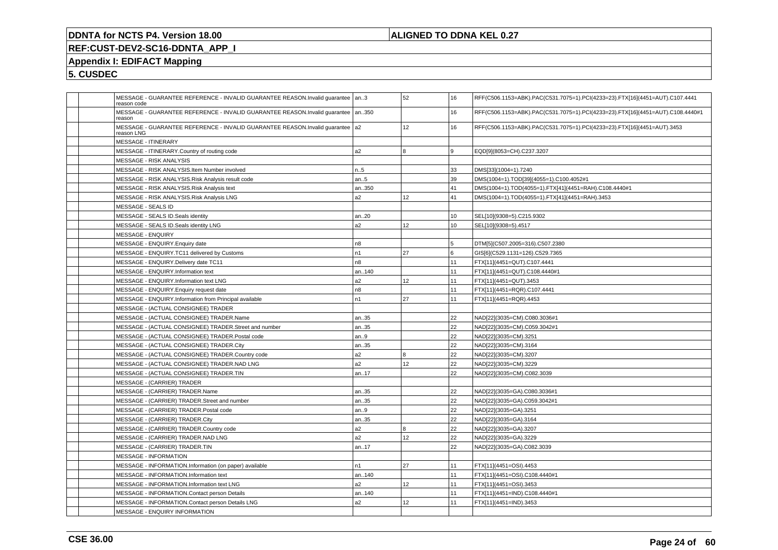## **ALIGNED TO DDNA KEL 0.27**

# **REF:CUST-DEV2-SC16-DDNTA\_APP\_I**

## **Appendix I: EDIFACT Mapping**

| MESSAGE - GUARANTEE REFERENCE - INVALID GUARANTEE REASON.Invalid quarantee   an3<br>reason code |                | 52 | 16  | RFF(C506.1153=ABK).PAC(C531.7075=1).PCI(4233=23).FTX[16](4451=AUT).C107.4441   |
|-------------------------------------------------------------------------------------------------|----------------|----|-----|--------------------------------------------------------------------------------|
| MESSAGE - GUARANTEE REFERENCE - INVALID GUARANTEE REASON.Invalid quarantee<br>reason            | an350          |    | 16  | RFF(C506.1153=ABK).PAC(C531.7075=1).PCI(4233=23).FTX[16](4451=AUT).C108.4440#1 |
| MESSAGE - GUARANTEE REFERENCE - INVALID GUARANTEE REASON.Invalid quarantee   a2<br>reason LNG   |                | 12 | 16  | RFF(C506.1153=ABK).PAC(C531.7075=1).PCI(4233=23).FTX[16](4451=AUT).3453        |
| <b>MESSAGE - ITINERARY</b>                                                                      |                |    |     |                                                                                |
| MESSAGE - ITINERARY.Country of routing code                                                     | a <sub>2</sub> | 8  | l 9 | EQD[9](8053=CH).C237.3207                                                      |
| <b>MESSAGE - RISK ANALYSIS</b>                                                                  |                |    |     |                                                                                |
| MESSAGE - RISK ANALYSIS.Item Number involved                                                    | n.5            |    | 33  | DMS[33](1004=1).7240                                                           |
| MESSAGE - RISK ANALYSIS.Risk Analysis result code                                               | an.5           |    | 39  | DMS(1004=1).TOD[39](4055=1).C100.4052#1                                        |
| MESSAGE - RISK ANALYSIS.Risk Analysis text                                                      | an350          |    | 41  | DMS(1004=1).TOD(4055=1).FTX[41](4451=RAH).C108.4440#1                          |
| MESSAGE - RISK ANALYSIS.Risk Analysis LNG                                                       | a <sub>2</sub> | 12 | 41  | DMS(1004=1).TOD(4055=1).FTX[41](4451=RAH).3453                                 |
| MESSAGE - SEALS ID                                                                              |                |    |     |                                                                                |
| MESSAGE - SEALS ID.Seals identity                                                               | an20           |    | 10  | SEL[10](9308=5).C215.9302                                                      |
| MESSAGE - SEALS ID.Seals identity LNG                                                           | a <sub>2</sub> | 12 | 10  | SEL[10](9308=5).4517                                                           |
| MESSAGE - ENQUIRY                                                                               |                |    |     |                                                                                |
| MESSAGE - ENQUIRY. Enquiry date                                                                 | n <sub>8</sub> |    | 5   | DTM[5](C507.2005=316).C507.2380                                                |
| MESSAGE - ENQUIRY.TC11 delivered by Customs                                                     | n1             | 27 | l 6 | GIS[6](C529.1131=126).C529.7365                                                |
| MESSAGE - ENQUIRY. Delivery date TC11                                                           | n <sub>8</sub> |    | 11  | FTX[11](4451=QUT).C107.4441                                                    |
| MESSAGE - ENQUIRY.Information text                                                              | an140          |    | 11  | FTX[11](4451=QUT).C108.4440#1                                                  |
| MESSAGE - ENQUIRY.Information text LNG                                                          | a <sub>2</sub> | 12 | 11  | FTX[11](4451=QUT).3453                                                         |
| MESSAGE - ENQUIRY. Enquiry request date                                                         | n <sub>8</sub> |    | 11  | FTX[11](4451=RQR).C107.4441                                                    |
| MESSAGE - ENQUIRY.Information from Principal available                                          | n <sub>1</sub> | 27 | 11  | FTX[11](4451=RQR).4453                                                         |
| MESSAGE - (ACTUAL CONSIGNEE) TRADER                                                             |                |    |     |                                                                                |
| MESSAGE - (ACTUAL CONSIGNEE) TRADER.Name                                                        | an35           |    | 22  | NAD[22](3035=CM).C080.3036#1                                                   |
| MESSAGE - (ACTUAL CONSIGNEE) TRADER.Street and number                                           | an35           |    | 22  | NAD[22](3035=CM).C059.3042#1                                                   |
| MESSAGE - (ACTUAL CONSIGNEE) TRADER.Postal code                                                 | an9            |    | 22  | NAD[22](3035=CM).3251                                                          |
| MESSAGE - (ACTUAL CONSIGNEE) TRADER.City                                                        | an35           |    | 22  | NAD[22](3035=CM).3164                                                          |
| MESSAGE - (ACTUAL CONSIGNEE) TRADER.Country code                                                | a2             | 8  | 22  | NAD[22](3035=CM).3207                                                          |
| MESSAGE - (ACTUAL CONSIGNEE) TRADER.NAD LNG                                                     | a <sub>2</sub> | 12 | 22  | NAD[22](3035=CM).3229                                                          |
| MESSAGE - (ACTUAL CONSIGNEE) TRADER.TIN                                                         | an17           |    | 22  | NAD[22](3035=CM).C082.3039                                                     |
| <b>MESSAGE - (CARRIER) TRADER</b>                                                               |                |    |     |                                                                                |
| MESSAGE - (CARRIER) TRADER.Name                                                                 | an35           |    | 22  | NAD[22](3035=GA).C080.3036#1                                                   |
| MESSAGE - (CARRIER) TRADER.Street and number                                                    | an35           |    | 22  | NAD[22](3035=GA).C059.3042#1                                                   |
| MESSAGE - (CARRIER) TRADER. Postal code                                                         | an9            |    | 22  | NAD[22](3035=GA).3251                                                          |
| MESSAGE - (CARRIER) TRADER.City                                                                 | an35           |    | 22  | NAD[22](3035=GA).3164                                                          |
| MESSAGE - (CARRIER) TRADER.Country code                                                         | a2             | 8  | 22  | NAD[22](3035=GA).3207                                                          |
| MESSAGE - (CARRIER) TRADER.NAD LNG                                                              | a <sub>2</sub> | 12 | 22  | NAD[22](3035=GA).3229                                                          |
| MESSAGE - (CARRIER) TRADER.TIN                                                                  | an17           |    | 22  | NAD[22](3035=GA).C082.3039                                                     |
| <b>MESSAGE - INFORMATION</b>                                                                    |                |    |     |                                                                                |
| MESSAGE - INFORMATION.Information (on paper) available                                          | n <sub>1</sub> | 27 | 11  | FTX[11](4451=OSI).4453                                                         |
| MESSAGE - INFORMATION.Information text                                                          | an140          |    | 11  | FTX[11](4451=OSI).C108.4440#1                                                  |
| MESSAGE - INFORMATION.Information text LNG                                                      | a <sub>2</sub> | 12 | 11  | FTX[11](4451=OSI).3453                                                         |
| MESSAGE - INFORMATION.Contact person Details                                                    | an140          |    | 11  | FTX[11](4451=IND).C108.4440#1                                                  |
| MESSAGE - INFORMATION.Contact person Details LNG                                                | a2             | 12 | 11  | FTX[11](4451=IND).3453                                                         |
| <b>MESSAGE - ENQUIRY INFORMATION</b>                                                            |                |    |     |                                                                                |
|                                                                                                 |                |    |     |                                                                                |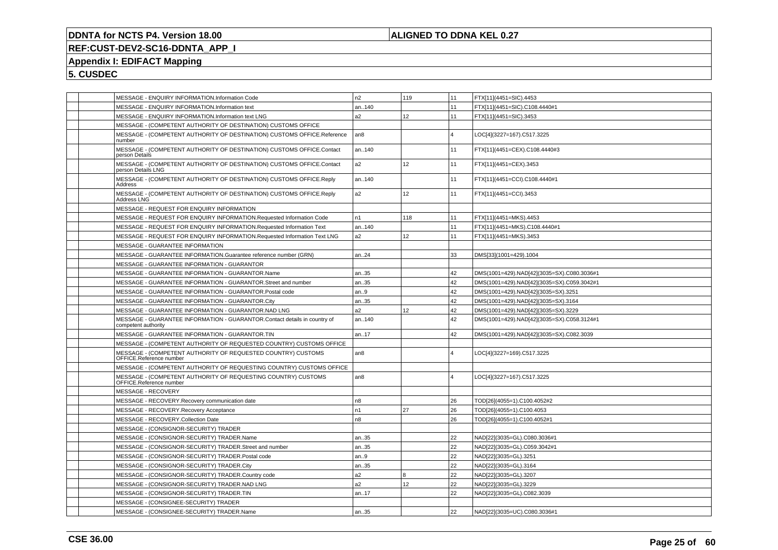## **ALIGNED TO DDNA KEL 0.27**

# **REF:CUST-DEV2-SC16-DDNTA\_APP\_I**

# **Appendix I: EDIFACT Mapping**

| MESSAGE - ENQUIRY INFORMATION.Information Code                                                   | n2              | 119             | 11             | FTX[11](4451=SIC).4453                     |
|--------------------------------------------------------------------------------------------------|-----------------|-----------------|----------------|--------------------------------------------|
| MESSAGE - ENQUIRY INFORMATION.Information text                                                   | an140           |                 | 11             | FTX[11](4451=SIC).C108.4440#1              |
| MESSAGE - ENQUIRY INFORMATION.Information text LNG                                               | a2              | 12 <sup>°</sup> | 11             | FTX[11](4451=SIC).3453                     |
| MESSAGE - (COMPETENT AUTHORITY OF DESTINATION) CUSTOMS OFFICE                                    |                 |                 |                |                                            |
| MESSAGE - (COMPETENT AUTHORITY OF DESTINATION) CUSTOMS OFFICE.Reference<br>number                | an <sub>8</sub> |                 | $\overline{4}$ | LOC[4](3227=167).C517.3225                 |
| MESSAGE - (COMPETENT AUTHORITY OF DESTINATION) CUSTOMS OFFICE.Contact<br>person Details          | an140           |                 | 11             | FTX[11](4451=CEX).C108.4440#3              |
| MESSAGE - (COMPETENT AUTHORITY OF DESTINATION) CUSTOMS OFFICE.Contact<br>person Details LNG      | a2              | 12              | 11             | FTX[11](4451=CEX).3453                     |
| MESSAGE - (COMPETENT AUTHORITY OF DESTINATION) CUSTOMS OFFICE.Reply<br>Address                   | an140           |                 | 11             | FTX[11](4451=CCI).C108.4440#1              |
| MESSAGE - (COMPETENT AUTHORITY OF DESTINATION) CUSTOMS OFFICE.Reply<br>Address LNG               | a2              | 12 <sup>°</sup> | 11             | FTX[11](4451=CCI).3453                     |
| MESSAGE - REQUEST FOR ENQUIRY INFORMATION                                                        |                 |                 |                |                                            |
| MESSAGE - REQUEST FOR ENQUIRY INFORMATION.Requested Information Code                             | n1              | 118             | 11             | FTX[11](4451=MKS).4453                     |
| MESSAGE - REQUEST FOR ENQUIRY INFORMATION.Requested Information Text                             | an140           |                 | 11             | FTX[11](4451=MKS).C108.4440#1              |
| MESSAGE - REQUEST FOR ENQUIRY INFORMATION.Requested Information Text LNG                         | a2              | 12              | 11             | FTX[11](4451=MKS).3453                     |
| MESSAGE - GUARANTEE INFORMATION                                                                  |                 |                 |                |                                            |
| MESSAGE - GUARANTEE INFORMATION.Guarantee reference number (GRN)                                 | an24            |                 | 33             | DMS[33](1001=429).1004                     |
| MESSAGE - GUARANTEE INFORMATION - GUARANTOR                                                      |                 |                 |                |                                            |
| MESSAGE - GUARANTEE INFORMATION - GUARANTOR.Name                                                 | an35            |                 | 42             | DMS(1001=429).NAD[42](3035=SX).C080.3036#1 |
| MESSAGE - GUARANTEE INFORMATION - GUARANTOR.Street and number                                    | an35            |                 | 42             | DMS(1001=429).NAD[42](3035=SX).C059.3042#1 |
| MESSAGE - GUARANTEE INFORMATION - GUARANTOR. Postal code                                         | an.9            |                 | 42             | DMS(1001=429).NAD[42](3035=SX).3251        |
| MESSAGE - GUARANTEE INFORMATION - GUARANTOR.City                                                 | an35            |                 | 42             | DMS(1001=429).NAD[42](3035=SX).3164        |
| MESSAGE - GUARANTEE INFORMATION - GUARANTOR.NAD LNG                                              | a2              | 12              | 42             | DMS(1001=429).NAD[42](3035=SX).3229        |
| MESSAGE - GUARANTEE INFORMATION - GUARANTOR.Contact details in country of<br>competent authority | an140           |                 | 42             | DMS(1001=429).NAD[42](3035=SX).C058.3124#1 |
| MESSAGE - GUARANTEE INFORMATION - GUARANTOR.TIN                                                  | an17            |                 | 42             | DMS(1001=429).NAD[42](3035=SX).C082.3039   |
| MESSAGE - (COMPETENT AUTHORITY OF REQUESTED COUNTRY) CUSTOMS OFFICE                              |                 |                 |                |                                            |
| MESSAGE - (COMPETENT AUTHORITY OF REQUESTED COUNTRY) CUSTOMS<br>OFFICE.Reference number          | an8             |                 | $\Delta$       | LOC[4](3227=169).C517.3225                 |
| MESSAGE - (COMPETENT AUTHORITY OF REQUESTING COUNTRY) CUSTOMS OFFICE                             |                 |                 |                |                                            |
| MESSAGE - (COMPETENT AUTHORITY OF REQUESTING COUNTRY) CUSTOMS<br>OFFICE.Reference number         | an8             |                 | $\overline{4}$ | LOC[4](3227=167).C517.3225                 |
| MESSAGE - RECOVERY                                                                               |                 |                 |                |                                            |
| MESSAGE - RECOVERY.Recovery communication date                                                   | n8              |                 | 26             | TOD[26](4055=1).C100.4052#2                |
| MESSAGE - RECOVERY.Recovery Acceptance                                                           | n1              | 27              | 26             | TOD[26](4055=1).C100.4053                  |
| MESSAGE - RECOVERY.Collection Date                                                               | n8              |                 | 26             | TOD[26](4055=1).C100.4052#1                |
| MESSAGE - (CONSIGNOR-SECURITY) TRADER                                                            |                 |                 |                |                                            |
| MESSAGE - (CONSIGNOR-SECURITY) TRADER.Name                                                       | an35            |                 | 22             | NAD[22](3035=GL).C080.3036#1               |
| MESSAGE - (CONSIGNOR-SECURITY) TRADER.Street and number                                          | an35            |                 | 22             | NAD[22](3035=GL).C059.3042#1               |
| MESSAGE - (CONSIGNOR-SECURITY) TRADER.Postal code                                                | an.9            |                 | 22             | NAD[22](3035=GL).3251                      |
| MESSAGE - (CONSIGNOR-SECURITY) TRADER.City                                                       | an35            |                 | 22             | NAD[22](3035=GL).3164                      |
| MESSAGE - (CONSIGNOR-SECURITY) TRADER.Country code                                               | a2              | $\overline{8}$  | 22             | NAD[22](3035=GL).3207                      |
| MESSAGE - (CONSIGNOR-SECURITY) TRADER.NAD LNG                                                    | a2              | 12              | 22             | NAD[22](3035=GL).3229                      |
| MESSAGE - (CONSIGNOR-SECURITY) TRADER.TIN                                                        | an17            |                 | 22             | NAD[22](3035=GL).C082.3039                 |
| MESSAGE - (CONSIGNEE-SECURITY) TRADER                                                            |                 |                 |                |                                            |
| MESSAGE - (CONSIGNEE-SECURITY) TRADER.Name                                                       | an35            |                 | 22             | NAD[22](3035=UC).C080.3036#1               |
|                                                                                                  |                 |                 |                |                                            |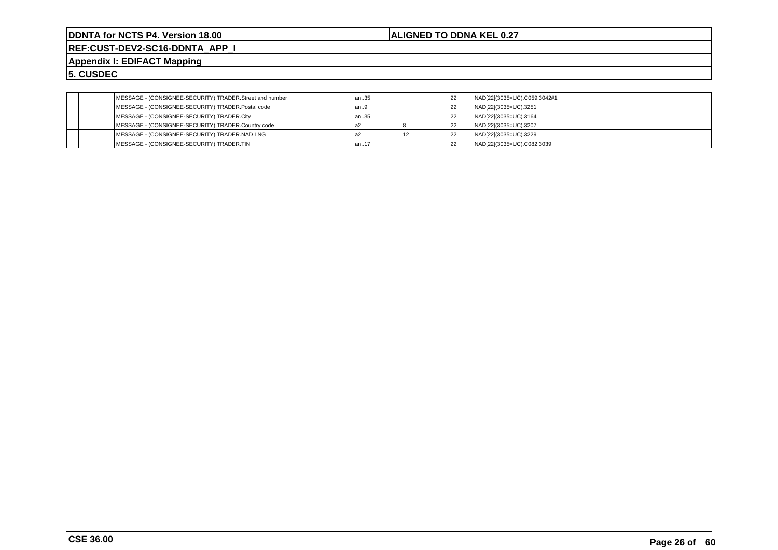**ALIGNED TO DDNA KEL 0.27**

**REF:CUST-DEV2-SC16-DDNTA\_APP\_I**

**Appendix I: EDIFACT Mapping**

| MESSAGE - (CONSIGNEE-SECURITY) TRADER.Street and number | an35   | 22 | NAD[22](3035=UC).C059.3042#1 |
|---------------------------------------------------------|--------|----|------------------------------|
| MESSAGE - (CONSIGNEE-SECURITY) TRADER.Postal code       | an9    | 22 | NAD[22](3035=UC).3251        |
| MESSAGE - (CONSIGNEE-SECURITY) TRADER.City              | l an35 |    | NAD[22](3035=UC).3164        |
| MESSAGE - (CONSIGNEE-SECURITY) TRADER.Country code      |        |    | NAD[22](3035=UC).3207        |
| MESSAGE - (CONSIGNEE-SECURITY) TRADER.NAD LNG           |        |    | NAD[22](3035=UC).3229        |
| MESSAGE - (CONSIGNEE-SECURITY) TRADER.TIN               | l an17 | 22 | NAD[22](3035=UC).C082.3039   |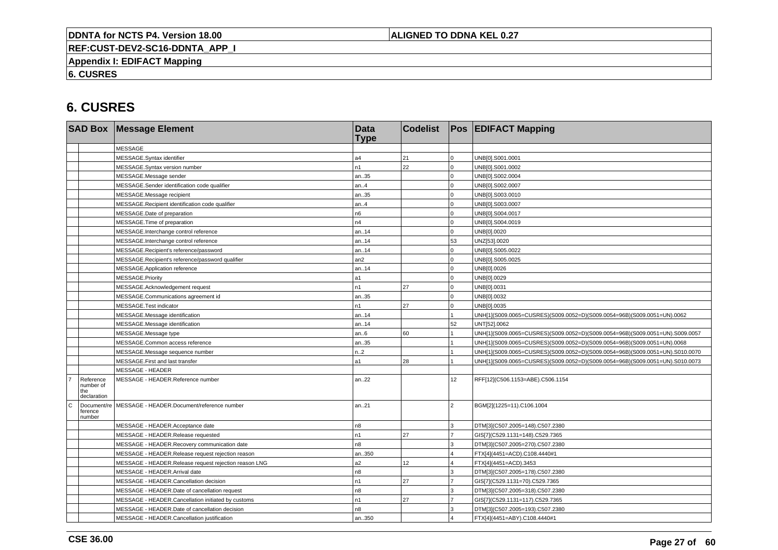## **ALIGNED TO DDNA KEL 0.27**

**REF:CUST-DEV2-SC16-DDNTA\_APP\_I**

**Appendix I: EDIFACT Mapping**

**6. CUSRES**

|             |                                       | <b>SAD Box Message Element</b>                        | <b>Data</b><br><b>Type</b> | <b>Codelist</b> |                 | <b>Pos EDIFACT Mapping</b>                                                   |
|-------------|---------------------------------------|-------------------------------------------------------|----------------------------|-----------------|-----------------|------------------------------------------------------------------------------|
|             |                                       | <b>MESSAGE</b>                                        |                            |                 |                 |                                                                              |
|             |                                       | MESSAGE.Syntax identifier                             | a4                         | 21              | $\mathbf 0$     | UNB[0].S001.0001                                                             |
|             |                                       | MESSAGE.Syntax version number                         | n1                         | 22              | $\Omega$        | UNB[0].S001.0002                                                             |
|             |                                       | MESSAGE.Message sender                                | an35                       |                 | $\Omega$        | UNB[0].S002.0004                                                             |
|             |                                       | MESSAGE.Sender identification code qualifier          | an4                        |                 | $\Omega$        | UNB[0].S002.0007                                                             |
|             |                                       | MESSAGE.Message recipient                             | an35                       |                 | $\Omega$        | UNB[0].S003.0010                                                             |
|             |                                       | MESSAGE.Recipient identification code qualifier       | an.4                       |                 | $\Omega$        | UNB[0].S003.0007                                                             |
|             |                                       | MESSAGE.Date of preparation                           | n6                         |                 | $\Omega$        | UNB[0].S004.0017                                                             |
|             |                                       | MESSAGE. Time of preparation                          | n4                         |                 | $\Omega$        | UNB[0].S004.0019                                                             |
|             |                                       | MESSAGE.Interchange control reference                 | an14                       |                 | $\Omega$        | UNB[0].0020                                                                  |
|             |                                       | MESSAGE.Interchange control reference                 | an14                       |                 | 53              | UNZ[53].0020                                                                 |
|             |                                       | MESSAGE.Recipient's reference/password                | an14                       |                 | O               | UNB[0].S005.0022                                                             |
|             |                                       | MESSAGE.Recipient's reference/password qualifier      | an2                        |                 | $\Omega$        | UNB[0].S005.0025                                                             |
|             |                                       | MESSAGE.Application reference                         | an14                       |                 | $\Omega$        | UNB[0].0026                                                                  |
|             |                                       | MESSAGE.Priority                                      | a1                         |                 | $\Omega$        | UNB[0].0029                                                                  |
|             |                                       | MESSAGE.Acknowledgement request                       | n1                         | 27              | $\Omega$        | UNB[0].0031                                                                  |
|             |                                       | MESSAGE.Communications agreement id                   | an35                       |                 | $\Omega$        | UNB[0].0032                                                                  |
|             |                                       | MESSAGE.Test indicator                                | n1                         | 27              | $\mathbf 0$     | UNB[0].0035                                                                  |
|             |                                       | MESSAGE.Message identification                        | an14                       |                 |                 | UNH[1](S009.0065=CUSRES)(S009.0052=D)(S009.0054=96B)(S009.0051=UN).0062      |
|             |                                       | MESSAGE.Message identification                        | an14                       |                 | 52              | UNT[52].0062                                                                 |
|             |                                       | MESSAGE.Message type                                  | an6                        | 60              |                 | UNH[1](S009.0065=CUSRES)(S009.0052=D)(S009.0054=96B)(S009.0051=UN).S009.0057 |
|             |                                       | MESSAGE.Common access reference                       | an35                       |                 |                 | UNH[1](S009.0065=CUSRES)(S009.0052=D)(S009.0054=96B)(S009.0051=UN).0068      |
|             |                                       | MESSAGE.Message sequence number                       | n.2                        |                 |                 | UNH[1](S009.0065=CUSRES)(S009.0052=D)(S009.0054=96B)(S009.0051=UN).S010.0070 |
|             |                                       | MESSAGE.First and last transfer                       | a1                         | 28              |                 | UNH[1](S009.0065=CUSRES)(S009.0052=D)(S009.0054=96B)(S009.0051=UN).S010.0073 |
|             |                                       | <b>MESSAGE - HEADER</b>                               |                            |                 |                 |                                                                              |
| the         | Reference<br>number of<br>declaration | MESSAGE - HEADER.Reference number                     | an22                       |                 | 12 <sup>°</sup> | RFF[12](C506.1153=ABE).C506.1154                                             |
| $\mathbf C$ | Document/re<br>ference<br>number      | MESSAGE - HEADER.Document/reference number            | an21                       |                 | $\overline{2}$  | BGM[2](1225=11).C106.1004                                                    |
|             |                                       | MESSAGE - HEADER.Acceptance date                      | n8                         |                 | 3               | DTM[3](C507.2005=148).C507.2380                                              |
|             |                                       | MESSAGE - HEADER.Release requested                    | n1                         | 27              |                 | GIS[7](C529.1131=148).C529.7365                                              |
|             |                                       | MESSAGE - HEADER.Recovery communication date          | n <sub>8</sub>             |                 | 3               | DTM[3](C507.2005=270).C507.2380                                              |
|             |                                       | MESSAGE - HEADER.Release request rejection reason     | an350                      |                 |                 | FTX[4](4451=ACD).C108.4440#1                                                 |
|             |                                       | MESSAGE - HEADER.Release request rejection reason LNG | a2                         | 12              | 4               | FTX[4](4451=ACD).3453                                                        |
|             |                                       | MESSAGE - HEADER.Arrival date                         | n8                         |                 | 3               | DTM[3](C507.2005=178).C507.2380                                              |
|             |                                       | MESSAGE - HEADER.Cancellation decision                | n1                         | 27              |                 | GIS[7](C529.1131=70).C529.7365                                               |
|             |                                       | MESSAGE - HEADER.Date of cancellation request         | n <sub>8</sub>             |                 | ٩               | DTM[3](C507.2005=318).C507.2380                                              |
|             |                                       | MESSAGE - HEADER.Cancellation initiated by customs    | n1                         | 27              | $\overline{7}$  | GIS[7](C529.1131=117).C529.7365                                              |
|             |                                       | MESSAGE - HEADER.Date of cancellation decision        | n8                         |                 | 3               | DTM[3](C507.2005=193).C507.2380                                              |
|             |                                       | MESSAGE - HEADER.Cancellation justification           | an350                      |                 |                 | FTX[4](4451=ABY).C108.4440#1                                                 |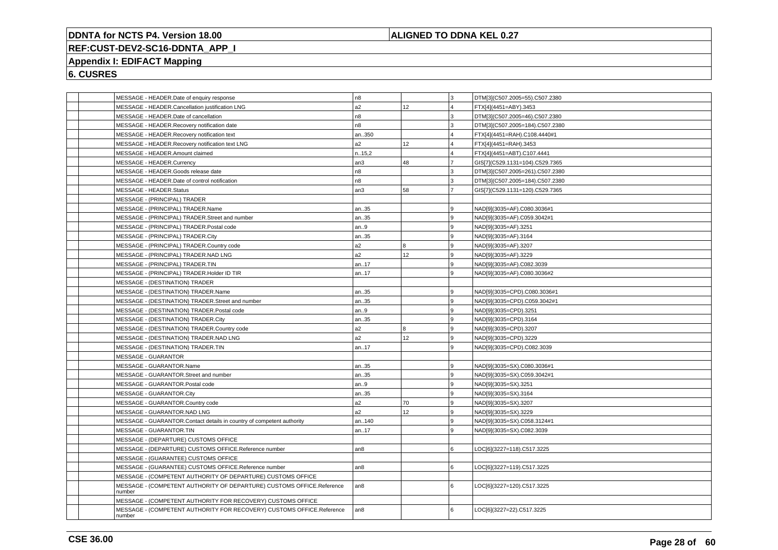## **ALIGNED TO DDNA KEL 0.27**

# **REF:CUST-DEV2-SC16-DDNTA\_APP\_I**

# **Appendix I: EDIFACT Mapping**

|        | MESSAGE - HEADER.Date of enquiry response                             | n <sub>8</sub>  |                 | l 3            | DTM[3](C507.2005=55).C507.2380  |
|--------|-----------------------------------------------------------------------|-----------------|-----------------|----------------|---------------------------------|
|        | MESSAGE - HEADER.Cancellation justification LNG                       | a2              | 12              |                | FTX[4](4451=ABY).3453           |
|        | MESSAGE - HEADER.Date of cancellation                                 | n8              |                 |                | DTM[3](C507.2005=46).C507.2380  |
|        | MESSAGE - HEADER.Recovery notification date                           | n8              |                 | 3              | DTM[3](C507.2005=184).C507.2380 |
|        | MESSAGE - HEADER.Recovery notification text                           | an350           |                 |                | FTX[4](4451=RAH).C108.4440#1    |
|        | MESSAGE - HEADER. Recovery notification text LNG                      | a2              | 12              | 4              | FTX[4](4451=RAH).3453           |
|        | MESSAGE - HEADER.Amount claimed                                       | n15,2           |                 |                | FTX[4](4451=ABT).C107.4441      |
|        | MESSAGE - HEADER.Currency                                             | an3             | 48              |                | GIS[7](C529.1131=104).C529.7365 |
|        | MESSAGE - HEADER.Goods release date                                   | n8              |                 | 3              | DTM[3](C507.2005=261).C507.2380 |
|        | MESSAGE - HEADER.Date of control notification                         | n8              |                 | 3              | DTM[3](C507.2005=184).C507.2380 |
|        | MESSAGE - HEADER.Status                                               | an3             | 58              | $\overline{7}$ | GIS[7](C529.1131=120).C529.7365 |
|        | MESSAGE - (PRINCIPAL) TRADER                                          |                 |                 |                |                                 |
|        | MESSAGE - (PRINCIPAL) TRADER.Name                                     | an35            |                 | 9              | NAD[9](3035=AF).C080.3036#1     |
|        | MESSAGE - (PRINCIPAL) TRADER.Street and number                        | an35            |                 | 9              | NAD[9](3035=AF).C059.3042#1     |
|        | MESSAGE - (PRINCIPAL) TRADER.Postal code                              | an9             |                 | 9              | NAD[9](3035=AF).3251            |
|        | MESSAGE - (PRINCIPAL) TRADER.City                                     | an35            |                 | 9              | NAD[9](3035=AF).3164            |
|        | MESSAGE - (PRINCIPAL) TRADER.Country code                             | a2              | 8               | 9              | NAD[9](3035=AF).3207            |
|        | MESSAGE - (PRINCIPAL) TRADER.NAD LNG                                  | a2              | 12 <sup>°</sup> | 9              | NAD[9](3035=AF).3229            |
|        | MESSAGE - (PRINCIPAL) TRADER.TIN                                      | an17            |                 | 9              | NAD[9](3035=AF).C082.3039       |
|        | MESSAGE - (PRINCIPAL) TRADER.Holder ID TIR                            | an17            |                 |                | NAD[9](3035=AF).C080.3036#2     |
|        | MESSAGE - (DESTINATION) TRADER                                        |                 |                 |                |                                 |
|        | MESSAGE - (DESTINATION) TRADER.Name                                   | an35            |                 | 9              | NAD[9](3035=CPD).C080.3036#1    |
|        | MESSAGE - (DESTINATION) TRADER.Street and number                      | an35            |                 | 9              | NAD[9](3035=CPD).C059.3042#1    |
|        | MESSAGE - (DESTINATION) TRADER.Postal code                            | an9             |                 | 9              | NAD[9](3035=CPD).3251           |
|        | MESSAGE - (DESTINATION) TRADER.City                                   | an35            |                 |                | NAD[9](3035=CPD).3164           |
|        | MESSAGE - (DESTINATION) TRADER.Country code                           | a2              | 8               | 9              | NAD[9](3035=CPD).3207           |
|        | MESSAGE - (DESTINATION) TRADER.NAD LNG                                | a2              | 12              | 9              | NAD[9](3035=CPD).3229           |
|        | MESSAGE - (DESTINATION) TRADER.TIN                                    | an17            |                 | $\mathbf{q}$   | NAD[9](3035=CPD).C082.3039      |
|        | <b>MESSAGE - GUARANTOR</b>                                            |                 |                 |                |                                 |
|        | MESSAGE - GUARANTOR.Name                                              | an35            |                 | g              | NAD[9](3035=SX).C080.3036#1     |
|        | MESSAGE - GUARANTOR.Street and number                                 | an35            |                 | 9              | NAD[9](3035=SX).C059.3042#1     |
|        | MESSAGE - GUARANTOR. Postal code                                      | an.9            |                 | 9              | NAD[9](3035=SX).3251            |
|        | MESSAGE - GUARANTOR.City                                              | an35            |                 | q              | NAD[9](3035=SX).3164            |
|        | MESSAGE - GUARANTOR.Country code                                      | a2              | 70              | 9              | NAD[9](3035=SX).3207            |
|        | MESSAGE - GUARANTOR.NAD LNG                                           | a2              | 12              | 9              | NAD[9](3035=SX).3229            |
|        | MESSAGE - GUARANTOR.Contact details in country of competent authority | an140           |                 | 9              | NAD[9](3035=SX).C058.3124#1     |
|        | MESSAGE - GUARANTOR.TIN                                               | an17            |                 | $\mathbf{Q}$   | NAD[9](3035=SX).C082.3039       |
|        | MESSAGE - (DEPARTURE) CUSTOMS OFFICE                                  |                 |                 |                |                                 |
|        | MESSAGE - (DEPARTURE) CUSTOMS OFFICE.Reference number                 | an8             |                 | 6              | LOC[6](3227=118).C517.3225      |
|        | MESSAGE - (GUARANTEE) CUSTOMS OFFICE                                  |                 |                 |                |                                 |
|        | MESSAGE - (GUARANTEE) CUSTOMS OFFICE.Reference number                 | an8             |                 | 6              | LOC[6](3227=119).C517.3225      |
|        | MESSAGE - (COMPETENT AUTHORITY OF DEPARTURE) CUSTOMS OFFICE           |                 |                 |                |                                 |
| number | MESSAGE - (COMPETENT AUTHORITY OF DEPARTURE) CUSTOMS OFFICE.Reference | an8             |                 | 6              | LOC[6](3227=120).C517.3225      |
|        | MESSAGE - (COMPETENT AUTHORITY FOR RECOVERY) CUSTOMS OFFICE           |                 |                 |                |                                 |
|        | MESSAGE - (COMPETENT AUTHORITY FOR RECOVERY) CUSTOMS OFFICE.Reference | an <sub>8</sub> |                 | 6              | LOC[6](3227=22).C517.3225       |
| number |                                                                       |                 |                 |                |                                 |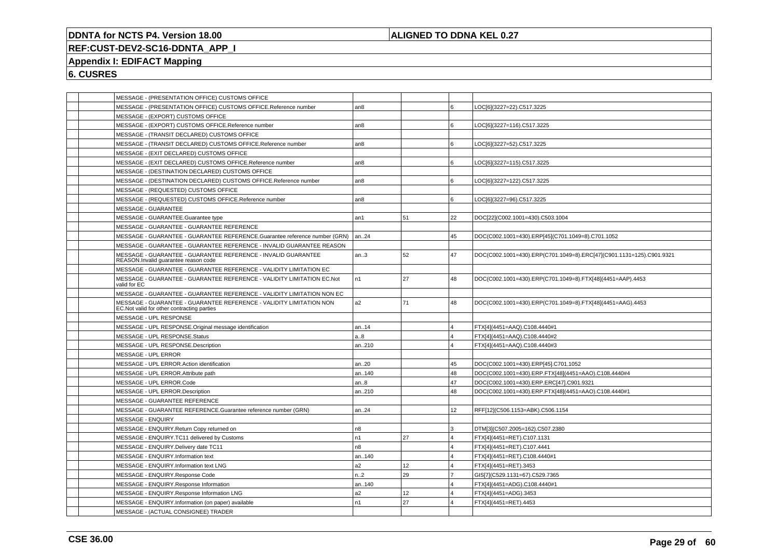## **ALIGNED TO DDNA KEL 0.27**

# **REF:CUST-DEV2-SC16-DDNTA\_APP\_I**

## **Appendix I: EDIFACT Mapping**

| MESSAGE - (PRESENTATION OFFICE) CUSTOMS OFFICE<br>6<br>MESSAGE - (PRESENTATION OFFICE) CUSTOMS OFFICE.Reference number<br>an8<br>LOC[6](3227=22).C517.3225<br>MESSAGE - (EXPORT) CUSTOMS OFFICE<br>MESSAGE - (EXPORT) CUSTOMS OFFICE.Reference number<br>l 6<br>an <sub>8</sub><br>LOC[6](3227=116).C517.3225<br>MESSAGE - (TRANSIT DECLARED) CUSTOMS OFFICE<br>MESSAGE - (TRANSIT DECLARED) CUSTOMS OFFICE.Reference number<br>l 6<br>LOC[6](3227=52).C517.3225<br>an8<br>MESSAGE - (EXIT DECLARED) CUSTOMS OFFICE<br>6<br>MESSAGE - (EXIT DECLARED) CUSTOMS OFFICE.Reference number<br>LOC[6](3227=115).C517.3225<br>an8<br>MESSAGE - (DESTINATION DECLARED) CUSTOMS OFFICE<br>۱6.<br>MESSAGE - (DESTINATION DECLARED) CUSTOMS OFFICE.Reference number<br>an <sub>8</sub><br>LOC[6](3227=122).C517.3225<br>MESSAGE - (REQUESTED) CUSTOMS OFFICE<br>l 6<br>MESSAGE - (REQUESTED) CUSTOMS OFFICE.Reference number<br>LOC[6](3227=96).C517.3225<br>an8<br>MESSAGE - GUARANTEE<br>51<br>22<br>MESSAGE - GUARANTEE.Guarantee type<br>DOC[22](C002.1001=430).C503.1004<br>an1<br>MESSAGE - GUARANTEE - GUARANTEE REFERENCE<br>45<br>MESSAGE - GUARANTEE - GUARANTEE REFERENCE.Guarantee reference number (GRN)<br>DOC(C002.1001=430).ERP[45](C701.1049=8).C701.1052<br>an24<br>MESSAGE - GUARANTEE - GUARANTEE REFERENCE - INVALID GUARANTEE REASON<br>52<br>MESSAGE - GUARANTEE - GUARANTEE REFERENCE - INVALID GUARANTEE<br>47<br>an.3<br>REASON.Invalid quarantee reason code<br>MESSAGE - GUARANTEE - GUARANTEE REFERENCE - VALIDITY LIMITATION EC<br>27<br>MESSAGE - GUARANTEE - GUARANTEE REFERENCE - VALIDITY LIMITATION EC.Not<br>n1<br>48<br>DOC(C002.1001=430).ERP(C701.1049=8).FTX[48](4451=AAP).4453<br>valid for EC<br>MESSAGE - GUARANTEE - GUARANTEE REFERENCE - VALIDITY LIMITATION NON EC<br>71<br>MESSAGE - GUARANTEE - GUARANTEE REFERENCE - VALIDITY LIMITATION NON<br>a2<br>48<br>DOC(C002.1001=430).ERP(C701.1049=8).FTX[48](4451=AAG).4453<br>EC. Not valid for other contracting parties<br>MESSAGE - UPL RESPONSE<br>MESSAGE - UPL RESPONSE.Original message identification<br>FTX[4](4451=AAQ).C108.4440#1<br>an14<br>$\overline{4}$<br>a.8<br>$\overline{4}$<br>MESSAGE - UPL RESPONSE.Status<br>FTX[4](4451=AAQ).C108.4440#2<br>$\overline{A}$<br>MESSAGE - UPL RESPONSE.Description<br>an210<br>FTX[4](4451=AAQ).C108.4440#3<br>MESSAGE - UPL ERROR<br>MESSAGE - UPL ERROR.Action identification<br>DOC(C002.1001=430).ERP[45].C701.1052<br>an20<br>45<br>DOC(C002.1001=430).ERP.FTX[48](4451=AAO).C108.4440#4<br>MESSAGE - UPL ERROR.Attribute path<br>an140<br>48<br>MESSAGE - UPL ERROR.Code<br>47<br>an.8<br>DOC(C002.1001=430).ERP.ERC[47].C901.9321<br>MESSAGE - UPL ERROR.Description<br>48<br>DOC(C002.1001=430).ERP.FTX[48](4451=AAO).C108.4440#1<br>an210<br>MESSAGE - GUARANTEE REFERENCE<br>MESSAGE - GUARANTEE REFERENCE.Guarantee reference number (GRN)<br>12 <sup>2</sup><br>an24<br>RFF[12](C506.1153=ABK).C506.1154<br><b>MESSAGE - ENQUIRY</b><br>3<br>MESSAGE - ENQUIRY.Return Copy returned on<br>n <sub>8</sub><br>DTM[3](C507.2005=162).C507.2380<br>27<br>MESSAGE - ENQUIRY.TC11 delivered by Customs<br>n1<br>FTX[4](4451=RET).C107.1131<br>$\overline{4}$<br>n8<br>MESSAGE - ENQUIRY.Delivery date TC11<br>$\overline{4}$<br>FTX[4](4451=RET).C107.4441<br>MESSAGE - ENQUIRY.Information text<br>$\overline{4}$<br>FTX[4](4451=RET).C108.4440#1<br>an140<br>MESSAGE - ENQUIRY.Information text LNG<br>a2<br>12<br>$\overline{4}$<br>FTX[4](4451=RET).3453<br>n2<br>29<br>MESSAGE - ENQUIRY.Response Code<br>$\overline{7}$<br>GIS[7](C529.1131=67).C529.7365<br>MESSAGE - ENQUIRY.Response Information<br>$\overline{4}$<br>an140<br>FTX[4](4451=ADG).C108.4440#1<br>MESSAGE - ENQUIRY.Response Information LNG<br>a2<br>12<br>FTX[4](4451=ADG).3453<br>$\overline{4}$<br>MESSAGE - ENQUIRY.Information (on paper) available<br>27<br>n1<br>$\overline{4}$<br>FTX[4](4451=RET).4453 |                                     |  |                                                                      |
|----------------------------------------------------------------------------------------------------------------------------------------------------------------------------------------------------------------------------------------------------------------------------------------------------------------------------------------------------------------------------------------------------------------------------------------------------------------------------------------------------------------------------------------------------------------------------------------------------------------------------------------------------------------------------------------------------------------------------------------------------------------------------------------------------------------------------------------------------------------------------------------------------------------------------------------------------------------------------------------------------------------------------------------------------------------------------------------------------------------------------------------------------------------------------------------------------------------------------------------------------------------------------------------------------------------------------------------------------------------------------------------------------------------------------------------------------------------------------------------------------------------------------------------------------------------------------------------------------------------------------------------------------------------------------------------------------------------------------------------------------------------------------------------------------------------------------------------------------------------------------------------------------------------------------------------------------------------------------------------------------------------------------------------------------------------------------------------------------------------------------------------------------------------------------------------------------------------------------------------------------------------------------------------------------------------------------------------------------------------------------------------------------------------------------------------------------------------------------------------------------------------------------------------------------------------------------------------------------------------------------------------------------------------------------------------------------------------------------------------------------------------------------------------------------------------------------------------------------------------------------------------------------------------------------------------------------------------------------------------------------------------------------------------------------------------------------------------------------------------------------------------------------------------------------------------------------------------------------------------------------------------------------------------------------------------------------------------------------------------------------------------------------------------------------------------------------------------------------------------------------------------------------------------------------------------------------------------------------------------------------------------------------------------------------------------------------------------------------------------------------------------------------------------------------------------------------------------------------------------------------------------------------------------------------------------|-------------------------------------|--|----------------------------------------------------------------------|
|                                                                                                                                                                                                                                                                                                                                                                                                                                                                                                                                                                                                                                                                                                                                                                                                                                                                                                                                                                                                                                                                                                                                                                                                                                                                                                                                                                                                                                                                                                                                                                                                                                                                                                                                                                                                                                                                                                                                                                                                                                                                                                                                                                                                                                                                                                                                                                                                                                                                                                                                                                                                                                                                                                                                                                                                                                                                                                                                                                                                                                                                                                                                                                                                                                                                                                                                                                                                                                                                                                                                                                                                                                                                                                                                                                                                                                                                                                                                        |                                     |  |                                                                      |
|                                                                                                                                                                                                                                                                                                                                                                                                                                                                                                                                                                                                                                                                                                                                                                                                                                                                                                                                                                                                                                                                                                                                                                                                                                                                                                                                                                                                                                                                                                                                                                                                                                                                                                                                                                                                                                                                                                                                                                                                                                                                                                                                                                                                                                                                                                                                                                                                                                                                                                                                                                                                                                                                                                                                                                                                                                                                                                                                                                                                                                                                                                                                                                                                                                                                                                                                                                                                                                                                                                                                                                                                                                                                                                                                                                                                                                                                                                                                        |                                     |  |                                                                      |
|                                                                                                                                                                                                                                                                                                                                                                                                                                                                                                                                                                                                                                                                                                                                                                                                                                                                                                                                                                                                                                                                                                                                                                                                                                                                                                                                                                                                                                                                                                                                                                                                                                                                                                                                                                                                                                                                                                                                                                                                                                                                                                                                                                                                                                                                                                                                                                                                                                                                                                                                                                                                                                                                                                                                                                                                                                                                                                                                                                                                                                                                                                                                                                                                                                                                                                                                                                                                                                                                                                                                                                                                                                                                                                                                                                                                                                                                                                                                        |                                     |  |                                                                      |
|                                                                                                                                                                                                                                                                                                                                                                                                                                                                                                                                                                                                                                                                                                                                                                                                                                                                                                                                                                                                                                                                                                                                                                                                                                                                                                                                                                                                                                                                                                                                                                                                                                                                                                                                                                                                                                                                                                                                                                                                                                                                                                                                                                                                                                                                                                                                                                                                                                                                                                                                                                                                                                                                                                                                                                                                                                                                                                                                                                                                                                                                                                                                                                                                                                                                                                                                                                                                                                                                                                                                                                                                                                                                                                                                                                                                                                                                                                                                        |                                     |  |                                                                      |
|                                                                                                                                                                                                                                                                                                                                                                                                                                                                                                                                                                                                                                                                                                                                                                                                                                                                                                                                                                                                                                                                                                                                                                                                                                                                                                                                                                                                                                                                                                                                                                                                                                                                                                                                                                                                                                                                                                                                                                                                                                                                                                                                                                                                                                                                                                                                                                                                                                                                                                                                                                                                                                                                                                                                                                                                                                                                                                                                                                                                                                                                                                                                                                                                                                                                                                                                                                                                                                                                                                                                                                                                                                                                                                                                                                                                                                                                                                                                        |                                     |  |                                                                      |
|                                                                                                                                                                                                                                                                                                                                                                                                                                                                                                                                                                                                                                                                                                                                                                                                                                                                                                                                                                                                                                                                                                                                                                                                                                                                                                                                                                                                                                                                                                                                                                                                                                                                                                                                                                                                                                                                                                                                                                                                                                                                                                                                                                                                                                                                                                                                                                                                                                                                                                                                                                                                                                                                                                                                                                                                                                                                                                                                                                                                                                                                                                                                                                                                                                                                                                                                                                                                                                                                                                                                                                                                                                                                                                                                                                                                                                                                                                                                        |                                     |  |                                                                      |
|                                                                                                                                                                                                                                                                                                                                                                                                                                                                                                                                                                                                                                                                                                                                                                                                                                                                                                                                                                                                                                                                                                                                                                                                                                                                                                                                                                                                                                                                                                                                                                                                                                                                                                                                                                                                                                                                                                                                                                                                                                                                                                                                                                                                                                                                                                                                                                                                                                                                                                                                                                                                                                                                                                                                                                                                                                                                                                                                                                                                                                                                                                                                                                                                                                                                                                                                                                                                                                                                                                                                                                                                                                                                                                                                                                                                                                                                                                                                        |                                     |  |                                                                      |
|                                                                                                                                                                                                                                                                                                                                                                                                                                                                                                                                                                                                                                                                                                                                                                                                                                                                                                                                                                                                                                                                                                                                                                                                                                                                                                                                                                                                                                                                                                                                                                                                                                                                                                                                                                                                                                                                                                                                                                                                                                                                                                                                                                                                                                                                                                                                                                                                                                                                                                                                                                                                                                                                                                                                                                                                                                                                                                                                                                                                                                                                                                                                                                                                                                                                                                                                                                                                                                                                                                                                                                                                                                                                                                                                                                                                                                                                                                                                        |                                     |  |                                                                      |
|                                                                                                                                                                                                                                                                                                                                                                                                                                                                                                                                                                                                                                                                                                                                                                                                                                                                                                                                                                                                                                                                                                                                                                                                                                                                                                                                                                                                                                                                                                                                                                                                                                                                                                                                                                                                                                                                                                                                                                                                                                                                                                                                                                                                                                                                                                                                                                                                                                                                                                                                                                                                                                                                                                                                                                                                                                                                                                                                                                                                                                                                                                                                                                                                                                                                                                                                                                                                                                                                                                                                                                                                                                                                                                                                                                                                                                                                                                                                        |                                     |  |                                                                      |
|                                                                                                                                                                                                                                                                                                                                                                                                                                                                                                                                                                                                                                                                                                                                                                                                                                                                                                                                                                                                                                                                                                                                                                                                                                                                                                                                                                                                                                                                                                                                                                                                                                                                                                                                                                                                                                                                                                                                                                                                                                                                                                                                                                                                                                                                                                                                                                                                                                                                                                                                                                                                                                                                                                                                                                                                                                                                                                                                                                                                                                                                                                                                                                                                                                                                                                                                                                                                                                                                                                                                                                                                                                                                                                                                                                                                                                                                                                                                        |                                     |  |                                                                      |
|                                                                                                                                                                                                                                                                                                                                                                                                                                                                                                                                                                                                                                                                                                                                                                                                                                                                                                                                                                                                                                                                                                                                                                                                                                                                                                                                                                                                                                                                                                                                                                                                                                                                                                                                                                                                                                                                                                                                                                                                                                                                                                                                                                                                                                                                                                                                                                                                                                                                                                                                                                                                                                                                                                                                                                                                                                                                                                                                                                                                                                                                                                                                                                                                                                                                                                                                                                                                                                                                                                                                                                                                                                                                                                                                                                                                                                                                                                                                        |                                     |  |                                                                      |
|                                                                                                                                                                                                                                                                                                                                                                                                                                                                                                                                                                                                                                                                                                                                                                                                                                                                                                                                                                                                                                                                                                                                                                                                                                                                                                                                                                                                                                                                                                                                                                                                                                                                                                                                                                                                                                                                                                                                                                                                                                                                                                                                                                                                                                                                                                                                                                                                                                                                                                                                                                                                                                                                                                                                                                                                                                                                                                                                                                                                                                                                                                                                                                                                                                                                                                                                                                                                                                                                                                                                                                                                                                                                                                                                                                                                                                                                                                                                        |                                     |  |                                                                      |
|                                                                                                                                                                                                                                                                                                                                                                                                                                                                                                                                                                                                                                                                                                                                                                                                                                                                                                                                                                                                                                                                                                                                                                                                                                                                                                                                                                                                                                                                                                                                                                                                                                                                                                                                                                                                                                                                                                                                                                                                                                                                                                                                                                                                                                                                                                                                                                                                                                                                                                                                                                                                                                                                                                                                                                                                                                                                                                                                                                                                                                                                                                                                                                                                                                                                                                                                                                                                                                                                                                                                                                                                                                                                                                                                                                                                                                                                                                                                        |                                     |  |                                                                      |
|                                                                                                                                                                                                                                                                                                                                                                                                                                                                                                                                                                                                                                                                                                                                                                                                                                                                                                                                                                                                                                                                                                                                                                                                                                                                                                                                                                                                                                                                                                                                                                                                                                                                                                                                                                                                                                                                                                                                                                                                                                                                                                                                                                                                                                                                                                                                                                                                                                                                                                                                                                                                                                                                                                                                                                                                                                                                                                                                                                                                                                                                                                                                                                                                                                                                                                                                                                                                                                                                                                                                                                                                                                                                                                                                                                                                                                                                                                                                        |                                     |  |                                                                      |
|                                                                                                                                                                                                                                                                                                                                                                                                                                                                                                                                                                                                                                                                                                                                                                                                                                                                                                                                                                                                                                                                                                                                                                                                                                                                                                                                                                                                                                                                                                                                                                                                                                                                                                                                                                                                                                                                                                                                                                                                                                                                                                                                                                                                                                                                                                                                                                                                                                                                                                                                                                                                                                                                                                                                                                                                                                                                                                                                                                                                                                                                                                                                                                                                                                                                                                                                                                                                                                                                                                                                                                                                                                                                                                                                                                                                                                                                                                                                        |                                     |  |                                                                      |
|                                                                                                                                                                                                                                                                                                                                                                                                                                                                                                                                                                                                                                                                                                                                                                                                                                                                                                                                                                                                                                                                                                                                                                                                                                                                                                                                                                                                                                                                                                                                                                                                                                                                                                                                                                                                                                                                                                                                                                                                                                                                                                                                                                                                                                                                                                                                                                                                                                                                                                                                                                                                                                                                                                                                                                                                                                                                                                                                                                                                                                                                                                                                                                                                                                                                                                                                                                                                                                                                                                                                                                                                                                                                                                                                                                                                                                                                                                                                        |                                     |  |                                                                      |
|                                                                                                                                                                                                                                                                                                                                                                                                                                                                                                                                                                                                                                                                                                                                                                                                                                                                                                                                                                                                                                                                                                                                                                                                                                                                                                                                                                                                                                                                                                                                                                                                                                                                                                                                                                                                                                                                                                                                                                                                                                                                                                                                                                                                                                                                                                                                                                                                                                                                                                                                                                                                                                                                                                                                                                                                                                                                                                                                                                                                                                                                                                                                                                                                                                                                                                                                                                                                                                                                                                                                                                                                                                                                                                                                                                                                                                                                                                                                        |                                     |  |                                                                      |
|                                                                                                                                                                                                                                                                                                                                                                                                                                                                                                                                                                                                                                                                                                                                                                                                                                                                                                                                                                                                                                                                                                                                                                                                                                                                                                                                                                                                                                                                                                                                                                                                                                                                                                                                                                                                                                                                                                                                                                                                                                                                                                                                                                                                                                                                                                                                                                                                                                                                                                                                                                                                                                                                                                                                                                                                                                                                                                                                                                                                                                                                                                                                                                                                                                                                                                                                                                                                                                                                                                                                                                                                                                                                                                                                                                                                                                                                                                                                        |                                     |  | DOC(C002.1001=430).ERP(C701.1049=8).ERC[47](C901.1131=125).C901.9321 |
|                                                                                                                                                                                                                                                                                                                                                                                                                                                                                                                                                                                                                                                                                                                                                                                                                                                                                                                                                                                                                                                                                                                                                                                                                                                                                                                                                                                                                                                                                                                                                                                                                                                                                                                                                                                                                                                                                                                                                                                                                                                                                                                                                                                                                                                                                                                                                                                                                                                                                                                                                                                                                                                                                                                                                                                                                                                                                                                                                                                                                                                                                                                                                                                                                                                                                                                                                                                                                                                                                                                                                                                                                                                                                                                                                                                                                                                                                                                                        |                                     |  |                                                                      |
|                                                                                                                                                                                                                                                                                                                                                                                                                                                                                                                                                                                                                                                                                                                                                                                                                                                                                                                                                                                                                                                                                                                                                                                                                                                                                                                                                                                                                                                                                                                                                                                                                                                                                                                                                                                                                                                                                                                                                                                                                                                                                                                                                                                                                                                                                                                                                                                                                                                                                                                                                                                                                                                                                                                                                                                                                                                                                                                                                                                                                                                                                                                                                                                                                                                                                                                                                                                                                                                                                                                                                                                                                                                                                                                                                                                                                                                                                                                                        |                                     |  |                                                                      |
|                                                                                                                                                                                                                                                                                                                                                                                                                                                                                                                                                                                                                                                                                                                                                                                                                                                                                                                                                                                                                                                                                                                                                                                                                                                                                                                                                                                                                                                                                                                                                                                                                                                                                                                                                                                                                                                                                                                                                                                                                                                                                                                                                                                                                                                                                                                                                                                                                                                                                                                                                                                                                                                                                                                                                                                                                                                                                                                                                                                                                                                                                                                                                                                                                                                                                                                                                                                                                                                                                                                                                                                                                                                                                                                                                                                                                                                                                                                                        |                                     |  |                                                                      |
|                                                                                                                                                                                                                                                                                                                                                                                                                                                                                                                                                                                                                                                                                                                                                                                                                                                                                                                                                                                                                                                                                                                                                                                                                                                                                                                                                                                                                                                                                                                                                                                                                                                                                                                                                                                                                                                                                                                                                                                                                                                                                                                                                                                                                                                                                                                                                                                                                                                                                                                                                                                                                                                                                                                                                                                                                                                                                                                                                                                                                                                                                                                                                                                                                                                                                                                                                                                                                                                                                                                                                                                                                                                                                                                                                                                                                                                                                                                                        |                                     |  |                                                                      |
|                                                                                                                                                                                                                                                                                                                                                                                                                                                                                                                                                                                                                                                                                                                                                                                                                                                                                                                                                                                                                                                                                                                                                                                                                                                                                                                                                                                                                                                                                                                                                                                                                                                                                                                                                                                                                                                                                                                                                                                                                                                                                                                                                                                                                                                                                                                                                                                                                                                                                                                                                                                                                                                                                                                                                                                                                                                                                                                                                                                                                                                                                                                                                                                                                                                                                                                                                                                                                                                                                                                                                                                                                                                                                                                                                                                                                                                                                                                                        |                                     |  |                                                                      |
|                                                                                                                                                                                                                                                                                                                                                                                                                                                                                                                                                                                                                                                                                                                                                                                                                                                                                                                                                                                                                                                                                                                                                                                                                                                                                                                                                                                                                                                                                                                                                                                                                                                                                                                                                                                                                                                                                                                                                                                                                                                                                                                                                                                                                                                                                                                                                                                                                                                                                                                                                                                                                                                                                                                                                                                                                                                                                                                                                                                                                                                                                                                                                                                                                                                                                                                                                                                                                                                                                                                                                                                                                                                                                                                                                                                                                                                                                                                                        |                                     |  |                                                                      |
|                                                                                                                                                                                                                                                                                                                                                                                                                                                                                                                                                                                                                                                                                                                                                                                                                                                                                                                                                                                                                                                                                                                                                                                                                                                                                                                                                                                                                                                                                                                                                                                                                                                                                                                                                                                                                                                                                                                                                                                                                                                                                                                                                                                                                                                                                                                                                                                                                                                                                                                                                                                                                                                                                                                                                                                                                                                                                                                                                                                                                                                                                                                                                                                                                                                                                                                                                                                                                                                                                                                                                                                                                                                                                                                                                                                                                                                                                                                                        |                                     |  |                                                                      |
|                                                                                                                                                                                                                                                                                                                                                                                                                                                                                                                                                                                                                                                                                                                                                                                                                                                                                                                                                                                                                                                                                                                                                                                                                                                                                                                                                                                                                                                                                                                                                                                                                                                                                                                                                                                                                                                                                                                                                                                                                                                                                                                                                                                                                                                                                                                                                                                                                                                                                                                                                                                                                                                                                                                                                                                                                                                                                                                                                                                                                                                                                                                                                                                                                                                                                                                                                                                                                                                                                                                                                                                                                                                                                                                                                                                                                                                                                                                                        |                                     |  |                                                                      |
|                                                                                                                                                                                                                                                                                                                                                                                                                                                                                                                                                                                                                                                                                                                                                                                                                                                                                                                                                                                                                                                                                                                                                                                                                                                                                                                                                                                                                                                                                                                                                                                                                                                                                                                                                                                                                                                                                                                                                                                                                                                                                                                                                                                                                                                                                                                                                                                                                                                                                                                                                                                                                                                                                                                                                                                                                                                                                                                                                                                                                                                                                                                                                                                                                                                                                                                                                                                                                                                                                                                                                                                                                                                                                                                                                                                                                                                                                                                                        |                                     |  |                                                                      |
|                                                                                                                                                                                                                                                                                                                                                                                                                                                                                                                                                                                                                                                                                                                                                                                                                                                                                                                                                                                                                                                                                                                                                                                                                                                                                                                                                                                                                                                                                                                                                                                                                                                                                                                                                                                                                                                                                                                                                                                                                                                                                                                                                                                                                                                                                                                                                                                                                                                                                                                                                                                                                                                                                                                                                                                                                                                                                                                                                                                                                                                                                                                                                                                                                                                                                                                                                                                                                                                                                                                                                                                                                                                                                                                                                                                                                                                                                                                                        |                                     |  |                                                                      |
|                                                                                                                                                                                                                                                                                                                                                                                                                                                                                                                                                                                                                                                                                                                                                                                                                                                                                                                                                                                                                                                                                                                                                                                                                                                                                                                                                                                                                                                                                                                                                                                                                                                                                                                                                                                                                                                                                                                                                                                                                                                                                                                                                                                                                                                                                                                                                                                                                                                                                                                                                                                                                                                                                                                                                                                                                                                                                                                                                                                                                                                                                                                                                                                                                                                                                                                                                                                                                                                                                                                                                                                                                                                                                                                                                                                                                                                                                                                                        |                                     |  |                                                                      |
|                                                                                                                                                                                                                                                                                                                                                                                                                                                                                                                                                                                                                                                                                                                                                                                                                                                                                                                                                                                                                                                                                                                                                                                                                                                                                                                                                                                                                                                                                                                                                                                                                                                                                                                                                                                                                                                                                                                                                                                                                                                                                                                                                                                                                                                                                                                                                                                                                                                                                                                                                                                                                                                                                                                                                                                                                                                                                                                                                                                                                                                                                                                                                                                                                                                                                                                                                                                                                                                                                                                                                                                                                                                                                                                                                                                                                                                                                                                                        |                                     |  |                                                                      |
|                                                                                                                                                                                                                                                                                                                                                                                                                                                                                                                                                                                                                                                                                                                                                                                                                                                                                                                                                                                                                                                                                                                                                                                                                                                                                                                                                                                                                                                                                                                                                                                                                                                                                                                                                                                                                                                                                                                                                                                                                                                                                                                                                                                                                                                                                                                                                                                                                                                                                                                                                                                                                                                                                                                                                                                                                                                                                                                                                                                                                                                                                                                                                                                                                                                                                                                                                                                                                                                                                                                                                                                                                                                                                                                                                                                                                                                                                                                                        |                                     |  |                                                                      |
|                                                                                                                                                                                                                                                                                                                                                                                                                                                                                                                                                                                                                                                                                                                                                                                                                                                                                                                                                                                                                                                                                                                                                                                                                                                                                                                                                                                                                                                                                                                                                                                                                                                                                                                                                                                                                                                                                                                                                                                                                                                                                                                                                                                                                                                                                                                                                                                                                                                                                                                                                                                                                                                                                                                                                                                                                                                                                                                                                                                                                                                                                                                                                                                                                                                                                                                                                                                                                                                                                                                                                                                                                                                                                                                                                                                                                                                                                                                                        |                                     |  |                                                                      |
|                                                                                                                                                                                                                                                                                                                                                                                                                                                                                                                                                                                                                                                                                                                                                                                                                                                                                                                                                                                                                                                                                                                                                                                                                                                                                                                                                                                                                                                                                                                                                                                                                                                                                                                                                                                                                                                                                                                                                                                                                                                                                                                                                                                                                                                                                                                                                                                                                                                                                                                                                                                                                                                                                                                                                                                                                                                                                                                                                                                                                                                                                                                                                                                                                                                                                                                                                                                                                                                                                                                                                                                                                                                                                                                                                                                                                                                                                                                                        |                                     |  |                                                                      |
|                                                                                                                                                                                                                                                                                                                                                                                                                                                                                                                                                                                                                                                                                                                                                                                                                                                                                                                                                                                                                                                                                                                                                                                                                                                                                                                                                                                                                                                                                                                                                                                                                                                                                                                                                                                                                                                                                                                                                                                                                                                                                                                                                                                                                                                                                                                                                                                                                                                                                                                                                                                                                                                                                                                                                                                                                                                                                                                                                                                                                                                                                                                                                                                                                                                                                                                                                                                                                                                                                                                                                                                                                                                                                                                                                                                                                                                                                                                                        |                                     |  |                                                                      |
|                                                                                                                                                                                                                                                                                                                                                                                                                                                                                                                                                                                                                                                                                                                                                                                                                                                                                                                                                                                                                                                                                                                                                                                                                                                                                                                                                                                                                                                                                                                                                                                                                                                                                                                                                                                                                                                                                                                                                                                                                                                                                                                                                                                                                                                                                                                                                                                                                                                                                                                                                                                                                                                                                                                                                                                                                                                                                                                                                                                                                                                                                                                                                                                                                                                                                                                                                                                                                                                                                                                                                                                                                                                                                                                                                                                                                                                                                                                                        |                                     |  |                                                                      |
|                                                                                                                                                                                                                                                                                                                                                                                                                                                                                                                                                                                                                                                                                                                                                                                                                                                                                                                                                                                                                                                                                                                                                                                                                                                                                                                                                                                                                                                                                                                                                                                                                                                                                                                                                                                                                                                                                                                                                                                                                                                                                                                                                                                                                                                                                                                                                                                                                                                                                                                                                                                                                                                                                                                                                                                                                                                                                                                                                                                                                                                                                                                                                                                                                                                                                                                                                                                                                                                                                                                                                                                                                                                                                                                                                                                                                                                                                                                                        |                                     |  |                                                                      |
|                                                                                                                                                                                                                                                                                                                                                                                                                                                                                                                                                                                                                                                                                                                                                                                                                                                                                                                                                                                                                                                                                                                                                                                                                                                                                                                                                                                                                                                                                                                                                                                                                                                                                                                                                                                                                                                                                                                                                                                                                                                                                                                                                                                                                                                                                                                                                                                                                                                                                                                                                                                                                                                                                                                                                                                                                                                                                                                                                                                                                                                                                                                                                                                                                                                                                                                                                                                                                                                                                                                                                                                                                                                                                                                                                                                                                                                                                                                                        |                                     |  |                                                                      |
|                                                                                                                                                                                                                                                                                                                                                                                                                                                                                                                                                                                                                                                                                                                                                                                                                                                                                                                                                                                                                                                                                                                                                                                                                                                                                                                                                                                                                                                                                                                                                                                                                                                                                                                                                                                                                                                                                                                                                                                                                                                                                                                                                                                                                                                                                                                                                                                                                                                                                                                                                                                                                                                                                                                                                                                                                                                                                                                                                                                                                                                                                                                                                                                                                                                                                                                                                                                                                                                                                                                                                                                                                                                                                                                                                                                                                                                                                                                                        |                                     |  |                                                                      |
|                                                                                                                                                                                                                                                                                                                                                                                                                                                                                                                                                                                                                                                                                                                                                                                                                                                                                                                                                                                                                                                                                                                                                                                                                                                                                                                                                                                                                                                                                                                                                                                                                                                                                                                                                                                                                                                                                                                                                                                                                                                                                                                                                                                                                                                                                                                                                                                                                                                                                                                                                                                                                                                                                                                                                                                                                                                                                                                                                                                                                                                                                                                                                                                                                                                                                                                                                                                                                                                                                                                                                                                                                                                                                                                                                                                                                                                                                                                                        |                                     |  |                                                                      |
|                                                                                                                                                                                                                                                                                                                                                                                                                                                                                                                                                                                                                                                                                                                                                                                                                                                                                                                                                                                                                                                                                                                                                                                                                                                                                                                                                                                                                                                                                                                                                                                                                                                                                                                                                                                                                                                                                                                                                                                                                                                                                                                                                                                                                                                                                                                                                                                                                                                                                                                                                                                                                                                                                                                                                                                                                                                                                                                                                                                                                                                                                                                                                                                                                                                                                                                                                                                                                                                                                                                                                                                                                                                                                                                                                                                                                                                                                                                                        |                                     |  |                                                                      |
|                                                                                                                                                                                                                                                                                                                                                                                                                                                                                                                                                                                                                                                                                                                                                                                                                                                                                                                                                                                                                                                                                                                                                                                                                                                                                                                                                                                                                                                                                                                                                                                                                                                                                                                                                                                                                                                                                                                                                                                                                                                                                                                                                                                                                                                                                                                                                                                                                                                                                                                                                                                                                                                                                                                                                                                                                                                                                                                                                                                                                                                                                                                                                                                                                                                                                                                                                                                                                                                                                                                                                                                                                                                                                                                                                                                                                                                                                                                                        |                                     |  |                                                                      |
|                                                                                                                                                                                                                                                                                                                                                                                                                                                                                                                                                                                                                                                                                                                                                                                                                                                                                                                                                                                                                                                                                                                                                                                                                                                                                                                                                                                                                                                                                                                                                                                                                                                                                                                                                                                                                                                                                                                                                                                                                                                                                                                                                                                                                                                                                                                                                                                                                                                                                                                                                                                                                                                                                                                                                                                                                                                                                                                                                                                                                                                                                                                                                                                                                                                                                                                                                                                                                                                                                                                                                                                                                                                                                                                                                                                                                                                                                                                                        |                                     |  |                                                                      |
|                                                                                                                                                                                                                                                                                                                                                                                                                                                                                                                                                                                                                                                                                                                                                                                                                                                                                                                                                                                                                                                                                                                                                                                                                                                                                                                                                                                                                                                                                                                                                                                                                                                                                                                                                                                                                                                                                                                                                                                                                                                                                                                                                                                                                                                                                                                                                                                                                                                                                                                                                                                                                                                                                                                                                                                                                                                                                                                                                                                                                                                                                                                                                                                                                                                                                                                                                                                                                                                                                                                                                                                                                                                                                                                                                                                                                                                                                                                                        |                                     |  |                                                                      |
|                                                                                                                                                                                                                                                                                                                                                                                                                                                                                                                                                                                                                                                                                                                                                                                                                                                                                                                                                                                                                                                                                                                                                                                                                                                                                                                                                                                                                                                                                                                                                                                                                                                                                                                                                                                                                                                                                                                                                                                                                                                                                                                                                                                                                                                                                                                                                                                                                                                                                                                                                                                                                                                                                                                                                                                                                                                                                                                                                                                                                                                                                                                                                                                                                                                                                                                                                                                                                                                                                                                                                                                                                                                                                                                                                                                                                                                                                                                                        | MESSAGE - (ACTUAL CONSIGNEE) TRADER |  |                                                                      |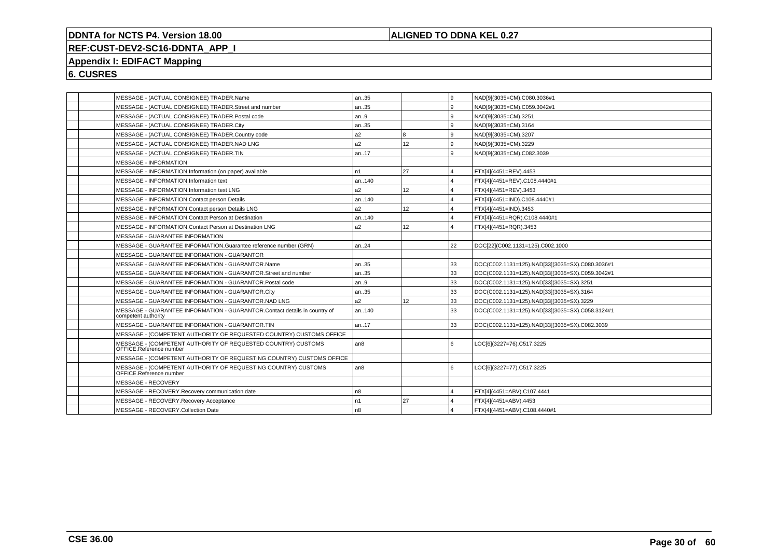## **ALIGNED TO DDNA KEL 0.27**

# **REF:CUST-DEV2-SC16-DDNTA\_APP\_I**

# **Appendix I: EDIFACT Mapping**

| MESSAGE - (ACTUAL CONSIGNEE) TRADER.Name                                                         | an35           |                 | l 9 | NAD[9](3035=CM).C080.3036#1                     |
|--------------------------------------------------------------------------------------------------|----------------|-----------------|-----|-------------------------------------------------|
| MESSAGE - (ACTUAL CONSIGNEE) TRADER.Street and number                                            | an35           |                 | l 9 | NAD[9](3035=CM).C059.3042#1                     |
| MESSAGE - (ACTUAL CONSIGNEE) TRADER.Postal code                                                  | an.9           |                 | l 9 | NAD[9](3035=CM).3251                            |
| MESSAGE - (ACTUAL CONSIGNEE) TRADER.City                                                         | an35           |                 | l 9 | NAD[9](3035=CM).3164                            |
| MESSAGE - (ACTUAL CONSIGNEE) TRADER.Country code                                                 | a2             | l 8             | l 9 | NAD[9](3035=CM).3207                            |
| MESSAGE - (ACTUAL CONSIGNEE) TRADER.NAD LNG                                                      | a2             | 12              | l 9 | NAD[9](3035=CM).3229                            |
| MESSAGE - (ACTUAL CONSIGNEE) TRADER.TIN                                                          | an17           |                 | 9 ا | NAD[9](3035=CM).C082.3039                       |
| <b>MESSAGE - INFORMATION</b>                                                                     |                |                 |     |                                                 |
| MESSAGE - INFORMATION.Information (on paper) available                                           | n1             | 27              | 14  | FTX[4](4451=REV).4453                           |
| MESSAGE - INFORMATION.Information text                                                           | an140          |                 | ا 4 | FTX[4](4451=REV).C108.4440#1                    |
| MESSAGE - INFORMATION.Information text LNG                                                       | a2             | 12 <sup>2</sup> | 14  | FTX[4](4451=REV).3453                           |
| MESSAGE - INFORMATION.Contact person Details                                                     | an140          |                 | 14  | FTX[4](4451=IND).C108.4440#1                    |
| MESSAGE - INFORMATION.Contact person Details LNG                                                 | a2             | 12 <sup>2</sup> | 14  | FTX[4](4451=IND).3453                           |
| MESSAGE - INFORMATION.Contact Person at Destination                                              | an140          |                 | 14  | FTX[4](4451=RQR).C108.4440#1                    |
| MESSAGE - INFORMATION.Contact Person at Destination LNG                                          | a2             | 12 <sup>2</sup> | 14  | FTX[4](4451=RQR).3453                           |
| MESSAGE - GUARANTEE INFORMATION                                                                  |                |                 |     |                                                 |
| MESSAGE - GUARANTEE INFORMATION.Guarantee reference number (GRN)                                 | an.24          |                 | 22  | DOC[22](C002.1131=125).C002.1000                |
| MESSAGE - GUARANTEE INFORMATION - GUARANTOR                                                      |                |                 |     |                                                 |
| MESSAGE - GUARANTEE INFORMATION - GUARANTOR.Name                                                 | an35           |                 | 33  | DOC(C002.1131=125).NAD[33](3035=SX).C080.3036#1 |
| MESSAGE - GUARANTEE INFORMATION - GUARANTOR.Street and number                                    | an35           |                 | 33  | DOC(C002.1131=125).NAD[33](3035=SX).C059.3042#1 |
| MESSAGE - GUARANTEE INFORMATION - GUARANTOR.Postal code                                          | an.9           |                 | 33  | DOC(C002.1131=125).NAD[33](3035=SX).3251        |
| MESSAGE - GUARANTEE INFORMATION - GUARANTOR.City                                                 | an35           |                 | 33  | DOC(C002.1131=125).NAD[33](3035=SX).3164        |
| MESSAGE - GUARANTEE INFORMATION - GUARANTOR.NAD LNG                                              | a <sub>2</sub> | 12 <sup>2</sup> | 33  | DOC(C002.1131=125).NAD[33](3035=SX).3229        |
| MESSAGE - GUARANTEE INFORMATION - GUARANTOR.Contact details in country of<br>competent authority | an140          |                 | 33  | DOC(C002.1131=125).NAD[33](3035=SX).C058.3124#1 |
| MESSAGE - GUARANTEE INFORMATION - GUARANTOR.TIN                                                  | an17           |                 | 33  | DOC(C002.1131=125).NAD[33](3035=SX).C082.3039   |
| MESSAGE - (COMPETENT AUTHORITY OF REQUESTED COUNTRY) CUSTOMS OFFICE                              |                |                 |     |                                                 |
| MESSAGE - (COMPETENT AUTHORITY OF REQUESTED COUNTRY) CUSTOMS<br>OFFICE.Reference number          | an8            |                 | l 6 | LOC[6](3227=76).C517.3225                       |
| MESSAGE - (COMPETENT AUTHORITY OF REQUESTING COUNTRY) CUSTOMS OFFICE                             |                |                 |     |                                                 |
| MESSAGE - (COMPETENT AUTHORITY OF REQUESTING COUNTRY) CUSTOMS<br>OFFICE.Reference number         | an8            |                 | l 6 | LOC[6](3227=77).C517.3225                       |
| MESSAGE - RECOVERY                                                                               |                |                 |     |                                                 |
| MESSAGE - RECOVERY.Recovery communication date                                                   | n8             |                 | 14  | FTX[4](4451=ABV).C107.4441                      |
| MESSAGE - RECOVERY.Recovery Acceptance                                                           | n1             | 27              | 14  | FTX[4](4451=ABV).4453                           |
| MESSAGE - RECOVERY.Collection Date                                                               | n <sub>8</sub> |                 | 14  | FTX[4](4451=ABV).C108.4440#1                    |
|                                                                                                  |                |                 |     |                                                 |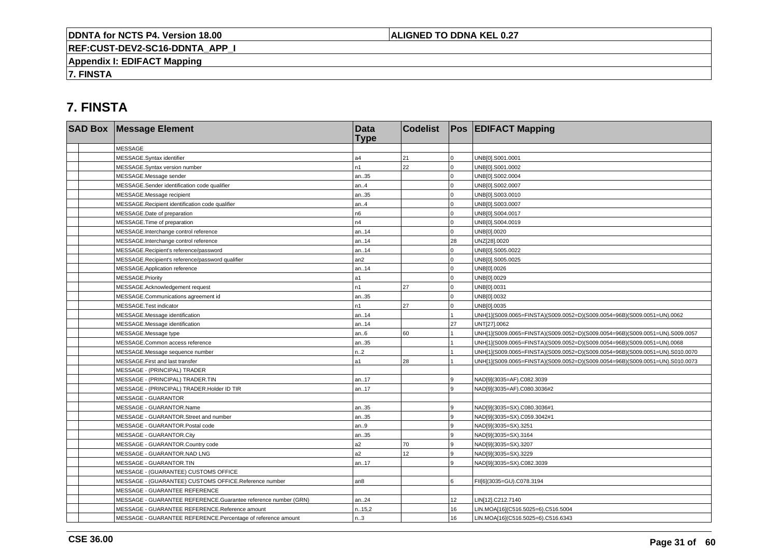## **ALIGNED TO DDNA KEL 0.27**

**REF:CUST-DEV2-SC16-DDNTA\_APP\_I**

**Appendix I: EDIFACT Mapping**

**7. FINSTA**

# **7. FINSTA**

| <b>SAD Box Message Element</b>                                 | <b>Data</b><br><b>Type</b> | <b>Codelist</b> |              | <b>Pos EDIFACT Mapping</b>                                                   |
|----------------------------------------------------------------|----------------------------|-----------------|--------------|------------------------------------------------------------------------------|
| <b>MESSAGE</b>                                                 |                            |                 |              |                                                                              |
| MESSAGE.Syntax identifier                                      | a4                         | 21              | $\Omega$     | UNB[0].S001.0001                                                             |
| MESSAGE.Syntax version number                                  | n1                         | 22              | $\Omega$     | UNB[0].S001.0002                                                             |
| MESSAGE.Message sender                                         | an35                       |                 | $\Omega$     | UNB[0].S002.0004                                                             |
| MESSAGE.Sender identification code qualifier                   | an.4                       |                 | $\Omega$     | UNB[0].S002.0007                                                             |
| MESSAGE.Message recipient                                      | an35                       |                 | $\mathbf 0$  | UNB[0].S003.0010                                                             |
| MESSAGE.Recipient identification code qualifier                | an.4                       |                 | $\mathbf 0$  | UNB[0].S003.0007                                                             |
| MESSAGE.Date of preparation                                    | n <sub>6</sub>             |                 | $\Omega$     | UNB[0].S004.0017                                                             |
| MESSAGE. Time of preparation                                   | n4                         |                 | $\Omega$     | UNB[0].S004.0019                                                             |
| MESSAGE.Interchange control reference                          | an14                       |                 | $\mathbf{0}$ | UNB[0].0020                                                                  |
| MESSAGE.Interchange control reference                          | an14                       |                 | 28           | UNZ[28].0020                                                                 |
| MESSAGE.Recipient's reference/password                         | an14                       |                 | $\Omega$     | UNB[0].S005.0022                                                             |
| MESSAGE.Recipient's reference/password qualifier               | an <sub>2</sub>            |                 | $\Omega$     | UNB[0].S005.0025                                                             |
| MESSAGE.Application reference                                  | an14                       |                 | $\Omega$     | UNB[0].0026                                                                  |
| MESSAGE.Priority                                               | a1                         |                 | $\mathbf 0$  | UNB[0].0029                                                                  |
| MESSAGE.Acknowledgement request                                | n1                         | 27              | $\Omega$     | UNB[0].0031                                                                  |
| MESSAGE.Communications agreement id                            | an35                       |                 | $\Omega$     | UNB[0].0032                                                                  |
| MESSAGE.Test indicator                                         | n1                         | 27              | $\mathbf 0$  | UNB[0].0035                                                                  |
| MESSAGE.Message identification                                 | an14                       |                 |              | UNH[1](S009.0065=FINSTA)(S009.0052=D)(S009.0054=96B)(S009.0051=UN).0062      |
| MESSAGE.Message identification                                 | an14                       |                 | 27           | UNT[27].0062                                                                 |
| MESSAGE.Message type                                           | an.6                       | 60              |              | UNH[1](S009.0065=FINSTA)(S009.0052=D)(S009.0054=96B)(S009.0051=UN).S009.0057 |
| MESSAGE.Common access reference                                | an35                       |                 |              | UNH[1](S009.0065=FINSTA)(S009.0052=D)(S009.0054=96B)(S009.0051=UN).0068      |
| MESSAGE.Message sequence number                                | n2                         |                 |              | UNH[1](S009.0065=FINSTA)(S009.0052=D)(S009.0054=96B)(S009.0051=UN).S010.0070 |
| MESSAGE.First and last transfer                                | a1                         | 28              |              | UNH[1](S009.0065=FINSTA)(S009.0052=D)(S009.0054=96B)(S009.0051=UN).S010.0073 |
| MESSAGE - (PRINCIPAL) TRADER                                   |                            |                 |              |                                                                              |
| MESSAGE - (PRINCIPAL) TRADER.TIN                               | an17                       |                 | 9            | NAD[9](3035=AF).C082.3039                                                    |
| MESSAGE - (PRINCIPAL) TRADER.Holder ID TIR                     | an17                       |                 | 9            | NAD[9](3035=AF).C080.3036#2                                                  |
| <b>MESSAGE - GUARANTOR</b>                                     |                            |                 |              |                                                                              |
| MESSAGE - GUARANTOR.Name                                       | an35                       |                 | g            | NAD[9](3035=SX).C080.3036#1                                                  |
| MESSAGE - GUARANTOR.Street and number                          | an35                       |                 | 9            | NAD[9](3035=SX).C059.3042#1                                                  |
| MESSAGE - GUARANTOR.Postal code                                | an.9                       |                 | 9            | NAD[9](3035=SX).3251                                                         |
| MESSAGE - GUARANTOR.City                                       | an35                       |                 | 9            | NAD[9](3035=SX).3164                                                         |
| MESSAGE - GUARANTOR.Country code                               | a2                         | 70              | 9            | NAD[9](3035=SX).3207                                                         |
| MESSAGE - GUARANTOR.NAD LNG                                    | a2                         | 12              | 9            | NAD[9](3035=SX).3229                                                         |
| MESSAGE - GUARANTOR.TIN                                        | an17                       |                 | 9            | NAD[9](3035=SX).C082.3039                                                    |
| MESSAGE - (GUARANTEE) CUSTOMS OFFICE                           |                            |                 |              |                                                                              |
| MESSAGE - (GUARANTEE) CUSTOMS OFFICE.Reference number          | an8                        |                 | 6            | FII[6](3035=GU).C078.3194                                                    |
| MESSAGE - GUARANTEE REFERENCE                                  |                            |                 |              |                                                                              |
| MESSAGE - GUARANTEE REFERENCE.Guarantee reference number (GRN) | an24                       |                 | 12           | LIN[12].C212.7140                                                            |
| MESSAGE - GUARANTEE REFERENCE.Reference amount                 | n.15,2                     |                 | 16           | LIN.MOA[16](C516.5025=6).C516.5004                                           |
| MESSAGE - GUARANTEE REFERENCE.Percentage of reference amount   | n.3                        |                 | 16           | LIN.MOA[16](C516.5025=6).C516.6343                                           |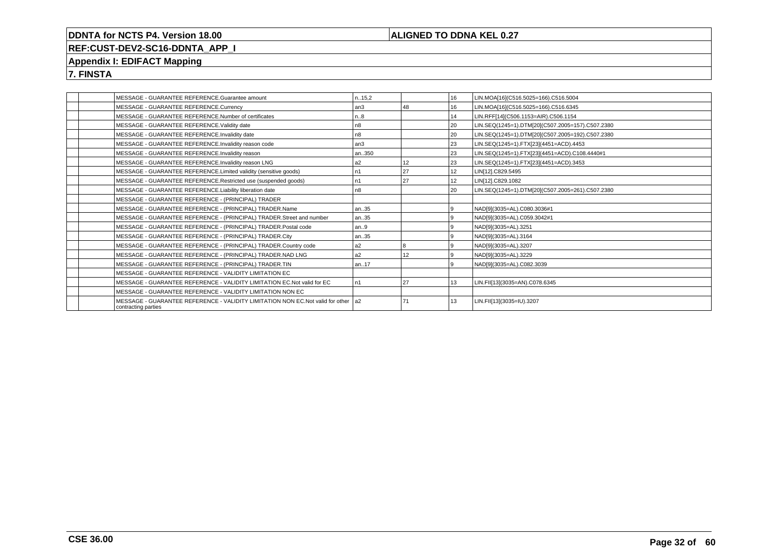## **ALIGNED TO DDNA KEL 0.27**

# **REF:CUST-DEV2-SC16-DDNTA\_APP\_I**

## **Appendix I: EDIFACT Mapping**

**7. FINSTA**

| MESSAGE - GUARANTEE REFERENCE.Guarantee amount                                                             | n15,2           |    | 16             | LIN.MOA[16](C516.5025=166).C516.5004             |
|------------------------------------------------------------------------------------------------------------|-----------------|----|----------------|--------------------------------------------------|
| MESSAGE - GUARANTEE REFERENCE.Currency                                                                     | an <sub>3</sub> | 48 | 16             | LIN.MOA[16](C516.5025=166).C516.6345             |
| MESSAGE - GUARANTEE REFERENCE.Number of certificates                                                       | n.8             |    | 14             | LIN.RFF[14](C506.1153=AIR).C506.1154             |
| MESSAGE - GUARANTEE REFERENCE.Validity date                                                                | n8              |    | 20             | LIN.SEQ(1245=1).DTM[20](C507.2005=157).C507.2380 |
| MESSAGE - GUARANTEE REFERENCE.Invalidity date                                                              | n8              |    | 20             | LIN.SEQ(1245=1).DTM[20](C507.2005=192).C507.2380 |
| MESSAGE - GUARANTEE REFERENCE.Invalidity reason code                                                       | l an3           |    | 23             | LIN.SEQ(1245=1).FTX[23](4451=ACD).4453           |
| MESSAGE - GUARANTEE REFERENCE.Invalidity reason                                                            | an350           |    | 23             | LIN.SEQ(1245=1).FTX[23](4451=ACD).C108.4440#1    |
| MESSAGE - GUARANTEE REFERENCE.Invalidity reason LNG                                                        | a2              | 12 | 23             | LIN.SEQ(1245=1).FTX[23](4451=ACD).3453           |
| MESSAGE - GUARANTEE REFERENCE.Limited validity (sensitive goods)                                           | n1              | 27 | 12             | LIN[12].C829.5495                                |
| MESSAGE - GUARANTEE REFERENCE.Restricted use (suspended goods)                                             | n1              | 27 | 12             | LIN[12].C829.1082                                |
| MESSAGE - GUARANTEE REFERENCE.Liability liberation date                                                    | n8              |    | l 20           | LIN.SEQ(1245=1).DTM[20](C507.2005=261).C507.2380 |
| MESSAGE - GUARANTEE REFERENCE - (PRINCIPAL) TRADER                                                         |                 |    |                |                                                  |
| MESSAGE - GUARANTEE REFERENCE - (PRINCIPAL) TRADER.Name                                                    | an35            |    | 9              | NAD[9](3035=AL).C080.3036#1                      |
| MESSAGE - GUARANTEE REFERENCE - (PRINCIPAL) TRADER.Street and number                                       | an35            |    | $\alpha$       | NAD[9](3035=AL).C059.3042#1                      |
| MESSAGE - GUARANTEE REFERENCE - (PRINCIPAL) TRADER.Postal code                                             | an9             |    | 9              | NAD[9](3035=AL).3251                             |
| MESSAGE - GUARANTEE REFERENCE - (PRINCIPAL) TRADER.City                                                    | an35            |    | 9              | NAD[9](3035=AL).3164                             |
| MESSAGE - GUARANTEE REFERENCE - (PRINCIPAL) TRADER.Country code                                            | a <sub>2</sub>  |    | 9              | NAD[9](3035=AL).3207                             |
| MESSAGE - GUARANTEE REFERENCE - (PRINCIPAL) TRADER.NAD LNG                                                 | a2              | 12 | $\overline{9}$ | NAD[9](3035=AL).3229                             |
| MESSAGE - GUARANTEE REFERENCE - (PRINCIPAL) TRADER.TIN                                                     | an17            |    | $\overline{9}$ | NAD[9](3035=AL).C082.3039                        |
| MESSAGE - GUARANTEE REFERENCE - VALIDITY LIMITATION EC                                                     |                 |    |                |                                                  |
| MESSAGE - GUARANTEE REFERENCE - VALIDITY LIMITATION EC.Not valid for EC                                    | n1              | 27 | 13             | LIN.FII[13](3035=AN).C078.6345                   |
| MESSAGE - GUARANTEE REFERENCE - VALIDITY LIMITATION NON EC                                                 |                 |    |                |                                                  |
| MESSAGE - GUARANTEE REFERENCE - VALIDITY LIMITATION NON EC. Not valid for other 1a2<br>contracting parties |                 | 71 | 13             | LIN.FII[13](3035=IU).3207                        |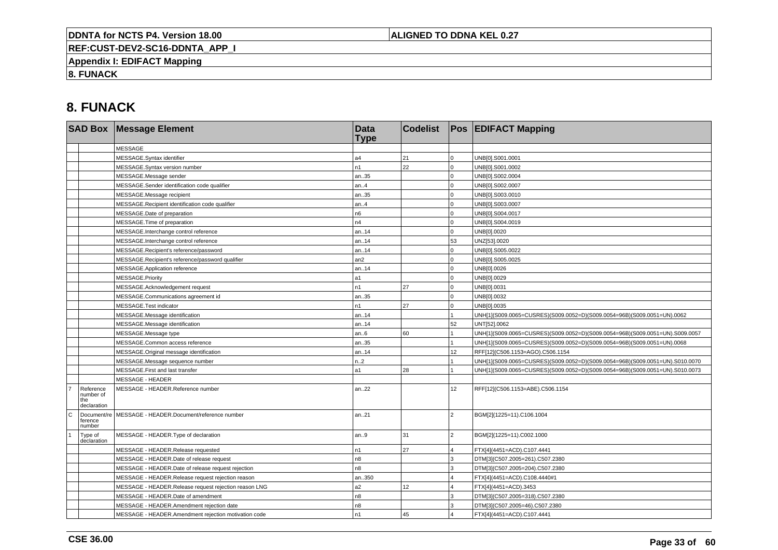## **ALIGNED TO DDNA KEL 0.27**

**REF:CUST-DEV2-SC16-DDNTA\_APP\_I**

**Appendix I: EDIFACT Mapping**

**8. FUNACK**

# **8. FUNACK**

|                |                                              | <b>SAD Box Message Element</b>                        | <b>Data</b><br><b>Type</b> | <b>Codelist</b> |                         | <b>Pos EDIFACT Mapping</b>                                                   |
|----------------|----------------------------------------------|-------------------------------------------------------|----------------------------|-----------------|-------------------------|------------------------------------------------------------------------------|
|                |                                              | <b>MESSAGE</b>                                        |                            |                 |                         |                                                                              |
|                |                                              | MESSAGE.Syntax identifier                             | a4                         | 21              | $\overline{0}$          | UNB[0].S001.0001                                                             |
|                |                                              | MESSAGE.Syntax version number                         | n1                         | 22              | $\mathbf 0$             | UNB[0].S001.0002                                                             |
|                |                                              | MESSAGE.Message sender                                | an35                       |                 | 0                       | UNB[0].S002.0004                                                             |
|                |                                              | MESSAGE.Sender identification code qualifier          | an.4                       |                 | $\mathbf 0$             | UNB[0].S002.0007                                                             |
|                |                                              | MESSAGE.Message recipient                             | an35                       |                 | $\mathbf 0$             | UNB[0].S003.0010                                                             |
|                |                                              | MESSAGE.Recipient identification code qualifier       | an.4                       |                 | $\mathbf 0$             | UNB[0].S003.0007                                                             |
|                |                                              | MESSAGE.Date of preparation                           | n6                         |                 | $\overline{0}$          | UNB[0].S004.0017                                                             |
|                |                                              | MESSAGE. Time of preparation                          | n4                         |                 | $\mathbf 0$             | UNB[0].S004.0019                                                             |
|                |                                              | MESSAGE.Interchange control reference                 | an14                       |                 | $\mathbf 0$             | UNB[0].0020                                                                  |
|                |                                              | MESSAGE.Interchange control reference                 | an14                       |                 | 53                      | UNZ[53].0020                                                                 |
|                |                                              | MESSAGE.Recipient's reference/password                | an14                       |                 | 0                       | UNB[0].S005.0022                                                             |
|                |                                              | MESSAGE.Recipient's reference/password qualifier      | an2                        |                 | $\Omega$                | UNB[0].S005.0025                                                             |
|                |                                              | MESSAGE.Application reference                         | an14                       |                 | $\overline{0}$          | UNB[0].0026                                                                  |
|                |                                              | MESSAGE.Priority                                      | a1                         |                 | $\mathbf 0$             | UNB[0].0029                                                                  |
|                |                                              | MESSAGE.Acknowledgement request                       | n1                         | 27              | $\mathbf 0$             | UNB[0].0031                                                                  |
|                |                                              | MESSAGE.Communications agreement id                   | an35                       |                 | $\Omega$                | UNB[0].0032                                                                  |
|                |                                              | MESSAGE.Test indicator                                | n1                         | 27              | $\overline{0}$          | UNB[0].0035                                                                  |
|                |                                              | MESSAGE.Message identification                        | an14                       |                 |                         | UNH[1](S009.0065=CUSRES)(S009.0052=D)(S009.0054=96B)(S009.0051=UN).0062      |
|                |                                              | MESSAGE.Message identification                        | an.14                      |                 | 52                      | UNT[52].0062                                                                 |
|                |                                              | MESSAGE.Message type                                  | an.6                       | 60              |                         | UNH[1](S009.0065=CUSRES)(S009.0052=D)(S009.0054=96B)(S009.0051=UN).S009.0057 |
|                |                                              | MESSAGE.Common access reference                       | an35                       |                 |                         | UNH[1](S009.0065=CUSRES)(S009.0052=D)(S009.0054=96B)(S009.0051=UN).0068      |
|                |                                              | MESSAGE.Original message identification               | an14                       |                 | 12                      | RFF[12](C506.1153=AGO).C506.1154                                             |
|                |                                              | MESSAGE.Message sequence number                       | n.2                        |                 |                         | UNH[1](S009.0065=CUSRES)(S009.0052=D)(S009.0054=96B)(S009.0051=UN).S010.0070 |
|                |                                              | MESSAGE.First and last transfer                       | a1                         | 28              |                         | UNH[1](S009.0065=CUSRES)(S009.0052=D)(S009.0054=96B)(S009.0051=UN).S010.0073 |
|                |                                              | <b>MESSAGE - HEADER</b>                               |                            |                 |                         |                                                                              |
| $\overline{7}$ | Reference<br>number of<br>the<br>declaration | MESSAGE - HEADER.Reference number                     | an22                       |                 | 12                      | RFF[12](C506.1153=ABE).C506.1154                                             |
| c              | Document/re<br>ference<br>number             | MESSAGE - HEADER.Document/reference number            | an21                       |                 | $\overline{2}$          | BGM[2](1225=11).C106.1004                                                    |
|                | Type of<br>declaration                       | MESSAGE - HEADER. Type of declaration                 | an.9                       | 31              | $\overline{2}$          | BGM[2](1225=11).C002.1000                                                    |
|                |                                              | MESSAGE - HEADER.Release requested                    | n1                         | 27              | $\overline{4}$          | FTX[4](4451=ACD).C107.4441                                                   |
|                |                                              | MESSAGE - HEADER.Date of release request              | n <sub>8</sub>             |                 | 3                       | DTM[3](C507.2005=261).C507.2380                                              |
|                |                                              | MESSAGE - HEADER.Date of release request rejection    | n <sub>8</sub>             |                 | 3                       | DTM[3](C507.2005=204).C507.2380                                              |
|                |                                              | MESSAGE - HEADER.Release request rejection reason     | an350                      |                 |                         | FTX[4](4451=ACD).C108.4440#1                                                 |
|                |                                              | MESSAGE - HEADER.Release request rejection reason LNG | a2                         | 12 <sup>2</sup> | $\overline{\mathbf{4}}$ | FTX[4](4451=ACD).3453                                                        |
|                |                                              | MESSAGE - HEADER.Date of amendment                    | n8                         |                 | 3                       | DTM[3](C507.2005=318).C507.2380                                              |
|                |                                              | MESSAGE - HEADER.Amendment rejection date             | n8                         |                 | 3                       | DTM[3](C507.2005=46).C507.2380                                               |
|                |                                              | MESSAGE - HEADER.Amendment rejection motivation code  | n1                         | 45              |                         | FTX[4](4451=ACD).C107.4441                                                   |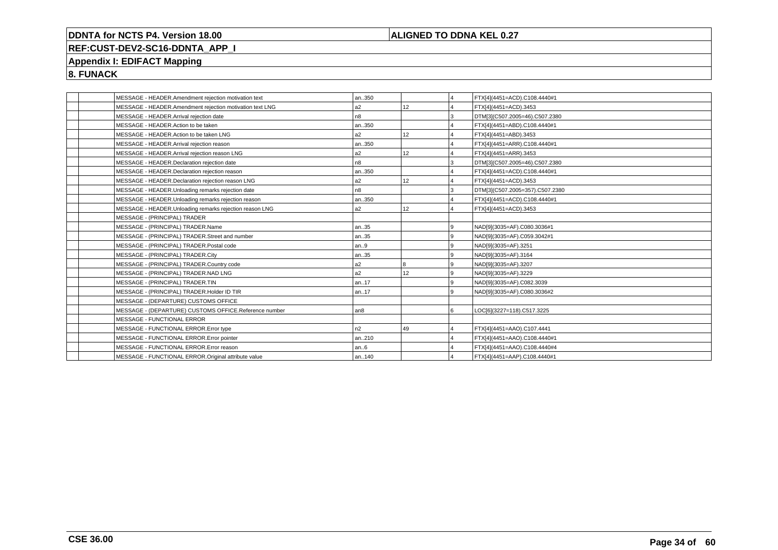## **ALIGNED TO DDNA KEL 0.27**

# **REF:CUST-DEV2-SC16-DDNTA\_APP\_I**

# **Appendix I: EDIFACT Mapping**

**8. FUNACK**

|  | MESSAGE - HEADER.Amendment rejection motivation text     | an350           |                 | 14             | FTX[4](4451=ACD).C108.4440#1    |
|--|----------------------------------------------------------|-----------------|-----------------|----------------|---------------------------------|
|  | MESSAGE - HEADER.Amendment rejection motivation text LNG | a2              | 12              | 14             | FTX[4](4451=ACD).3453           |
|  | MESSAGE - HEADER.Arrival rejection date                  | n <sub>8</sub>  |                 | Iз             | DTM[3](C507.2005=46).C507.2380  |
|  | MESSAGE - HEADER.Action to be taken                      | an350           |                 | $\overline{4}$ | FTX[4](4451=ABD).C108.4440#1    |
|  | MESSAGE - HEADER.Action to be taken LNG                  | a2              | 12              | 14             | FTX[4](4451=ABD).3453           |
|  | MESSAGE - HEADER.Arrival rejection reason                | an350           |                 | $\overline{4}$ | FTX[4](4451=ARR).C108.4440#1    |
|  | MESSAGE - HEADER.Arrival rejection reason LNG            | a2              | 12              | $\overline{4}$ | FTX[4](4451=ARR).3453           |
|  | MESSAGE - HEADER.Declaration rejection date              | n <sub>8</sub>  |                 | Iз             | DTM[3](C507.2005=46).C507.2380  |
|  | MESSAGE - HEADER.Declaration rejection reason            | an350           |                 | ا 4            | FTX[4](4451=ACD).C108.4440#1    |
|  | MESSAGE - HEADER.Declaration rejection reason LNG        | l a2            | 12 <sup>2</sup> | $\vert$ 4      | FTX[4](4451=ACD).3453           |
|  | MESSAGE - HEADER.Unloading remarks rejection date        | n8              |                 | l3             | DTM[3](C507.2005=357).C507.2380 |
|  | MESSAGE - HEADER.Unloading remarks rejection reason      | an350           |                 | $\overline{4}$ | FTX[4](4451=ACD).C108.4440#1    |
|  | MESSAGE - HEADER.Unloading remarks rejection reason LNG  | a2              | 12              | 14             | FTX[4](4451=ACD).3453           |
|  | MESSAGE - (PRINCIPAL) TRADER                             |                 |                 |                |                                 |
|  | MESSAGE - (PRINCIPAL) TRADER.Name                        | an35            |                 | l 9            | NAD[9](3035=AF).C080.3036#1     |
|  | MESSAGE - (PRINCIPAL) TRADER.Street and number           | an35            |                 | l 9            | NAD[9](3035=AF).C059.3042#1     |
|  | MESSAGE - (PRINCIPAL) TRADER.Postal code                 | an9             |                 | l 9            | NAD[9](3035=AF).3251            |
|  | MESSAGE - (PRINCIPAL) TRADER.City                        | an35            |                 | l 9            | NAD[9](3035=AF).3164            |
|  | MESSAGE - (PRINCIPAL) TRADER.Country code                | l a2            |                 | l 9            | NAD[9](3035=AF).3207            |
|  | MESSAGE - (PRINCIPAL) TRADER.NAD LNG                     | a2              | 12              | l 9            | NAD[9](3035=AF).3229            |
|  | MESSAGE - (PRINCIPAL) TRADER.TIN                         | an17            |                 | l 9            | NAD[9](3035=AF).C082.3039       |
|  | MESSAGE - (PRINCIPAL) TRADER.Holder ID TIR               | an17            |                 | l 9            | NAD[9](3035=AF).C080.3036#2     |
|  | MESSAGE - (DEPARTURE) CUSTOMS OFFICE                     |                 |                 |                |                                 |
|  | MESSAGE - (DEPARTURE) CUSTOMS OFFICE.Reference number    | an <sub>8</sub> |                 | l 6            | LOC[6](3227=118).C517.3225      |
|  | MESSAGE - FUNCTIONAL ERROR                               |                 |                 |                |                                 |
|  | MESSAGE - FUNCTIONAL ERROR. Error type                   | n2              | 49              | $\vert$ 4      | FTX[4](4451=AAO).C107.4441      |
|  | MESSAGE - FUNCTIONAL ERROR. Error pointer                | an210           |                 | $\overline{4}$ | FTX[4](4451=AAO).C108.4440#1    |
|  | MESSAGE - FUNCTIONAL ERROR.Error reason                  | an6             |                 | $\overline{4}$ | FTX[4](4451=AAO).C108.4440#4    |
|  | MESSAGE - FUNCTIONAL ERROR.Original attribute value      | an140           |                 | $\overline{4}$ | FTX[4](4451=AAP).C108.4440#1    |
|  |                                                          |                 |                 |                |                                 |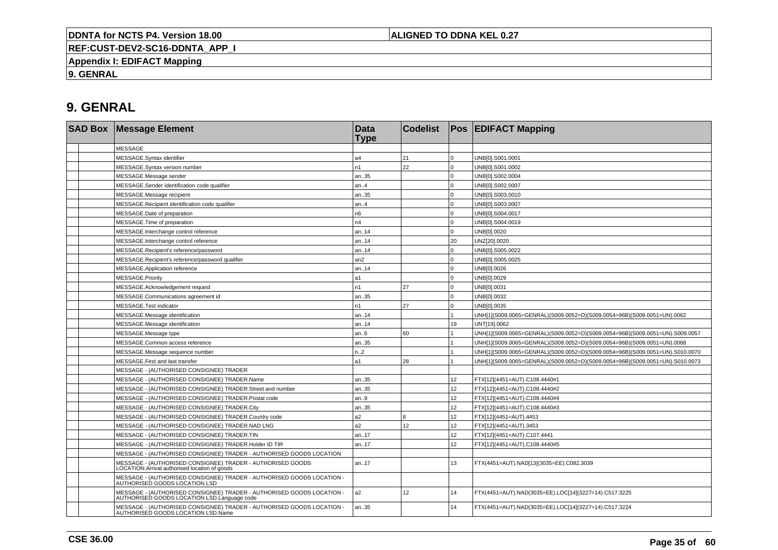**ALIGNED TO DDNA KEL 0.27**

**REF:CUST-DEV2-SC16-DDNTA\_APP\_I**

**Appendix I: EDIFACT Mapping**

**9. GENRAL**

# **9. GENRAL**

| <b>SAD Box Message Element</b>                                                                                       | <b>Data</b><br><b>Type</b> | <b>Codelist</b> |                 | <b>Pos EDIFACT Mapping</b>                                                   |
|----------------------------------------------------------------------------------------------------------------------|----------------------------|-----------------|-----------------|------------------------------------------------------------------------------|
| <b>MESSAGE</b>                                                                                                       |                            |                 |                 |                                                                              |
| MESSAGE.Syntax identifier                                                                                            | a4                         | 21              | $\Omega$        | UNB[0].S001.0001                                                             |
| MESSAGE.Syntax version number                                                                                        | n <sub>1</sub>             | 22              | $\Omega$        | UNB[0].S001.0002                                                             |
| MESSAGE.Message sender                                                                                               | an35                       |                 | $\Omega$        | UNB[0].S002.0004                                                             |
| MESSAGE.Sender identification code qualifier                                                                         | an.4                       |                 | $\Omega$        | UNB[0].S002.0007                                                             |
| MESSAGE.Message recipient                                                                                            | an35                       |                 | $\Omega$        | UNB[0].S003.0010                                                             |
| MESSAGE.Recipient identification code qualifier                                                                      | an.4                       |                 | $\Omega$        | UNB[0].S003.0007                                                             |
| MESSAGE.Date of preparation                                                                                          | n <sub>6</sub>             |                 | $\Omega$        | UNB[0].S004.0017                                                             |
| MESSAGE. Time of preparation                                                                                         | n4                         |                 | 0               | UNB[0].S004.0019                                                             |
| MESSAGE.Interchange control reference                                                                                | an14                       |                 | $\Omega$        | UNB[0].0020                                                                  |
| MESSAGE.Interchange control reference                                                                                | an14                       |                 | 20              | UNZ[20].0020                                                                 |
| MESSAGE.Recipient's reference/password                                                                               | an14                       |                 | $\Omega$        | UNB[0].S005.0022                                                             |
| MESSAGE.Recipient's reference/password qualifier                                                                     | an2                        |                 | $\Omega$        | UNB[0].S005.0025                                                             |
| MESSAGE.Application reference                                                                                        | an14                       |                 | $\Omega$        | UNB[0].0026                                                                  |
| MESSAGE.Priority                                                                                                     | a1                         |                 | $\Omega$        | UNB[0].0029                                                                  |
| MESSAGE.Acknowledgement request                                                                                      | n1                         | 27              | $\Omega$        | UNB[0].0031                                                                  |
| MESSAGE.Communications agreement id                                                                                  | an35                       |                 | $\Omega$        | UNB[0].0032                                                                  |
| MESSAGE.Test indicator                                                                                               | n1                         | 27              | $\Omega$        | UNB[0].0035                                                                  |
| MESSAGE.Message identification                                                                                       | an14                       |                 |                 | UNH[1](S009.0065=GENRAL)(S009.0052=D)(S009.0054=96B)(S009.0051=UN).0062      |
| MESSAGE.Message identification                                                                                       | an14                       |                 | 19              | UNT[19].0062                                                                 |
| MESSAGE.Message type                                                                                                 | an.6                       | 60              |                 | UNH[1](S009.0065=GENRAL)(S009.0052=D)(S009.0054=96B)(S009.0051=UN).S009.0057 |
| MESSAGE.Common access reference                                                                                      | an35                       |                 |                 | UNH[1](S009.0065=GENRAL)(S009.0052=D)(S009.0054=96B)(S009.0051=UN).0068      |
| MESSAGE.Message sequence number                                                                                      | n.2                        |                 |                 | UNH[1](S009.0065=GENRAL)(S009.0052=D)(S009.0054=96B)(S009.0051=UN).S010.0070 |
| MESSAGE.First and last transfer                                                                                      | l a1                       | 28              |                 | UNH[1](S009.0065=GENRAL)(S009.0052=D)(S009.0054=96B)(S009.0051=UN).S010.0073 |
| MESSAGE - (AUTHORISED CONSIGNEE) TRADER                                                                              |                            |                 |                 |                                                                              |
| MESSAGE - (AUTHORISED CONSIGNEE) TRADER.Name                                                                         | an35                       |                 | 12              | FTX[12](4451=AUT).C108.4440#1                                                |
| MESSAGE - (AUTHORISED CONSIGNEE) TRADER.Street and number                                                            | an35                       |                 | 12 <sup>2</sup> | FTX[12](4451=AUT).C108.4440#2                                                |
| MESSAGE - (AUTHORISED CONSIGNEE) TRADER.Postal code                                                                  | an.9                       |                 | 12              | FTX[12](4451=AUT).C108.4440#4                                                |
| MESSAGE - (AUTHORISED CONSIGNEE) TRADER.City                                                                         | an35                       |                 | 12              | FTX[12](4451=AUT).C108.4440#3                                                |
| MESSAGE - (AUTHORISED CONSIGNEE) TRADER.Country code                                                                 | a2                         | 8               | 12              | FTX[12](4451=AUT).4453                                                       |
| MESSAGE - (AUTHORISED CONSIGNEE) TRADER.NAD LNG                                                                      | a2                         | 12              | 12              | FTX[12](4451=AUT).3453                                                       |
| MESSAGE - (AUTHORISED CONSIGNEE) TRADER.TIN                                                                          | an17                       |                 | 12              | FTX[12](4451=AUT).C107.4441                                                  |
| MESSAGE - (AUTHORISED CONSIGNEE) TRADER.Holder ID TIR                                                                | an17                       |                 | 12 <sup>2</sup> | FTX[12](4451=AUT).C108.4440#5                                                |
| MESSAGE - (AUTHORISED CONSIGNEE) TRADER - AUTHORISED GOODS LOCATION                                                  |                            |                 |                 |                                                                              |
| MESSAGE - (AUTHORISED CONSIGNEE) TRADER - AUTHORISED GOODS<br>LOCATION.Arrival authorised location of goods          | an17                       |                 | 13              | FTX(4451=AUT).NAD[13](3035=EE).C082.3039                                     |
| MESSAGE - (AUTHORISED CONSIGNEE) TRADER - AUTHORISED GOODS LOCATION -<br>AUTHORISED GOODS LOCATION LSD               |                            |                 |                 |                                                                              |
| MESSAGE - (AUTHORISED CONSIGNEE) TRADER - AUTHORISED GOODS LOCATION -<br>AUTHORISED GOODS LOCATION LSD.Language code | a2                         | 12              | 14              | FTX(4451=AUT).NAD(3035=EE).LOC[14](3227=14).C517.3225                        |
| MESSAGE - (AUTHORISED CONSIGNEE) TRADER - AUTHORISED GOODS LOCATION -<br>AUTHORISED GOODS LOCATION LSD.Name          | an35                       |                 | 14              | FTX(4451=AUT).NAD(3035=EE).LOC[14](3227=14).C517.3224                        |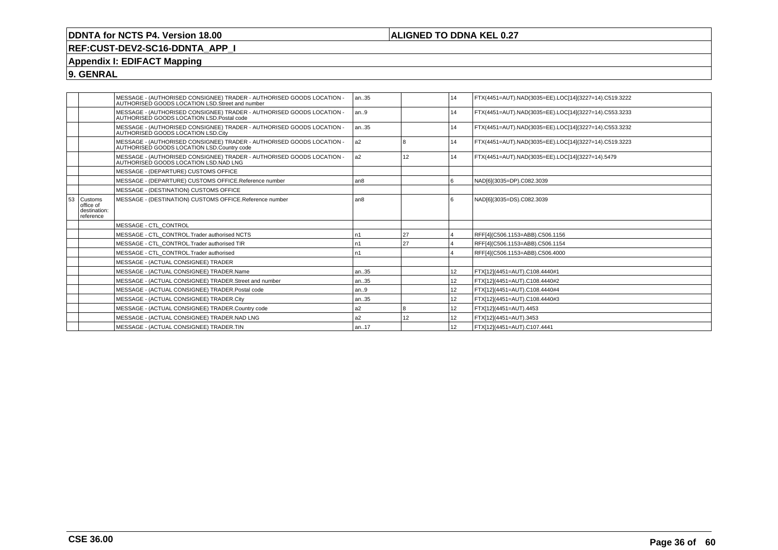## **ALIGNED TO DDNA KEL 0.27**

# **REF:CUST-DEV2-SC16-DDNTA\_APP\_I**

# **Appendix I: EDIFACT Mapping**

**9. GENRAL**

|    |                                                   | MESSAGE - (AUTHORISED CONSIGNEE) TRADER - AUTHORISED GOODS LOCATION -<br>AUTHORISED GOODS LOCATION LSD.Street and number | an35           |    | 14              | FTX(4451=AUT).NAD(3035=EE).LOC[14](3227=14).C519.3222 |
|----|---------------------------------------------------|--------------------------------------------------------------------------------------------------------------------------|----------------|----|-----------------|-------------------------------------------------------|
|    |                                                   | MESSAGE - (AUTHORISED CONSIGNEE) TRADER - AUTHORISED GOODS LOCATION -<br>AUTHORISED GOODS LOCATION LSD.Postal code       | an9            |    | 14              | FTX(4451=AUT).NAD(3035=EE).LOC[14](3227=14).C553.3233 |
|    |                                                   | MESSAGE - (AUTHORISED CONSIGNEE) TRADER - AUTHORISED GOODS LOCATION -<br>AUTHORISED GOODS LOCATION LSD.City              | an35           |    | 14              | FTX(4451=AUT).NAD(3035=EE).LOC[14](3227=14).C553.3232 |
|    |                                                   | MESSAGE - (AUTHORISED CONSIGNEE) TRADER - AUTHORISED GOODS LOCATION -<br>AUTHORISED GOODS LOCATION LSD.Country code      | l a2           | 18 | 14              | FTX(4451=AUT).NAD(3035=EE).LOC[14](3227=14).C519.3223 |
|    |                                                   | MESSAGE - (AUTHORISED CONSIGNEE) TRADER - AUTHORISED GOODS LOCATION -<br>AUTHORISED GOODS LOCATION LSD.NAD LNG           | a <sub>2</sub> | 12 | 14              | FTX(4451=AUT).NAD(3035=EE).LOC[14](3227=14).5479      |
|    |                                                   | MESSAGE - (DEPARTURE) CUSTOMS OFFICE                                                                                     |                |    |                 |                                                       |
|    |                                                   | MESSAGE - (DEPARTURE) CUSTOMS OFFICE.Reference number                                                                    | l an8          |    |                 | NAD[6](3035=DP).C082.3039                             |
|    |                                                   | MESSAGE - (DESTINATION) CUSTOMS OFFICE                                                                                   |                |    |                 |                                                       |
| 53 | Customs<br>office of<br>destination:<br>reference | MESSAGE - (DESTINATION) CUSTOMS OFFICE.Reference number                                                                  | an8            |    |                 | NAD[6](3035=DS).C082.3039                             |
|    |                                                   | MESSAGE - CTL CONTROL                                                                                                    |                |    |                 |                                                       |
|    |                                                   | MESSAGE - CTL CONTROL.Trader authorised NCTS                                                                             | n1             | 27 | $\overline{4}$  | RFF[4](C506.1153=ABB).C506.1156                       |
|    |                                                   | MESSAGE - CTL CONTROL.Trader authorised TIR                                                                              | n1             | 27 |                 | RFF[4](C506.1153=ABB).C506.1154                       |
|    |                                                   | MESSAGE - CTL CONTROL.Trader authorised                                                                                  | n1             |    |                 | RFF[4](C506.1153=ABB).C506.4000                       |
|    |                                                   | MESSAGE - (ACTUAL CONSIGNEE) TRADER                                                                                      |                |    |                 |                                                       |
|    |                                                   | MESSAGE - (ACTUAL CONSIGNEE) TRADER.Name                                                                                 | an35           |    | 12              | FTX[12](4451=AUT).C108.4440#1                         |
|    |                                                   | MESSAGE - (ACTUAL CONSIGNEE) TRADER.Street and number                                                                    | an35           |    | 12              | FTX[12](4451=AUT).C108.4440#2                         |
|    |                                                   | MESSAGE - (ACTUAL CONSIGNEE) TRADER.Postal code                                                                          | lan9           |    | 12              | FTX[12](4451=AUT).C108.4440#4                         |
|    |                                                   | MESSAGE - (ACTUAL CONSIGNEE) TRADER.City                                                                                 | an35           |    | 12 <sup>2</sup> | FTX[12](4451=AUT).C108.4440#3                         |
|    |                                                   | MESSAGE - (ACTUAL CONSIGNEE) TRADER.Country code                                                                         | a <sub>2</sub> | 18 | 12              | FTX[12](4451=AUT).4453                                |
|    |                                                   | MESSAGE - (ACTUAL CONSIGNEE) TRADER.NAD LNG                                                                              | a <sub>2</sub> | 12 | 12              | FTX[12](4451=AUT).3453                                |
|    |                                                   | MESSAGE - (ACTUAL CONSIGNEE) TRADER.TIN                                                                                  | an17           |    | 12              | FTX[12](4451=AUT).C107.4441                           |
|    |                                                   |                                                                                                                          |                |    |                 |                                                       |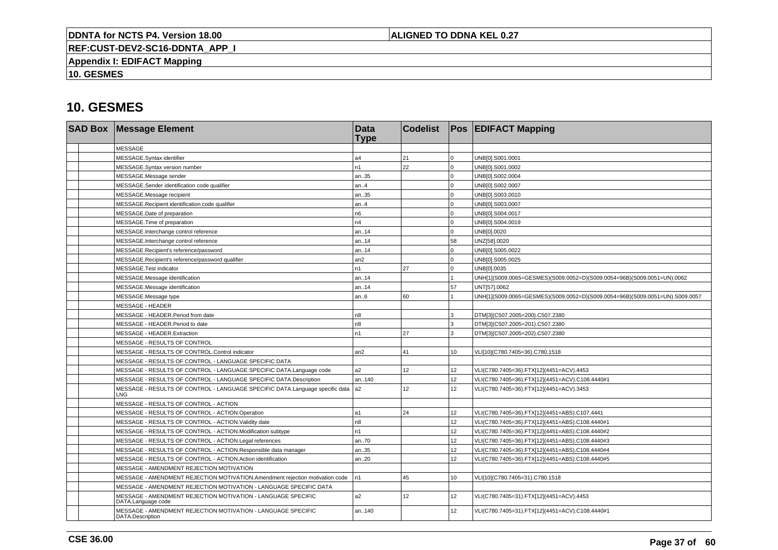## **ALIGNED TO DDNA KEL 0.27**

**REF:CUST-DEV2-SC16-DDNTA\_APP\_I**

**Appendix I: EDIFACT Mapping**

**10. GESMES**

|  | <b>SAD Box Message Element</b>                                                            | <b>Data</b><br><b>Type</b> | <b>Codelist</b> |                 | <b>Pos EDIFACT Mapping</b>                                                   |
|--|-------------------------------------------------------------------------------------------|----------------------------|-----------------|-----------------|------------------------------------------------------------------------------|
|  | <b>MESSAGE</b>                                                                            |                            |                 |                 |                                                                              |
|  | MESSAGE.Syntax identifier                                                                 | a4                         | 21              | $\Omega$        | UNB[0].S001.0001                                                             |
|  | MESSAGE.Syntax version number                                                             | n <sub>1</sub>             | 22              | $\Omega$        | UNB[0].S001.0002                                                             |
|  | MESSAGE.Message sender                                                                    | an35                       |                 | $\Omega$        | UNB[0].S002.0004                                                             |
|  | MESSAGE.Sender identification code qualifier                                              | an4                        |                 | $\Omega$        | UNB[0].S002.0007                                                             |
|  | MESSAGE.Message recipient                                                                 | an35                       |                 | $\Omega$        | UNB[0].S003.0010                                                             |
|  | MESSAGE.Recipient identification code qualifier                                           | an4                        |                 | $\Omega$        | UNB[0].S003.0007                                                             |
|  | MESSAGE.Date of preparation                                                               | n <sub>6</sub>             |                 | $\Omega$        | UNB[0].S004.0017                                                             |
|  | MESSAGE. Time of preparation                                                              | n4                         |                 | $\Omega$        | UNB[0].S004.0019                                                             |
|  | MESSAGE.Interchange control reference                                                     | l an14                     |                 | $\Omega$        | UNB[0].0020                                                                  |
|  | MESSAGE.Interchange control reference                                                     | l an14                     |                 | 58              | UNZ[58].0020                                                                 |
|  | MESSAGE.Recipient's reference/password                                                    | l an14                     |                 | $\Omega$        | UNB[0].S005.0022                                                             |
|  | MESSAGE.Recipient's reference/password qualifier                                          | an2                        |                 | $\Omega$        | UNB[0].S005.0025                                                             |
|  | MESSAGE.Test indicator                                                                    | In1                        | 27              | $\Omega$        | UNB[0].0035                                                                  |
|  | MESSAGE.Message identification                                                            | an14                       |                 |                 | UNH[1](S009.0065=GESMES)(S009.0052=D)(S009.0054=96B)(S009.0051=UN).0062      |
|  | MESSAGE.Message identification                                                            | an14                       |                 | 57              | UNT[57].0062                                                                 |
|  | MESSAGE.Message type                                                                      | an.6                       | 60              |                 | UNH[1](S009.0065=GESMES)(S009.0052=D)(S009.0054=96B)(S009.0051=UN).S009.0057 |
|  | <b>MESSAGE - HEADER</b>                                                                   |                            |                 |                 |                                                                              |
|  | MESSAGE - HEADER.Period from date                                                         | n <sub>8</sub>             |                 | 3               | DTM[3](C507.2005=200).C507.2380                                              |
|  | MESSAGE - HEADER.Period to date                                                           | n8                         |                 | 3               | DTM[3](C507.2005=201).C507.2380                                              |
|  | MESSAGE - HEADER.Extraction                                                               | l n1                       | 27              | 3               | DTM[3](C507.2005=202).C507.2380                                              |
|  | MESSAGE - RESULTS OF CONTROL                                                              |                            |                 |                 |                                                                              |
|  | MESSAGE - RESULTS OF CONTROL.Control indicator                                            | an <sub>2</sub>            | 41              | 10              | VLI[10](C780.7405=36).C780.1518                                              |
|  | MESSAGE - RESULTS OF CONTROL - LANGUAGE SPECIFIC DATA                                     |                            |                 |                 |                                                                              |
|  | MESSAGE - RESULTS OF CONTROL - LANGUAGE SPECIFIC DATA.Language code                       | a2                         | 12              | 12              | VLI(C780.7405=36).FTX[12](4451=ACV).4453                                     |
|  | MESSAGE - RESULTS OF CONTROL - LANGUAGE SPECIFIC DATA.Description                         | an.140                     |                 | 12 <sup>2</sup> | VLI(C780.7405=36).FTX[12](4451=ACV).C108.4440#1                              |
|  | MESSAGE - RESULTS OF CONTROL - LANGUAGE SPECIFIC DATA.Language specific data   a2<br>LNG. |                            | 12              | 12 <sup>2</sup> | VLI(C780.7405=36).FTX[12](4451=ACV).3453                                     |
|  | MESSAGE - RESULTS OF CONTROL - ACTION                                                     |                            |                 |                 |                                                                              |
|  | MESSAGE - RESULTS OF CONTROL - ACTION.Operation                                           | l a1                       | 24              | 12 <sup>2</sup> | VLI(C780.7405=36).FTX[12](4451=ABS).C107.4441                                |
|  | MESSAGE - RESULTS OF CONTROL - ACTION. Validity date                                      | n <sub>8</sub>             |                 | 12              | VLI(C780.7405=36).FTX[12](4451=ABS).C108.4440#1                              |
|  | MESSAGE - RESULTS OF CONTROL - ACTION.Modification subtype                                | n <sub>1</sub>             |                 | 12              | VLI(C780.7405=36).FTX[12](4451=ABS).C108.4440#2                              |
|  | MESSAGE - RESULTS OF CONTROL - ACTION.Legal references                                    | an70                       |                 | 12              | VLI(C780.7405=36).FTX[12](4451=ABS).C108.4440#3                              |
|  | MESSAGE - RESULTS OF CONTROL - ACTION.Responsible data manager                            | an35                       |                 | 12              | VLI(C780.7405=36).FTX[12](4451=ABS).C108.4440#4                              |
|  | MESSAGE - RESULTS OF CONTROL - ACTION.Action identification                               | an20                       |                 | 12              | VLI(C780.7405=36).FTX[12](4451=ABS).C108.4440#5                              |
|  | MESSAGE - AMENDMENT REJECTION MOTIVATION                                                  |                            |                 |                 |                                                                              |
|  | MESSAGE - AMENDMENT REJECTION MOTIVATION.Amendment rejection motivation code              | In1                        | 45              | 10              | VLI[10](C780.7405=31).C780.1518                                              |
|  | MESSAGE - AMENDMENT REJECTION MOTIVATION - LANGUAGE SPECIFIC DATA                         |                            |                 |                 |                                                                              |
|  | MESSAGE - AMENDMENT REJECTION MOTIVATION - LANGUAGE SPECIFIC<br>DATA.Language code        | a <sub>2</sub>             | 12              | 12 <sup>2</sup> | VLI(C780.7405=31).FTX[12](4451=ACV).4453                                     |
|  | MESSAGE - AMENDMENT REJECTION MOTIVATION - LANGUAGE SPECIFIC<br>DATA.Description          | lan140                     |                 | 12              | VLI(C780.7405=31).FTX[12](4451=ACV).C108.4440#1                              |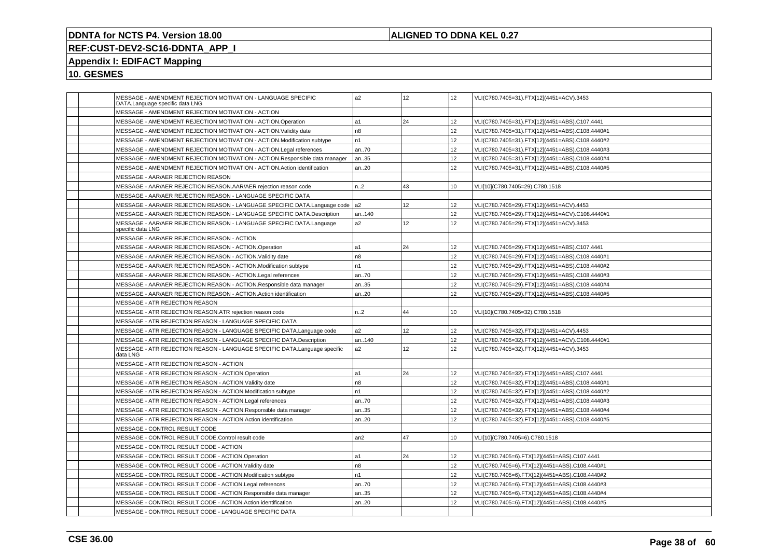## **ALIGNED TO DDNA KEL 0.27**

# **REF:CUST-DEV2-SC16-DDNTA\_APP\_I**

# **Appendix I: EDIFACT Mapping**

| MESSAGE - AMENDMENT REJECTION MOTIVATION - LANGUAGE SPECIFIC<br>DATA.Language specific data LNG | a <sub>2</sub> | 12              | 12               | VLI(C780.7405=31).FTX[12](4451=ACV).3453        |
|-------------------------------------------------------------------------------------------------|----------------|-----------------|------------------|-------------------------------------------------|
| MESSAGE - AMENDMENT REJECTION MOTIVATION - ACTION                                               |                |                 |                  |                                                 |
| MESSAGE - AMENDMENT REJECTION MOTIVATION - ACTION.Operation                                     | a1             | 24              | 12               | VLI(C780.7405=31).FTX[12](4451=ABS).C107.4441   |
| MESSAGE - AMENDMENT REJECTION MOTIVATION - ACTION. Validity date                                | n8             |                 | 12 <sup>2</sup>  | VLI(C780.7405=31).FTX[12](4451=ABS).C108.4440#1 |
| MESSAGE - AMENDMENT REJECTION MOTIVATION - ACTION. Modification subtype                         | n1             |                 | 12 <sup>2</sup>  | VLI(C780.7405=31).FTX[12](4451=ABS).C108.4440#2 |
| MESSAGE - AMENDMENT REJECTION MOTIVATION - ACTION.Legal references                              | an70           |                 | 12               | VLI(C780.7405=31).FTX[12](4451=ABS).C108.4440#3 |
| MESSAGE - AMENDMENT REJECTION MOTIVATION - ACTION.Responsible data manager                      | an35           |                 | 12 <sup>2</sup>  | VLI(C780.7405=31).FTX[12](4451=ABS).C108.4440#4 |
| MESSAGE - AMENDMENT REJECTION MOTIVATION - ACTION.Action identification                         | an20           |                 | 12 <sup>2</sup>  | VLI(C780.7405=31).FTX[12](4451=ABS).C108.4440#5 |
| MESSAGE - AAR/AER REJECTION REASON                                                              |                |                 |                  |                                                 |
| MESSAGE - AAR/AER REJECTION REASON.AAR/AER rejection reason code                                | n.2            | 43              | 10               | VLI[10](C780.7405=29).C780.1518                 |
| MESSAGE - AAR/AER REJECTION REASON - LANGUAGE SPECIFIC DATA                                     |                |                 |                  |                                                 |
| MESSAGE - AAR/AER REJECTION REASON - LANGUAGE SPECIFIC DATA.Language code                       | a <sub>2</sub> | 12              | 12               | VLI(C780.7405=29).FTX[12](4451=ACV).4453        |
| MESSAGE - AAR/AER REJECTION REASON - LANGUAGE SPECIFIC DATA.Description                         | an140          |                 | 12               | VLI(C780.7405=29).FTX[12](4451=ACV).C108.4440#1 |
| MESSAGE - AAR/AER REJECTION REASON - LANGUAGE SPECIFIC DATA.Language<br>specific data LNG       | a2             | 12 <sup>°</sup> | 12 <sup>2</sup>  | VLI(C780.7405=29).FTX[12](4451=ACV).3453        |
| MESSAGE - AAR/AER REJECTION REASON - ACTION                                                     |                |                 |                  |                                                 |
| MESSAGE - AAR/AER REJECTION REASON - ACTION.Operation                                           | a1             | 24              | 12               | VLI(C780.7405=29).FTX[12](4451=ABS).C107.4441   |
| MESSAGE - AAR/AER REJECTION REASON - ACTION. Validity date                                      | n8             |                 | 12 <sup>2</sup>  | VLI(C780.7405=29).FTX[12](4451=ABS).C108.4440#1 |
| MESSAGE - AAR/AER REJECTION REASON - ACTION.Modification subtype                                | n1             |                 | 12               | VLI(C780.7405=29).FTX[12](4451=ABS).C108.4440#2 |
| MESSAGE - AAR/AER REJECTION REASON - ACTION.Legal references                                    | an70           |                 | 12               | VLI(C780.7405=29).FTX[12](4451=ABS).C108.4440#3 |
| MESSAGE - AAR/AER REJECTION REASON - ACTION.Responsible data manager                            | an35           |                 | 12 <sup>2</sup>  | VLI(C780.7405=29).FTX[12](4451=ABS).C108.4440#4 |
| MESSAGE - AAR/AER REJECTION REASON - ACTION.Action identification                               | an20           |                 | 12 <sup>2</sup>  | VLI(C780.7405=29).FTX[12](4451=ABS).C108.4440#5 |
| MESSAGE - ATR REJECTION REASON                                                                  |                |                 |                  |                                                 |
| MESSAGE - ATR REJECTION REASON.ATR rejection reason code                                        | n.2            | 44              | 10               | VLI[10](C780.7405=32).C780.1518                 |
| MESSAGE - ATR REJECTION REASON - LANGUAGE SPECIFIC DATA                                         |                |                 |                  |                                                 |
| MESSAGE - ATR REJECTION REASON - LANGUAGE SPECIFIC DATA.Language code                           | a2             | 12 <sup>2</sup> | 12 <sup>2</sup>  | VLI(C780.7405=32).FTX[12](4451=ACV).4453        |
| MESSAGE - ATR REJECTION REASON - LANGUAGE SPECIFIC DATA.Description                             | an140          |                 | 12 <sup>2</sup>  | VLI(C780.7405=32).FTX[12](4451=ACV).C108.4440#1 |
| MESSAGE - ATR REJECTION REASON - LANGUAGE SPECIFIC DATA.Language specific<br>data LNG           | a2             | 12              | 12               | VLI(C780.7405=32).FTX[12](4451=ACV).3453        |
| MESSAGE - ATR REJECTION REASON - ACTION                                                         |                |                 |                  |                                                 |
| MESSAGE - ATR REJECTION REASON - ACTION.Operation                                               | a1             | 24              | 12 <sup>2</sup>  | VLI(C780.7405=32).FTX[12](4451=ABS).C107.4441   |
| MESSAGE - ATR REJECTION REASON - ACTION. Validity date                                          | n <sub>8</sub> |                 | 12 <sup>2</sup>  | VLI(C780.7405=32).FTX[12](4451=ABS).C108.4440#1 |
| MESSAGE - ATR REJECTION REASON - ACTION.Modification subtype                                    | n <sub>1</sub> |                 | 12               | VLI(C780.7405=32).FTX[12](4451=ABS).C108.4440#2 |
| MESSAGE - ATR REJECTION REASON - ACTION.Legal references                                        | an70           |                 | 12 <sup>2</sup>  | VLI(C780.7405=32).FTX[12](4451=ABS).C108.4440#3 |
| MESSAGE - ATR REJECTION REASON - ACTION.Responsible data manager                                | an35           |                 | 12               | VLI(C780.7405=32).FTX[12](4451=ABS).C108.4440#4 |
| MESSAGE - ATR REJECTION REASON - ACTION.Action identification                                   | an20           |                 | 12               | VLI(C780.7405=32).FTX[12](4451=ABS).C108.4440#5 |
| MESSAGE - CONTROL RESULT CODE                                                                   |                |                 |                  |                                                 |
| MESSAGE - CONTROL RESULT CODE.Control result code                                               | an2            | 47              | 10 <sup>10</sup> | VLI[10](C780.7405=6).C780.1518                  |
| MESSAGE - CONTROL RESULT CODE - ACTION                                                          |                |                 |                  |                                                 |
| MESSAGE - CONTROL RESULT CODE - ACTION.Operation                                                | a1             | 24              | 12 <sup>2</sup>  | VLI(C780.7405=6).FTX[12](4451=ABS).C107.4441    |
| MESSAGE - CONTROL RESULT CODE - ACTION. Validity date                                           | n8             |                 | 12               | VLI(C780.7405=6).FTX[12](4451=ABS).C108.4440#1  |
| MESSAGE - CONTROL RESULT CODE - ACTION.Modification subtype                                     | n1             |                 | 12               | VLI(C780.7405=6).FTX[12](4451=ABS).C108.4440#2  |
| MESSAGE - CONTROL RESULT CODE - ACTION.Legal references                                         | an70           |                 | 12 <sup>2</sup>  | VLI(C780.7405=6).FTX[12](4451=ABS).C108.4440#3  |
| MESSAGE - CONTROL RESULT CODE - ACTION.Responsible data manager                                 | an35           |                 | 12 <sup>2</sup>  | VLI(C780.7405=6).FTX[12](4451=ABS).C108.4440#4  |
| MESSAGE - CONTROL RESULT CODE - ACTION.Action identification                                    | an.20          |                 | 12               | VLI(C780.7405=6).FTX[12](4451=ABS).C108.4440#5  |
| MESSAGE - CONTROL RESULT CODE - LANGUAGE SPECIFIC DATA                                          |                |                 |                  |                                                 |
|                                                                                                 |                |                 |                  |                                                 |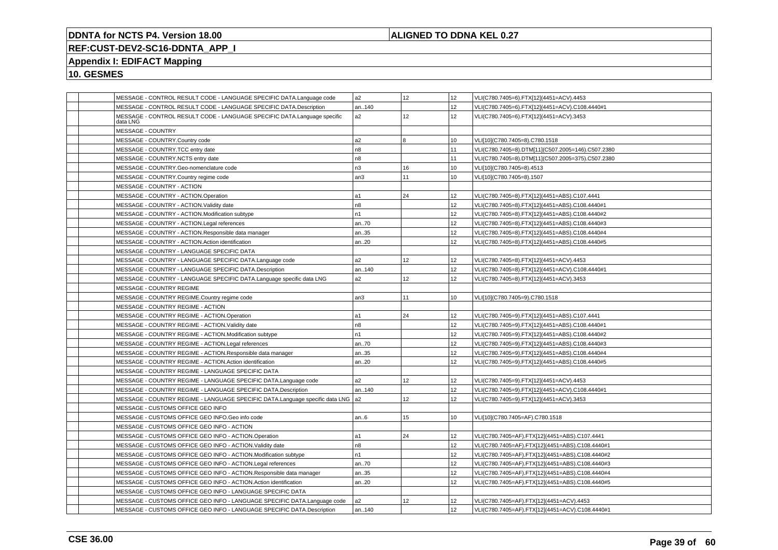## **ALIGNED TO DDNA KEL 0.27**

# **REF:CUST-DEV2-SC16-DDNTA\_APP\_I**

## **Appendix I: EDIFACT Mapping**

|          | MESSAGE - CONTROL RESULT CODE - LANGUAGE SPECIFIC DATA.Language code         | a2             | 12              | 12               | VLI(C780.7405=6).FTX[12](4451=ACV).4453           |
|----------|------------------------------------------------------------------------------|----------------|-----------------|------------------|---------------------------------------------------|
|          | MESSAGE - CONTROL RESULT CODE - LANGUAGE SPECIFIC DATA.Description           | an140          |                 | 12 <sup>°</sup>  | VLI(C780.7405=6).FTX[12](4451=ACV).C108.4440#1    |
| data LNG | MESSAGE - CONTROL RESULT CODE - LANGUAGE SPECIFIC DATA.Language specific     | a2             | 12 <sup>°</sup> | 12               | VLI(C780.7405=6).FTX[12](4451=ACV).3453           |
|          | MESSAGE - COUNTRY                                                            |                |                 |                  |                                                   |
|          | MESSAGE - COUNTRY.Country code                                               | a2             | 8               | 10               | VLI[10](C780.7405=8).C780.1518                    |
|          | MESSAGE - COUNTRY.TCC entry date                                             | n8             |                 | 11               | VLI(C780.7405=8).DTM[11](C507.2005=146).C507.2380 |
|          | MESSAGE - COUNTRY.NCTS entry date                                            | n8             |                 | 11               | VLI(C780.7405=8).DTM[11](C507.2005=375).C507.2380 |
|          | MESSAGE - COUNTRY.Geo-nomenclature code                                      | n3             | 16              | 10               | VLI[10](C780.7405=8).4513                         |
|          | MESSAGE - COUNTRY.Country regime code                                        | an3            | 11              | 10               | VLI[10](C780.7405=8).1507                         |
|          | MESSAGE - COUNTRY - ACTION                                                   |                |                 |                  |                                                   |
|          | MESSAGE - COUNTRY - ACTION.Operation                                         | a1             | 24              | 12               | VLI(C780.7405=8).FTX[12](4451=ABS).C107.4441      |
|          | MESSAGE - COUNTRY - ACTION.Validity date                                     | n <sub>8</sub> |                 | 12               | VLI(C780.7405=8).FTX[12](4451=ABS).C108.4440#1    |
|          | MESSAGE - COUNTRY - ACTION.Modification subtype                              | n1             |                 | 12               | VLI(C780.7405=8).FTX[12](4451=ABS).C108.4440#2    |
|          | MESSAGE - COUNTRY - ACTION.Legal references                                  | an70           |                 | 12               | VLI(C780.7405=8).FTX[12](4451=ABS).C108.4440#3    |
|          | MESSAGE - COUNTRY - ACTION.Responsible data manager                          | an35           |                 | 12               | VLI(C780.7405=8).FTX[12](4451=ABS).C108.4440#4    |
|          | MESSAGE - COUNTRY - ACTION.Action identification                             | an20           |                 | 12               | VLI(C780.7405=8).FTX[12](4451=ABS).C108.4440#5    |
|          | MESSAGE - COUNTRY - LANGUAGE SPECIFIC DATA                                   |                |                 |                  |                                                   |
|          | MESSAGE - COUNTRY - LANGUAGE SPECIFIC DATA.Language code                     | a2             | 12              | 12               | VLI(C780.7405=8).FTX[12](4451=ACV).4453           |
|          | MESSAGE - COUNTRY - LANGUAGE SPECIFIC DATA.Description                       | an140          |                 | 12               | VLI(C780.7405=8).FTX[12](4451=ACV).C108.4440#1    |
|          | MESSAGE - COUNTRY - LANGUAGE SPECIFIC DATA.Language specific data LNG        | a2             | 12              | 12               | VLI(C780.7405=8).FTX[12](4451=ACV).3453           |
|          | MESSAGE - COUNTRY REGIME                                                     |                |                 |                  |                                                   |
|          | MESSAGE - COUNTRY REGIME.Country regime code                                 | an3            | 11              | 10               | VLI[10](C780.7405=9).C780.1518                    |
|          | MESSAGE - COUNTRY REGIME - ACTION                                            |                |                 |                  |                                                   |
|          | MESSAGE - COUNTRY REGIME - ACTION.Operation                                  | la1            | 24              | 12               | VLI(C780.7405=9).FTX[12](4451=ABS).C107.4441      |
|          | MESSAGE - COUNTRY REGIME - ACTION. Validity date                             | n <sub>8</sub> |                 | 12               | VLI(C780.7405=9).FTX[12](4451=ABS).C108.4440#1    |
|          | MESSAGE - COUNTRY REGIME - ACTION.Modification subtype                       | n1             |                 | 12 <sup>°</sup>  | VLI(C780.7405=9).FTX[12](4451=ABS).C108.4440#2    |
|          | MESSAGE - COUNTRY REGIME - ACTION.Legal references                           | an70           |                 | 12               | VLI(C780.7405=9).FTX[12](4451=ABS).C108.4440#3    |
|          | MESSAGE - COUNTRY REGIME - ACTION.Responsible data manager                   | an35           |                 | 12               | VLI(C780.7405=9).FTX[12](4451=ABS).C108.4440#4    |
|          | MESSAGE - COUNTRY REGIME - ACTION.Action identification                      | an20           |                 | 12               | VLI(C780.7405=9).FTX[12](4451=ABS).C108.4440#5    |
|          | MESSAGE - COUNTRY REGIME - LANGUAGE SPECIFIC DATA                            |                |                 |                  |                                                   |
|          | MESSAGE - COUNTRY REGIME - LANGUAGE SPECIFIC DATA.Language code              | a2             | 12              | 12               | VLI(C780.7405=9).FTX[12](4451=ACV).4453           |
|          | MESSAGE - COUNTRY REGIME - LANGUAGE SPECIFIC DATA.Description                | an140          |                 | 12               | VLI(C780.7405=9).FTX[12](4451=ACV).C108.4440#1    |
|          | MESSAGE - COUNTRY REGIME - LANGUAGE SPECIFIC DATA.Language specific data LNG | l a2           | 12              | 12               | VLI(C780.7405=9).FTX[12](4451=ACV).3453           |
|          | MESSAGE - CUSTOMS OFFICE GEO INFO                                            |                |                 |                  |                                                   |
|          | MESSAGE - CUSTOMS OFFICE GEO INFO.Geo info code                              | an.6           | 15              | 10 <sup>10</sup> | VLI[10](C780.7405=AF).C780.1518                   |
|          | MESSAGE - CUSTOMS OFFICE GEO INFO - ACTION                                   |                |                 |                  |                                                   |
|          | MESSAGE - CUSTOMS OFFICE GEO INFO - ACTION.Operation                         | a1             | 24              | 12               | VLI(C780.7405=AF).FTX[12](4451=ABS).C107.4441     |
|          | MESSAGE - CUSTOMS OFFICE GEO INFO - ACTION. Validity date                    | n8             |                 | 12               | VLI(C780.7405=AF).FTX[12](4451=ABS).C108.4440#1   |
|          | MESSAGE - CUSTOMS OFFICE GEO INFO - ACTION.Modification subtype              | n1             |                 | 12 <sup>°</sup>  | VLI(C780.7405=AF).FTX[12](4451=ABS).C108.4440#2   |
|          | MESSAGE - CUSTOMS OFFICE GEO INFO - ACTION.Legal references                  | an70           |                 | 12               | VLI(C780.7405=AF).FTX[12](4451=ABS).C108.4440#3   |
|          | MESSAGE - CUSTOMS OFFICE GEO INFO - ACTION.Responsible data manager          | an35           |                 | 12               | VLI(C780.7405=AF).FTX[12](4451=ABS).C108.4440#4   |
|          | MESSAGE - CUSTOMS OFFICE GEO INFO - ACTION.Action identification             | an20           |                 | 12               | VLI(C780.7405=AF).FTX[12](4451=ABS).C108.4440#5   |
|          | MESSAGE - CUSTOMS OFFICE GEO INFO - LANGUAGE SPECIFIC DATA                   |                |                 |                  |                                                   |
|          | MESSAGE - CUSTOMS OFFICE GEO INFO - LANGUAGE SPECIFIC DATA.Language code     | a2             | 12              | 12               | VLI(C780.7405=AF).FTX[12](4451=ACV).4453          |
|          | MESSAGE - CUSTOMS OFFICE GEO INFO - LANGUAGE SPECIFIC DATA.Description       | an140          |                 | 12               | VLI(C780.7405=AF).FTX[12](4451=ACV).C108.4440#1   |
|          |                                                                              |                |                 |                  |                                                   |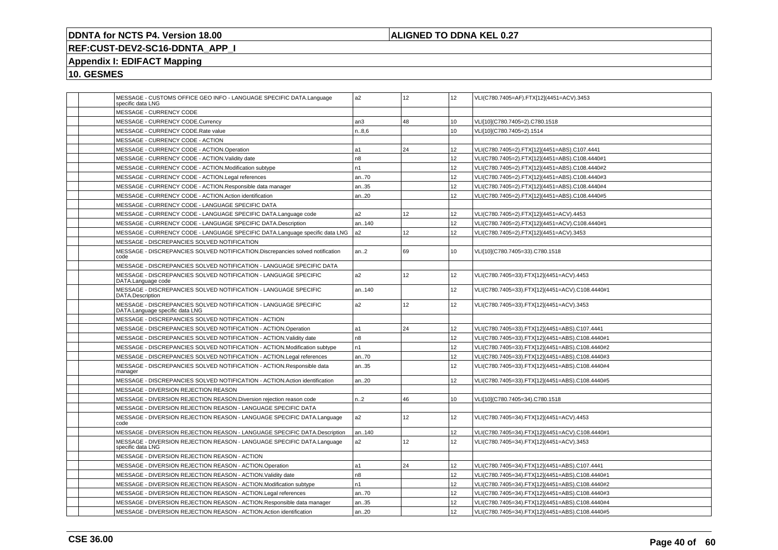## **ALIGNED TO DDNA KEL 0.27**

# **REF:CUST-DEV2-SC16-DDNTA\_APP\_I**

# **Appendix I: EDIFACT Mapping**

| MESSAGE - CUSTOMS OFFICE GEO INFO - LANGUAGE SPECIFIC DATA.Language<br>specific data LNG           | a <sub>2</sub> | 12   | 12 | VLI(C780.7405=AF).FTX[12](4451=ACV).3453        |
|----------------------------------------------------------------------------------------------------|----------------|------|----|-------------------------------------------------|
| MESSAGE - CURRENCY CODE                                                                            |                |      |    |                                                 |
| MESSAGE - CURRENCY CODE.Currency                                                                   | an3            | 48   | 10 | VLI[10](C780.7405=2).C780.1518                  |
| MESSAGE - CURRENCY CODE.Rate value                                                                 | n8,6           |      | 10 | VLI[10](C780.7405=2).1514                       |
| MESSAGE - CURRENCY CODE - ACTION                                                                   |                |      |    |                                                 |
| MESSAGE - CURRENCY CODE - ACTION.Operation                                                         | a1             | 24   | 12 | VLI(C780.7405=2).FTX[12](4451=ABS).C107.4441    |
| MESSAGE - CURRENCY CODE - ACTION. Validity date                                                    | n8             |      | 12 | VLI(C780.7405=2).FTX[12](4451=ABS).C108.4440#1  |
| MESSAGE - CURRENCY CODE - ACTION.Modification subtype                                              | n1             |      | 12 | VLI(C780.7405=2).FTX[12](4451=ABS).C108.4440#2  |
| MESSAGE - CURRENCY CODE - ACTION.Legal references                                                  | an70           |      | 12 | VLI(C780.7405=2).FTX[12](4451=ABS).C108.4440#3  |
| MESSAGE - CURRENCY CODE - ACTION.Responsible data manager                                          | an35           |      | 12 | VLI(C780.7405=2).FTX[12](4451=ABS).C108.4440#4  |
| MESSAGE - CURRENCY CODE - ACTION.Action identification                                             | an20           |      | 12 | VLI(C780.7405=2).FTX[12](4451=ABS).C108.4440#5  |
| MESSAGE - CURRENCY CODE - LANGUAGE SPECIFIC DATA                                                   |                |      |    |                                                 |
| MESSAGE - CURRENCY CODE - LANGUAGE SPECIFIC DATA.Language code                                     | a2             | 12   | 12 | VLI(C780.7405=2).FTX[12](4451=ACV).4453         |
| MESSAGE - CURRENCY CODE - LANGUAGE SPECIFIC DATA.Description                                       | an140          |      | 12 | VLI(C780.7405=2).FTX[12](4451=ACV).C108.4440#1  |
| MESSAGE - CURRENCY CODE - LANGUAGE SPECIFIC DATA.Language specific data LNG                        | a <sub>2</sub> | 12   | 12 | VLI(C780.7405=2).FTX[12](4451=ACV).3453         |
| MESSAGE - DISCREPANCIES SOLVED NOTIFICATION                                                        |                |      |    |                                                 |
| MESSAGE - DISCREPANCIES SOLVED NOTIFICATION.Discrepancies solved notification<br>code              | an.2           | 69 ا | 10 | VLI[10](C780.7405=33).C780.1518                 |
| MESSAGE - DISCREPANCIES SOLVED NOTIFICATION - LANGUAGE SPECIFIC DATA                               |                |      |    |                                                 |
| MESSAGE - DISCREPANCIES SOLVED NOTIFICATION - LANGUAGE SPECIFIC<br>DATA.Language code              | a2             | 12   | 12 | VLI(C780.7405=33).FTX[12](4451=ACV).4453        |
| MESSAGE - DISCREPANCIES SOLVED NOTIFICATION - LANGUAGE SPECIFIC<br>DATA.Description                | an140          |      | 12 | VLI(C780.7405=33).FTX[12](4451=ACV).C108.4440#1 |
| MESSAGE - DISCREPANCIES SOLVED NOTIFICATION - LANGUAGE SPECIFIC<br>DATA.Language specific data LNG | a2             | 12   | 12 | VLI(C780.7405=33).FTX[12](4451=ACV).3453        |
| MESSAGE - DISCREPANCIES SOLVED NOTIFICATION - ACTION                                               |                |      |    |                                                 |
| MESSAGE - DISCREPANCIES SOLVED NOTIFICATION - ACTION.Operation                                     | a1             | 24   | 12 | VLI(C780.7405=33).FTX[12](4451=ABS).C107.4441   |
| MESSAGE - DISCREPANCIES SOLVED NOTIFICATION - ACTION. Validity date                                | n <sub>8</sub> |      | 12 | VLI(C780.7405=33).FTX[12](4451=ABS).C108.4440#1 |
| MESSAGE - DISCREPANCIES SOLVED NOTIFICATION - ACTION.Modification subtype                          | n1             |      | 12 | VLI(C780.7405=33).FTX[12](4451=ABS).C108.4440#2 |
| MESSAGE - DISCREPANCIES SOLVED NOTIFICATION - ACTION.Legal references                              | an70           |      | 12 | VLI(C780.7405=33).FTX[12](4451=ABS).C108.4440#3 |
| MESSAGE - DISCREPANCIES SOLVED NOTIFICATION - ACTION.Responsible data<br>manager                   | an35           |      | 12 | VLI(C780.7405=33).FTX[12](4451=ABS).C108.4440#4 |
| MESSAGE - DISCREPANCIES SOLVED NOTIFICATION - ACTION.Action identification                         | an20           |      | 12 | VLI(C780.7405=33).FTX[12](4451=ABS).C108.4440#5 |
| MESSAGE - DIVERSION REJECTION REASON                                                               |                |      |    |                                                 |
| MESSAGE - DIVERSION REJECTION REASON.Diversion rejection reason code                               | n <sub>2</sub> | 46   | 10 | VLI[10](C780.7405=34).C780.1518                 |
| MESSAGE - DIVERSION REJECTION REASON - LANGUAGE SPECIFIC DATA                                      |                |      |    |                                                 |
| MESSAGE - DIVERSION REJECTION REASON - LANGUAGE SPECIFIC DATA.Language<br>code                     | a2             | 12   | 12 | VLI(C780.7405=34).FTX[12](4451=ACV).4453        |
| MESSAGE - DIVERSION REJECTION REASON - LANGUAGE SPECIFIC DATA.Description                          | an140          |      | 12 | VLI(C780.7405=34).FTX[12](4451=ACV).C108.4440#1 |
| MESSAGE - DIVERSION REJECTION REASON - LANGUAGE SPECIFIC DATA.Language<br>specific data LNG        | a2             | 12   | 12 | VLI(C780.7405=34).FTX[12](4451=ACV).3453        |
| MESSAGE - DIVERSION REJECTION REASON - ACTION                                                      |                |      |    |                                                 |
| MESSAGE - DIVERSION REJECTION REASON - ACTION.Operation                                            | a1             | 24   | 12 | VLI(C780.7405=34).FTX[12](4451=ABS).C107.4441   |
| MESSAGE - DIVERSION REJECTION REASON - ACTION. Validity date                                       | n8             |      | 12 | VLI(C780.7405=34).FTX[12](4451=ABS).C108.4440#1 |
| MESSAGE - DIVERSION REJECTION REASON - ACTION.Modification subtype                                 | n <sub>1</sub> |      | 12 | VLI(C780.7405=34).FTX[12](4451=ABS).C108.4440#2 |
| MESSAGE - DIVERSION REJECTION REASON - ACTION.Legal references                                     | an70           |      | 12 | VLI(C780.7405=34).FTX[12](4451=ABS).C108.4440#3 |
| MESSAGE - DIVERSION REJECTION REASON - ACTION.Responsible data manager                             | an35           |      | 12 | VLI(C780.7405=34).FTX[12](4451=ABS).C108.4440#4 |
| MESSAGE - DIVERSION REJECTION REASON - ACTION.Action identification                                | an20           |      | 12 | VLI(C780.7405=34).FTX[12](4451=ABS).C108.4440#5 |
|                                                                                                    |                |      |    |                                                 |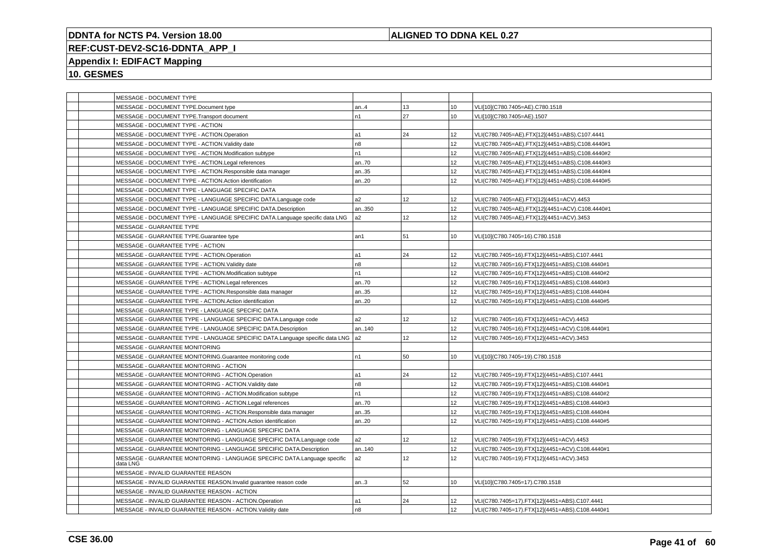## **ALIGNED TO DDNA KEL 0.27**

# **REF:CUST-DEV2-SC16-DDNTA\_APP\_I**

# **Appendix I: EDIFACT Mapping**

|  | MESSAGE - DOCUMENT TYPE                                                               |                |    |                 |                                                 |
|--|---------------------------------------------------------------------------------------|----------------|----|-----------------|-------------------------------------------------|
|  | MESSAGE - DOCUMENT TYPE.Document type                                                 | an.4           | 13 | 10              | VLI[10](C780.7405=AE).C780.1518                 |
|  | MESSAGE - DOCUMENT TYPE.Transport document                                            | n1             | 27 | 10              | VLI[10](C780.7405=AE).1507                      |
|  | MESSAGE - DOCUMENT TYPE - ACTION                                                      |                |    |                 |                                                 |
|  | MESSAGE - DOCUMENT TYPE - ACTION.Operation                                            | l a1           | 24 | 12              | VLI(C780.7405=AE).FTX[12](4451=ABS).C107.4441   |
|  | MESSAGE - DOCUMENT TYPE - ACTION.Validity date                                        | n8             |    | 12              | VLI(C780.7405=AE).FTX[12](4451=ABS).C108.4440#1 |
|  | MESSAGE - DOCUMENT TYPE - ACTION.Modification subtype                                 | n1             |    | 12              | VLI(C780.7405=AE).FTX[12](4451=ABS).C108.4440#2 |
|  | MESSAGE - DOCUMENT TYPE - ACTION.Legal references                                     | an70           |    | 12 <sup>2</sup> | VLI(C780.7405=AE).FTX[12](4451=ABS).C108.4440#3 |
|  | MESSAGE - DOCUMENT TYPE - ACTION.Responsible data manager                             | an35           |    | 12              | VLI(C780.7405=AE).FTX[12](4451=ABS).C108.4440#4 |
|  | MESSAGE - DOCUMENT TYPE - ACTION.Action identification                                | an20           |    | 12              | VLI(C780.7405=AE).FTX[12](4451=ABS).C108.4440#5 |
|  | MESSAGE - DOCUMENT TYPE - LANGUAGE SPECIFIC DATA                                      |                |    |                 |                                                 |
|  | MESSAGE - DOCUMENT TYPE - LANGUAGE SPECIFIC DATA.Language code                        | a2             | 12 | 12              | VLI(C780.7405=AE).FTX[12](4451=ACV).4453        |
|  | MESSAGE - DOCUMENT TYPE - LANGUAGE SPECIFIC DATA.Description                          | an350          |    | 12              | VLI(C780.7405=AE).FTX[12](4451=ACV).C108.4440#1 |
|  | MESSAGE - DOCUMENT TYPE - LANGUAGE SPECIFIC DATA.Language specific data LNG           | a <sub>2</sub> | 12 | 12              | VLI(C780.7405=AE).FTX[12](4451=ACV).3453        |
|  | MESSAGE - GUARANTEE TYPE                                                              |                |    |                 |                                                 |
|  | MESSAGE - GUARANTEE TYPE.Guarantee type                                               | an1            | 51 | 10              | VLI[10](C780.7405=16).C780.1518                 |
|  | MESSAGE - GUARANTEE TYPE - ACTION                                                     |                |    |                 |                                                 |
|  | MESSAGE - GUARANTEE TYPE - ACTION.Operation                                           | a1             | 24 | 12              | VLI(C780.7405=16).FTX[12](4451=ABS).C107.4441   |
|  | MESSAGE - GUARANTEE TYPE - ACTION. Validity date                                      | n8             |    | 12              | VLI(C780.7405=16).FTX[12](4451=ABS).C108.4440#1 |
|  | MESSAGE - GUARANTEE TYPE - ACTION.Modification subtype                                | n <sub>1</sub> |    | 12              | VLI(C780.7405=16).FTX[12](4451=ABS).C108.4440#2 |
|  | MESSAGE - GUARANTEE TYPE - ACTION.Legal references                                    | an70           |    | 12              | VLI(C780.7405=16).FTX[12](4451=ABS).C108.4440#3 |
|  | MESSAGE - GUARANTEE TYPE - ACTION.Responsible data manager                            | an35           |    | 12              | VLI(C780.7405=16).FTX[12](4451=ABS).C108.4440#4 |
|  | MESSAGE - GUARANTEE TYPE - ACTION.Action identification                               | an20           |    | 12              | VLI(C780.7405=16).FTX[12](4451=ABS).C108.4440#5 |
|  | MESSAGE - GUARANTEE TYPE - LANGUAGE SPECIFIC DATA                                     |                |    |                 |                                                 |
|  | MESSAGE - GUARANTEE TYPE - LANGUAGE SPECIFIC DATA.Language code                       | a2             | 12 | 12              | VLI(C780.7405=16).FTX[12](4451=ACV).4453        |
|  | MESSAGE - GUARANTEE TYPE - LANGUAGE SPECIFIC DATA.Description                         | an140          |    | 12              | VLI(C780.7405=16).FTX[12](4451=ACV).C108.4440#1 |
|  | MESSAGE - GUARANTEE TYPE - LANGUAGE SPECIFIC DATA.Language specific data LNG  a2      |                | 12 | 12              | VLI(C780.7405=16).FTX[12](4451=ACV).3453        |
|  | MESSAGE - GUARANTEE MONITORING                                                        |                |    |                 |                                                 |
|  | MESSAGE - GUARANTEE MONITORING.Guarantee monitoring code                              | n1             | 50 | 10              | VLI[10](C780.7405=19).C780.1518                 |
|  | MESSAGE - GUARANTEE MONITORING - ACTION                                               |                |    |                 |                                                 |
|  | MESSAGE - GUARANTEE MONITORING - ACTION.Operation                                     | l a1           | 24 | 12              | VLI(C780.7405=19).FTX[12](4451=ABS).C107.4441   |
|  | MESSAGE - GUARANTEE MONITORING - ACTION.Validity date                                 | n8             |    | 12              | VLI(C780.7405=19).FTX[12](4451=ABS).C108.4440#1 |
|  | MESSAGE - GUARANTEE MONITORING - ACTION.Modification subtype                          | n1             |    | 12 <sup>°</sup> | VLI(C780.7405=19).FTX[12](4451=ABS).C108.4440#2 |
|  | MESSAGE - GUARANTEE MONITORING - ACTION.Legal references                              | an70           |    | 12              | VLI(C780.7405=19).FTX[12](4451=ABS).C108.4440#3 |
|  | MESSAGE - GUARANTEE MONITORING - ACTION.Responsible data manager                      | an35           |    | 12              | VLI(C780.7405=19).FTX[12](4451=ABS).C108.4440#4 |
|  | MESSAGE - GUARANTEE MONITORING - ACTION.Action identification                         | an20           |    | 12              | VLI(C780.7405=19).FTX[12](4451=ABS).C108.4440#5 |
|  | MESSAGE - GUARANTEE MONITORING - LANGUAGE SPECIFIC DATA                               |                |    |                 |                                                 |
|  | MESSAGE - GUARANTEE MONITORING - LANGUAGE SPECIFIC DATA.Language code                 | a2             | 12 | 12              | VLI(C780.7405=19).FTX[12](4451=ACV).4453        |
|  | MESSAGE - GUARANTEE MONITORING - LANGUAGE SPECIFIC DATA.Description                   | an140          |    | 12              | VLI(C780.7405=19).FTX[12](4451=ACV).C108.4440#1 |
|  | MESSAGE - GUARANTEE MONITORING - LANGUAGE SPECIFIC DATA.Language specific<br>data LNG | a <sub>2</sub> | 12 | 12              | VLI(C780.7405=19).FTX[12](4451=ACV).3453        |
|  | MESSAGE - INVALID GUARANTEE REASON                                                    |                |    |                 |                                                 |
|  | MESSAGE - INVALID GUARANTEE REASON.Invalid guarantee reason code                      | an.3           | 52 | 10              | VLI[10](C780.7405=17).C780.1518                 |
|  | MESSAGE - INVALID GUARANTEE REASON - ACTION                                           |                |    |                 |                                                 |
|  | MESSAGE - INVALID GUARANTEE REASON - ACTION.Operation                                 | l a1           | 24 | 12              | VLI(C780.7405=17).FTX[12](4451=ABS).C107.4441   |
|  | MESSAGE - INVALID GUARANTEE REASON - ACTION.Validity date                             | n8             |    | 12              | VLI(C780.7405=17).FTX[12](4451=ABS).C108.4440#1 |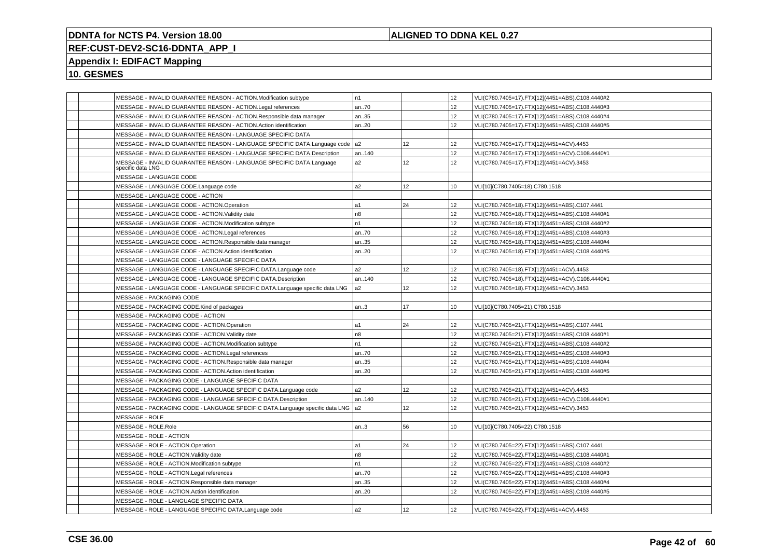## **ALIGNED TO DDNA KEL 0.27**

# **REF:CUST-DEV2-SC16-DDNTA\_APP\_I**

# **Appendix I: EDIFACT Mapping**

| MESSAGE - INVALID GUARANTEE REASON - ACTION.Modification subtype                          | n1             |                 | 12              | VLI(C780.7405=17).FTX[12](4451=ABS).C108.4440#2 |
|-------------------------------------------------------------------------------------------|----------------|-----------------|-----------------|-------------------------------------------------|
| MESSAGE - INVALID GUARANTEE REASON - ACTION.Legal references                              | an70           |                 | 12 <sup>°</sup> | VLI(C780.7405=17).FTX[12](4451=ABS).C108.4440#3 |
| MESSAGE - INVALID GUARANTEE REASON - ACTION.Responsible data manager                      | an35           |                 | 12              | VLI(C780.7405=17).FTX[12](4451=ABS).C108.4440#4 |
| MESSAGE - INVALID GUARANTEE REASON - ACTION.Action identification                         | an20           |                 | 12              | VLI(C780.7405=17).FTX[12](4451=ABS).C108.4440#5 |
| MESSAGE - INVALID GUARANTEE REASON - LANGUAGE SPECIFIC DATA                               |                |                 |                 |                                                 |
| MESSAGE - INVALID GUARANTEE REASON - LANGUAGE SPECIFIC DATA.Language code   a2            |                | 12              | 12              | VLI(C780.7405=17).FTX[12](4451=ACV).4453        |
| MESSAGE - INVALID GUARANTEE REASON - LANGUAGE SPECIFIC DATA.Description                   | an140          |                 | 12              | VLI(C780.7405=17).FTX[12](4451=ACV).C108.4440#1 |
| MESSAGE - INVALID GUARANTEE REASON - LANGUAGE SPECIFIC DATA.Language<br>specific data LNG | a <sub>2</sub> | 12              | 12              | VLI(C780.7405=17).FTX[12](4451=ACV).3453        |
| MESSAGE - LANGUAGE CODE                                                                   |                |                 |                 |                                                 |
| MESSAGE - LANGUAGE CODE.Language code                                                     | a <sub>2</sub> | 12 <sup>°</sup> | 10              | VLI[10](C780.7405=18).C780.1518                 |
| MESSAGE - LANGUAGE CODE - ACTION                                                          |                |                 |                 |                                                 |
| MESSAGE - LANGUAGE CODE - ACTION.Operation                                                | a1             | 24              | 12              | VLI(C780.7405=18).FTX[12](4451=ABS).C107.4441   |
| MESSAGE - LANGUAGE CODE - ACTION. Validity date                                           | n8             |                 | 12              | VLI(C780.7405=18).FTX[12](4451=ABS).C108.4440#1 |
| MESSAGE - LANGUAGE CODE - ACTION.Modification subtype                                     | n1             |                 | 12              | VLI(C780.7405=18).FTX[12](4451=ABS).C108.4440#2 |
| MESSAGE - LANGUAGE CODE - ACTION.Legal references                                         | an70           |                 | 12              | VLI(C780.7405=18).FTX[12](4451=ABS).C108.4440#3 |
| MESSAGE - LANGUAGE CODE - ACTION.Responsible data manager                                 | an35           |                 | 12              | VLI(C780.7405=18).FTX[12](4451=ABS).C108.4440#4 |
| MESSAGE - LANGUAGE CODE - ACTION.Action identification                                    | an20           |                 | 12              | VLI(C780.7405=18).FTX[12](4451=ABS).C108.4440#5 |
| MESSAGE - LANGUAGE CODE - LANGUAGE SPECIFIC DATA                                          |                |                 |                 |                                                 |
| MESSAGE - LANGUAGE CODE - LANGUAGE SPECIFIC DATA.Language code                            | a2             | 12              | 12              | VLI(C780.7405=18).FTX[12](4451=ACV).4453        |
| MESSAGE - LANGUAGE CODE - LANGUAGE SPECIFIC DATA.Description                              | an140          |                 | 12              | VLI(C780.7405=18).FTX[12](4451=ACV).C108.4440#1 |
| MESSAGE - LANGUAGE CODE - LANGUAGE SPECIFIC DATA.Language specific data LNG               | a <sub>2</sub> | 12 <sup>°</sup> | 12              | VLI(C780.7405=18).FTX[12](4451=ACV).3453        |
| MESSAGE - PACKAGING CODE                                                                  |                |                 |                 |                                                 |
| MESSAGE - PACKAGING CODE.Kind of packages                                                 | an.3           | 17              | 10              | VLI[10](C780.7405=21).C780.1518                 |
| MESSAGE - PACKAGING CODE - ACTION                                                         |                |                 |                 |                                                 |
| MESSAGE - PACKAGING CODE - ACTION.Operation                                               | a1             | 24              | 12              | VLI(C780.7405=21).FTX[12](4451=ABS).C107.4441   |
| MESSAGE - PACKAGING CODE - ACTION. Validity date                                          | n8             |                 | 12              | VLI(C780.7405=21).FTX[12](4451=ABS).C108.4440#1 |
| MESSAGE - PACKAGING CODE - ACTION.Modification subtype                                    | n1             |                 | 12              | VLI(C780.7405=21).FTX[12](4451=ABS).C108.4440#2 |
| MESSAGE - PACKAGING CODE - ACTION.Legal references                                        | an70           |                 | 12              | VLI(C780.7405=21).FTX[12](4451=ABS).C108.4440#3 |
| MESSAGE - PACKAGING CODE - ACTION.Responsible data manager                                | an35           |                 | 12              | VLI(C780.7405=21).FTX[12](4451=ABS).C108.4440#4 |
| MESSAGE - PACKAGING CODE - ACTION.Action identification                                   | an20           |                 | 12              | VLI(C780.7405=21).FTX[12](4451=ABS).C108.4440#5 |
| MESSAGE - PACKAGING CODE - LANGUAGE SPECIFIC DATA                                         |                |                 |                 |                                                 |
| MESSAGE - PACKAGING CODE - LANGUAGE SPECIFIC DATA.Language code                           | a2             | 12 <sup>°</sup> | 12              | VLI(C780.7405=21).FTX[12](4451=ACV).4453        |
| MESSAGE - PACKAGING CODE - LANGUAGE SPECIFIC DATA.Description                             | an140          |                 | 12              | VLI(C780.7405=21).FTX[12](4451=ACV).C108.4440#1 |
| MESSAGE - PACKAGING CODE - LANGUAGE SPECIFIC DATA.Language specific data LNG              | a <sub>2</sub> | 12              | 12              | VLI(C780.7405=21).FTX[12](4451=ACV).3453        |
| MESSAGE - ROLE                                                                            |                |                 |                 |                                                 |
| MESSAGE - ROLE.Role                                                                       | an.3           | 56              | 10              | VLI[10](C780.7405=22).C780.1518                 |
| MESSAGE - ROLE - ACTION                                                                   |                |                 |                 |                                                 |
| MESSAGE - ROLE - ACTION.Operation                                                         | a1             | 24              | 12              | VLI(C780.7405=22).FTX[12](4451=ABS).C107.4441   |
| MESSAGE - ROLE - ACTION. Validity date                                                    | n <sub>8</sub> |                 | 12              | VLI(C780.7405=22).FTX[12](4451=ABS).C108.4440#1 |
| MESSAGE - ROLE - ACTION.Modification subtype                                              | n1             |                 | 12              | VLI(C780.7405=22).FTX[12](4451=ABS).C108.4440#2 |
| MESSAGE - ROLE - ACTION.Legal references                                                  | an70           |                 | 12              | VLI(C780.7405=22).FTX[12](4451=ABS).C108.4440#3 |
| MESSAGE - ROLE - ACTION.Responsible data manager                                          | an35           |                 | 12              | VLI(C780.7405=22).FTX[12](4451=ABS).C108.4440#4 |
| MESSAGE - ROLE - ACTION.Action identification                                             | an20           |                 | 12              | VLI(C780.7405=22).FTX[12](4451=ABS).C108.4440#5 |
| MESSAGE - ROLE - LANGUAGE SPECIFIC DATA                                                   |                |                 |                 |                                                 |
| MESSAGE - ROLE - LANGUAGE SPECIFIC DATA.Language code                                     | a2             | 12              | 12              | VLI(C780.7405=22).FTX[12](4451=ACV).4453        |
|                                                                                           |                |                 |                 |                                                 |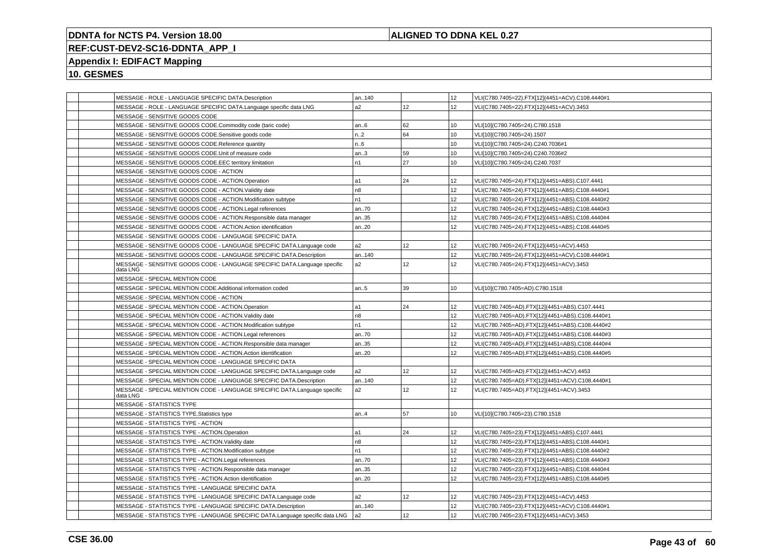## **ALIGNED TO DDNA KEL 0.27**

# **REF:CUST-DEV2-SC16-DDNTA\_APP\_I**

## **Appendix I: EDIFACT Mapping**

|  | MESSAGE - ROLE - LANGUAGE SPECIFIC DATA.Description                                   | an140          |                 | 12               | VLI(C780.7405=22).FTX[12](4451=ACV).C108.4440#1 |
|--|---------------------------------------------------------------------------------------|----------------|-----------------|------------------|-------------------------------------------------|
|  | MESSAGE - ROLE - LANGUAGE SPECIFIC DATA.Language specific data LNG                    | a2             | 12              | 12               | VLI(C780.7405=22).FTX[12](4451=ACV).3453        |
|  | MESSAGE - SENSITIVE GOODS CODE                                                        |                |                 |                  |                                                 |
|  | MESSAGE - SENSITIVE GOODS CODE.Commodity code (taric code)                            | an.6           | 62              | 10               | VLI[10](C780.7405=24).C780.1518                 |
|  | MESSAGE - SENSITIVE GOODS CODE.Sensitive goods code                                   | n.2            | 64              | 10               | VLI[10](C780.7405=24).1507                      |
|  | MESSAGE - SENSITIVE GOODS CODE.Reference quantity                                     | n.6            |                 | 10               | VLI[10](C780.7405=24).C240.7036#1               |
|  | MESSAGE - SENSITIVE GOODS CODE.Unit of measure code                                   | an3            | 59              | 10               | VLI[10](C780.7405=24).C240.7036#2               |
|  | MESSAGE - SENSITIVE GOODS CODE.EEC territory limitation                               | n1             | 27              | 10               | VLI[10](C780.7405=24).C240.7037                 |
|  | MESSAGE - SENSITIVE GOODS CODE - ACTION                                               |                |                 |                  |                                                 |
|  | MESSAGE - SENSITIVE GOODS CODE - ACTION.Operation                                     | a1             | 24              | 12               | VLI(C780.7405=24).FTX[12](4451=ABS).C107.4441   |
|  | MESSAGE - SENSITIVE GOODS CODE - ACTION. Validity date                                | n <sub>8</sub> |                 | 12               | VLI(C780.7405=24).FTX[12](4451=ABS).C108.4440#1 |
|  | MESSAGE - SENSITIVE GOODS CODE - ACTION.Modification subtype                          | n <sub>1</sub> |                 | 12               | VLI(C780.7405=24).FTX[12](4451=ABS).C108.4440#2 |
|  | MESSAGE - SENSITIVE GOODS CODE - ACTION.Legal references                              | an70           |                 | 12               | VLI(C780.7405=24).FTX[12](4451=ABS).C108.4440#3 |
|  | MESSAGE - SENSITIVE GOODS CODE - ACTION.Responsible data manager                      | an35           |                 | 12               | VLI(C780.7405=24).FTX[12](4451=ABS).C108.4440#4 |
|  | MESSAGE - SENSITIVE GOODS CODE - ACTION.Action identification                         | an.20          |                 | 12               | VLI(C780.7405=24).FTX[12](4451=ABS).C108.4440#5 |
|  | MESSAGE - SENSITIVE GOODS CODE - LANGUAGE SPECIFIC DATA                               |                |                 |                  |                                                 |
|  | MESSAGE - SENSITIVE GOODS CODE - LANGUAGE SPECIFIC DATA.Language code                 | a <sub>2</sub> | 12 <sup>°</sup> | 12               | VLI(C780.7405=24).FTX[12](4451=ACV).4453        |
|  | MESSAGE - SENSITIVE GOODS CODE - LANGUAGE SPECIFIC DATA.Description                   | an140          |                 | 12               | VLI(C780.7405=24).FTX[12](4451=ACV).C108.4440#1 |
|  | MESSAGE - SENSITIVE GOODS CODE - LANGUAGE SPECIFIC DATA.Language specific<br>data LNG | a2             | 12 <sup>°</sup> | 12 <sup>2</sup>  | VLI(C780.7405=24).FTX[12](4451=ACV).3453        |
|  | MESSAGE - SPECIAL MENTION CODE                                                        |                |                 |                  |                                                 |
|  | MESSAGE - SPECIAL MENTION CODE.Additional information coded                           | an5            | 39              | 10 <sup>°</sup>  | VLI[10](C780.7405=AD).C780.1518                 |
|  | MESSAGE - SPECIAL MENTION CODE - ACTION                                               |                |                 |                  |                                                 |
|  | MESSAGE - SPECIAL MENTION CODE - ACTION.Operation                                     | a1             | 24              | 12 <sup>2</sup>  | VLI(C780.7405=AD).FTX[12](4451=ABS).C107.4441   |
|  | MESSAGE - SPECIAL MENTION CODE - ACTION. Validity date                                | n8             |                 | 12               | VLI(C780.7405=AD).FTX[12](4451=ABS).C108.4440#1 |
|  | MESSAGE - SPECIAL MENTION CODE - ACTION.Modification subtype                          | n1             |                 | 12               | VLI(C780.7405=AD).FTX[12](4451=ABS).C108.4440#2 |
|  | MESSAGE - SPECIAL MENTION CODE - ACTION.Legal references                              | an70           |                 | 12               | VLI(C780.7405=AD).FTX[12](4451=ABS).C108.4440#3 |
|  | MESSAGE - SPECIAL MENTION CODE - ACTION.Responsible data manager                      | an35           |                 | 12               | VLI(C780.7405=AD).FTX[12](4451=ABS).C108.4440#4 |
|  | MESSAGE - SPECIAL MENTION CODE - ACTION.Action identification                         | an.20          |                 | 12 <sup>2</sup>  | VLI(C780.7405=AD).FTX[12](4451=ABS).C108.4440#5 |
|  | MESSAGE - SPECIAL MENTION CODE - LANGUAGE SPECIFIC DATA                               |                |                 |                  |                                                 |
|  | MESSAGE - SPECIAL MENTION CODE - LANGUAGE SPECIFIC DATA.Language code                 | a <sub>2</sub> | 12 <sup>°</sup> | 12               | VLI(C780.7405=AD).FTX[12](4451=ACV).4453        |
|  | MESSAGE - SPECIAL MENTION CODE - LANGUAGE SPECIFIC DATA.Description                   | an140          |                 | 12               | VLI(C780.7405=AD).FTX[12](4451=ACV).C108.4440#1 |
|  | MESSAGE - SPECIAL MENTION CODE - LANGUAGE SPECIFIC DATA.Language specific<br>data LNG | a2             | 12 <sup>°</sup> | 12 <sup>2</sup>  | VLI(C780.7405=AD).FTX[12](4451=ACV).3453        |
|  | MESSAGE - STATISTICS TYPE                                                             |                |                 |                  |                                                 |
|  | MESSAGE - STATISTICS TYPE.Statistics type                                             | an.4           | 57              | 10 <sup>10</sup> | VLI[10](C780.7405=23).C780.1518                 |
|  | MESSAGE - STATISTICS TYPE - ACTION                                                    |                |                 |                  |                                                 |
|  | MESSAGE - STATISTICS TYPE - ACTION.Operation                                          | a1             | 24              | 12               | VLI(C780.7405=23).FTX[12](4451=ABS).C107.4441   |
|  | MESSAGE - STATISTICS TYPE - ACTION. Validity date                                     | n <sub>8</sub> |                 | 12               | VLI(C780.7405=23).FTX[12](4451=ABS).C108.4440#1 |
|  | MESSAGE - STATISTICS TYPE - ACTION.Modification subtype                               | n1             |                 | 12               | VLI(C780.7405=23).FTX[12](4451=ABS).C108.4440#2 |
|  | MESSAGE - STATISTICS TYPE - ACTION.Legal references                                   | an70           |                 | 12               | VLI(C780.7405=23).FTX[12](4451=ABS).C108.4440#3 |
|  | MESSAGE - STATISTICS TYPE - ACTION.Responsible data manager                           | an35           |                 | 12               | VLI(C780.7405=23).FTX[12](4451=ABS).C108.4440#4 |
|  | MESSAGE - STATISTICS TYPE - ACTION.Action identification                              | an20           |                 | 12               | VLI(C780.7405=23).FTX[12](4451=ABS).C108.4440#5 |
|  | MESSAGE - STATISTICS TYPE - LANGUAGE SPECIFIC DATA                                    |                |                 |                  |                                                 |
|  | MESSAGE - STATISTICS TYPE - LANGUAGE SPECIFIC DATA.Language code                      | a2             | 12              | 12               | VLI(C780.7405=23).FTX[12](4451=ACV).4453        |
|  | MESSAGE - STATISTICS TYPE - LANGUAGE SPECIFIC DATA.Description                        | an140          |                 | 12 <sup>2</sup>  | VLI(C780.7405=23).FTX[12](4451=ACV).C108.4440#1 |
|  | MESSAGE - STATISTICS TYPE - LANGUAGE SPECIFIC DATA.Language specific data LNG         | a <sub>2</sub> | 12              | 12               | VLI(C780.7405=23).FTX[12](4451=ACV).3453        |
|  |                                                                                       |                |                 |                  |                                                 |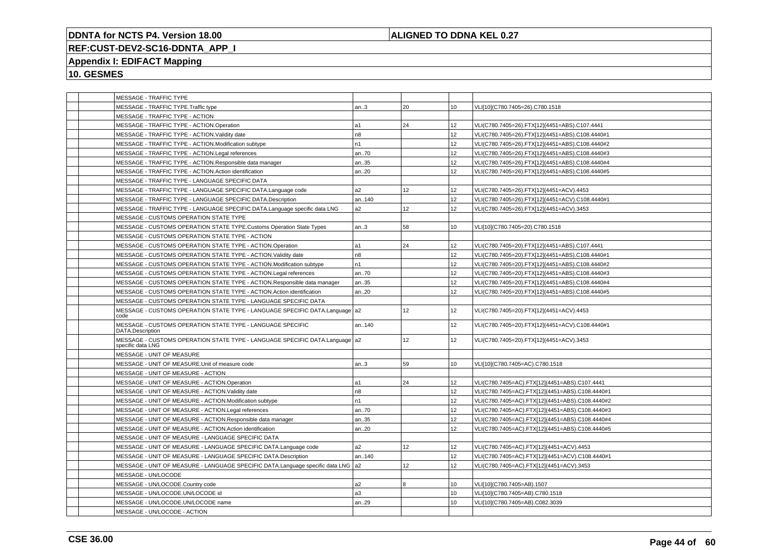## **ALIGNED TO DDNA KEL 0.27**

# **REF:CUST-DEV2-SC16-DDNTA\_APP\_I**

# **Appendix I: EDIFACT Mapping**

| MESSAGE - TRAFFIC TYPE                                                                             |                |                 |                  |                                                 |
|----------------------------------------------------------------------------------------------------|----------------|-----------------|------------------|-------------------------------------------------|
| MESSAGE - TRAFFIC TYPE.Traffic type                                                                | an.3           | 20              | 10               | VLI[10](C780.7405=26).C780.1518                 |
| MESSAGE - TRAFFIC TYPE - ACTION                                                                    |                |                 |                  |                                                 |
| MESSAGE - TRAFFIC TYPE - ACTION.Operation                                                          | a1             | 24              | 12               | VLI(C780.7405=26).FTX[12](4451=ABS).C107.4441   |
| MESSAGE - TRAFFIC TYPE - ACTION.Validity date                                                      | n8             |                 | 12               | VLI(C780.7405=26).FTX[12](4451=ABS).C108.4440#1 |
| MESSAGE - TRAFFIC TYPE - ACTION.Modification subtype                                               | n1             |                 | 12               | VLI(C780.7405=26).FTX[12](4451=ABS).C108.4440#2 |
| MESSAGE - TRAFFIC TYPE - ACTION.Legal references                                                   | an70           |                 | 12               | VLI(C780.7405=26).FTX[12](4451=ABS).C108.4440#3 |
| MESSAGE - TRAFFIC TYPE - ACTION.Responsible data manager                                           | an35           |                 | 12               | VLI(C780.7405=26).FTX[12](4451=ABS).C108.4440#4 |
| MESSAGE - TRAFFIC TYPE - ACTION.Action identification                                              | an20           |                 | 12               | VLI(C780.7405=26).FTX[12](4451=ABS).C108.4440#5 |
| MESSAGE - TRAFFIC TYPE - LANGUAGE SPECIFIC DATA                                                    |                |                 |                  |                                                 |
| MESSAGE - TRAFFIC TYPE - LANGUAGE SPECIFIC DATA.Language code                                      | a2             | 12 <sup>°</sup> | 12 <sup>2</sup>  | VLI(C780.7405=26).FTX[12](4451=ACV).4453        |
| MESSAGE - TRAFFIC TYPE - LANGUAGE SPECIFIC DATA.Description                                        | an140          |                 | 12               | VLI(C780.7405=26).FTX[12](4451=ACV).C108.4440#1 |
| MESSAGE - TRAFFIC TYPE - LANGUAGE SPECIFIC DATA.Language specific data LNG                         | a <sub>2</sub> | 12              | 12               | VLI(C780.7405=26).FTX[12](4451=ACV).3453        |
| MESSAGE - CUSTOMS OPERATION STATE TYPE                                                             |                |                 |                  |                                                 |
| MESSAGE - CUSTOMS OPERATION STATE TYPE.Customs Operation State Types                               | an.3           | 58              | 10               | VLI[10](C780.7405=20).C780.1518                 |
| MESSAGE - CUSTOMS OPERATION STATE TYPE - ACTION                                                    |                |                 |                  |                                                 |
| MESSAGE - CUSTOMS OPERATION STATE TYPE - ACTION.Operation                                          | a1             | 24              | 12               | VLI(C780.7405=20).FTX[12](4451=ABS).C107.4441   |
| MESSAGE - CUSTOMS OPERATION STATE TYPE - ACTION.Validity date                                      | n8             |                 | 12               | VLI(C780.7405=20).FTX[12](4451=ABS).C108.4440#1 |
| MESSAGE - CUSTOMS OPERATION STATE TYPE - ACTION.Modification subtype                               | n1             |                 | 12               | VLI(C780.7405=20).FTX[12](4451=ABS).C108.4440#2 |
| MESSAGE - CUSTOMS OPERATION STATE TYPE - ACTION.Legal references                                   | an70           |                 | 12 <sup>2</sup>  | VLI(C780.7405=20).FTX[12](4451=ABS).C108.4440#3 |
| MESSAGE - CUSTOMS OPERATION STATE TYPE - ACTION.Responsible data manager                           | an35           |                 | 12               | VLI(C780.7405=20).FTX[12](4451=ABS).C108.4440#4 |
| MESSAGE - CUSTOMS OPERATION STATE TYPE - ACTION.Action identification                              | an20           |                 | 12               | VLI(C780.7405=20).FTX[12](4451=ABS).C108.4440#5 |
| MESSAGE - CUSTOMS OPERATION STATE TYPE - LANGUAGE SPECIFIC DATA                                    |                |                 |                  |                                                 |
| MESSAGE - CUSTOMS OPERATION STATE TYPE - LANGUAGE SPECIFIC DATA.Language   a2<br>code              |                | 12              | 12               | VLI(C780.7405=20).FTX[12](4451=ACV).4453        |
| MESSAGE - CUSTOMS OPERATION STATE TYPE - LANGUAGE SPECIFIC<br><b>DATA.Description</b>              | an140          |                 | 12 <sup>2</sup>  | VLI(C780.7405=20).FTX[12](4451=ACV).C108.4440#1 |
| MESSAGE - CUSTOMS OPERATION STATE TYPE - LANGUAGE SPECIFIC DATA.Language   a2<br>specific data LNG |                | 12              | 12               | VLI(C780.7405=20).FTX[12](4451=ACV).3453        |
| MESSAGE - UNIT OF MEASURE                                                                          |                |                 |                  |                                                 |
| MESSAGE - UNIT OF MEASURE.Unit of measure code                                                     | an.3           | 59              | 10               | VLI[10](C780.7405=AC).C780.1518                 |
| MESSAGE - UNIT OF MEASURE - ACTION                                                                 |                |                 |                  |                                                 |
| MESSAGE - UNIT OF MEASURE - ACTION.Operation                                                       | a1             | 24              | 12 <sup>2</sup>  | VLI(C780.7405=AC).FTX[12](4451=ABS).C107.4441   |
| MESSAGE - UNIT OF MEASURE - ACTION. Validity date                                                  | n8             |                 | 12               | VLI(C780.7405=AC).FTX[12](4451=ABS).C108.4440#1 |
| MESSAGE - UNIT OF MEASURE - ACTION.Modification subtype                                            | n <sub>1</sub> |                 | 12               | VLI(C780.7405=AC).FTX[12](4451=ABS).C108.4440#2 |
| MESSAGE - UNIT OF MEASURE - ACTION.Legal references                                                | an70           |                 | 12               | VLI(C780.7405=AC).FTX[12](4451=ABS).C108.4440#3 |
| MESSAGE - UNIT OF MEASURE - ACTION.Responsible data manager                                        | an35           |                 | 12               | VLI(C780.7405=AC).FTX[12](4451=ABS).C108.4440#4 |
| MESSAGE - UNIT OF MEASURE - ACTION.Action identification                                           | an20           |                 | 12               | VLI(C780.7405=AC).FTX[12](4451=ABS).C108.4440#5 |
| MESSAGE - UNIT OF MEASURE - LANGUAGE SPECIFIC DATA                                                 |                |                 |                  |                                                 |
| MESSAGE - UNIT OF MEASURE - LANGUAGE SPECIFIC DATA.Language code                                   | a2             | 12              | 12               | VLI(C780.7405=AC).FTX[12](4451=ACV).4453        |
| MESSAGE - UNIT OF MEASURE - LANGUAGE SPECIFIC DATA.Description                                     | an140          |                 | 12               | VLI(C780.7405=AC).FTX[12](4451=ACV).C108.4440#1 |
| MESSAGE - UNIT OF MEASURE - LANGUAGE SPECIFIC DATA.Language specific data LNG   a2                 |                | 12              | 12 <sup>2</sup>  | VLI(C780.7405=AC).FTX[12](4451=ACV).3453        |
| MESSAGE - UN/LOCODE                                                                                |                |                 |                  |                                                 |
| MESSAGE - UN/LOCODE.Country code                                                                   | a2             | 8               | 10               | VLI[10](C780.7405=AB).1507                      |
| MESSAGE - UN/LOCODE.UN/LOCODE id                                                                   | a3             |                 | 10 <sup>10</sup> | VLI[10](C780.7405=AB).C780.1518                 |
| MESSAGE - UN/LOCODE.UN/LOCODE name                                                                 | an29           |                 | 10               | VLI[10](C780.7405=AB).C082.3039                 |
| MESSAGE - UN/LOCODE - ACTION                                                                       |                |                 |                  |                                                 |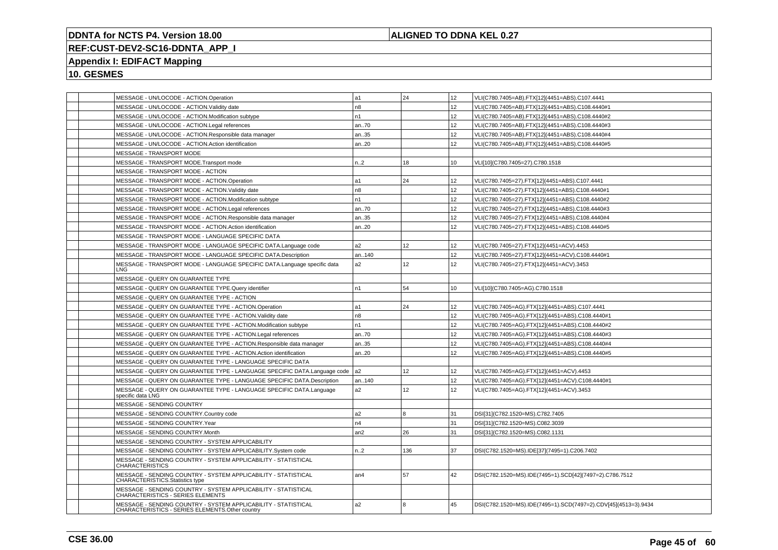## **ALIGNED TO DDNA KEL 0.27**

# **REF:CUST-DEV2-SC16-DDNTA\_APP\_I**

# **Appendix I: EDIFACT Mapping**

| MESSAGE - UN/LOCODE - ACTION.Operation                                                                            | a1             | 24  | 12              | VLI(C780.7405=AB).FTX[12](4451=ABS).C107.4441                  |
|-------------------------------------------------------------------------------------------------------------------|----------------|-----|-----------------|----------------------------------------------------------------|
| MESSAGE - UN/LOCODE - ACTION.Validity date                                                                        | n8             |     | 12              | VLI(C780.7405=AB).FTX[12](4451=ABS).C108.4440#1                |
| MESSAGE - UN/LOCODE - ACTION.Modification subtype                                                                 | n1             |     | 12              | VLI(C780.7405=AB).FTX[12](4451=ABS).C108.4440#2                |
| MESSAGE - UN/LOCODE - ACTION.Legal references                                                                     | an70           |     | 12              | VLI(C780.7405=AB).FTX[12](4451=ABS).C108.4440#3                |
| MESSAGE - UN/LOCODE - ACTION.Responsible data manager                                                             | an35           |     | 12              | VLI(C780.7405=AB).FTX[12](4451=ABS).C108.4440#4                |
| MESSAGE - UN/LOCODE - ACTION.Action identification                                                                | an20           |     | 12              | VLI(C780.7405=AB).FTX[12](4451=ABS).C108.4440#5                |
| MESSAGE - TRANSPORT MODE                                                                                          |                |     |                 |                                                                |
| MESSAGE - TRANSPORT MODE.Transport mode                                                                           | n2             | 18  | 10              | VLI[10](C780.7405=27).C780.1518                                |
| MESSAGE - TRANSPORT MODE - ACTION                                                                                 |                |     |                 |                                                                |
| MESSAGE - TRANSPORT MODE - ACTION.Operation                                                                       | a1             | 24  | 12              | VLI(C780.7405=27).FTX[12](4451=ABS).C107.4441                  |
| MESSAGE - TRANSPORT MODE - ACTION. Validity date                                                                  | n8             |     | 12              | VLI(C780.7405=27).FTX[12](4451=ABS).C108.4440#1                |
| MESSAGE - TRANSPORT MODE - ACTION.Modification subtype                                                            | n <sub>1</sub> |     | 12              | VLI(C780.7405=27).FTX[12](4451=ABS).C108.4440#2                |
| MESSAGE - TRANSPORT MODE - ACTION.Legal references                                                                | an70           |     | 12              | VLI(C780.7405=27).FTX[12](4451=ABS).C108.4440#3                |
| MESSAGE - TRANSPORT MODE - ACTION.Responsible data manager                                                        | an35           |     | 12 <sup>2</sup> | VLI(C780.7405=27).FTX[12](4451=ABS).C108.4440#4                |
| MESSAGE - TRANSPORT MODE - ACTION.Action identification                                                           | an20           |     | 12              | VLI(C780.7405=27).FTX[12](4451=ABS).C108.4440#5                |
| MESSAGE - TRANSPORT MODE - LANGUAGE SPECIFIC DATA                                                                 |                |     |                 |                                                                |
| MESSAGE - TRANSPORT MODE - LANGUAGE SPECIFIC DATA.Language code                                                   | a2             | 12  | 12              | VLI(C780.7405=27).FTX[12](4451=ACV).4453                       |
| MESSAGE - TRANSPORT MODE - LANGUAGE SPECIFIC DATA.Description                                                     | an140          |     | 12              | VLI(C780.7405=27).FTX[12](4451=ACV).C108.4440#1                |
| MESSAGE - TRANSPORT MODE - LANGUAGE SPECIFIC DATA.Language specific data<br>LNG                                   | a2             | 12  | 12              | VLI(C780.7405=27).FTX[12](4451=ACV).3453                       |
| MESSAGE - QUERY ON GUARANTEE TYPE                                                                                 |                |     |                 |                                                                |
| MESSAGE - QUERY ON GUARANTEE TYPE.Query identifier                                                                | n1             | 54  | 10              | VLI[10](C780.7405=AG).C780.1518                                |
| MESSAGE - QUERY ON GUARANTEE TYPE - ACTION                                                                        |                |     |                 |                                                                |
| MESSAGE - QUERY ON GUARANTEE TYPE - ACTION.Operation                                                              | a1             | 24  | 12              | VLI(C780.7405=AG).FTX[12](4451=ABS).C107.4441                  |
| MESSAGE - QUERY ON GUARANTEE TYPE - ACTION. Validity date                                                         | n <sub>8</sub> |     | 12              | VLI(C780.7405=AG).FTX[12](4451=ABS).C108.4440#1                |
| MESSAGE - QUERY ON GUARANTEE TYPE - ACTION.Modification subtype                                                   | n1             |     | 12              | VLI(C780.7405=AG).FTX[12](4451=ABS).C108.4440#2                |
| MESSAGE - QUERY ON GUARANTEE TYPE - ACTION.Legal references                                                       | an70           |     | 12              | VLI(C780.7405=AG).FTX[12](4451=ABS).C108.4440#3                |
| MESSAGE - QUERY ON GUARANTEE TYPE - ACTION.Responsible data manager                                               | an35           |     | 12              | VLI(C780.7405=AG).FTX[12](4451=ABS).C108.4440#4                |
| MESSAGE - QUERY ON GUARANTEE TYPE - ACTION.Action identification                                                  | an20           |     | 12              | VLI(C780.7405=AG).FTX[12](4451=ABS).C108.4440#5                |
| MESSAGE - QUERY ON GUARANTEE TYPE - LANGUAGE SPECIFIC DATA                                                        |                |     |                 |                                                                |
| MESSAGE - QUERY ON GUARANTEE TYPE - LANGUAGE SPECIFIC DATA.Language code                                          | a <sub>2</sub> | 12  | 12              | VLI(C780.7405=AG).FTX[12](4451=ACV).4453                       |
| MESSAGE - QUERY ON GUARANTEE TYPE - LANGUAGE SPECIFIC DATA. Description                                           | an140          |     | 12              | VLI(C780.7405=AG).FTX[12](4451=ACV).C108.4440#1                |
| MESSAGE - QUERY ON GUARANTEE TYPE - LANGUAGE SPECIFIC DATA.Language<br>specific data LNG                          | a2             | 12  | 12              | VLI(C780.7405=AG).FTX[12](4451=ACV).3453                       |
| MESSAGE - SENDING COUNTRY                                                                                         |                |     |                 |                                                                |
| MESSAGE - SENDING COUNTRY.Country code                                                                            | a2             | 8   | 31              | DSI[31](C782.1520=MS).C782.7405                                |
| MESSAGE - SENDING COUNTRY.Year                                                                                    | n4             |     | 31              | DSI[31](C782.1520=MS).C082.3039                                |
| MESSAGE - SENDING COUNTRY.Month                                                                                   | an2            | 26  | 31              | DSI[31](C782.1520=MS).C082.1131                                |
| MESSAGE - SENDING COUNTRY - SYSTEM APPLICABILITY                                                                  |                |     |                 |                                                                |
| MESSAGE - SENDING COUNTRY - SYSTEM APPLICABILITY.System code                                                      | n.2            | 136 | 37              | DSI(C782.1520=MS).IDE[37](7495=1).C206.7402                    |
| MESSAGE - SENDING COUNTRY - SYSTEM APPLICABILITY - STATISTICAL<br><b>CHARACTERISTICS</b>                          |                |     |                 |                                                                |
| MESSAGE - SENDING COUNTRY - SYSTEM APPLICABILITY - STATISTICAL<br>CHARACTERISTICS.Statistics type                 | an4            | 57  | 42              | DSI(C782.1520=MS).IDE(7495=1).SCD[42](7497=2).C786.7512        |
| MESSAGE - SENDING COUNTRY - SYSTEM APPLICABILITY - STATISTICAL<br><b>CHARACTERISTICS - SERIES ELEMENTS</b>        |                |     |                 |                                                                |
| MESSAGE - SENDING COUNTRY - SYSTEM APPLICABILITY - STATISTICAL<br>CHARACTERISTICS - SERIES ELEMENTS.Other country | a2             | 8   | 45              | DSI(C782.1520=MS).IDE(7495=1).SCD(7497=2).CDV[45](4513=3).9434 |
|                                                                                                                   |                |     |                 |                                                                |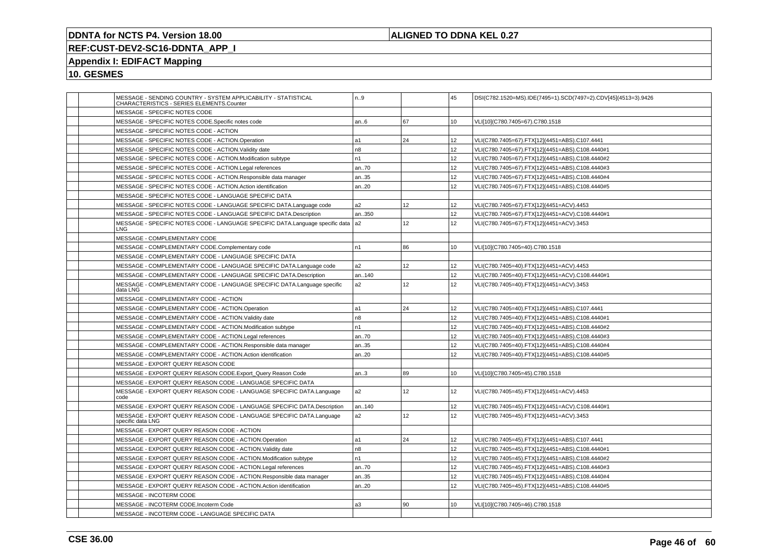## **ALIGNED TO DDNA KEL 0.27**

# **REF:CUST-DEV2-SC16-DDNTA\_APP\_I**

# **Appendix I: EDIFACT Mapping**

|                                        | MESSAGE - SENDING COUNTRY - SYSTEM APPLICABILITY - STATISTICAL<br>CHARACTERISTICS - SERIES ELEMENTS.Counter | n.9            |                 | 45              | DSI(C782.1520=MS).IDE(7495=1).SCD(7497=2).CDV[45](4513=3).9426 |
|----------------------------------------|-------------------------------------------------------------------------------------------------------------|----------------|-----------------|-----------------|----------------------------------------------------------------|
| MESSAGE - SPECIFIC NOTES CODE          |                                                                                                             |                |                 |                 |                                                                |
|                                        | MESSAGE - SPECIFIC NOTES CODE.Specific notes code                                                           | an6            | 67              | 10              | VLI[10](C780.7405=67).C780.1518                                |
| MESSAGE - SPECIFIC NOTES CODE - ACTION |                                                                                                             |                |                 |                 |                                                                |
|                                        | MESSAGE - SPECIFIC NOTES CODE - ACTION.Operation                                                            | a1             | 24              | 12 <sup>2</sup> | VLI(C780.7405=67).FTX[12](4451=ABS).C107.4441                  |
|                                        | MESSAGE - SPECIFIC NOTES CODE - ACTION. Validity date                                                       | n8             |                 | 12              | VLI(C780.7405=67).FTX[12](4451=ABS).C108.4440#1                |
|                                        | MESSAGE - SPECIFIC NOTES CODE - ACTION.Modification subtype                                                 | n <sub>1</sub> |                 | 12              | VLI(C780.7405=67).FTX[12](4451=ABS).C108.4440#2                |
|                                        | MESSAGE - SPECIFIC NOTES CODE - ACTION.Legal references                                                     | an70           |                 | 12 <sup>2</sup> | VLI(C780.7405=67).FTX[12](4451=ABS).C108.4440#3                |
|                                        | MESSAGE - SPECIFIC NOTES CODE - ACTION.Responsible data manager                                             | an35           |                 | 12 <sup>2</sup> | VLI(C780.7405=67).FTX[12](4451=ABS).C108.4440#4                |
|                                        | MESSAGE - SPECIFIC NOTES CODE - ACTION.Action identification                                                | an20           |                 | 12              | VLI(C780.7405=67).FTX[12](4451=ABS).C108.4440#5                |
|                                        | MESSAGE - SPECIFIC NOTES CODE - LANGUAGE SPECIFIC DATA                                                      |                |                 |                 |                                                                |
|                                        | MESSAGE - SPECIFIC NOTES CODE - LANGUAGE SPECIFIC DATA.Language code                                        | a2             | 12              | 12              | VLI(C780.7405=67).FTX[12](4451=ACV).4453                       |
|                                        | MESSAGE - SPECIFIC NOTES CODE - LANGUAGE SPECIFIC DATA.Description                                          | an350          |                 | 12              | VLI(C780.7405=67).FTX[12](4451=ACV).C108.4440#1                |
| LNG-                                   | MESSAGE - SPECIFIC NOTES CODE - LANGUAGE SPECIFIC DATA.Language specific data  a2                           |                | 12              | 12              | VLI(C780.7405=67).FTX[12](4451=ACV).3453                       |
| MESSAGE - COMPLEMENTARY CODE           |                                                                                                             |                |                 |                 |                                                                |
|                                        | MESSAGE - COMPLEMENTARY CODE.Complementary code                                                             | n <sub>1</sub> | 86              | 10              | VLI[10](C780.7405=40).C780.1518                                |
|                                        | MESSAGE - COMPLEMENTARY CODE - LANGUAGE SPECIFIC DATA                                                       |                |                 |                 |                                                                |
|                                        | MESSAGE - COMPLEMENTARY CODE - LANGUAGE SPECIFIC DATA.Language code                                         | a2             | 12              | 12              | VLI(C780.7405=40).FTX[12](4451=ACV).4453                       |
|                                        | MESSAGE - COMPLEMENTARY CODE - LANGUAGE SPECIFIC DATA.Description                                           | an140          |                 | 12              | VLI(C780.7405=40).FTX[12](4451=ACV).C108.4440#1                |
| data LNG                               | MESSAGE - COMPLEMENTARY CODE - LANGUAGE SPECIFIC DATA.Language specific                                     | a2             | 12 <sup>2</sup> | 12              | VLI(C780.7405=40).FTX[12](4451=ACV).3453                       |
|                                        | MESSAGE - COMPLEMENTARY CODE - ACTION                                                                       |                |                 |                 |                                                                |
|                                        | MESSAGE - COMPLEMENTARY CODE - ACTION.Operation                                                             | a1             | 24              | 12              | VLI(C780.7405=40).FTX[12](4451=ABS).C107.4441                  |
|                                        | MESSAGE - COMPLEMENTARY CODE - ACTION. Validity date                                                        | n8             |                 | 12              | VLI(C780.7405=40).FTX[12](4451=ABS).C108.4440#1                |
|                                        | MESSAGE - COMPLEMENTARY CODE - ACTION.Modification subtype                                                  | n1             |                 | 12              | VLI(C780.7405=40).FTX[12](4451=ABS).C108.4440#2                |
|                                        | MESSAGE - COMPLEMENTARY CODE - ACTION.Legal references                                                      | an70           |                 | 12 <sup>2</sup> | VLI(C780.7405=40).FTX[12](4451=ABS).C108.4440#3                |
|                                        | MESSAGE - COMPLEMENTARY CODE - ACTION.Responsible data manager                                              | an35           |                 | 12              | VLI(C780.7405=40).FTX[12](4451=ABS).C108.4440#4                |
|                                        | MESSAGE - COMPLEMENTARY CODE - ACTION.Action identification                                                 | an.20          |                 | 12 <sup>2</sup> | VLI(C780.7405=40).FTX[12](4451=ABS).C108.4440#5                |
| MESSAGE - EXPORT QUERY REASON CODE     |                                                                                                             |                |                 |                 |                                                                |
|                                        | MESSAGE - EXPORT QUERY REASON CODE.Export_Query Reason Code                                                 | an.3           | 89              | 10              | VLI[10](C780.7405=45).C780.1518                                |
|                                        | MESSAGE - EXPORT QUERY REASON CODE - LANGUAGE SPECIFIC DATA                                                 |                |                 |                 |                                                                |
| code                                   | MESSAGE - EXPORT QUERY REASON CODE - LANGUAGE SPECIFIC DATA.Language                                        | a2             | 12 <sup>2</sup> | 12 <sup>2</sup> | VLI(C780.7405=45).FTX[12](4451=ACV).4453                       |
|                                        | MESSAGE - EXPORT QUERY REASON CODE - LANGUAGE SPECIFIC DATA.Description                                     | an140          |                 | 12 <sup>2</sup> | VLI(C780.7405=45).FTX[12](4451=ACV).C108.4440#1                |
| specific data LNG                      | MESSAGE - EXPORT QUERY REASON CODE - LANGUAGE SPECIFIC DATA.Language                                        | a2             | 12 <sup>2</sup> | 12 <sup>2</sup> | VLI(C780.7405=45).FTX[12](4451=ACV).3453                       |
|                                        | MESSAGE - EXPORT QUERY REASON CODE - ACTION                                                                 |                |                 |                 |                                                                |
|                                        | MESSAGE - EXPORT QUERY REASON CODE - ACTION.Operation                                                       | a1             | 24              | 12              | VLI(C780.7405=45).FTX[12](4451=ABS).C107.4441                  |
|                                        | MESSAGE - EXPORT QUERY REASON CODE - ACTION. Validity date                                                  | n <sub>8</sub> |                 | 12              | VLI(C780.7405=45).FTX[12](4451=ABS).C108.4440#1                |
|                                        | MESSAGE - EXPORT QUERY REASON CODE - ACTION.Modification subtype                                            | n1             |                 | 12 <sup>2</sup> | VLI(C780.7405=45).FTX[12](4451=ABS).C108.4440#2                |
|                                        | MESSAGE - EXPORT QUERY REASON CODE - ACTION.Legal references                                                | an70           |                 | 12              | VLI(C780.7405=45).FTX[12](4451=ABS).C108.4440#3                |
|                                        | MESSAGE - EXPORT QUERY REASON CODE - ACTION.Responsible data manager                                        | an35           |                 | 12              | VLI(C780.7405=45).FTX[12](4451=ABS).C108.4440#4                |
|                                        | MESSAGE - EXPORT QUERY REASON CODE - ACTION.Action identification                                           | an20           |                 | 12 <sup>2</sup> | VLI(C780.7405=45).FTX[12](4451=ABS).C108.4440#5                |
| MESSAGE - INCOTERM CODE                |                                                                                                             |                |                 |                 |                                                                |
| MESSAGE - INCOTERM CODE.Incoterm Code  |                                                                                                             | a3             | 90              | 10              | VLI[10](C780.7405=46).C780.1518                                |
|                                        | MESSAGE - INCOTERM CODE - LANGUAGE SPECIFIC DATA                                                            |                |                 |                 |                                                                |
|                                        |                                                                                                             |                |                 |                 |                                                                |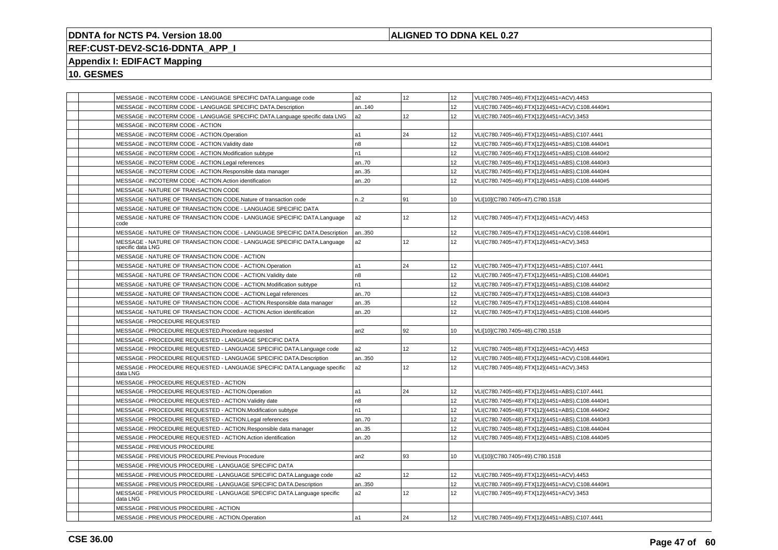## **ALIGNED TO DDNA KEL 0.27**

# **REF:CUST-DEV2-SC16-DDNTA\_APP\_I**

# **Appendix I: EDIFACT Mapping**

| MESSAGE - INCOTERM CODE - LANGUAGE SPECIFIC DATA.Language code                              | a2             | 12 | 12              | VLI(C780.7405=46).FTX[12](4451=ACV).4453        |
|---------------------------------------------------------------------------------------------|----------------|----|-----------------|-------------------------------------------------|
| MESSAGE - INCOTERM CODE - LANGUAGE SPECIFIC DATA.Description                                | an140          |    | 12              | VLI(C780.7405=46).FTX[12](4451=ACV).C108.4440#1 |
| MESSAGE - INCOTERM CODE - LANGUAGE SPECIFIC DATA.Language specific data LNG                 | a2             | 12 | 12              | VLI(C780.7405=46).FTX[12](4451=ACV).3453        |
| MESSAGE - INCOTERM CODE - ACTION                                                            |                |    |                 |                                                 |
| MESSAGE - INCOTERM CODE - ACTION.Operation                                                  | a1             | 24 | 12 <sup>2</sup> | VLI(C780.7405=46).FTX[12](4451=ABS).C107.4441   |
| MESSAGE - INCOTERM CODE - ACTION. Validity date                                             | n8             |    | 12              | VLI(C780.7405=46).FTX[12](4451=ABS).C108.4440#1 |
| MESSAGE - INCOTERM CODE - ACTION.Modification subtype                                       | n1             |    | 12              | VLI(C780.7405=46).FTX[12](4451=ABS).C108.4440#2 |
| MESSAGE - INCOTERM CODE - ACTION.Legal references                                           | an70           |    | 12              | VLI(C780.7405=46).FTX[12](4451=ABS).C108.4440#3 |
| MESSAGE - INCOTERM CODE - ACTION.Responsible data manager                                   | an35           |    | 12              | VLI(C780.7405=46).FTX[12](4451=ABS).C108.4440#4 |
| MESSAGE - INCOTERM CODE - ACTION.Action identification                                      | an20           |    | 12 <sup>2</sup> | VLI(C780.7405=46).FTX[12](4451=ABS).C108.4440#5 |
| MESSAGE - NATURE OF TRANSACTION CODE                                                        |                |    |                 |                                                 |
| MESSAGE - NATURE OF TRANSACTION CODE.Nature of transaction code                             | n.2            | 91 | 10              | VLI[10](C780.7405=47).C780.1518                 |
| MESSAGE - NATURE OF TRANSACTION CODE - LANGUAGE SPECIFIC DATA                               |                |    |                 |                                                 |
| MESSAGE - NATURE OF TRANSACTION CODE - LANGUAGE SPECIFIC DATA.Language<br>code              | a2             | 12 | 12              | VLI(C780.7405=47).FTX[12](4451=ACV).4453        |
| MESSAGE - NATURE OF TRANSACTION CODE - LANGUAGE SPECIFIC DATA.Description                   | an350          |    | 12 <sup>2</sup> | VLI(C780.7405=47).FTX[12](4451=ACV).C108.4440#1 |
| MESSAGE - NATURE OF TRANSACTION CODE - LANGUAGE SPECIFIC DATA.Language<br>specific data LNG | a2             | 12 | 12              | VLI(C780.7405=47).FTX[12](4451=ACV).3453        |
| MESSAGE - NATURE OF TRANSACTION CODE - ACTION                                               |                |    |                 |                                                 |
| MESSAGE - NATURE OF TRANSACTION CODE - ACTION.Operation                                     | a1             | 24 | 12              | VLI(C780.7405=47).FTX[12](4451=ABS).C107.4441   |
| MESSAGE - NATURE OF TRANSACTION CODE - ACTION. Validity date                                | n <sub>8</sub> |    | 12              | VLI(C780.7405=47).FTX[12](4451=ABS).C108.4440#1 |
| MESSAGE - NATURE OF TRANSACTION CODE - ACTION.Modification subtype                          | n1             |    | 12 <sup>2</sup> | VLI(C780.7405=47).FTX[12](4451=ABS).C108.4440#2 |
| MESSAGE - NATURE OF TRANSACTION CODE - ACTION.Legal references                              | an70           |    | 12 <sup>2</sup> | VLI(C780.7405=47).FTX[12](4451=ABS).C108.4440#3 |
| MESSAGE - NATURE OF TRANSACTION CODE - ACTION.Responsible data manager                      | an35           |    | 12              | VLI(C780.7405=47).FTX[12](4451=ABS).C108.4440#4 |
| MESSAGE - NATURE OF TRANSACTION CODE - ACTION.Action identification                         | an20           |    | 12              | VLI(C780.7405=47).FTX[12](4451=ABS).C108.4440#5 |
| MESSAGE - PROCEDURE REQUESTED                                                               |                |    |                 |                                                 |
| MESSAGE - PROCEDURE REQUESTED.Procedure requested                                           | an2            | 92 | 10              | VLI[10](C780.7405=48).C780.1518                 |
| MESSAGE - PROCEDURE REQUESTED - LANGUAGE SPECIFIC DATA                                      |                |    |                 |                                                 |
| MESSAGE - PROCEDURE REQUESTED - LANGUAGE SPECIFIC DATA.Language code                        | a2             | 12 | 12              | VLI(C780.7405=48).FTX[12](4451=ACV).4453        |
| MESSAGE - PROCEDURE REQUESTED - LANGUAGE SPECIFIC DATA.Description                          | an350          |    | 12              | VLI(C780.7405=48).FTX[12](4451=ACV).C108.4440#1 |
| MESSAGE - PROCEDURE REQUESTED - LANGUAGE SPECIFIC DATA.Language specific<br>data LNG        | a2             | 12 | 12              | VLI(C780.7405=48).FTX[12](4451=ACV).3453        |
| MESSAGE - PROCEDURE REQUESTED - ACTION                                                      |                |    |                 |                                                 |
| MESSAGE - PROCEDURE REQUESTED - ACTION.Operation                                            | a1             | 24 | 12              | VLI(C780.7405=48).FTX[12](4451=ABS).C107.4441   |
| MESSAGE - PROCEDURE REQUESTED - ACTION. Validity date                                       | n <sub>8</sub> |    | 12              | VLI(C780.7405=48).FTX[12](4451=ABS).C108.4440#1 |
| MESSAGE - PROCEDURE REQUESTED - ACTION.Modification subtype                                 | n1             |    | 12              | VLI(C780.7405=48).FTX[12](4451=ABS).C108.4440#2 |
| MESSAGE - PROCEDURE REQUESTED - ACTION.Legal references                                     | an70           |    | 12 <sup>2</sup> | VLI(C780.7405=48).FTX[12](4451=ABS).C108.4440#3 |
| MESSAGE - PROCEDURE REQUESTED - ACTION.Responsible data manager                             | an35           |    | 12              | VLI(C780.7405=48).FTX[12](4451=ABS).C108.4440#4 |
| MESSAGE - PROCEDURE REQUESTED - ACTION.Action identification                                | an20           |    | 12              | VLI(C780.7405=48).FTX[12](4451=ABS).C108.4440#5 |
| MESSAGE - PREVIOUS PROCEDURE                                                                |                |    |                 |                                                 |
| MESSAGE - PREVIOUS PROCEDURE.Previous Procedure                                             | an2            | 93 | 10              | VLI[10](C780.7405=49).C780.1518                 |
| MESSAGE - PREVIOUS PROCEDURE - LANGUAGE SPECIFIC DATA                                       |                |    |                 |                                                 |
| MESSAGE - PREVIOUS PROCEDURE - LANGUAGE SPECIFIC DATA.Language code                         | a2             | 12 | 12              | VLI(C780.7405=49).FTX[12](4451=ACV).4453        |
| MESSAGE - PREVIOUS PROCEDURE - LANGUAGE SPECIFIC DATA.Description                           | an350          |    | 12              | VLI(C780.7405=49).FTX[12](4451=ACV).C108.4440#1 |
| MESSAGE - PREVIOUS PROCEDURE - LANGUAGE SPECIFIC DATA.Language specific<br>data LNG         | a2             | 12 | 12              | VLI(C780.7405=49).FTX[12](4451=ACV).3453        |
| MESSAGE - PREVIOUS PROCEDURE - ACTION                                                       |                |    |                 |                                                 |
| MESSAGE - PREVIOUS PROCEDURE - ACTION.Operation                                             | a1             | 24 | 12              | VLI(C780.7405=49).FTX[12](4451=ABS).C107.4441   |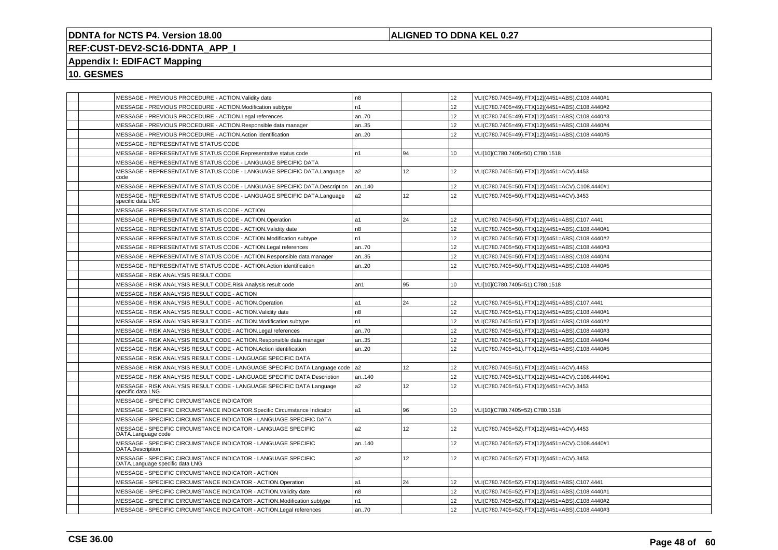## **ALIGNED TO DDNA KEL 0.27**

# **REF:CUST-DEV2-SC16-DDNTA\_APP\_I**

## **Appendix I: EDIFACT Mapping**

| MESSAGE - PREVIOUS PROCEDURE - ACTION. Validity date                                             | n8             |    | 12 <sup>2</sup>  | VLI(C780.7405=49).FTX[12](4451=ABS).C108.4440#1 |
|--------------------------------------------------------------------------------------------------|----------------|----|------------------|-------------------------------------------------|
| MESSAGE - PREVIOUS PROCEDURE - ACTION.Modification subtype                                       | n1             |    | 12               | VLI(C780.7405=49).FTX[12](4451=ABS).C108.4440#2 |
| MESSAGE - PREVIOUS PROCEDURE - ACTION.Legal references                                           | an70           |    | 12 <sup>2</sup>  | VLI(C780.7405=49).FTX[12](4451=ABS).C108.4440#3 |
| MESSAGE - PREVIOUS PROCEDURE - ACTION.Responsible data manager                                   | an35           |    | 12               | VLI(C780.7405=49).FTX[12](4451=ABS).C108.4440#4 |
| MESSAGE - PREVIOUS PROCEDURE - ACTION.Action identification                                      | an.20          |    | 12 <sup>2</sup>  | VLI(C780.7405=49).FTX[12](4451=ABS).C108.4440#5 |
| MESSAGE - REPRESENTATIVE STATUS CODE                                                             |                |    |                  |                                                 |
| MESSAGE - REPRESENTATIVE STATUS CODE.Representative status code                                  | n1             | 94 | 10 <sup>10</sup> | VLI[10](C780.7405=50).C780.1518                 |
| MESSAGE - REPRESENTATIVE STATUS CODE - LANGUAGE SPECIFIC DATA                                    |                |    |                  |                                                 |
| MESSAGE - REPRESENTATIVE STATUS CODE - LANGUAGE SPECIFIC DATA.Language<br>code                   | a2             | 12 | 12 <sup>2</sup>  | VLI(C780.7405=50).FTX[12](4451=ACV).4453        |
| MESSAGE - REPRESENTATIVE STATUS CODE - LANGUAGE SPECIFIC DATA.Description                        | an140          |    | 12               | VLI(C780.7405=50).FTX[12](4451=ACV).C108.4440#1 |
| MESSAGE - REPRESENTATIVE STATUS CODE - LANGUAGE SPECIFIC DATA.Language<br>specific data LNG      | a2             | 12 | 12 <sup>2</sup>  | VLI(C780.7405=50).FTX[12](4451=ACV).3453        |
| MESSAGE - REPRESENTATIVE STATUS CODE - ACTION                                                    |                |    |                  |                                                 |
| MESSAGE - REPRESENTATIVE STATUS CODE - ACTION.Operation                                          | a1             | 24 | 12               | VLI(C780.7405=50).FTX[12](4451=ABS).C107.4441   |
| MESSAGE - REPRESENTATIVE STATUS CODE - ACTION. Validity date                                     | n <sub>8</sub> |    | 12 <sup>2</sup>  | VLI(C780.7405=50).FTX[12](4451=ABS).C108.4440#1 |
| MESSAGE - REPRESENTATIVE STATUS CODE - ACTION.Modification subtype                               | n1             |    | 12 <sup>2</sup>  | VLI(C780.7405=50).FTX[12](4451=ABS).C108.4440#2 |
| MESSAGE - REPRESENTATIVE STATUS CODE - ACTION.Legal references                                   | an70           |    | 12 <sup>2</sup>  | VLI(C780.7405=50).FTX[12](4451=ABS).C108.4440#3 |
| MESSAGE - REPRESENTATIVE STATUS CODE - ACTION.Responsible data manager                           | an35           |    | 12 <sup>2</sup>  | VLI(C780.7405=50).FTX[12](4451=ABS).C108.4440#4 |
| MESSAGE - REPRESENTATIVE STATUS CODE - ACTION.Action identification                              | an.20          |    | 12               | VLI(C780.7405=50).FTX[12](4451=ABS).C108.4440#5 |
| MESSAGE - RISK ANALYSIS RESULT CODE                                                              |                |    |                  |                                                 |
| MESSAGE - RISK ANALYSIS RESULT CODE.Risk Analysis result code                                    | an1            | 95 | 10               | VLI[10](C780.7405=51).C780.1518                 |
| MESSAGE - RISK ANALYSIS RESULT CODE - ACTION                                                     |                |    |                  |                                                 |
| MESSAGE - RISK ANALYSIS RESULT CODE - ACTION.Operation                                           | a1             | 24 | 12               | VLI(C780.7405=51).FTX[12](4451=ABS).C107.4441   |
| MESSAGE - RISK ANALYSIS RESULT CODE - ACTION. Validity date                                      | n8             |    | 12 <sup>2</sup>  | VLI(C780.7405=51).FTX[12](4451=ABS).C108.4440#1 |
| MESSAGE - RISK ANALYSIS RESULT CODE - ACTION.Modification subtype                                | n1             |    | 12               | VLI(C780.7405=51).FTX[12](4451=ABS).C108.4440#2 |
| MESSAGE - RISK ANALYSIS RESULT CODE - ACTION.Legal references                                    | an70           |    | 12 <sup>2</sup>  | VLI(C780.7405=51).FTX[12](4451=ABS).C108.4440#3 |
| MESSAGE - RISK ANALYSIS RESULT CODE - ACTION.Responsible data manager                            | an35           |    | 12 <sup>2</sup>  | VLI(C780.7405=51).FTX[12](4451=ABS).C108.4440#4 |
| MESSAGE - RISK ANALYSIS RESULT CODE - ACTION.Action identification                               | an20           |    | 12               | VLI(C780.7405=51).FTX[12](4451=ABS).C108.4440#5 |
| MESSAGE - RISK ANALYSIS RESULT CODE - LANGUAGE SPECIFIC DATA                                     |                |    |                  |                                                 |
| MESSAGE - RISK ANALYSIS RESULT CODE - LANGUAGE SPECIFIC DATA.Language code                       | a <sub>2</sub> | 12 | 12 <sup>2</sup>  | VLI(C780.7405=51).FTX[12](4451=ACV).4453        |
| MESSAGE - RISK ANALYSIS RESULT CODE - LANGUAGE SPECIFIC DATA.Description                         | an140          |    | 12 <sup>2</sup>  | VLI(C780.7405=51).FTX[12](4451=ACV).C108.4440#1 |
| MESSAGE - RISK ANALYSIS RESULT CODE - LANGUAGE SPECIFIC DATA.Language<br>specific data LNG       | a2             | 12 | 12 <sup>2</sup>  | VLI(C780.7405=51).FTX[12](4451=ACV).3453        |
| MESSAGE - SPECIFIC CIRCUMSTANCE INDICATOR                                                        |                |    |                  |                                                 |
| MESSAGE - SPECIFIC CIRCUMSTANCE INDICATOR.Specific Circumstance Indicator                        | a1             | 96 | 10               | VLI[10](C780.7405=52).C780.1518                 |
| MESSAGE - SPECIFIC CIRCUMSTANCE INDICATOR - LANGUAGE SPECIFIC DATA                               |                |    |                  |                                                 |
| MESSAGE - SPECIFIC CIRCUMSTANCE INDICATOR - LANGUAGE SPECIFIC<br>DATA.Language code              | a2             | 12 | 12               | VLI(C780.7405=52).FTX[12](4451=ACV).4453        |
| MESSAGE - SPECIFIC CIRCUMSTANCE INDICATOR - LANGUAGE SPECIFIC<br>DATA.Description                | an140          |    | 12               | VLI(C780.7405=52).FTX[12](4451=ACV).C108.4440#1 |
| MESSAGE - SPECIFIC CIRCUMSTANCE INDICATOR - LANGUAGE SPECIFIC<br>DATA.Language specific data LNG | a2             | 12 | 12 <sup>2</sup>  | VLI(C780.7405=52).FTX[12](4451=ACV).3453        |
| MESSAGE - SPECIFIC CIRCUMSTANCE INDICATOR - ACTION                                               |                |    |                  |                                                 |
| MESSAGE - SPECIFIC CIRCUMSTANCE INDICATOR - ACTION.Operation                                     | a1             | 24 | 12               | VLI(C780.7405=52).FTX[12](4451=ABS).C107.4441   |
| MESSAGE - SPECIFIC CIRCUMSTANCE INDICATOR - ACTION. Validity date                                | n <sub>8</sub> |    | 12               | VLI(C780.7405=52).FTX[12](4451=ABS).C108.4440#1 |
| MESSAGE - SPECIFIC CIRCUMSTANCE INDICATOR - ACTION.Modification subtype                          | n1             |    | 12 <sup>2</sup>  | VLI(C780.7405=52).FTX[12](4451=ABS).C108.4440#2 |
| MESSAGE - SPECIFIC CIRCUMSTANCE INDICATOR - ACTION.Legal references                              | an70           |    | 12 <sup>2</sup>  | VLI(C780.7405=52).FTX[12](4451=ABS).C108.4440#3 |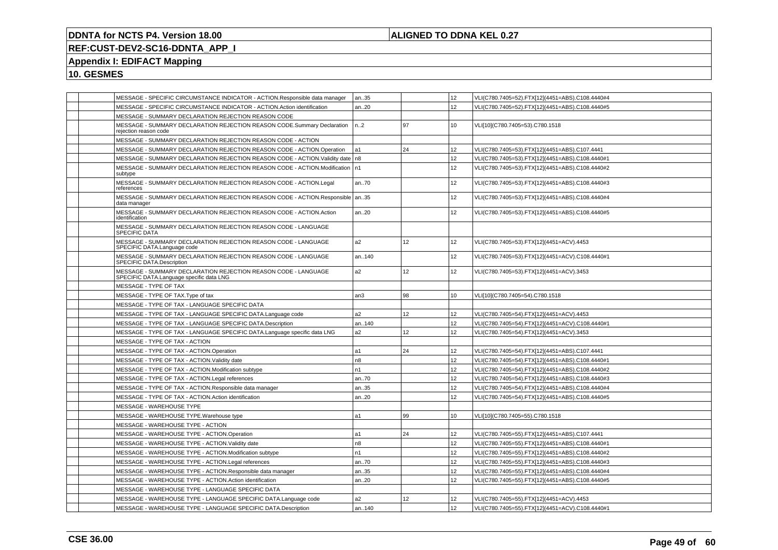## **ALIGNED TO DDNA KEL 0.27**

# **REF:CUST-DEV2-SC16-DDNTA\_APP\_I**

# **Appendix I: EDIFACT Mapping**

| MESSAGE - SPECIFIC CIRCUMSTANCE INDICATOR - ACTION.Responsible data manager                                | an35            |    | 12               | VLI(C780.7405=52).FTX[12](4451=ABS).C108.4440#4 |
|------------------------------------------------------------------------------------------------------------|-----------------|----|------------------|-------------------------------------------------|
| MESSAGE - SPECIFIC CIRCUMSTANCE INDICATOR - ACTION.Action identification                                   | an20            |    | 12 <sup>°</sup>  | VLI(C780.7405=52).FTX[12](4451=ABS).C108.4440#5 |
| MESSAGE - SUMMARY DECLARATION REJECTION REASON CODE                                                        |                 |    |                  |                                                 |
| MESSAGE - SUMMARY DECLARATION REJECTION REASON CODE.Summary Declaration<br>rejection reason code           | n.2             | 97 | 10               | VLI[10](C780.7405=53).C780.1518                 |
| MESSAGE - SUMMARY DECLARATION REJECTION REASON CODE - ACTION                                               |                 |    |                  |                                                 |
| MESSAGE - SUMMARY DECLARATION REJECTION REASON CODE - ACTION.Operation                                     | l a1            | 24 | 12 <sup>°</sup>  | VLI(C780.7405=53).FTX[12](4451=ABS).C107.4441   |
| MESSAGE - SUMMARY DECLARATION REJECTION REASON CODE - ACTION. Validity date   n8                           |                 |    | 12               | VLI(C780.7405=53).FTX[12](4451=ABS).C108.4440#1 |
| MESSAGE - SUMMARY DECLARATION REJECTION REASON CODE - ACTION.Modification   n1<br>subtype                  |                 |    | 12               | VLI(C780.7405=53).FTX[12](4451=ABS).C108.4440#2 |
| MESSAGE - SUMMARY DECLARATION REJECTION REASON CODE - ACTION.Legal<br>references                           | an70            |    | 12 <sup>°</sup>  | VLI(C780.7405=53).FTX[12](4451=ABS).C108.4440#3 |
| MESSAGE - SUMMARY DECLARATION REJECTION REASON CODE - ACTION.Responsible   an35<br>data manager            |                 |    | 12               | VLI(C780.7405=53).FTX[12](4451=ABS).C108.4440#4 |
| MESSAGE - SUMMARY DECLARATION REJECTION REASON CODE - ACTION. Action<br>identification                     | an20            |    | 12               | VLI(C780.7405=53).FTX[12](4451=ABS).C108.4440#5 |
| MESSAGE - SUMMARY DECLARATION REJECTION REASON CODE - LANGUAGE<br>SPECIFIC DATA                            |                 |    |                  |                                                 |
| MESSAGE - SUMMARY DECLARATION REJECTION REASON CODE - LANGUAGE<br>SPECIFIC DATA.Language code              | a <sub>2</sub>  | 12 | 12               | VLI(C780.7405=53).FTX[12](4451=ACV).4453        |
| MESSAGE - SUMMARY DECLARATION REJECTION REASON CODE - LANGUAGE<br>SPECIFIC DATA Description                | an140           |    | 12 <sup>2</sup>  | VLI(C780.7405=53).FTX[12](4451=ACV).C108.4440#1 |
| MESSAGE - SUMMARY DECLARATION REJECTION REASON CODE - LANGUAGE<br>SPECIFIC DATA.Language specific data LNG | a <sub>2</sub>  | 12 | 12               | VLI(C780.7405=53).FTX[12](4451=ACV).3453        |
| MESSAGE - TYPE OF TAX                                                                                      |                 |    |                  |                                                 |
| MESSAGE - TYPE OF TAX. Type of tax                                                                         | an <sub>3</sub> | 98 | 10 <sup>10</sup> | VLI[10](C780.7405=54).C780.1518                 |
| MESSAGE - TYPE OF TAX - LANGUAGE SPECIFIC DATA                                                             |                 |    |                  |                                                 |
| MESSAGE - TYPE OF TAX - LANGUAGE SPECIFIC DATA.Language code                                               | a <sub>2</sub>  | 12 | 12               | VLI(C780.7405=54).FTX[12](4451=ACV).4453        |
| MESSAGE - TYPE OF TAX - LANGUAGE SPECIFIC DATA.Description                                                 | an140           |    | 12 <sup>°</sup>  | VLI(C780.7405=54).FTX[12](4451=ACV).C108.4440#1 |
| MESSAGE - TYPE OF TAX - LANGUAGE SPECIFIC DATA.Language specific data LNG                                  | a <sub>2</sub>  | 12 | 12               | VLI(C780.7405=54).FTX[12](4451=ACV).3453        |
| MESSAGE - TYPE OF TAX - ACTION                                                                             |                 |    |                  |                                                 |
| MESSAGE - TYPE OF TAX - ACTION.Operation                                                                   | a1              | 24 | 12 <sup>°</sup>  | VLI(C780.7405=54).FTX[12](4451=ABS).C107.4441   |
| MESSAGE - TYPE OF TAX - ACTION. Validity date                                                              | n <sub>8</sub>  |    | 12               | VLI(C780.7405=54).FTX[12](4451=ABS).C108.4440#1 |
| MESSAGE - TYPE OF TAX - ACTION.Modification subtype                                                        | n <sub>1</sub>  |    | 12               | VLI(C780.7405=54).FTX[12](4451=ABS).C108.4440#2 |
| MESSAGE - TYPE OF TAX - ACTION.Legal references                                                            | an70            |    | 12               | VLI(C780.7405=54).FTX[12](4451=ABS).C108.4440#3 |
| MESSAGE - TYPE OF TAX - ACTION.Responsible data manager                                                    | an35            |    | 12               | VLI(C780.7405=54).FTX[12](4451=ABS).C108.4440#4 |
| MESSAGE - TYPE OF TAX - ACTION.Action identification                                                       | an20            |    | 12               | VLI(C780.7405=54).FTX[12](4451=ABS).C108.4440#5 |
| MESSAGE - WAREHOUSE TYPE                                                                                   |                 |    |                  |                                                 |
| MESSAGE - WAREHOUSE TYPE. Warehouse type                                                                   | a1              | 99 | 10               | VLI[10](C780.7405=55).C780.1518                 |
| MESSAGE - WAREHOUSE TYPE - ACTION                                                                          |                 |    |                  |                                                 |
| MESSAGE - WAREHOUSE TYPE - ACTION.Operation                                                                | a1              | 24 | 12               | VLI(C780.7405=55).FTX[12](4451=ABS).C107.4441   |
| MESSAGE - WAREHOUSE TYPE - ACTION. Validity date                                                           | n <sub>8</sub>  |    | 12               | VLI(C780.7405=55).FTX[12](4451=ABS).C108.4440#1 |
| MESSAGE - WAREHOUSE TYPE - ACTION.Modification subtype                                                     | n1              |    | 12 <sup>°</sup>  | VLI(C780.7405=55).FTX[12](4451=ABS).C108.4440#2 |
| MESSAGE - WAREHOUSE TYPE - ACTION.Legal references                                                         | an70            |    | 12               | VLI(C780.7405=55).FTX[12](4451=ABS).C108.4440#3 |
| MESSAGE - WAREHOUSE TYPE - ACTION.Responsible data manager                                                 | an35            |    | 12               | VLI(C780.7405=55).FTX[12](4451=ABS).C108.4440#4 |
| MESSAGE - WAREHOUSE TYPE - ACTION.Action identification                                                    | an20            |    | 12               | VLI(C780.7405=55).FTX[12](4451=ABS).C108.4440#5 |
| MESSAGE - WAREHOUSE TYPE - LANGUAGE SPECIFIC DATA                                                          |                 |    |                  |                                                 |
| MESSAGE - WAREHOUSE TYPE - LANGUAGE SPECIFIC DATA.Language code                                            | a2              | 12 | 12               | VLI(C780.7405=55).FTX[12](4451=ACV).4453        |
| MESSAGE - WAREHOUSE TYPE - LANGUAGE SPECIFIC DATA.Description                                              | an140           |    | 12               | VLI(C780.7405=55).FTX[12](4451=ACV).C108.4440#1 |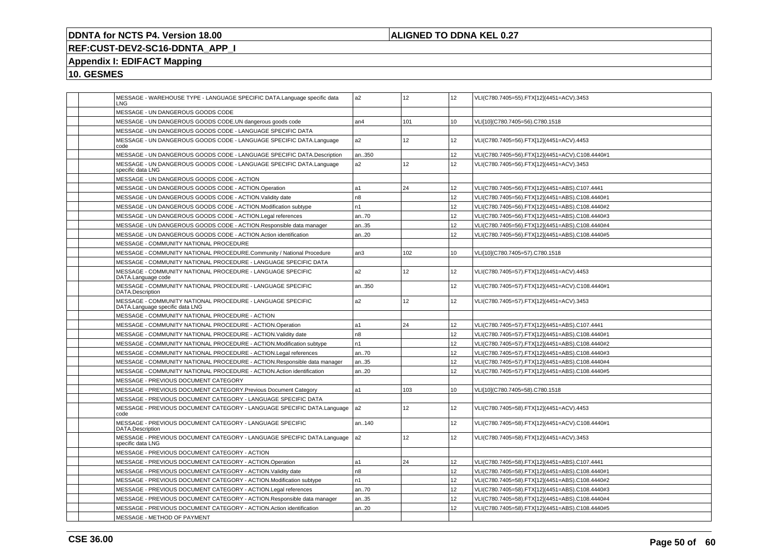## **ALIGNED TO DDNA KEL 0.27**

# **REF:CUST-DEV2-SC16-DDNTA\_APP\_I**

# **Appendix I: EDIFACT Mapping**

|  | MESSAGE - WAREHOUSE TYPE - LANGUAGE SPECIFIC DATA.Language specific data<br>LNG               | a <sub>2</sub> | 12              | 12 <sup>2</sup> | VLI(C780.7405=55).FTX[12](4451=ACV).3453        |
|--|-----------------------------------------------------------------------------------------------|----------------|-----------------|-----------------|-------------------------------------------------|
|  | MESSAGE - UN DANGEROUS GOODS CODE                                                             |                |                 |                 |                                                 |
|  | MESSAGE - UN DANGEROUS GOODS CODE.UN dangerous goods code                                     | an4            | 101             | 10              | VLI[10](C780.7405=56).C780.1518                 |
|  | MESSAGE - UN DANGEROUS GOODS CODE - LANGUAGE SPECIFIC DATA                                    |                |                 |                 |                                                 |
|  | MESSAGE - UN DANGEROUS GOODS CODE - LANGUAGE SPECIFIC DATA.Language<br>code                   | a2             | 12 <sup>2</sup> | 12              | VLI(C780.7405=56).FTX[12](4451=ACV).4453        |
|  | MESSAGE - UN DANGEROUS GOODS CODE - LANGUAGE SPECIFIC DATA.Description                        | an350          |                 | 12 <sup>2</sup> | VLI(C780.7405=56).FTX[12](4451=ACV).C108.4440#1 |
|  | MESSAGE - UN DANGEROUS GOODS CODE - LANGUAGE SPECIFIC DATA.Language<br>specific data LNG      | a2             | 12 <sup>2</sup> | 12              | VLI(C780.7405=56).FTX[12](4451=ACV).3453        |
|  | MESSAGE - UN DANGEROUS GOODS CODE - ACTION                                                    |                |                 |                 |                                                 |
|  | MESSAGE - UN DANGEROUS GOODS CODE - ACTION.Operation                                          | a1             | 24              | 12 <sup>2</sup> | VLI(C780.7405=56).FTX[12](4451=ABS).C107.4441   |
|  | MESSAGE - UN DANGEROUS GOODS CODE - ACTION. Validity date                                     | n <sub>8</sub> |                 | 12              | VLI(C780.7405=56).FTX[12](4451=ABS).C108.4440#1 |
|  | MESSAGE - UN DANGEROUS GOODS CODE - ACTION.Modification subtype                               | n1             |                 | 12 <sup>2</sup> | VLI(C780.7405=56).FTX[12](4451=ABS).C108.4440#2 |
|  | MESSAGE - UN DANGEROUS GOODS CODE - ACTION.Legal references                                   | an70           |                 | 12              | VLI(C780.7405=56).FTX[12](4451=ABS).C108.4440#3 |
|  | MESSAGE - UN DANGEROUS GOODS CODE - ACTION.Responsible data manager                           | an35           |                 | 12 <sup>2</sup> | VLI(C780.7405=56).FTX[12](4451=ABS).C108.4440#4 |
|  | MESSAGE - UN DANGEROUS GOODS CODE - ACTION.Action identification                              | an20           |                 | 12              | VLI(C780.7405=56).FTX[12](4451=ABS).C108.4440#5 |
|  | MESSAGE - COMMUNITY NATIONAL PROCEDURE                                                        |                |                 |                 |                                                 |
|  | MESSAGE - COMMUNITY NATIONAL PROCEDURE.Community / National Procedure                         | an3            | 102             | 10              | VLI[10](C780.7405=57).C780.1518                 |
|  | MESSAGE - COMMUNITY NATIONAL PROCEDURE - LANGUAGE SPECIFIC DATA                               |                |                 |                 |                                                 |
|  | MESSAGE - COMMUNITY NATIONAL PROCEDURE - LANGUAGE SPECIFIC<br>DATA.Language code              | a2             | 12 <sup>2</sup> | 12 <sup>2</sup> | VLI(C780.7405=57).FTX[12](4451=ACV).4453        |
|  | MESSAGE - COMMUNITY NATIONAL PROCEDURE - LANGUAGE SPECIFIC<br>DATA.Description                | an350          |                 | 12              | VLI(C780.7405=57).FTX[12](4451=ACV).C108.4440#1 |
|  | MESSAGE - COMMUNITY NATIONAL PROCEDURE - LANGUAGE SPECIFIC<br>DATA.Language specific data LNG | a2             | 12              | 12              | VLI(C780.7405=57).FTX[12](4451=ACV).3453        |
|  | MESSAGE - COMMUNITY NATIONAL PROCEDURE - ACTION                                               |                |                 |                 |                                                 |
|  | MESSAGE - COMMUNITY NATIONAL PROCEDURE - ACTION.Operation                                     | a1             | 24              | 12              | VLI(C780.7405=57).FTX[12](4451=ABS).C107.4441   |
|  | MESSAGE - COMMUNITY NATIONAL PROCEDURE - ACTION. Validity date                                | n <sub>8</sub> |                 | 12              | VLI(C780.7405=57).FTX[12](4451=ABS).C108.4440#1 |
|  | MESSAGE - COMMUNITY NATIONAL PROCEDURE - ACTION.Modification subtype                          | n1             |                 | 12              | VLI(C780.7405=57).FTX[12](4451=ABS).C108.4440#2 |
|  | MESSAGE - COMMUNITY NATIONAL PROCEDURE - ACTION.Legal references                              | an70           |                 | 12              | VLI(C780.7405=57).FTX[12](4451=ABS).C108.4440#3 |
|  | MESSAGE - COMMUNITY NATIONAL PROCEDURE - ACTION.Responsible data manager                      | an35           |                 | 12              | VLI(C780.7405=57).FTX[12](4451=ABS).C108.4440#4 |
|  | MESSAGE - COMMUNITY NATIONAL PROCEDURE - ACTION.Action identification                         | an20           |                 | 12              | VLI(C780.7405=57).FTX[12](4451=ABS).C108.4440#5 |
|  | MESSAGE - PREVIOUS DOCUMENT CATEGORY                                                          |                |                 |                 |                                                 |
|  | MESSAGE - PREVIOUS DOCUMENT CATEGORY. Previous Document Category                              | a1             | 103             | 10              | VLI[10](C780.7405=58).C780.1518                 |
|  | MESSAGE - PREVIOUS DOCUMENT CATEGORY - LANGUAGE SPECIFIC DATA                                 |                |                 |                 |                                                 |
|  | MESSAGE - PREVIOUS DOCUMENT CATEGORY - LANGUAGE SPECIFIC DATA.Language<br>code                | a <sub>2</sub> | 12 <sup>2</sup> | 12 <sup>2</sup> | VLI(C780.7405=58).FTX[12](4451=ACV).4453        |
|  | MESSAGE - PREVIOUS DOCUMENT CATEGORY - LANGUAGE SPECIFIC<br>DATA.Description                  | an140          |                 | 12              | VLI(C780.7405=58).FTX[12](4451=ACV).C108.4440#1 |
|  | MESSAGE - PREVIOUS DOCUMENT CATEGORY - LANGUAGE SPECIFIC DATA.Language<br>specific data LNG   | a <sub>2</sub> | 12              | 12 <sup>2</sup> | VLI(C780.7405=58).FTX[12](4451=ACV).3453        |
|  | MESSAGE - PREVIOUS DOCUMENT CATEGORY - ACTION                                                 |                |                 |                 |                                                 |
|  | MESSAGE - PREVIOUS DOCUMENT CATEGORY - ACTION.Operation                                       | a1             | 24              | 12              | VLI(C780.7405=58).FTX[12](4451=ABS).C107.4441   |
|  | MESSAGE - PREVIOUS DOCUMENT CATEGORY - ACTION.Validity date                                   | n8             |                 | 12              | VLI(C780.7405=58).FTX[12](4451=ABS).C108.4440#1 |
|  | MESSAGE - PREVIOUS DOCUMENT CATEGORY - ACTION.Modification subtype                            | n1             |                 | 12              | VLI(C780.7405=58).FTX[12](4451=ABS).C108.4440#2 |
|  | MESSAGE - PREVIOUS DOCUMENT CATEGORY - ACTION.Legal references                                | an70           |                 | 12 <sup>2</sup> | VLI(C780.7405=58).FTX[12](4451=ABS).C108.4440#3 |
|  | MESSAGE - PREVIOUS DOCUMENT CATEGORY - ACTION.Responsible data manager                        | an35           |                 | 12              | VLI(C780.7405=58).FTX[12](4451=ABS).C108.4440#4 |
|  | MESSAGE - PREVIOUS DOCUMENT CATEGORY - ACTION.Action identification                           | an20           |                 | 12 <sup>2</sup> | VLI(C780.7405=58).FTX[12](4451=ABS).C108.4440#5 |
|  | MESSAGE - METHOD OF PAYMENT                                                                   |                |                 |                 |                                                 |
|  |                                                                                               |                |                 |                 |                                                 |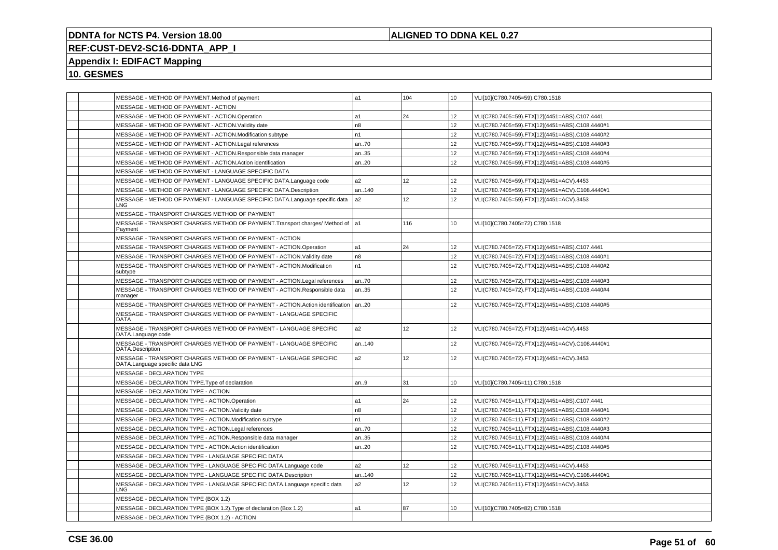## **ALIGNED TO DDNA KEL 0.27**

# **REF:CUST-DEV2-SC16-DDNTA\_APP\_I**

# **Appendix I: EDIFACT Mapping**

| MESSAGE - METHOD OF PAYMENT.Method of payment                                                        | a1             | 104 | 10 <sup>1</sup> | VLI[10](C780.7405=59).C780.1518                 |
|------------------------------------------------------------------------------------------------------|----------------|-----|-----------------|-------------------------------------------------|
| MESSAGE - METHOD OF PAYMENT - ACTION                                                                 |                |     |                 |                                                 |
| MESSAGE - METHOD OF PAYMENT - ACTION.Operation                                                       | a1             | 24  | 12              | VLI(C780.7405=59).FTX[12](4451=ABS).C107.4441   |
| MESSAGE - METHOD OF PAYMENT - ACTION. Validity date                                                  | n <sub>8</sub> |     | 12 <sup>2</sup> | VLI(C780.7405=59).FTX[12](4451=ABS).C108.4440#1 |
| MESSAGE - METHOD OF PAYMENT - ACTION.Modification subtype                                            | n1             |     | 12 <sup>2</sup> | VLI(C780.7405=59).FTX[12](4451=ABS).C108.4440#2 |
| MESSAGE - METHOD OF PAYMENT - ACTION.Legal references                                                | an70           |     | 12              | VLI(C780.7405=59).FTX[12](4451=ABS).C108.4440#3 |
| MESSAGE - METHOD OF PAYMENT - ACTION.Responsible data manager                                        | an35           |     | 12              | VLI(C780.7405=59).FTX[12](4451=ABS).C108.4440#4 |
| MESSAGE - METHOD OF PAYMENT - ACTION.Action identification                                           | an20           |     | 12              | VLI(C780.7405=59).FTX[12](4451=ABS).C108.4440#5 |
| MESSAGE - METHOD OF PAYMENT - LANGUAGE SPECIFIC DATA                                                 |                |     |                 |                                                 |
| MESSAGE - METHOD OF PAYMENT - LANGUAGE SPECIFIC DATA.Language code                                   | a2             | 12  | 12              | VLI(C780.7405=59).FTX[12](4451=ACV).4453        |
| MESSAGE - METHOD OF PAYMENT - LANGUAGE SPECIFIC DATA.Description                                     | an140          |     | 12 <sup>2</sup> | VLI(C780.7405=59).FTX[12](4451=ACV).C108.4440#1 |
| MESSAGE - METHOD OF PAYMENT - LANGUAGE SPECIFIC DATA.Language specific data<br>LNG.                  | a2             | 12  | 12              | VLI(C780.7405=59).FTX[12](4451=ACV).3453        |
| MESSAGE - TRANSPORT CHARGES METHOD OF PAYMENT                                                        |                |     |                 |                                                 |
| MESSAGE - TRANSPORT CHARGES METHOD OF PAYMENT. Transport charges/ Method of a1<br>Payment            |                | 116 | 10              | VLI[10](C780.7405=72).C780.1518                 |
| MESSAGE - TRANSPORT CHARGES METHOD OF PAYMENT - ACTION                                               |                |     |                 |                                                 |
| MESSAGE - TRANSPORT CHARGES METHOD OF PAYMENT - ACTION.Operation                                     | a1             | 24  | 12 <sup>2</sup> | VLI(C780.7405=72).FTX[12](4451=ABS).C107.4441   |
| MESSAGE - TRANSPORT CHARGES METHOD OF PAYMENT - ACTION Validity date                                 | n8             |     | 12              | VLI(C780.7405=72).FTX[12](4451=ABS).C108.4440#1 |
| MESSAGE - TRANSPORT CHARGES METHOD OF PAYMENT - ACTION.Modification<br>subtype                       | n1             |     | 12 <sup>2</sup> | VLI(C780.7405=72).FTX[12](4451=ABS).C108.4440#2 |
| MESSAGE - TRANSPORT CHARGES METHOD OF PAYMENT - ACTION.Legal references                              | an70           |     | 12              | VLI(C780.7405=72).FTX[12](4451=ABS).C108.4440#3 |
| MESSAGE - TRANSPORT CHARGES METHOD OF PAYMENT - ACTION.Responsible data<br>manager                   | an35           |     | 12              | VLI(C780.7405=72).FTX[12](4451=ABS).C108.4440#4 |
| MESSAGE - TRANSPORT CHARGES METHOD OF PAYMENT - ACTION.Action identification   an20                  |                |     | 12 <sup>2</sup> | VLI(C780.7405=72).FTX[12](4451=ABS).C108.4440#5 |
| MESSAGE - TRANSPORT CHARGES METHOD OF PAYMENT - LANGUAGE SPECIFIC<br><b>DATA</b>                     |                |     |                 |                                                 |
| MESSAGE - TRANSPORT CHARGES METHOD OF PAYMENT - LANGUAGE SPECIFIC<br>DATA.Language code              | a2             | 12  | 12 <sup>2</sup> | VLI(C780.7405=72).FTX[12](4451=ACV).4453        |
| MESSAGE - TRANSPORT CHARGES METHOD OF PAYMENT - LANGUAGE SPECIFIC<br>DATA.Description                | an140          |     | 12 <sup>2</sup> | VLI(C780.7405=72).FTX[12](4451=ACV).C108.4440#1 |
| MESSAGE - TRANSPORT CHARGES METHOD OF PAYMENT - LANGUAGE SPECIFIC<br>DATA.Language specific data LNG | a2             | 12  | 12 <sup>2</sup> | VLI(C780.7405=72).FTX[12](4451=ACV).3453        |
| MESSAGE - DECLARATION TYPE                                                                           |                |     |                 |                                                 |
| MESSAGE - DECLARATION TYPE. Type of declaration                                                      | an.9           | 31  | 10              | VLI[10](C780.7405=11).C780.1518                 |
| MESSAGE - DECLARATION TYPE - ACTION                                                                  |                |     |                 |                                                 |
| MESSAGE - DECLARATION TYPE - ACTION.Operation                                                        | a1             | 24  | 12              | VLI(C780.7405=11).FTX[12](4451=ABS).C107.4441   |
| MESSAGE - DECLARATION TYPE - ACTION. Validity date                                                   | n8             |     | 12              | VLI(C780.7405=11).FTX[12](4451=ABS).C108.4440#1 |
| MESSAGE - DECLARATION TYPE - ACTION.Modification subtype                                             | n1             |     | 12              | VLI(C780.7405=11).FTX[12](4451=ABS).C108.4440#2 |
| MESSAGE - DECLARATION TYPE - ACTION.Legal references                                                 | an70           |     | 12              | VLI(C780.7405=11).FTX[12](4451=ABS).C108.4440#3 |
| MESSAGE - DECLARATION TYPE - ACTION.Responsible data manager                                         | an35           |     | 12              | VLI(C780.7405=11).FTX[12](4451=ABS).C108.4440#4 |
| MESSAGE - DECLARATION TYPE - ACTION.Action identification                                            | an20           |     | 12              | VLI(C780.7405=11).FTX[12](4451=ABS).C108.4440#5 |
| MESSAGE - DECLARATION TYPE - LANGUAGE SPECIFIC DATA                                                  |                |     |                 |                                                 |
| MESSAGE - DECLARATION TYPE - LANGUAGE SPECIFIC DATA.Language code                                    | a2             | 12  | 12 <sup>2</sup> | VLI(C780.7405=11).FTX[12](4451=ACV).4453        |
| MESSAGE - DECLARATION TYPE - LANGUAGE SPECIFIC DATA.Description                                      | an140          |     | 12              | VLI(C780.7405=11).FTX[12](4451=ACV).C108.4440#1 |
| MESSAGE - DECLARATION TYPE - LANGUAGE SPECIFIC DATA.Language specific data<br>LNG                    | a2             | 12  | 12              | VLI(C780.7405=11).FTX[12](4451=ACV).3453        |
| MESSAGE - DECLARATION TYPE (BOX 1.2)                                                                 |                |     |                 |                                                 |
| MESSAGE - DECLARATION TYPE (BOX 1.2). Type of declaration (Box 1.2)                                  | a1             | 87  | 10              | VLI[10](C780.7405=82).C780.1518                 |
| MESSAGE - DECLARATION TYPE (BOX 1.2) - ACTION                                                        |                |     |                 |                                                 |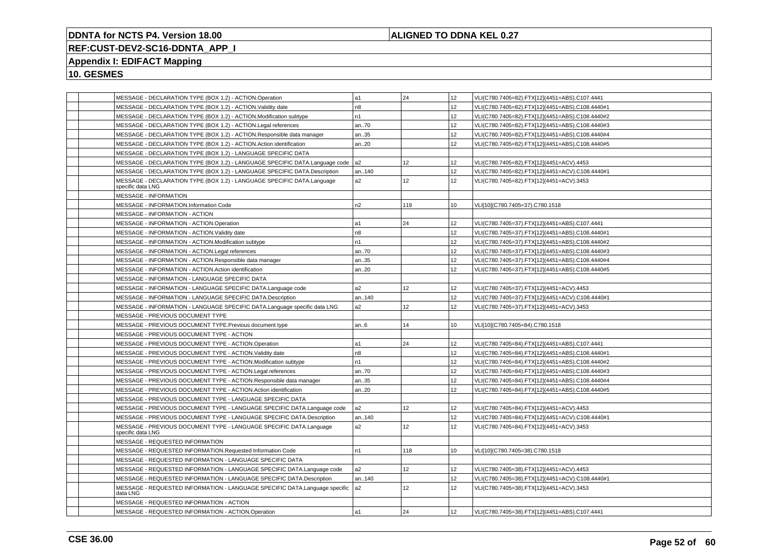## **ALIGNED TO DDNA KEL 0.27**

# **REF:CUST-DEV2-SC16-DDNTA\_APP\_I**

## **Appendix I: EDIFACT Mapping**

| MESSAGE - DECLARATION TYPE (BOX 1.2) - ACTION.Operation                                     | la1            | 24              | 12              | VLI(C780.7405=82).FTX[12](4451=ABS).C107.4441   |
|---------------------------------------------------------------------------------------------|----------------|-----------------|-----------------|-------------------------------------------------|
| MESSAGE - DECLARATION TYPE (BOX 1.2) - ACTION. Validity date                                | n8             |                 | 12              | VLI(C780.7405=82).FTX[12](4451=ABS).C108.4440#1 |
| MESSAGE - DECLARATION TYPE (BOX 1.2) - ACTION.Modification subtype                          | n <sub>1</sub> |                 | 12              | VLI(C780.7405=82).FTX[12](4451=ABS).C108.4440#2 |
| MESSAGE - DECLARATION TYPE (BOX 1.2) - ACTION.Legal references                              | an70           |                 | 12              | VLI(C780.7405=82).FTX[12](4451=ABS).C108.4440#3 |
| MESSAGE - DECLARATION TYPE (BOX 1.2) - ACTION.Responsible data manager                      | an35           |                 | 12              | VLI(C780.7405=82).FTX[12](4451=ABS).C108.4440#4 |
| MESSAGE - DECLARATION TYPE (BOX 1.2) - ACTION.Action identification                         | an20           |                 | 12              | VLI(C780.7405=82).FTX[12](4451=ABS).C108.4440#5 |
| MESSAGE - DECLARATION TYPE (BOX 1.2) - LANGUAGE SPECIFIC DATA                               |                |                 |                 |                                                 |
| MESSAGE - DECLARATION TYPE (BOX 1.2) - LANGUAGE SPECIFIC DATA.Language code                 | l a2           | 12              | 12              | VLI(C780.7405=82).FTX[12](4451=ACV).4453        |
| MESSAGE - DECLARATION TYPE (BOX 1.2) - LANGUAGE SPECIFIC DATA.Description                   | an140          |                 | 12              | VLI(C780.7405=82).FTX[12](4451=ACV).C108.4440#1 |
| MESSAGE - DECLARATION TYPE (BOX 1.2) - LANGUAGE SPECIFIC DATA.Language<br>specific data LNG | a2             | 12              | 12              | VLI(C780.7405=82).FTX[12](4451=ACV).3453        |
| <b>MESSAGE - INFORMATION</b>                                                                |                |                 |                 |                                                 |
| <b>MESSAGE - INFORMATION.Information Code</b>                                               | n2             | 119             | 10              | VLI[10](C780.7405=37).C780.1518                 |
| MESSAGE - INFORMATION - ACTION                                                              |                |                 |                 |                                                 |
| MESSAGE - INFORMATION - ACTION.Operation                                                    | a1             | 24              | 12              | VLI(C780.7405=37).FTX[12](4451=ABS).C107.4441   |
| MESSAGE - INFORMATION - ACTION. Validity date                                               | n <sub>8</sub> |                 | 12              | VLI(C780.7405=37).FTX[12](4451=ABS).C108.4440#1 |
| MESSAGE - INFORMATION - ACTION.Modification subtype                                         | n1             |                 | 12 <sup>2</sup> | VLI(C780.7405=37).FTX[12](4451=ABS).C108.4440#2 |
| MESSAGE - INFORMATION - ACTION.Legal references                                             | an70           |                 | 12              | VLI(C780.7405=37).FTX[12](4451=ABS).C108.4440#3 |
| MESSAGE - INFORMATION - ACTION.Responsible data manager                                     | an35           |                 | 12              | VLI(C780.7405=37).FTX[12](4451=ABS).C108.4440#4 |
| MESSAGE - INFORMATION - ACTION.Action identification                                        | an20           |                 | 12              | VLI(C780.7405=37).FTX[12](4451=ABS).C108.4440#5 |
| MESSAGE - INFORMATION - LANGUAGE SPECIFIC DATA                                              |                |                 |                 |                                                 |
| MESSAGE - INFORMATION - LANGUAGE SPECIFIC DATA.Language code                                | a2             | 12 <sup>°</sup> | 12              | VLI(C780.7405=37).FTX[12](4451=ACV).4453        |
| MESSAGE - INFORMATION - LANGUAGE SPECIFIC DATA.Description                                  | an140          |                 | 12              | VLI(C780.7405=37).FTX[12](4451=ACV).C108.4440#1 |
| MESSAGE - INFORMATION - LANGUAGE SPECIFIC DATA.Language specific data LNG                   | a2             | 12              | 12              | VLI(C780.7405=37).FTX[12](4451=ACV).3453        |
| MESSAGE - PREVIOUS DOCUMENT TYPE                                                            |                |                 |                 |                                                 |
| MESSAGE - PREVIOUS DOCUMENT TYPE. Previous document type                                    | an.6           | 14              | 10              | VLI[10](C780.7405=84).C780.1518                 |
| MESSAGE - PREVIOUS DOCUMENT TYPE - ACTION                                                   |                |                 |                 |                                                 |
| MESSAGE - PREVIOUS DOCUMENT TYPE - ACTION.Operation                                         | a1             | 24              | 12              | VLI(C780.7405=84).FTX[12](4451=ABS).C107.4441   |
| MESSAGE - PREVIOUS DOCUMENT TYPE - ACTION. Validity date                                    | n8             |                 | 12              | VLI(C780.7405=84).FTX[12](4451=ABS).C108.4440#1 |
| MESSAGE - PREVIOUS DOCUMENT TYPE - ACTION.Modification subtype                              | n1             |                 | 12              | VLI(C780.7405=84).FTX[12](4451=ABS).C108.4440#2 |
| MESSAGE - PREVIOUS DOCUMENT TYPE - ACTION.Legal references                                  | an70           |                 | 12              | VLI(C780.7405=84).FTX[12](4451=ABS).C108.4440#3 |
| MESSAGE - PREVIOUS DOCUMENT TYPE - ACTION.Responsible data manager                          | an35           |                 | 12              | VLI(C780.7405=84).FTX[12](4451=ABS).C108.4440#4 |
| MESSAGE - PREVIOUS DOCUMENT TYPE - ACTION.Action identification                             | an20           |                 | 12              | VLI(C780.7405=84).FTX[12](4451=ABS).C108.4440#5 |
| MESSAGE - PREVIOUS DOCUMENT TYPE - LANGUAGE SPECIFIC DATA                                   |                |                 |                 |                                                 |
| MESSAGE - PREVIOUS DOCUMENT TYPE - LANGUAGE SPECIFIC DATA.Language code                     | a2             | 12              | 12              | VLI(C780.7405=84).FTX[12](4451=ACV).4453        |
| MESSAGE - PREVIOUS DOCUMENT TYPE - LANGUAGE SPECIFIC DATA.Description                       | an140          |                 | 12              | VLI(C780.7405=84).FTX[12](4451=ACV).C108.4440#1 |
| MESSAGE - PREVIOUS DOCUMENT TYPE - LANGUAGE SPECIFIC DATA.Language<br>specific data LNG     | a2             | 12              | 12              | VLI(C780.7405=84).FTX[12](4451=ACV).3453        |
| MESSAGE - REQUESTED INFORMATION                                                             |                |                 |                 |                                                 |
| MESSAGE - REQUESTED INFORMATION.Requested Information Code                                  | n <sub>1</sub> | 118             | 10              | VLI[10](C780.7405=38).C780.1518                 |
| MESSAGE - REQUESTED INFORMATION - LANGUAGE SPECIFIC DATA                                    |                |                 |                 |                                                 |
| MESSAGE - REQUESTED INFORMATION - LANGUAGE SPECIFIC DATA.Language code                      | a2             | 12              | 12              | VLI(C780.7405=38).FTX[12](4451=ACV).4453        |
| MESSAGE - REQUESTED INFORMATION - LANGUAGE SPECIFIC DATA.Description                        | an140          |                 | 12              | VLI(C780.7405=38).FTX[12](4451=ACV).C108.4440#1 |
| MESSAGE - REQUESTED INFORMATION - LANGUAGE SPECIFIC DATA.Language specific<br>data LNG      | a <sub>2</sub> | 12              | 12              | VLI(C780.7405=38).FTX[12](4451=ACV).3453        |
| MESSAGE - REQUESTED INFORMATION - ACTION                                                    |                |                 |                 |                                                 |
| MESSAGE - REQUESTED INFORMATION - ACTION.Operation                                          | a1             | 24              | 12              | VLI(C780.7405=38).FTX[12](4451=ABS).C107.4441   |
|                                                                                             |                |                 |                 |                                                 |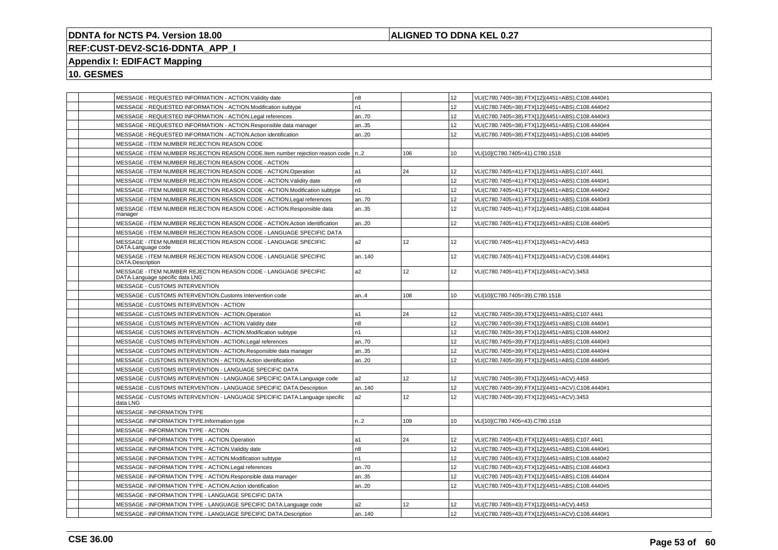## **ALIGNED TO DDNA KEL 0.27**

# **REF:CUST-DEV2-SC16-DDNTA\_APP\_I**

## **Appendix I: EDIFACT Mapping**

|  | MESSAGE - REQUESTED INFORMATION - ACTION. Validity date                                            | n8             |                 | 12 <sup>2</sup>  | VLI(C780.7405=38).FTX[12](4451=ABS).C108.4440#1 |
|--|----------------------------------------------------------------------------------------------------|----------------|-----------------|------------------|-------------------------------------------------|
|  | MESSAGE - REQUESTED INFORMATION - ACTION.Modification subtype                                      | n1             |                 | 12               | VLI(C780.7405=38).FTX[12](4451=ABS).C108.4440#2 |
|  | MESSAGE - REQUESTED INFORMATION - ACTION.Legal references                                          | an70           |                 | 12               | VLI(C780.7405=38).FTX[12](4451=ABS).C108.4440#3 |
|  | MESSAGE - REQUESTED INFORMATION - ACTION.Responsible data manager                                  | an35           |                 | 12 <sup>2</sup>  | VLI(C780.7405=38).FTX[12](4451=ABS).C108.4440#4 |
|  | MESSAGE - REQUESTED INFORMATION - ACTION.Action identification                                     | an.20          |                 | 12 <sup>2</sup>  | VLI(C780.7405=38).FTX[12](4451=ABS).C108.4440#5 |
|  | MESSAGE - ITEM NUMBER REJECTION REASON CODE                                                        |                |                 |                  |                                                 |
|  | MESSAGE - ITEM NUMBER REJECTION REASON CODE.Item number rejection reason code   n2                 |                | 106             | 10 <sup>10</sup> | VLI[10](C780.7405=41).C780.1518                 |
|  | MESSAGE - ITEM NUMBER REJECTION REASON CODE - ACTION                                               |                |                 |                  |                                                 |
|  | MESSAGE - ITEM NUMBER REJECTION REASON CODE - ACTION.Operation                                     | a1             | 24              | 12               | VLI(C780.7405=41).FTX[12](4451=ABS).C107.4441   |
|  | MESSAGE - ITEM NUMBER REJECTION REASON CODE - ACTION.Validity date                                 | n8             |                 | 12               | VLI(C780.7405=41).FTX[12](4451=ABS).C108.4440#1 |
|  | MESSAGE - ITEM NUMBER REJECTION REASON CODE - ACTION.Modification subtype                          | n1             |                 | 12 <sup>2</sup>  | VLI(C780.7405=41).FTX[12](4451=ABS).C108.4440#2 |
|  | MESSAGE - ITEM NUMBER REJECTION REASON CODE - ACTION.Legal references                              | an.70          |                 | 12 <sup>2</sup>  | VLI(C780.7405=41).FTX[12](4451=ABS).C108.4440#3 |
|  | MESSAGE - ITEM NUMBER REJECTION REASON CODE - ACTION.Responsible data<br>manager                   | an35           |                 | 12               | VLI(C780.7405=41).FTX[12](4451=ABS).C108.4440#4 |
|  | MESSAGE - ITEM NUMBER REJECTION REASON CODE - ACTION.Action identification                         | an20           |                 | 12 <sup>2</sup>  | VLI(C780.7405=41).FTX[12](4451=ABS).C108.4440#5 |
|  | MESSAGE - ITEM NUMBER REJECTION REASON CODE - LANGUAGE SPECIFIC DATA                               |                |                 |                  |                                                 |
|  | MESSAGE - ITEM NUMBER REJECTION REASON CODE - LANGUAGE SPECIFIC<br>DATA.Language code              | a2             | 12 <sup>°</sup> | 12 <sup>°</sup>  | VLI(C780.7405=41).FTX[12](4451=ACV).4453        |
|  | MESSAGE - ITEM NUMBER REJECTION REASON CODE - LANGUAGE SPECIFIC<br>DATA.Description                | an140          |                 | 12 <sup>2</sup>  | VLI(C780.7405=41).FTX[12](4451=ACV).C108.4440#1 |
|  | MESSAGE - ITEM NUMBER REJECTION REASON CODE - LANGUAGE SPECIFIC<br>DATA.Language specific data LNG | a2             | 12              | 12               | VLI(C780.7405=41).FTX[12](4451=ACV).3453        |
|  | MESSAGE - CUSTOMS INTERVENTION                                                                     |                |                 |                  |                                                 |
|  | MESSAGE - CUSTOMS INTERVENTION.Customs Intervention code                                           | an.4           | 108             | 10 <sup>10</sup> | VLI[10](C780.7405=39).C780.1518                 |
|  | MESSAGE - CUSTOMS INTERVENTION - ACTION                                                            |                |                 |                  |                                                 |
|  | MESSAGE - CUSTOMS INTERVENTION - ACTION.Operation                                                  | a1             | 24              | 12 <sup>2</sup>  | VLI(C780.7405=39).FTX[12](4451=ABS).C107.4441   |
|  | MESSAGE - CUSTOMS INTERVENTION - ACTION. Validity date                                             | n8             |                 | 12               | VLI(C780.7405=39).FTX[12](4451=ABS).C108.4440#1 |
|  | MESSAGE - CUSTOMS INTERVENTION - ACTION.Modification subtype                                       | n1             |                 | 12 <sup>2</sup>  | VLI(C780.7405=39).FTX[12](4451=ABS).C108.4440#2 |
|  | MESSAGE - CUSTOMS INTERVENTION - ACTION.Legal references                                           | an.70          |                 | 12 <sup>2</sup>  | VLI(C780.7405=39).FTX[12](4451=ABS).C108.4440#3 |
|  | MESSAGE - CUSTOMS INTERVENTION - ACTION.Responsible data manager                                   | an35           |                 | 12 <sup>2</sup>  | VLI(C780.7405=39).FTX[12](4451=ABS).C108.4440#4 |
|  | MESSAGE - CUSTOMS INTERVENTION - ACTION.Action identification                                      | an.20          |                 | 12               | VLI(C780.7405=39).FTX[12](4451=ABS).C108.4440#5 |
|  | MESSAGE - CUSTOMS INTERVENTION - LANGUAGE SPECIFIC DATA                                            |                |                 |                  |                                                 |
|  | MESSAGE - CUSTOMS INTERVENTION - LANGUAGE SPECIFIC DATA.Language code                              | a2             | 12              | 12               | VLI(C780.7405=39).FTX[12](4451=ACV).4453        |
|  | MESSAGE - CUSTOMS INTERVENTION - LANGUAGE SPECIFIC DATA.Description                                | an140          |                 | 12               | VLI(C780.7405=39).FTX[12](4451=ACV).C108.4440#1 |
|  | MESSAGE - CUSTOMS INTERVENTION - LANGUAGE SPECIFIC DATA.Language specific<br>data LNG              | a2             | 12 <sup>°</sup> | 12 <sup>2</sup>  | VLI(C780.7405=39).FTX[12](4451=ACV).3453        |
|  | <b>MESSAGE - INFORMATION TYPE</b>                                                                  |                |                 |                  |                                                 |
|  | MESSAGE - INFORMATION TYPE.Information type                                                        | n2             | 109             | 10               | VLI[10](C780.7405=43).C780.1518                 |
|  | MESSAGE - INFORMATION TYPE - ACTION                                                                |                |                 |                  |                                                 |
|  | MESSAGE - INFORMATION TYPE - ACTION.Operation                                                      | a1             | 24              | 12               | VLI(C780.7405=43).FTX[12](4451=ABS).C107.4441   |
|  | MESSAGE - INFORMATION TYPE - ACTION. Validity date                                                 | n <sub>8</sub> |                 | 12 <sup>2</sup>  | VLI(C780.7405=43).FTX[12](4451=ABS).C108.4440#1 |
|  | MESSAGE - INFORMATION TYPE - ACTION.Modification subtype                                           | n1             |                 | 12               | VLI(C780.7405=43).FTX[12](4451=ABS).C108.4440#2 |
|  | MESSAGE - INFORMATION TYPE - ACTION.Legal references                                               | an70           |                 | 12 <sup>2</sup>  | VLI(C780.7405=43).FTX[12](4451=ABS).C108.4440#3 |
|  | MESSAGE - INFORMATION TYPE - ACTION.Responsible data manager                                       | an35           |                 | 12 <sup>2</sup>  | VLI(C780.7405=43).FTX[12](4451=ABS).C108.4440#4 |
|  | MESSAGE - INFORMATION TYPE - ACTION.Action identification                                          | an20           |                 | 12 <sup>°</sup>  | VLI(C780.7405=43).FTX[12](4451=ABS).C108.4440#5 |
|  | MESSAGE - INFORMATION TYPE - LANGUAGE SPECIFIC DATA                                                |                |                 |                  |                                                 |
|  | MESSAGE - INFORMATION TYPE - LANGUAGE SPECIFIC DATA.Language code                                  | a2             | 12              | 12 <sup>2</sup>  | VLI(C780.7405=43).FTX[12](4451=ACV).4453        |
|  | MESSAGE - INFORMATION TYPE - LANGUAGE SPECIFIC DATA.Description                                    | an140          |                 | 12 <sup>2</sup>  | VLI(C780.7405=43).FTX[12](4451=ACV).C108.4440#1 |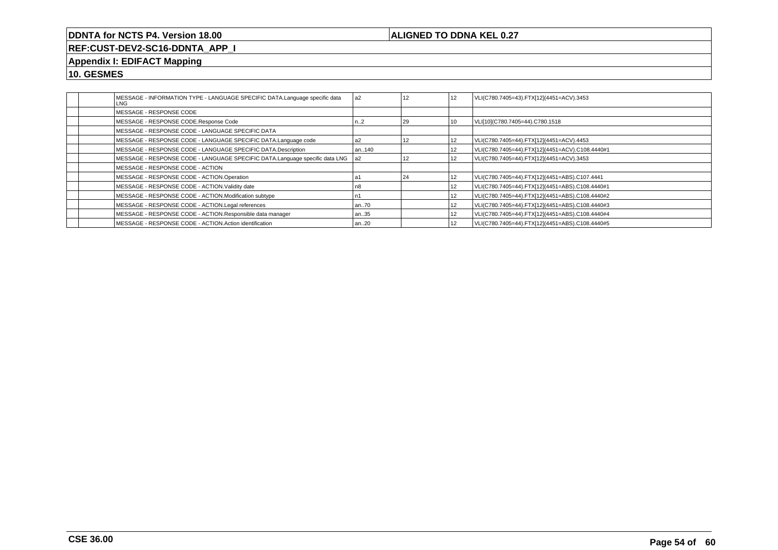## **ALIGNED TO DDNA KEL 0.27**

**REF:CUST-DEV2-SC16-DDNTA\_APP\_I**

# **Appendix I: EDIFACT Mapping**

|  | MESSAGE - INFORMATION TYPE - LANGUAGE SPECIFIC DATA.Language specific data<br>LNG | a <sub>2</sub> | 12 | 12 | VLI(C780.7405=43).FTX[12](4451=ACV).3453        |
|--|-----------------------------------------------------------------------------------|----------------|----|----|-------------------------------------------------|
|  | MESSAGE - RESPONSE CODE                                                           |                |    |    |                                                 |
|  | MESSAGE - RESPONSE CODE.Response Code                                             | n.2            | 29 | 10 | VLI[10](C780.7405=44).C780.1518                 |
|  | MESSAGE - RESPONSE CODE - LANGUAGE SPECIFIC DATA                                  |                |    |    |                                                 |
|  | MESSAGE - RESPONSE CODE - LANGUAGE SPECIFIC DATA.Language code                    | a2             | 12 | 12 | VLI(C780.7405=44).FTX[12](4451=ACV).4453        |
|  | MESSAGE - RESPONSE CODE - LANGUAGE SPECIFIC DATA.Description                      | an140          |    | 12 | VLI(C780.7405=44).FTX[12](4451=ACV).C108.4440#1 |
|  | MESSAGE - RESPONSE CODE - LANGUAGE SPECIFIC DATA.Language specific data LNG       | la2            | 12 | 12 | VLI(C780.7405=44).FTX[12](4451=ACV).3453        |
|  | MESSAGE - RESPONSE CODE - ACTION                                                  |                |    |    |                                                 |
|  | MESSAGE - RESPONSE CODE - ACTION.Operation                                        |                | 24 | 12 | VLI(C780.7405=44).FTX[12](4451=ABS).C107.4441   |
|  | MESSAGE - RESPONSE CODE - ACTION. Validity date                                   | უ8             |    | 12 | VLI(C780.7405=44).FTX[12](4451=ABS).C108.4440#1 |
|  | MESSAGE - RESPONSE CODE - ACTION.Modification subtype                             |                |    | 12 | VLI(C780.7405=44).FTX[12](4451=ABS).C108.4440#2 |
|  | MESSAGE - RESPONSE CODE - ACTION.Legal references                                 | an70           |    | 12 | VLI(C780.7405=44).FTX[12](4451=ABS).C108.4440#3 |
|  | MESSAGE - RESPONSE CODE - ACTION.Responsible data manager                         | an35           |    | 12 | VLI(C780.7405=44).FTX[12](4451=ABS).C108.4440#4 |
|  | MESSAGE - RESPONSE CODE - ACTION.Action identification                            | an20           |    | 12 | VLI(C780.7405=44).FTX[12](4451=ABS).C108.4440#5 |
|  |                                                                                   |                |    |    |                                                 |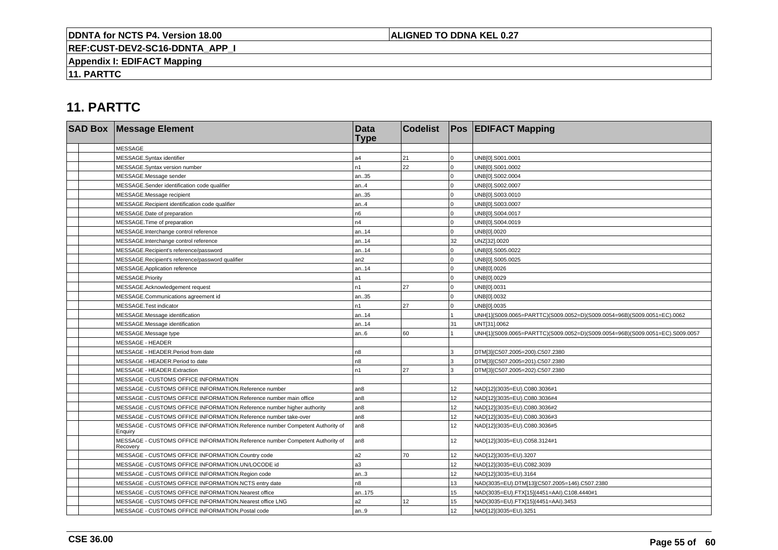## **ALIGNED TO DDNA KEL 0.27**

**REF:CUST-DEV2-SC16-DDNTA\_APP\_I**

**Appendix I: EDIFACT Mapping**

**11. PARTTC**

| <b>SAD Box Message Element</b>                                                           | <b>Data</b><br><b>Type</b> | <b>Codelist</b> |                 | <b>Pos EDIFACT Mapping</b>                                                   |
|------------------------------------------------------------------------------------------|----------------------------|-----------------|-----------------|------------------------------------------------------------------------------|
| <b>MESSAGE</b>                                                                           |                            |                 |                 |                                                                              |
| MESSAGE.Syntax identifier                                                                | a4                         | 21              |                 | UNB[0].S001.0001                                                             |
| MESSAGE.Syntax version number                                                            | n <sub>1</sub>             | 22              | $\Omega$        | UNB[0].S001.0002                                                             |
| MESSAGE.Message sender                                                                   | an35                       |                 |                 | UNB[0].S002.0004                                                             |
| MESSAGE.Sender identification code qualifier                                             | an.4                       |                 | $\Omega$        | UNB[0].S002.0007                                                             |
| MESSAGE.Message recipient                                                                | an35                       |                 |                 | UNB[0].S003.0010                                                             |
| MESSAGE.Recipient identification code qualifier                                          | an4                        |                 | $\Omega$        | UNB[0].S003.0007                                                             |
| MESSAGE.Date of preparation                                                              | n6                         |                 | $\Omega$        | UNB[0].S004.0017                                                             |
| MESSAGE. Time of preparation                                                             | n4                         |                 | $\Omega$        | UNB[0].S004.0019                                                             |
| MESSAGE.Interchange control reference                                                    | an14                       |                 |                 | UNB[0].0020                                                                  |
| MESSAGE.Interchange control reference                                                    | an14                       |                 | 32              | UNZ[32].0020                                                                 |
| MESSAGE.Recipient's reference/password                                                   | an14                       |                 | $\Omega$        | UNB[0].S005.0022                                                             |
| MESSAGE.Recipient's reference/password qualifier                                         | an2                        |                 | $\Omega$        | UNB[0].S005.0025                                                             |
| MESSAGE.Application reference                                                            | an14                       |                 | U               | UNB[0].0026                                                                  |
| MESSAGE.Priority                                                                         | a1                         |                 | $\Omega$        | UNB[0].0029                                                                  |
| MESSAGE.Acknowledgement request                                                          | n1                         | 27              | $\Omega$        | UNB[0].0031                                                                  |
| MESSAGE.Communications agreement id                                                      | an35                       |                 | $\Omega$        | UNB[0].0032                                                                  |
| MESSAGE.Test indicator                                                                   | n1                         | 27              |                 | UNB[0].0035                                                                  |
| MESSAGE.Message identification                                                           | an14                       |                 |                 | UNH[1](S009.0065=PARTTC)(S009.0052=D)(S009.0054=96B)(S009.0051=EC).0062      |
| MESSAGE.Message identification                                                           | an14                       |                 | 31              | UNT[31].0062                                                                 |
| MESSAGE.Message type                                                                     | an6                        | 60              |                 | UNH[1](S009.0065=PARTTC)(S009.0052=D)(S009.0054=96B)(S009.0051=EC).S009.0057 |
| <b>MESSAGE - HEADER</b>                                                                  |                            |                 |                 |                                                                              |
| MESSAGE - HEADER.Period from date                                                        | n <sub>8</sub>             |                 | 3               | DTM[3](C507.2005=200).C507.2380                                              |
| MESSAGE - HEADER.Period to date                                                          | n8                         |                 | 3               | DTM[3](C507.2005=201).C507.2380                                              |
| MESSAGE - HEADER.Extraction                                                              | n1                         | 27              | 3               | DTM[3](C507.2005=202).C507.2380                                              |
| MESSAGE - CUSTOMS OFFICE INFORMATION                                                     |                            |                 |                 |                                                                              |
| MESSAGE - CUSTOMS OFFICE INFORMATION.Reference number                                    | an <sub>8</sub>            |                 | 12 <sup>2</sup> | NAD[12](3035=EU).C080.3036#1                                                 |
| MESSAGE - CUSTOMS OFFICE INFORMATION.Reference number main office                        | an <sub>8</sub>            |                 | 12              | NAD[12](3035=EU).C080.3036#4                                                 |
| MESSAGE - CUSTOMS OFFICE INFORMATION.Reference number higher authority                   | an <sub>8</sub>            |                 | 12              | NAD[12](3035=EU).C080.3036#2                                                 |
| MESSAGE - CUSTOMS OFFICE INFORMATION.Reference number take-over                          | an <sub>8</sub>            |                 | 12 <sup>2</sup> | NAD[12](3035=EU).C080.3036#3                                                 |
| MESSAGE - CUSTOMS OFFICE INFORMATION.Reference number Competent Authority of<br>Enquiry  | l an8                      |                 | 12 <sup>°</sup> | NAD[12](3035=EU).C080.3036#5                                                 |
| MESSAGE - CUSTOMS OFFICE INFORMATION.Reference number Competent Authority of<br>Recovery | an8                        |                 | 12              | NAD[12](3035=EU).C058.3124#1                                                 |
| MESSAGE - CUSTOMS OFFICE INFORMATION.Country code                                        | a2                         | 70              | 12              | NAD[12](3035=EU).3207                                                        |
| MESSAGE - CUSTOMS OFFICE INFORMATION.UN/LOCODE id                                        | a3                         |                 | 12              | NAD[12](3035=EU).C082.3039                                                   |
| MESSAGE - CUSTOMS OFFICE INFORMATION.Region code                                         | an.3                       |                 | 12 <sup>2</sup> | NAD[12](3035=EU).3164                                                        |
| MESSAGE - CUSTOMS OFFICE INFORMATION.NCTS entry date                                     | n8                         |                 | 13              | NAD(3035=EU).DTM[13](C507.2005=146).C507.2380                                |
| MESSAGE - CUSTOMS OFFICE INFORMATION.Nearest office                                      | an175                      |                 | 15              | NAD(3035=EU).FTX[15](4451=AAI).C108.4440#1                                   |
| MESSAGE - CUSTOMS OFFICE INFORMATION.Nearest office LNG                                  | a2                         | 12              | 15              | NAD(3035=EU).FTX[15](4451=AAI).3453                                          |
| MESSAGE - CUSTOMS OFFICE INFORMATION.Postal code                                         | an9                        |                 | 12              | NAD[12](3035=EU).3251                                                        |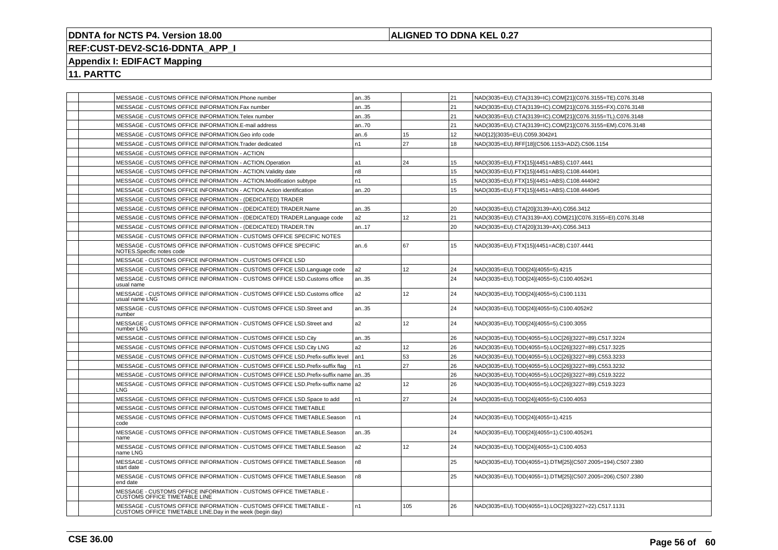## **ALIGNED TO DDNA KEL 0.27**

# **REF:CUST-DEV2-SC16-DDNTA\_APP\_I**

# **Appendix I: EDIFACT Mapping**

| MESSAGE - CUSTOMS OFFICE INFORMATION.Phone number                                                                              | an35           |     | 21 | NAD(3035=EU).CTA(3139=IC).COM[21](C076.3155=TE).C076.3148 |
|--------------------------------------------------------------------------------------------------------------------------------|----------------|-----|----|-----------------------------------------------------------|
| MESSAGE - CUSTOMS OFFICE INFORMATION.Fax number                                                                                | an35           |     | 21 | NAD(3035=EU).CTA(3139=IC).COM[21](C076.3155=FX).C076.3148 |
| MESSAGE - CUSTOMS OFFICE INFORMATION. Telex number                                                                             | an35           |     | 21 | NAD(3035=EU).CTA(3139=IC).COM[21](C076.3155=TL).C076.3148 |
| MESSAGE - CUSTOMS OFFICE INFORMATION.E-mail address                                                                            | an70           |     | 21 | NAD(3035=EU).CTA(3139=IC).COM[21](C076.3155=EM).C076.3148 |
| MESSAGE - CUSTOMS OFFICE INFORMATION.Geo info code                                                                             | l an6          | 15  | 12 | NAD[12](3035=EU).C059.3042#1                              |
| MESSAGE - CUSTOMS OFFICE INFORMATION. Trader dedicated                                                                         | n1             | 27  | 18 | NAD(3035=EU).RFF[18](C506.1153=ADZ).C506.1154             |
| MESSAGE - CUSTOMS OFFICE INFORMATION - ACTION                                                                                  |                |     |    |                                                           |
| MESSAGE - CUSTOMS OFFICE INFORMATION - ACTION.Operation                                                                        | a1             | 24  | 15 | NAD(3035=EU).FTX[15](4451=ABS).C107.4441                  |
| MESSAGE - CUSTOMS OFFICE INFORMATION - ACTION. Validity date                                                                   | n <sub>8</sub> |     | 15 | NAD(3035=EU).FTX[15](4451=ABS).C108.4440#1                |
| MESSAGE - CUSTOMS OFFICE INFORMATION - ACTION Modification subtype                                                             | n <sub>1</sub> |     | 15 | NAD(3035=EU).FTX[15](4451=ABS).C108.4440#2                |
| MESSAGE - CUSTOMS OFFICE INFORMATION - ACTION Action identification                                                            | an20           |     | 15 | NAD(3035=EU).FTX[15](4451=ABS).C108.4440#5                |
| MESSAGE - CUSTOMS OFFICE INFORMATION - (DEDICATED) TRADER                                                                      |                |     |    |                                                           |
| MESSAGE - CUSTOMS OFFICE INFORMATION - (DEDICATED) TRADER.Name                                                                 | an35           |     | 20 | NAD(3035=EU).CTA[20](3139=AX).C056.3412                   |
| MESSAGE - CUSTOMS OFFICE INFORMATION - (DEDICATED) TRADER.Language code                                                        | a2             | 12  | 21 | NAD(3035=EU).CTA(3139=AX).COM[21](C076.3155=EI).C076.3148 |
| MESSAGE - CUSTOMS OFFICE INFORMATION - (DEDICATED) TRADER.TIN                                                                  | an17           |     | 20 | NAD(3035=EU).CTA[20](3139=AX).C056.3413                   |
| MESSAGE - CUSTOMS OFFICE INFORMATION - CUSTOMS OFFICE SPECIFIC NOTES                                                           |                |     |    |                                                           |
| MESSAGE - CUSTOMS OFFICE INFORMATION - CUSTOMS OFFICE SPECIFIC<br>NOTES.Specific notes code                                    | an6            | 67  | 15 | NAD(3035=EU).FTX[15](4451=ACB).C107.4441                  |
| MESSAGE - CUSTOMS OFFICE INFORMATION - CUSTOMS OFFICE LSD                                                                      |                |     |    |                                                           |
| MESSAGE - CUSTOMS OFFICE INFORMATION - CUSTOMS OFFICE LSD.Language code                                                        | a <sub>2</sub> | 12  | 24 | NAD(3035=EU).TOD[24](4055=5).4215                         |
| MESSAGE - CUSTOMS OFFICE INFORMATION - CUSTOMS OFFICE LSD.Customs office<br>usual name                                         | an35           |     | 24 | NAD(3035=EU).TOD[24](4055=5).C100.4052#1                  |
| MESSAGE - CUSTOMS OFFICE INFORMATION - CUSTOMS OFFICE LSD.Customs office<br>usual name LNG                                     | a2             | 12  | 24 | NAD(3035=EU).TOD[24](4055=5).C100.1131                    |
| MESSAGE - CUSTOMS OFFICE INFORMATION - CUSTOMS OFFICE LSD. Street and<br>number                                                | an35           |     | 24 | NAD(3035=EU).TOD[24](4055=5).C100.4052#2                  |
| MESSAGE - CUSTOMS OFFICE INFORMATION - CUSTOMS OFFICE LSD. Street and<br>number LNG                                            | a <sub>2</sub> | 12  | 24 | NAD(3035=EU).TOD[24](4055=5).C100.3055                    |
| MESSAGE - CUSTOMS OFFICE INFORMATION - CUSTOMS OFFICE LSD.City                                                                 | an35           |     | 26 | NAD(3035=EU).TOD(4055=5).LOC[26](3227=89).C517.3224       |
| MESSAGE - CUSTOMS OFFICE INFORMATION - CUSTOMS OFFICE LSD.City LNG                                                             | a <sub>2</sub> | 12  | 26 | NAD(3035=EU).TOD(4055=5).LOC[26](3227=89).C517.3225       |
| MESSAGE - CUSTOMS OFFICE INFORMATION - CUSTOMS OFFICE LSD. Prefix-suffix level                                                 | l an 1         | 53  | 26 | NAD(3035=EU).TOD(4055=5).LOC[26](3227=89).C553.3233       |
| MESSAGE - CUSTOMS OFFICE INFORMATION - CUSTOMS OFFICE LSD. Prefix-suffix flag                                                  | n <sub>1</sub> | 27  | 26 | NAD(3035=EU).TOD(4055=5).LOC[26](3227=89).C553.3232       |
| MESSAGE - CUSTOMS OFFICE INFORMATION - CUSTOMS OFFICE LSD.Prefix-suffix name   an35                                            |                |     | 26 | NAD(3035=EU).TOD(4055=5).LOC[26](3227=89).C519.3222       |
| MESSAGE - CUSTOMS OFFICE INFORMATION - CUSTOMS OFFICE LSD. Prefix-suffix name   a2<br>LNG.                                     |                | 12  | 26 | NAD(3035=EU).TOD(4055=5).LOC[26](3227=89).C519.3223       |
| MESSAGE - CUSTOMS OFFICE INFORMATION - CUSTOMS OFFICE LSD. Space to add                                                        | n <sub>1</sub> | 27  | 24 | NAD(3035=EU).TOD[24](4055=5).C100.4053                    |
| MESSAGE - CUSTOMS OFFICE INFORMATION - CUSTOMS OFFICE TIMETABLE                                                                |                |     |    |                                                           |
| MESSAGE - CUSTOMS OFFICE INFORMATION - CUSTOMS OFFICE TIMETABLE.Season<br>code                                                 | n1             |     | 24 | NAD(3035=EU).TOD[24](4055=1).4215                         |
| MESSAGE - CUSTOMS OFFICE INFORMATION - CUSTOMS OFFICE TIMETABLE.Season<br>name                                                 | an35           |     | 24 | NAD(3035=EU).TOD[24](4055=1).C100.4052#1                  |
| MESSAGE - CUSTOMS OFFICE INFORMATION - CUSTOMS OFFICE TIMETABLE.Season<br>name LNG                                             | a2             | 12  | 24 | NAD(3035=EU).TOD[24](4055=1).C100.4053                    |
| MESSAGE - CUSTOMS OFFICE INFORMATION - CUSTOMS OFFICE TIMETABLE.Season<br>start date                                           | n <sub>8</sub> |     | 25 | NAD(3035=EU).TOD(4055=1).DTM[25](C507.2005=194).C507.2380 |
| MESSAGE - CUSTOMS OFFICE INFORMATION - CUSTOMS OFFICE TIMETABLE.Season<br>end date                                             | n <sub>8</sub> |     | 25 | NAD(3035=EU).TOD(4055=1).DTM[25](C507.2005=206).C507.2380 |
| MESSAGE - CUSTOMS OFFICE INFORMATION - CUSTOMS OFFICE TIMETABLE -<br><b>CUSTOMS OFFICE TIMETABLE LINE</b>                      |                |     |    |                                                           |
| MESSAGE - CUSTOMS OFFICE INFORMATION - CUSTOMS OFFICE TIMETABLE -<br>CUSTOMS OFFICE TIMETABLE LINE.Day in the week (begin day) | n <sub>1</sub> | 105 | 26 | NAD(3035=EU).TOD(4055=1).LOC[26](3227=22).C517.1131       |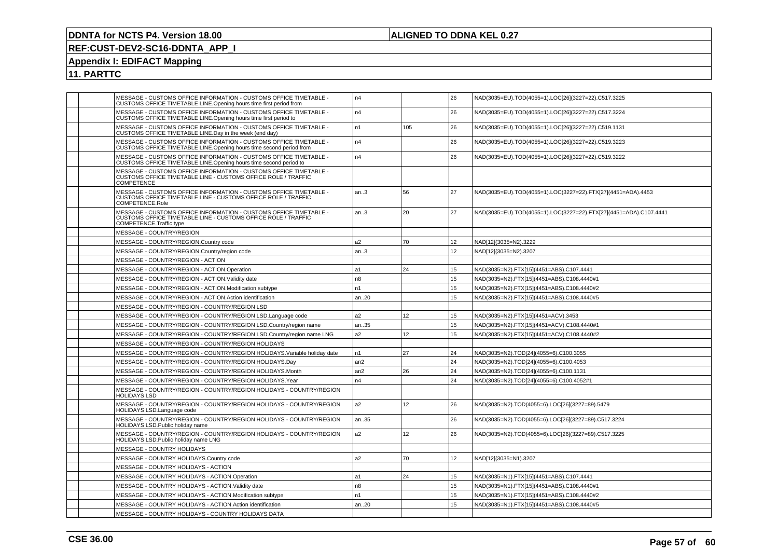## **ALIGNED TO DDNA KEL 0.27**

# **REF:CUST-DEV2-SC16-DDNTA\_APP\_I**

# **Appendix I: EDIFACT Mapping**

|                     | MESSAGE - CUSTOMS OFFICE INFORMATION - CUSTOMS OFFICE TIMETABLE -<br>CUSTOMS OFFICE TIMETABLE LINE.Opening hours time first period from                       | n4              |                 | 26 | NAD(3035=EU).TOD(4055=1).LOC[26](3227=22).C517.3225               |
|---------------------|---------------------------------------------------------------------------------------------------------------------------------------------------------------|-----------------|-----------------|----|-------------------------------------------------------------------|
|                     | MESSAGE - CUSTOMS OFFICE INFORMATION - CUSTOMS OFFICE TIMETABLE -<br>CUSTOMS OFFICE TIMETABLE LINE.Opening hours time first period to                         | n4              |                 | 26 | NAD(3035=EU).TOD(4055=1).LOC[26](3227=22).C517.3224               |
|                     | MESSAGE - CUSTOMS OFFICE INFORMATION - CUSTOMS OFFICE TIMETABLE -<br>CUSTOMS OFFICE TIMETABLE LINE.Day in the week (end day)                                  | n1              | 105             | 26 | NAD(3035=EU).TOD(4055=1).LOC[26](3227=22).C519.1131               |
|                     | MESSAGE - CUSTOMS OFFICE INFORMATION - CUSTOMS OFFICE TIMETABLE -<br>CUSTOMS OFFICE TIMETABLE LINE.Opening hours time second period from                      | n4              |                 | 26 | NAD(3035=EU).TOD(4055=1).LOC[26](3227=22).C519.3223               |
|                     | MESSAGE - CUSTOMS OFFICE INFORMATION - CUSTOMS OFFICE TIMETABLE -<br>CUSTOMS OFFICE TIMETABLE LINE.Opening hours time second period to                        | n4              |                 | 26 | NAD(3035=EU).TOD(4055=1).LOC[26](3227=22).C519.3222               |
| COMPETENCE          | MESSAGE - CUSTOMS OFFICE INFORMATION - CUSTOMS OFFICE TIMETABLE -<br>CUSTOMS OFFICE TIMETABLE LINE - CUSTOMS OFFICE ROLE / TRAFFIC                            |                 |                 |    |                                                                   |
|                     | MESSAGE - CUSTOMS OFFICE INFORMATION - CUSTOMS OFFICE TIMETABLE -<br>CUSTOMS OFFICE TIMETABLE LINE - CUSTOMS OFFICE ROLE / TRAFFIC<br>COMPETENCE.Role         | an.3            | 56              | 27 | NAD(3035=EU).TOD(4055=1).LOC(3227=22).FTX[27](4451=ADA).4453      |
|                     | MESSAGE - CUSTOMS OFFICE INFORMATION - CUSTOMS OFFICE TIMETABLE -<br>CUSTOMS OFFICE TIMETABLE LINE - CUSTOMS OFFICE ROLE / TRAFFIC<br>COMPETENCE.Traffic type | an.3            | 20              | 27 | NAD(3035=EU).TOD(4055=1).LOC(3227=22).FTX[27](4451=ADA).C107.4441 |
|                     | MESSAGE - COUNTRY/REGION                                                                                                                                      |                 |                 |    |                                                                   |
|                     | MESSAGE - COUNTRY/REGION.Country code                                                                                                                         | a2              | 70              | 12 | NAD[12](3035=N2).3229                                             |
|                     | MESSAGE - COUNTRY/REGION.Country/region code                                                                                                                  | an3             |                 | 12 | NAD[12](3035=N2).3207                                             |
|                     | MESSAGE - COUNTRY/REGION - ACTION                                                                                                                             |                 |                 |    |                                                                   |
|                     | MESSAGE - COUNTRY/REGION - ACTION.Operation                                                                                                                   | a <sub>1</sub>  | 24              | 15 | NAD(3035=N2).FTX[15](4451=ABS).C107.4441                          |
|                     | MESSAGE - COUNTRY/REGION - ACTION.Validity date                                                                                                               | n8              |                 | 15 | NAD(3035=N2).FTX[15](4451=ABS).C108.4440#1                        |
|                     | MESSAGE - COUNTRY/REGION - ACTION.Modification subtype                                                                                                        | n1              |                 | 15 | NAD(3035=N2).FTX[15](4451=ABS).C108.4440#2                        |
|                     | MESSAGE - COUNTRY/REGION - ACTION.Action identification                                                                                                       | an20            |                 | 15 | NAD(3035=N2).FTX[15](4451=ABS).C108.4440#5                        |
|                     | MESSAGE - COUNTRY/REGION - COUNTRY/REGION LSD                                                                                                                 |                 |                 |    |                                                                   |
|                     | MESSAGE - COUNTRY/REGION - COUNTRY/REGION LSD.Language code                                                                                                   | a2              | 12              | 15 | NAD(3035=N2).FTX[15](4451=ACV).3453                               |
|                     | MESSAGE - COUNTRY/REGION - COUNTRY/REGION LSD.Country/region name                                                                                             | an35            |                 | 15 | NAD(3035=N2).FTX[15](4451=ACV).C108.4440#1                        |
|                     | MESSAGE - COUNTRY/REGION - COUNTRY/REGION LSD.Country/region name LNG                                                                                         | a2              | 12              | 15 | NAD(3035=N2).FTX[15](4451=ACV).C108.4440#2                        |
|                     | MESSAGE - COUNTRY/REGION - COUNTRY/REGION HOLIDAYS                                                                                                            |                 |                 |    |                                                                   |
|                     | MESSAGE - COUNTRY/REGION - COUNTRY/REGION HOLIDAYS.Variable holiday date                                                                                      | n1              | 27              | 24 | NAD(3035=N2).TOD[24](4055=6).C100.3055                            |
|                     | MESSAGE - COUNTRY/REGION - COUNTRY/REGION HOLIDAYS.Day                                                                                                        | an <sub>2</sub> |                 | 24 | NAD(3035=N2).TOD[24](4055=6).C100.4053                            |
|                     | MESSAGE - COUNTRY/REGION - COUNTRY/REGION HOLIDAYS.Month                                                                                                      | an2             | 26              | 24 | NAD(3035=N2).TOD[24](4055=6).C100.1131                            |
|                     | MESSAGE - COUNTRY/REGION - COUNTRY/REGION HOLIDAYS.Year                                                                                                       | n4              |                 | 24 | NAD(3035=N2).TOD[24](4055=6).C100.4052#1                          |
| <b>HOLIDAYS LSD</b> | MESSAGE - COUNTRY/REGION - COUNTRY/REGION HOLIDAYS - COUNTRY/REGION                                                                                           |                 |                 |    |                                                                   |
|                     | MESSAGE - COUNTRY/REGION - COUNTRY/REGION HOLIDAYS - COUNTRY/REGION<br>HOLIDAYS LSD.Language code                                                             | a2              | 12 <sup>°</sup> | 26 | NAD(3035=N2).TOD(4055=6).LOC[26](3227=89).5479                    |
|                     | MESSAGE - COUNTRY/REGION - COUNTRY/REGION HOLIDAYS - COUNTRY/REGION<br>HOLIDAYS LSD. Public holiday name                                                      | an35            |                 | 26 | NAD(3035=N2).TOD(4055=6).LOC[26](3227=89).C517.3224               |
|                     | MESSAGE - COUNTRY/REGION - COUNTRY/REGION HOLIDAYS - COUNTRY/REGION<br>HOLIDAYS LSD.Public holiday name LNG                                                   | a2              | 12 <sup>°</sup> | 26 | NAD(3035=N2).TOD(4055=6).LOC[26](3227=89).C517.3225               |
|                     | MESSAGE - COUNTRY HOLIDAYS                                                                                                                                    |                 |                 |    |                                                                   |
|                     | MESSAGE - COUNTRY HOLIDAYS.Country code                                                                                                                       | a2              | 70              | 12 | NAD[12](3035=N1).3207                                             |
|                     | MESSAGE - COUNTRY HOLIDAYS - ACTION                                                                                                                           |                 |                 |    |                                                                   |
|                     | MESSAGE - COUNTRY HOLIDAYS - ACTION.Operation                                                                                                                 | a1              | 24              | 15 | NAD(3035=N1).FTX[15](4451=ABS).C107.4441                          |
|                     | MESSAGE - COUNTRY HOLIDAYS - ACTION. Validity date                                                                                                            | n8              |                 | 15 | NAD(3035=N1).FTX[15](4451=ABS).C108.4440#1                        |
|                     | MESSAGE - COUNTRY HOLIDAYS - ACTION.Modification subtype                                                                                                      | n1              |                 | 15 | NAD(3035=N1).FTX[15](4451=ABS).C108.4440#2                        |
|                     | MESSAGE - COUNTRY HOLIDAYS - ACTION.Action identification                                                                                                     | an20            |                 | 15 | NAD(3035=N1).FTX[15](4451=ABS).C108.4440#5                        |
|                     | MESSAGE - COUNTRY HOLIDAYS - COUNTRY HOLIDAYS DATA                                                                                                            |                 |                 |    |                                                                   |
|                     |                                                                                                                                                               |                 |                 |    |                                                                   |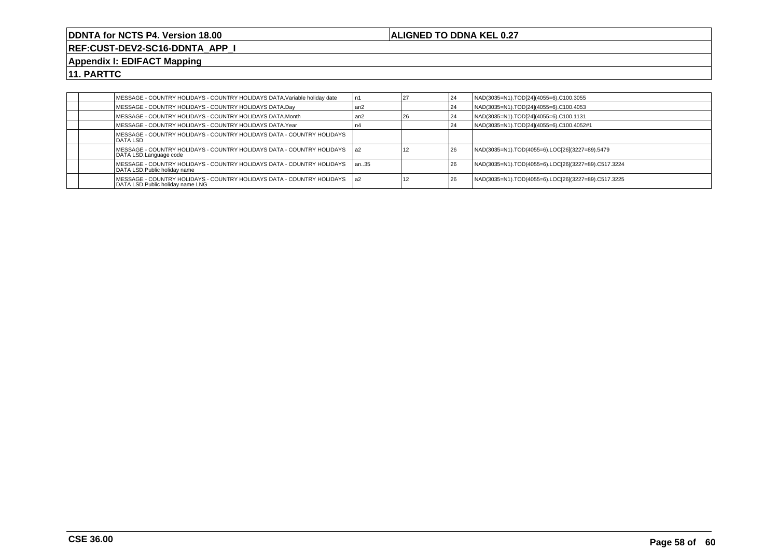## **ALIGNED TO DDNA KEL 0.27**

**REF:CUST-DEV2-SC16-DDNTA\_APP\_I**

## **Appendix I: EDIFACT Mapping**

|  | MESSAGE - COUNTRY HOLIDAYS - COUNTRY HOLIDAYS DATA.Variable holiday date                                   | l n1  |      | 24 | NAD(3035=N1).TOD[24](4055=6).C100.3055              |
|--|------------------------------------------------------------------------------------------------------------|-------|------|----|-----------------------------------------------------|
|  | MESSAGE - COUNTRY HOLIDAYS - COUNTRY HOLIDAYS DATA.Day                                                     | l an2 |      | 24 | NAD(3035=N1).TOD[24](4055=6).C100.4053              |
|  | IMESSAGE - COUNTRY HOLIDAYS - COUNTRY HOLIDAYS DATA.Month                                                  | l an2 | l 26 | 24 | NAD(3035=N1).TOD[24](4055=6).C100.1131              |
|  | MESSAGE - COUNTRY HOLIDAYS - COUNTRY HOLIDAYS DATA.Year                                                    |       |      | 24 | NAD(3035=N1).TOD[24](4055=6).C100.4052#1            |
|  | MESSAGE - COUNTRY HOLIDAYS - COUNTRY HOLIDAYS DATA - COUNTRY HOLIDAYS<br><b>IDATA LSD</b>                  |       |      |    |                                                     |
|  | IMESSAGE - COUNTRY HOLIDAYS - COUNTRY HOLIDAYS DATA - COUNTRY HOLIDAYS       la2<br>DATA LSD.Language code |       |      | 26 | NAD(3035=N1).TOD(4055=6).LOC[26](3227=89).5479      |
|  | IMESSAGE - COUNTRY HOLIDAYS - COUNTRY HOLIDAYS DATA - COUNTRY HOLIDAYS<br>DATA LSD.Public holiday name     | lan35 |      | 26 | NAD(3035=N1).TOD(4055=6).LOC[26](3227=89).C517.3224 |
|  | MESSAGE - COUNTRY HOLIDAYS - COUNTRY HOLIDAYS DATA - COUNTRY HOLIDAYS<br>DATA LSD. Public holiday name LNG | l a2  |      | 26 | NAD(3035=N1).TOD(4055=6).LOC[26](3227=89).C517.3225 |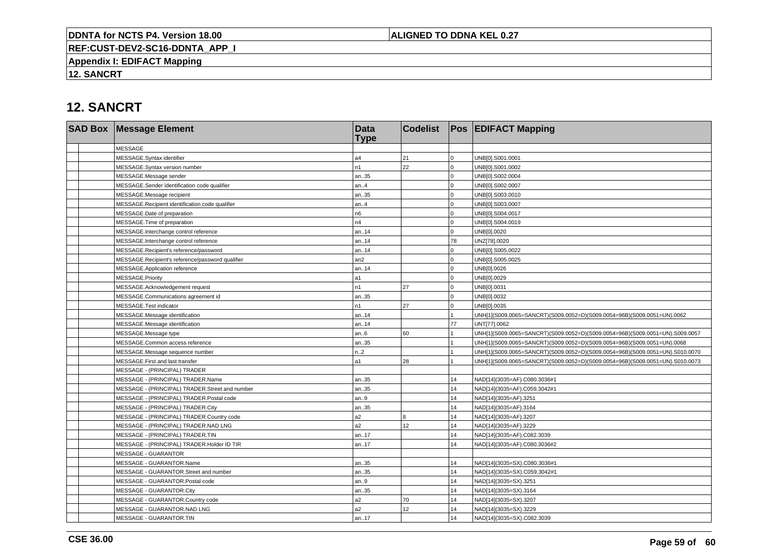## **ALIGNED TO DDNA KEL 0.27**

**REF:CUST-DEV2-SC16-DDNTA\_APP\_I**

**Appendix I: EDIFACT Mapping**

**12. SANCRT**

# **12. SANCRT**

|  | <b>SAD Box Message Element</b>                   | <b>Data</b><br><b>Type</b> | <b>Codelist</b> |             | <b>Pos EDIFACT Mapping</b>                                                   |
|--|--------------------------------------------------|----------------------------|-----------------|-------------|------------------------------------------------------------------------------|
|  | <b>MESSAGE</b>                                   |                            |                 |             |                                                                              |
|  | MESSAGE.Syntax identifier                        | a <sub>4</sub>             | 21              | $\Omega$    | UNB[0].S001.0001                                                             |
|  | MESSAGE.Syntax version number                    | n <sub>1</sub>             | 22              | $\Omega$    | UNB[0].S001.0002                                                             |
|  | MESSAGE.Message sender                           | an35                       |                 | $\Omega$    | UNB[0].S002.0004                                                             |
|  | MESSAGE.Sender identification code qualifier     | an.4                       |                 | $\Omega$    | UNB[0].S002.0007                                                             |
|  | MESSAGE.Message recipient                        | an35                       |                 | $\Omega$    | UNB[0].S003.0010                                                             |
|  | MESSAGE.Recipient identification code qualifier  | an.4                       |                 | $\Omega$    | UNB[0].S003.0007                                                             |
|  | MESSAGE.Date of preparation                      | n6                         |                 | $\Omega$    | UNB[0].S004.0017                                                             |
|  | MESSAGE. Time of preparation                     | n4                         |                 | $\Omega$    | UNB[0].S004.0019                                                             |
|  | MESSAGE.Interchange control reference            | an14                       |                 | $\mathbf 0$ | UNB[0].0020                                                                  |
|  | MESSAGE.Interchange control reference            | an14                       |                 | 78          | UNZ[78].0020                                                                 |
|  | MESSAGE.Recipient's reference/password           | an14                       |                 | $\Omega$    | UNB[0].S005.0022                                                             |
|  | MESSAGE.Recipient's reference/password qualifier | an2                        |                 | $\Omega$    | UNB[0].S005.0025                                                             |
|  | MESSAGE.Application reference                    | an14                       |                 | $\Omega$    | UNB[0].0026                                                                  |
|  | MESSAGE.Priority                                 | l a1                       |                 | $\Omega$    | UNB[0].0029                                                                  |
|  | MESSAGE.Acknowledgement request                  | n1                         | 27              | $\Omega$    | UNB[0].0031                                                                  |
|  | MESSAGE.Communications agreement id              | an35                       |                 | $\Omega$    | UNB[0].0032                                                                  |
|  | MESSAGE.Test indicator                           | n <sub>1</sub>             | 27              | $\mathbf 0$ | UNB[0].0035                                                                  |
|  | MESSAGE.Message identification                   | an14                       |                 |             | UNH[1](S009.0065=SANCRT)(S009.0052=D)(S009.0054=96B)(S009.0051=UN).0062      |
|  | MESSAGE.Message identification                   | an14                       |                 | 77          | UNT[77].0062                                                                 |
|  | MESSAGE.Message type                             | an.6                       | 60              |             | UNH[1](S009.0065=SANCRT)(S009.0052=D)(S009.0054=96B)(S009.0051=UN).S009.0057 |
|  | MESSAGE.Common access reference                  | an35                       |                 |             | UNH[1](S009.0065=SANCRT)(S009.0052=D)(S009.0054=96B)(S009.0051=UN).0068      |
|  | MESSAGE.Message sequence number                  | n.2                        |                 |             | UNH[1](S009.0065=SANCRT)(S009.0052=D)(S009.0054=96B)(S009.0051=UN).S010.0070 |
|  | MESSAGE.First and last transfer                  | l a1                       | 28              |             | UNH[1](S009.0065=SANCRT)(S009.0052=D)(S009.0054=96B)(S009.0051=UN).S010.0073 |
|  | MESSAGE - (PRINCIPAL) TRADER                     |                            |                 |             |                                                                              |
|  | MESSAGE - (PRINCIPAL) TRADER.Name                | an35                       |                 | 14          | NAD[14](3035=AF).C080.3036#1                                                 |
|  | MESSAGE - (PRINCIPAL) TRADER.Street and number   | an35                       |                 | 14          | NAD[14](3035=AF).C059.3042#1                                                 |
|  | MESSAGE - (PRINCIPAL) TRADER.Postal code         | an9                        |                 | 14          | NAD[14](3035=AF).3251                                                        |
|  | MESSAGE - (PRINCIPAL) TRADER.City                | an35                       |                 | 14          | NAD[14](3035=AF).3164                                                        |
|  | MESSAGE - (PRINCIPAL) TRADER.Country code        | a2                         | 8               | 14          | NAD[14](3035=AF).3207                                                        |
|  | MESSAGE - (PRINCIPAL) TRADER.NAD LNG             | a <sub>2</sub>             | 12              | 14          | NAD[14](3035=AF).3229                                                        |
|  | MESSAGE - (PRINCIPAL) TRADER.TIN                 | an17                       |                 | 14          | NAD[14](3035=AF).C082.3039                                                   |
|  | MESSAGE - (PRINCIPAL) TRADER.Holder ID TIR       | an17                       |                 | 14          | NAD[14](3035=AF).C080.3036#2                                                 |
|  | <b>MESSAGE - GUARANTOR</b>                       |                            |                 |             |                                                                              |
|  | MESSAGE - GUARANTOR.Name                         | an35                       |                 | 14          | NAD[14](3035=SX).C080.3036#1                                                 |
|  | MESSAGE - GUARANTOR.Street and number            | an35                       |                 | 14          | NAD[14](3035=SX).C059.3042#1                                                 |
|  | MESSAGE - GUARANTOR.Postal code                  | an.9                       |                 | 14          | NAD[14](3035=SX).3251                                                        |
|  | MESSAGE - GUARANTOR.City                         | an35                       |                 | 14          | NAD[14](3035=SX).3164                                                        |
|  | MESSAGE - GUARANTOR.Country code                 | a2                         | 70              | 14          | NAD[14](3035=SX).3207                                                        |
|  | MESSAGE - GUARANTOR.NAD LNG                      | a2                         | 12              | 14          | NAD[14](3035=SX).3229                                                        |
|  | MESSAGE - GUARANTOR.TIN                          | an17                       |                 | 14          | NAD[14](3035=SX).C082.3039                                                   |